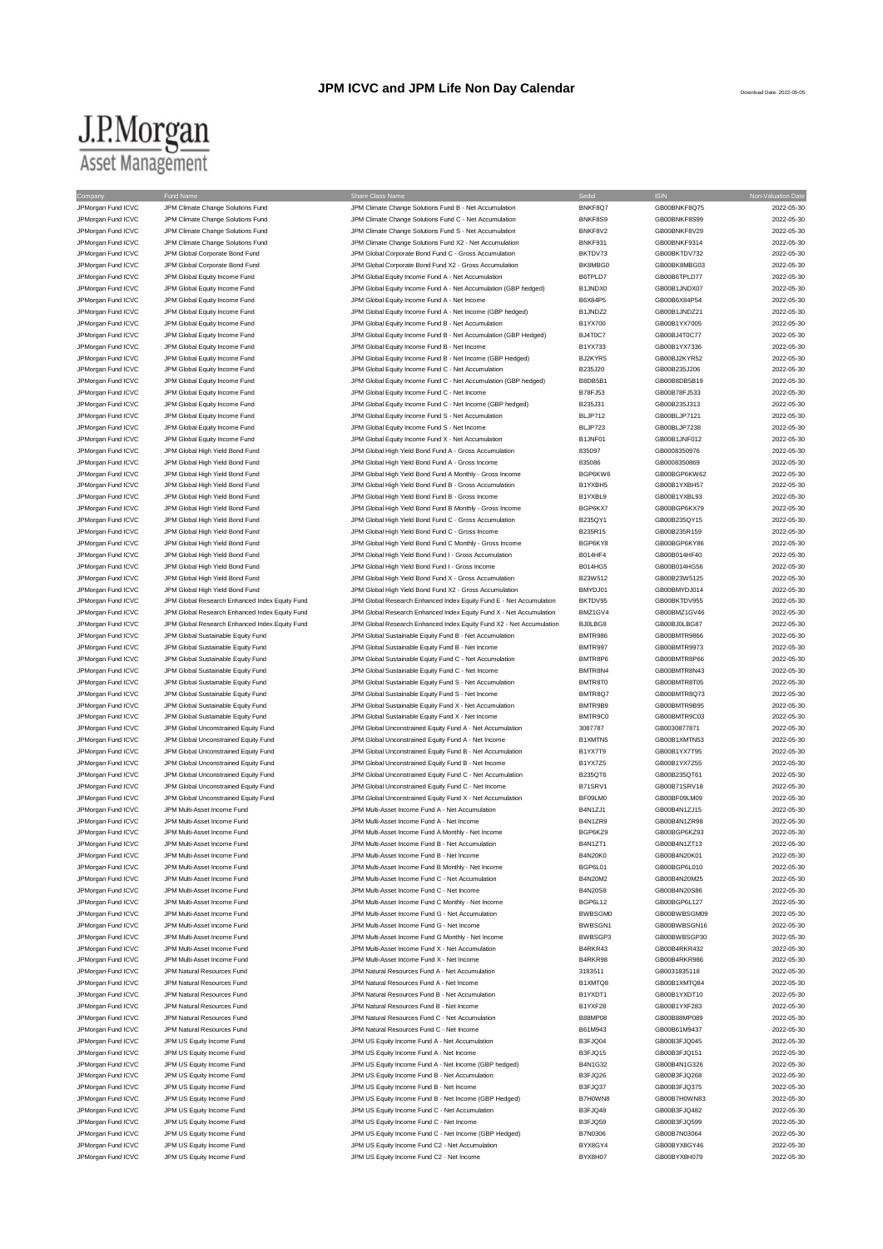## J.P.Morgan **Asset Management**

JPM Climate Change Solutions Fund ICV Commete Change Solutions Fund C - Net Accumulation BNKF8S9 GB00BNKF8S99 CGB00BNKF8S99 2022-05-30 JPMorgan Fund ICVC JPM Climate Change Solutions Fund JPM Climate Change Solutions Fund S - Net Accumulation BNKF8V2 GB00BNKF8V29 2022-05-30 JPMorgan Fund ICVC JPM Climate Change Solutions Fund JPM Climate Change Solutions Fund X2 - Net Accumulation BNKF931 GB00BNKF9314 2022-05-30 JPMorgan Fund ICVC JPM Global Corporate Bond Fund JPM Global Corporate Bond Fund C - Gross Accumulation BKTDV73 GB00BKTDV732 2022-05-30<br>JPM Global Fund ICVC JPM Global Corporate Bond Fund JPM Global Corporate Bond Fund X2 JPM Global Corporate Bond Fund Corporate Corporate Bond Fund X2 - Gross Accumulation BK8MBG0 GB00BK8MBG03 2022-05-30 JPMorgan Fund ICVC JPM Global Equity Income Fund JPM Global Equity Income Fund A - Net Accumulation B6TPLD7 GB00B6TPLD77 2022-05-30 JPM Growth Fund ICVC JPM Global Equity Income Fund JPM Global Equity Income Fund A - Net Accumulation (GBP hedged) B1JNDX0 GB00B1JNDX07 2022-05-30<br>JPM Growth And A - JPM Global Equity Income Fund JPM Global Equity Income F JPM Global Equity Income Fund A - Net Income JPMorgan Fund ICVC JPM Global Equity Income Fund JPM Global Equity Income Fund A - Net Income (GBP hedged) B1JNDZ2 GB00B1JNDZ21 2022-05-30 JPMorgan Fund ICVC JPM Global Equity Income Fund State of Development Development Development Development Development Development Development Development Development Development Development Development Development Developm JPMorgan Fund ICVC JPM Global Equity Income Fund JPM Global Equity Income Fund B - Net Accumulation (GBP Hedged) BJ4T0C7 GB00BJ4T0C77 2022-05-30 JPMorgan Fund ICVC JPM Global Equity Income Fund JPM Global Equity Income Fund B - Net Income B1YX733 GB00B1YX7336 2022-05-30 JPMorgan Fund ICVC JPM Global Equity Income Fund JPM Global Equity Income Fund B - Net Income (GBP Hedged) BJ2KYR5 GB00BJ2KYR52 2022-05-30<br>JPM Global And The Lobal Equity Income Fund JPM Global Equity Income Fund C - Net A JPM Global Equity Income Fund C - Net Accumulation **BEXES-COMENT CONCOMENT CONCOMENT CONCOMENT CONCO**<br>B235J20 GB00B235J206 2022-05-30 JPMorgan Fund ICVC JPM Global Equity Income Fund JPM Global Equity Income Fund C - Net Accumulation (GBP hedged) B8DB5B1 GB00B8DB5B19 2022-05-30 JPMorgan Fund ICVC JPM Global Equity Income Fund JPM Global Equity Income Fund C - Net Income B78FJ53 GB00B78FJ533 2022-05-30 JPMorgan Fund ICVC JPM Global Equity Income Fund JPM Global Equity Income Fund C - Net Income (GBP hedged) B235J31 GB00B235J313 2022-05-30<br>JPM Global LPM Global Equity Income Fund JPM Global Equity Income Fund S - Net Accu JPMorgan Fund ICVC JPM Global Equity Income Fund<br>
JPM Global Equity Income Fund S - Net Accum JPMorgan Fund ICVC JPM Global Equity Income Fund JPM Global Equity Income Fund S - Net Income BLJP723 GB00BLJP7238 2022-05-30 JPMorgan Fund ICVC JPM Global Equity Income Fund Accumulation JPM Global Equity Income Fund X - Net Accumulation and B1JNF01 GB00B1JNF012 2022-05-30<br>JPM Global Section JPM Global High Yield Bond Fund JPM Global High Yield JPM Global High Yield Bond Fund A - Gross Accum JPMorgan Fund ICVC JPM Global High Yield Bond Fund JPM Global High Yield Bond Fund A - Gross Income 835086 GB0008350869 2022-05-30 JPMorgan Fund ICVC JPM Global High Yield Bond Fund JPM Global High Yield Bond Fund A Monthly - Gross Income BGP6KW6 GB00BGP6KW62 2022-05-30 JPMorgan Fund ICVC JPM Global High Yield Bond Fund JPM Global High Yield Bond Fund B - Gross Accumulation B1YXBH5 GB00B1YXBH57 2022-05-30 JPMorgan Fund ICVC JPM Global High Yield Bond Fund JPM Global High Yield Bond Fund B - Gross Income B1YXBL9 GB00B1YXBL93 2022-05-30 JPMorgan Fund ICVC JPM Global High Yield Bond Fund JPM Global High Yield Bond Fund B Monthly - Gross Income BGP6KX7 GB00BGP6KX79 2022-05-30 JPMorgan Fund ICVC JPM Global High Yield Bond Fund JPM Global High Yield Bond Fund C - Gross Accumulation B235QY1 GB00B235QY15 2022-05-30 JPMorgan Fund ICVC JPM Global High Yield Bond Fund JPM Global High Yield Bond Fund C - Gross Income B235R15 B235R15 GB00B235R159 2022-05-30 JPMorgan Fund ICVC JPM Global High Yield Bond Fund JPM Global High Yield Bond Fund C Monthly - Gross Income BGP6KY8 GB00BGP6KY86 2022-05-30 JPMorgan Fund ICVC JPM Global High Yield Bond Fund JPM Global High Yield Bond Fund I - Gross Accumulation B014HF4 GB00B014HF40 2022-05-30 JPMorgan Fund ICVC JPM Global High Yield Bond Fund JPM Global High Yield Bond Fund I - Gross Income B014HG5 GB00B014HG56 GB00B014HG56 2022-05-30<br>JPM Gross JPM Global High Yield Bond Fund JPM Global High Yield Bond Fund X -JPMorgan Fund ICVC JPM Global High Yield Bond Fund JPM Global High Yield Bond Fund X - Gross Accumulation B23W512 GB00B23W5125 2022-05-30 JPMorgan Fund ICVC JPM Global High Yield Bond Fund JPM Global High Yield Bond Fund X2 - Gross Accumulation BMYDJ01 GB00BMYDJ014 2022-05-30 JPMorgan Fund ICVC JPM Global Research Enhanced Index Equity Fund JPM Global Research Enhanced Index Equity Fund E - Net Accumulation BKTDV95 GB00BKTDV955 2022-05-30 JPMorgan Fund ICVC JPM Global Research Enhanced Index Equity Fund JPM Global Research Enhanced Index Equity Fund X - Net Accumulation BMZ1GV4 GB00BMZ1GV46 2022-05-30 JPMorgan Fund ICVC JPM Global Research Enhanced Index Equity Fund JPM Global Research Enhanced Index Equity Fund X2 - Net Accumulation BJ0LBG8 GB00BJ0LBG87 2022-05-30 JPMorgan Fund ICVC JPM Global Sustainable Equity Fund JPM Global Sustainable Equity Fund B - Net Accumulation BMTR986 GB00BMTR9866 2022-05-30 JPMorgan Fund ICVC JPM Global Sustainable Equity Fund JPM Global Sustainable Equity Fund B - Net Income BMTR997 GB00BMTR9973 2022-05-30 JPMorgan Fund ICVC JPM Global Sustainable Equity Fund Sustainable Equity Fund C - Net Accumulation BMTR8P6 GB00BMTR8P66 2022-05-30<br>JPM Gram JPM Global Sustainable Equity Fund JPM Global Sustainable Equity Fund C - Net Inco JPM Global Sustainable Equity Fund C - Net Income JPMorgan Fund ICVC JPM Global Sustainable Equity Fund JPM Global Sustainable Equity Fund S - Net Accumulation<br>JPM Group JPM Global Sustainable Equity Fund JPM Global Sustainable Equity Fund S - Net Income BMTR8Q7 GB00BMTR8 JPMorgan Fund ICVC JPM Global Sustainable Equity Fund State JPM Global Sustainable Equity Fund S - Net Income BMTR8Q7 - BMTR8Q7 GB00BMTR8Q73 2022-05-30<br>JPM Group JPM Global Sustainable Equity Fund JPM Global Sustainable Eq JPM Global Sustainable Equity Fund X - Net Accumulation JPMorgan Fund ICVC JPM Global Sustainable Equity Fund Sustainable Equity Fund Hund X - Net Income BMTR9C0 GB00BMTR9C03 2022-05-30<br>JPM Georgen Fund ICVC JPM Global Unconstrained Equity Fund JPM Global Unconstrained Equity F JPMorgan Fund ICVC JPM Global Unconstrained Equity Fund JPM Global Unconstrained Equity Fund A - Net Accumulation 3087787 GB0030877871 2022-05-30 JPMorgan Fund ICVC JPM Global Unconstrained Equity Fund JPM Global Unconstrained Equity Fund A - Net Income B1XMTN5 GB00B1XMTN53 2022-05-30 JPMorgan Fund ICVC JPM Global Unconstrained Equity Fund JPM Global Unconstrained Equity Fund B - Net Accumulation B1YX7T9 GB00B1YX7T95 2022-05-30<br>JPM Gram Hund ICVC JPM Global Unconstrained Fouity Fund JPM Global Unconstra JPMorgan Fund ICVC JPM Global Unconstrained Equity Fund JPM Global Unconstrained Equity Fund B - Net Income B1YX7Z5 GB00B1YX7Z55 GB00B1YX7Z55 2022-05-30 JPMorgan Fund ICVC JPM Global Unconstrained Equity Fund JPM Global Unconstrained Equity Fund C - Net Accumulation<br>JPM Group Train JPM Global Unconstrained Equity Fund JPM Global Unconstrained Equity Fund C - Net Income B71 JPM Global Unconstrained Equity Fund C - Net Income B71SRV1 BROOB71SRV1 GB00B71SRV18 2022-05-30 JPMorgan Fund ICVC JPM Global Unconstrained Equity Fund JPM Global Unconstrained Equity Fund X - Net Accumulation BF09LM0 GB00BF09LM09 2022-05-30 JPMorgan Fund ICVC JPM Multi-Asset Income Fund JPM Multi-Asset Income Fund A - Net Accumulation B4N1ZJ1 GB00B4N1ZJ15 2022-05-30 JPM Multi-Asset Income Fund A - Net Income JPM Multi-Asset Income Fund JPM Multi-Asset Income Fund JPM Multi-Asset Income Fund A Monthly - Net Income Bund BGP6KZ9 GB00BGP6KZ93 GB00BGP6KZ93 2022-05-30 JPMorgan Fund ICVC JPM Multi-Asset Income Fund JPM Multi-Asset Income Fund B - Net Accumulation B4N1ZT1 GB00B4N1ZT13 2022-05-30 JPMorgan Fund ICVC JPM Multi-Asset Income Fund JPM Multi-Asset Income Fund B - Net Income B4N20K0 GB00B4N20K01 2022-05-30 JPMorgan Fund ICVC JPM Multi-Asset Income Fund JPM Multi-Asset Income Fund B Monthly - Net Income BGP6L01 GB00BGP6L010 2022-05-30 JPMorgan Fund ICVC JPM Multi-Asset Income Fund JPM Multi-Asset Income Fund C - Net Accumulation B4N20M2 GB00B4N20M25 2022-05-30 JPM Multi-Asset Income Fund JPM Multi-Asset Income Fund C - Net Income Fund C - Net Income B4N20S8 GB00B4N20S86 CB00B4N20S86 2022-05-30 JPMorgan Fund ICVC JPM Multi-Asset Income Fund JPM Multi-Asset Income Fund C Monthly - Net Income BGP6L12 GB00BGP6L127 2022-05-30 JPMorgan Fund ICVC JPM Multi-Asset Income Fund Come Current Come Fund G - Net Accumulation BWBSGM0 GB00BWBSGM09 2022-05-30 JPMorgan Fund ICVC JPM Multi-Asset Income Fund JPM Multi-Asset Income Fund G - Net Income BWBSGN1 GB00BWBSGN16 2022-05-30 JPMorgan Fund ICVC JPM Multi-Asset Income Fund Multi-Asset Income Fund G Monthly - Net Income Burges BWBSGP3 GB00BWBSGP30 2022-05-30<br>JPM Multi-Asset Income Fund JPM Multi-Asset Income Fund X - Net Accumulation B4RKR43 GB00 JPM Multi-Asset Income Fund CO22-05-30<br>JPM Multi-Asset Income Fund X - Net Accumulation BFM Multi-Asset Income Fund X - Net Accumulation B4RKR43 GB00B4RKR432 JPMorgan Fund ICVC JPM Multi-Asset Income Fund JPM Multi-Asset Income Fund X - Net Income B4RKR98 GB00B4RKR986 2022-05-30 JPMorgan Fund ICVC JPM Natural Resources Fund JPM Natural Resources Fund A - Net Accumulation 3183511 GB0031835118 2022-05-30 JPMorgan Fund ICVC JPM Natural Resources Fund JPM Natural Resources Fund A - Net Income B1XMTQ8 GB00B1XMTQ84 2022-05-30 JPMorgan Fund ICVC JPM Natural Resources Fund JPM Natural Resources Fund B - Net Accumulation B1YXDT1 GB00B1YXDT10 2022-05-30 JPMorgan Fund ICVC JPM Natural Resources Fund JPM Natural Resources Fund B - Net Income B1YXF28 GB00B1YXF283 CBD0B1YXF283 2022-05-30 JPMorgan Fund ICVC JPM Natural Resources Fund JPM Natural Resources Fund C - Net Accumulation B88MP08 GB00B88MP089 2022-05-30 JPM Natural Resources Fund JPM Natural Resources Fund C - Net Income B61M943 GB00B61M9437 GB00B61M9437 2022-05-30 JPMorgan Fund ICVC JPM US Equity Income Fund JPM US Equity Income Fund A - Net Accumulation B3FJQ04 GB00B3FJQ045 2022-05-30 JPMorgan Fund ICVC JPM US Equity Income Fund JPM US Equity Income Fund A - Net Income B3FJQ15 GB00B3FJQ151 2022-05-30 JPMorgan Fund ICVC JPM US Equity Income Fund JPM US Equity Income Fund A - Net Income (GBP hedged) B4N1G32 GB00B4N1G326 2022-05-30 JPMorgan Fund ICVC JPM US Equity Income Fund JPM US Equity Income Fund B - Net Accumulation B 37-JQ26 GB00B3FJQ268 CB00B3FJQ268 2022-05-30 JPM US Equity Income Fund JPM US Equity Income Fund JPM US Equity Income Fund B - Net Income B3FJQ37 GB00B3FJQ375 2022-05-30 JPMorgan Fund ICVC JPM US Equity Income Fund JPM US Equity Income Fund B - Net Income (GBP Hedged) B7H0WN8 GB00B7H0WN83 2022-05-30 JPMorgan Fund ICVC JPM US Equity Income Fund JPM US Equity Income Fund C - Net Accumulation B3FJQ48 GB00B3FJQ482 2022-05-30 JPMorgan Fund ICVC JPM US Equity Income Fund JPM US Equity Income Fund C - Net Income B3FJQ59 GB00B3FJQ599 2022-05-30 JPM US Equity Income Fund C - Net Income (GBP Hedged) JPMorgan Fund ICVC JPM US Equity Income Fund JPM US Equity Income Fund C2 - Net Accumulation BYX8GY4 GB00BYX8GY46 2022-05-30 JPM US Equity Income Fund COVID-1000 COVID-1000 JPM US Equity Income Fund C2 - Net Income Fund C2 - Net Income Fund C2 - Net Income Fund C2 - Net Income Fund C2 - Net Income Fund COVID-1000 BYX8H07 GB00BYX8H079 2022-05-30

Company Share Class Name Share Class Name Share Class Name Sedol Share Sedol ISIN Non-Valuation Date \_<br>JPMorgan Fund ICVC JPM Climate Change Solutions Fund JPM Climate Change Solutions Fund B- Net Accumulation BNKF8Q7 GB00BNKF8Q75 2022-05-30<br>JPM Organ Fund ICVC JPM Climate Change Solutions Fund JPM Climate Change Solutio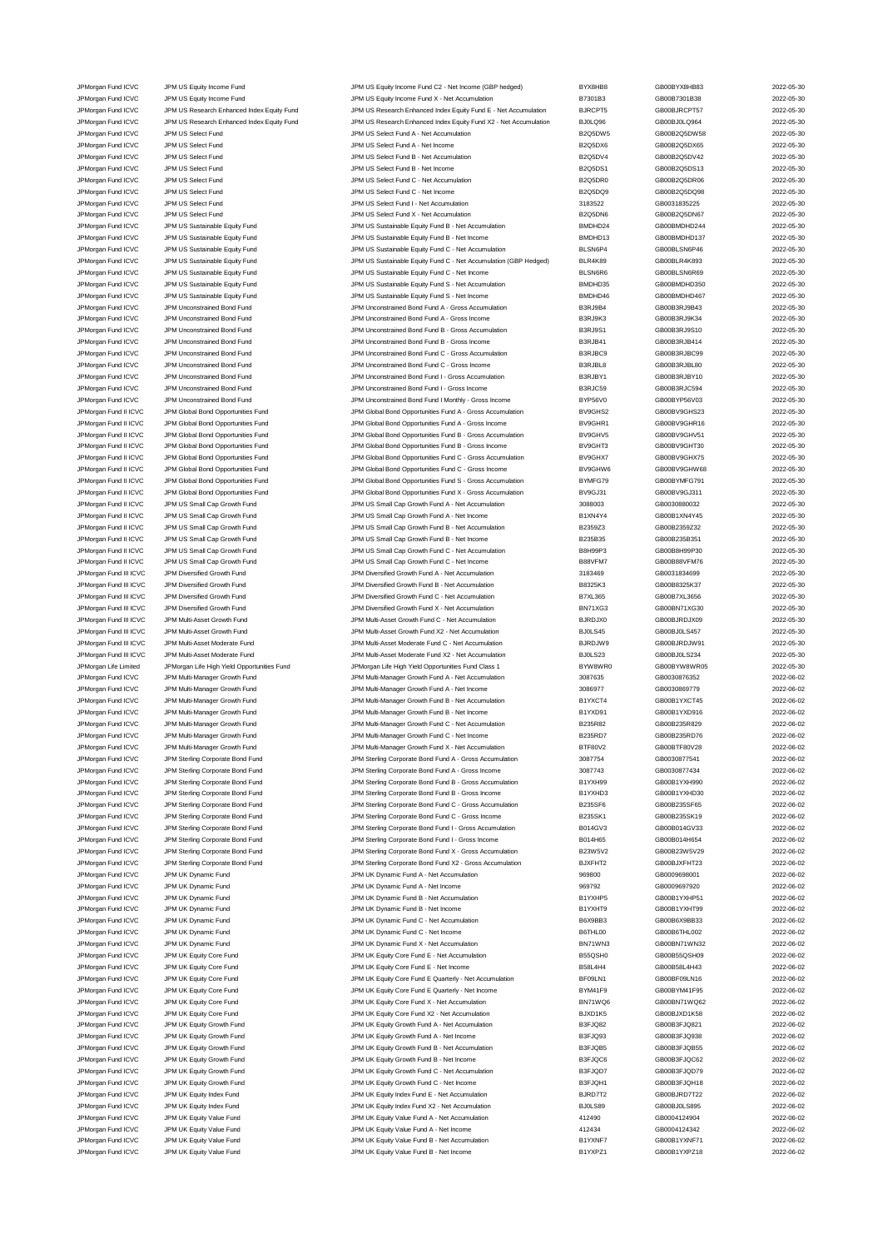JPMorgan Fund ICVC JPM US Equity Income Fund JPM US Equity Income Fund C2 - Net Income (GBP hedged) and BYX8HB8<br>JPM US And ICVC JPM US Equity Income Fund JPM US Equity Income Fund X - Net Accumulation BY301B3 B7301B3 CB00B JPM US Equity Income Fund Contact Contact Contact JPM US Equity Income Fund X - Net Accumulation B7301B3 CB00B7301B38 3022-05-30 JPMorgan Fund ICVC JPM US Research Enhanced Index Equity Fund JPM US Research Enhanced Index Equity Fund E - Net Accumulation BJRCPT5 GB00BJRCPT57 2022-05-30 JPMorgan Fund ICVC JPM US Research Enhanced Index Equity Fund JPM US Research Enhanced Index Equity Fund X2 - Net Accumulation BJ0LQ96 GB00BJ0LQ964 2022-05-30 JPMorgan Fund ICVC JPM US Select Fund JPM US Select Fund A - Net Accumulation B2Q5DW5 GB00B2Q5DW58 2022-05-30 JPMorgan Fund ICVC JPM US Select Fund JPM US Select Fund A - Net Income B2Q5DX6 GB00B2Q5DX65 2022-05-30 JPM US Select Fund CVC JPM US Select Fund CVC JPM US Select Fund B - Net Accumulation B - Net Accumulation B - Net Accumulation B - Net Accumulation B - Net Accumulation B - Net Accumulation B - Net Accumulation B - Net Ac JPMorgan Fund ICVC JPM US Select Fund JPM US Select Fund B - Net Income B2Q5DS1 GB00B2Q5DS13 2022-05-30 JPMorgan Fund ICVC JPM US Select Fund JPM US Select Fund C - Net Accumulation B2Q5DR0 GB00B2Q5DR06 2022-05-30 JPMorgan Fund ICVC JPM US Select Fund JPM US Select Fund C - Net Income B2Q5DQ9 GB00B2Q5DQ98 2022-05-30 JPMorgan Fund ICVC JPM US Select Fund JPM US Select Fund I - Net Accumulation 3183522 GB0031835225 2022-05-30 JPMorgan Fund ICVC JPM US Select Fund JPM US Select Fund X - Net Accumulation B2Q5DN6 GB00B2Q5DN67 2022-05-30 JPMorgan Fund ICVC JPM US Sustainable Equity Fund JPM US Sustainable Equity Fund B - Net Accumulation and BMDHD24 GB00BMDHD244 2022-05-30<br>JPM US JPM US Sustainable Equity Fund JPM US Sustainable Equity Fund B - Net Income JPM US Sustainable Equity Fund B - Net Income JPMorgan Fund ICVC JPM US Sustainable Equity Fund JPM US Sustainable Equity Fund C - Net Accumulation BLSN6P4 GB00BLSN6P46 2022-05-30 JPMorgan Fund ICVC JPM US Sustainable Equity Fund JPM US Sustainable Equity Fund C - Net Accumulation (GBP Hedged) BLR4K89 GB00BLR4K893 2022-05-30 JPMorgan Fund ICVC JPM US Sustainable Equity Fund JPM US Sustainable Equity Fund C - Net Income BLSN6R6 GB00BLSN6R69 2022-05-30<br>JPM US Sustainable Equity Fund JPM US Sustainable Equity Fund S - Net Accumulation BMDHD35 GB0 JPMorgan Fund ICVC JPM US Sustainable Equity Fund JPM US Sustainable Equity Fund S - Net Accumulation BMDHD35 GB00BMDHD350 2022-05-30 JPMorgan Fund ICVC JPM US Sustainable Equity Fund JPM US Sustainable Equity Fund S - Net Income BMDHD46 GB00BMDHD467 2022-05-30 JPMorgan Fund ICVC JPM Unconstrained Bond Fund JPM Unconstrained Bond Fund A - Gross Accumulation B3RJ9B4 GB00B3RJ9B43 2022-05-30 JPMorgan Fund ICVC JPM Unconstrained Bond Fund JPM Unconstrained Bond Fund A - Gross Income B3RJ9K3 GB00B3RJ9K34 2022-05-30 JPM Organ Fund ICVC JPM Unconstrained Bond Fund<br>JPM Unconstrained Bond Fund JPM Unconstrained Bond Fund JPM Unconstrained Bond Fund B - Gross Income<br>JPM Unconstrained Bond Fund JPM Unconstrained Bond Fund JPMorgan Fund ICVC JPM Unconstrained Bond Fund JPM Unconstrained Bond Fund B - Gross Income B3RJB41 GB00B3RJB414 2022-05-30 JPMorgan Fund ICVC JPM Unconstrained Bond Fund JPM Unconstrained Bond Fund C - Gross Accumulation B3RJBC9 GB00B3RJBC99 2022-05-30 JPMorgan Fund ICVC JPM Unconstrained Bond Fund JPM Unconstrained Bond Fund C - Gross Income B3RJBL8 GB00B3RJBL80 2022-05-30 JPMorgan Fund ICVC JPM Unconstrained Bond Fund JPM Unconstrained Bond Fund I - Gross Accumulation B3RJBY1 GB00B3RJBY10 2022-05-30 JPM Unconstrained Bond Fund J - Gross Income JPMorgan Fund ICVC JPM Unconstrained Bond Fund Manamed Sond Tum JPM Unconstrained Bond Fund I Monthly - Gross Accumulation BYP56V0 GB00BYP56V03 2022-05-30<br>JPM Gross Incomedia Accompany of the Superior Server Server Server JPM Global Bond Opportunities Fund A - Gross Accumulation JPMorgan Fund II ICVC JPM Global Bond Opportunities Fund JPM Global Bond Opportunities Fund A - Gross Income BV9GHR1 GB00BV9GHR16 2022-05-30 JPMorgan Fund II ICVC JPM Global Bond Opportunities Fund JPM Global Bond Opportunities Fund B - Gross Accumulation BV9GHV5 GB00BV9GHV51 2022-05-30 JPM Global Bond Opportunities Fund B - Gross Income JPMorgan Fund II ICVC JPM Global Bond Opportunities Fund JPM Global Bond Opportunities Fund C - Gross Accumulation BV9GHX7 GB00BV9GHX75 2022-05-30<br>JPM Global Bond Deportunities Fund JPM Global Bond Opportunities Fund C - G JPM Global Bond Opportunities Fund Computibles Fund Computibles Fund C - Gross Income BV9GHW6 GB00BV9GHW68 CB00BV9GHW68 2022-05-30 JPMorgan Fund II ICVC JPM Global Bond Opportunities Fund S - CM Clobal Bond Opportunities Fund S - Gross Accumulation BYMFG79 GB00BYMFG791 2022-05-30 JPMorgan Fund II ICVC JPM Global Bond Opportunities Fund JPM Global Bond Opportunities Fund X - Gross Accumulation BV9GJ31 GB00BV9GJ311 2022-05-30 JPMorgan Fund II ICVC JPM US Small Cap Growth Fund JPM US Small Cap Growth Fund A - Net Accumulation 3088003 GB0030880032 2022-05-30<br>JPM US JPM US Small Cap Growth Fund JPM US Small Cap Growth Fund A - Net Income 301XN4Y4 JPMorgan Fund II ICVC JPM US Small Cap Growth Fund JPM US Small Cap Growth Fund A - Net Income B1XN4Y4 GB00B1XN4Y45 2022-05-30 JPMorgan Fund II ICVC JPM US Small Cap Growth Fund JPM US Small Cap Growth Fund B - Net Accumulation B2359Z3 GB00B2359Z32 2022-05-30 JPMorgan Fund II ICVC JPM US Small Cap Growth Fund JPM US Small Cap Growth Fund B - Net Income B235B35 GB00B235B351 2022-05-30 JPMorgan Fund II ICVC JPM US Small Cap Growth Fund JPM US Small Cap Growth Fund C - Net Accumulation B8H99P3 GB00B8H99P30 2022-05-30 JPMorgan Fund II ICVC JPM US Small Cap Growth Fund JPM US Small Cap Growth Fund C - Net Income B88VFM7 GB00B88VFM76 2022-05-30 JPMorgan Fund III ICVC JPM Diversified Growth Fund JPM Diversified Growth Fund A - Net Accumulation 3183469 GB0031834699 2022-05-30 JPMorgan Fund III ICVC JPM Diversified Growth Fund JPM Diversified Growth Fund B - Net Accumulation B8325K3 GB00B8325K37 2022-05-30 JPMorgan Fund III ICVC JPM Diversified Growth Fund JPM Diversified Growth Fund C - Net Accumulation B7XL365 GB00B7XL3656 2022-05-30 JPMorgan Fund III ICVC JPM Diversified Growth Fund JPM Diversified Growth Fund X - Net Accumulation BN71XG3 GB00BN71XG30 2022-05-30 JPMorgan Fund III ICVC JPM Multi-Asset Growth Fund JPM Multi-Asset Growth Fund C - Net Accumulation BJRDJX0 GB00BJRDJX09 2022-05-30 JPMorgan Fund III ICVC JPM Multi-Asset Growth Fund JPM Multi-Asset Growth Fund X2 - Net Accumulation BJ0LS45 GB00BJ0LS457 2022-05-30 JPMorgan Fund III ICVC JPM Multi-Asset Moderate Fund JPM Multi-Asset Moderate Fund C - Net Accumulation BJRDJW9 GB00BJRDJW91 2022-05-30 JPMorgan Fund III ICVC JPM Multi-Asset Moderate Fund JPM Multi-Asset Moderate Fund X2 - Net Accumulation BJ0LS23 GB00BJ0LS234 2022-05-30 JPMorgan Life Limited JPMorgan Life High Yield Opportunities Fund JPMorgan Life High Yield Opportunities Fund Class 1 BYW8WR0 GB00BYW8WR05 2022-05-30<br>JPM Morgan Fund ICVC JPM Multi-Manager Growth Fund JPM Multi-Manager Gro JPMorgan Fund ICVC JPM Multi-Manager Growth Fund JPM Multi-Manager Growth Fund A - Net Accumulation 3087635 GB0030876352 2022-06-02 JPMorgan Fund ICVC JPM Multi-Manager Growth Fund JPM Multi-Manager Growth Fund A - Net Income 3086977 GB0030869779 2022-06-02 JPMorgan Fund ICVC JPM Multi-Manager Growth Fund JPM Multi-Manager Growth Fund B - Net Accumulation B1YXCT4 GB00B1YXCT45 2022-06-02<br>JPM Multi-Manager Growth Fund JPM Multi-Manager Growth Fund B - Net Income B1YXD91 GB00B1Y JPMorgan Fund ICVC JPM Multi-Manager Growth Fund JPM Multi-Manager Growth Fund B - Net Income B1YXD91 GB00B1YXD916 2022-06-02 JPM Multi-Manager Growth Fund C - Net Accumulation JPMorgan Fund ICVC JPM Multi-Manager Growth Fund JPM Multi-Manager Growth Fund C - Net Income B235RD7 GB00B235RD76 2022-06-02 JPMorgan Fund ICVC JPM Multi-Manager Growth Fund JPM Multi-Manager Growth Fund X - Net Accumulation BTF80V2 GB00BTF80V28 2022-06-02<br>JPM Sterling Corporate Bond Fund JPM Sterling Corporate Bond Fund A - Gross Accumulation 3 JPM Sterling Corporate Bond Fund A - Gross Accumulation 3087 JPMorgan Fund ICVC JPM Sterling Corporate Bond Fund JPM Sterling Corporate Bond Fund A - Gross Income 3087743 GB0030877434 2022-06-02 JPMorgan Fund ICVC JPM Sterling Corporate Bond Fund JPM Sterling Corporate Bond Fund B - Gross Accumulation B1YXH99 GB00B1YXH990 2022-06-02 JPMorgan Fund ICVC JPM Sterling Corporate Bond Fund JPM Sterling Corporate Bond Fund B - Gross Income B1YXHD3 GB00B1YXHD30 2022-06-02 JPMorgan Fund ICVC JPM Sterling Corporate Bond Fund JPM Sterling Corporate Bond Fund C - Gross Accumulation B235SF6 GB00B235SF65 2022-06-02 JPMorgan Fund ICVC JPM Sterling Corporate Bond Fund JPM Sterling Corporate Bond Fund C - Gross Income B235SK1 GB00B235SK19 2022-06-02 JPMorgan Fund ICVC JPM Sterling Corporate Bond Fund Corporate Bond Fund I - Gross Accumulation B014GV3 GB00B014GV33 2022-06-02 JPMorgan Fund ICVC JPM Sterling Corporate Bond Fund JPM Sterling Corporate Bond Fund I - Gross Income B014H65 GB00B014H654 2022-06-02 JPMorgan Fund ICVC JPM Sterling Corporate Bond Fund Corporate Corporate Bond Fund X - Gross Accumulation B23W5V2 GB00B23W5V29 2022-06-02 JPMorgan Fund ICVC JPM Sterling Corporate Bond Fund JPM Sterling Corporate Bond Fund X2 - Gross Accumulation BJXFHT2 GB00BJXFHT23 2022-06-02 JPMorgan Fund ICVC JPM UK Dynamic Fund JPM UK Dynamic Fund A - Net Accumulation 969800 GB0009698001 2022-06-02 JPM UK Dynamic Fund Company of Company of Company JPM UK Dynamic Fund A - Net Income 969792 969792 GB0009697920 3022-06-02 JPMorgan Fund ICVC JPM UK Dynamic Fund JPM UK Dynamic Fund B - Net Accumulation B1YXHP5 GB00B1YXHP51 2022-06-02 JPMorgan Fund ICVC JPM UK Dynamic Fund JPM UK Dynamic Fund B - Net Income B1YXHT9 GB00B1YXHT99 2022-06-02 JPMorgan Fund ICVC JPM UK Dynamic Fund JPM UK Dynamic Fund C - Net Accumulation B6X9BB3 GB00B6X9BB33 2022-06-02 JPM UK Dynamic Fund JPM UK Dynamic Fund JPM UK Dynamic Fund C - Net Income B6THL00 GB00B6THL002 CDB00B6THL002 2022-06-02 JPMorgan Fund ICVC JPM UK Dynamic Fund JPM UK Dynamic Fund X - Net Accumulation BN71WN3 GB00BN71WN32 2022-06-02 JPMorgan Fund ICVC JPM UK Equity Core Fund JPM UK Equity Core Fund E - Net Accumulation B55QSH0 GB00B55QSH09 2022-06-02 JPMorgan Fund ICVC JPM UK Equity Core Fund **JPM UK Equity Core Fund E** - Net Income B58L4H4 B58L4H4 GB00B58L4H43 2022-06-02 JPMorgan Fund ICVC JPM UK Equity Core Fund JPM UK Equity Core Fund E Quarterly - Net Accumulation BF09LN1 GB00BF09LN16 2022-06-02 JPMorgan Fund ICVC JPM UK Equity Core Fund JPM UK Equity Core Fund E Quarterly - Net Income BYM41F9 GB00BYM41F95 2022-06-02 JPMorgan Fund ICVC JPM UK Equity Core Fund JPM UK Equity Core Fund X - Net Accumulation BN71WQ6 GB00BN71WQ62 2022-06-02<br>JPM UR DRAM DRAM JPM UK Equity Core Fund JPM UK Equity Core Fund X2 - Net Accumulation BJXD1K5 GB00BJX JPMorgan Fund ICVC JPM UK Equity Core Fund JPM UK Equity Core Fund X2 - Net Accumulation JPMorgan Fund ICVC JPM UK Equity Growth Fund JPM UK Equity Growth Fund A - Net Accumulation B3FJQ82 GB00B3FJQ821 2022-06-02 JPMorgan Fund ICVC JPM UK Equity Growth Fund JPM UK Equity Growth Fund A - Net Income B3FJQ93 GB00B3FJQ938 2022-06-02 JPM UK Equity Growth Fund COVC JPM UK Equity Growth Fund B - Net Accumulation B3FJQB5 GB00B3FJQB55 2022-06-02 JPMorgan Fund ICVC JPM UK Equity Growth Fund JPM UK Equity Growth Fund B - Net Income B3FJQC6 GB00B3FJQC62 2022-06-02<br>JPM UR JPM UK Equity Growth Fund JPM UK Equity Growth Fund C - Net Accumulation B3FJQD7 GB00B3FJQD79 202 JPM UK Equity Growth Fund C - Net Accumul JPMorgan Fund ICVC JPM UK Equity Growth Fund JPM UK Equity Growth Fund C - Net Income B3FJQH1 GB00B3FJQH18 2022-06-02 JPM UK Equity Index Fund Company of the UCVC JPM UK Equity Index Fund E - Net Accumulation BJRD7T2 GB00BJRD7T22 GB00BJRD7T22 2022-06-02 JPMorgan Fund ICVC JPM UK Equity Index Fund JPM UK Equity Index Fund X2 - Net Accumulation BJ0LS89 GB00BJ0LS895 3022-06-02 JPMorgan Fund ICVC JPM UK Equity Value Fund JPM UK Equity Value Fund A - Net Accumulation 412490 GB0004124904 2022-06-02 JPM UK Equity Value Fund A - Net Income JPMorgan Fund ICVC JPM UK Equity Value Fund JPM UK Equity Value Fund B - Net Accumulation B1YXNF7 GB00B1YXNF71 2022-06-02 JPMorgan Fund ICVC JPM UK Equity Value Fund JPM UK Equity Value Fund B - Net Income B1YXPZ1 GB00B1YXPZ1 GB00B1YXPZ18 2022-06-02

| 38                             | GB00BYX8HB83                 |
|--------------------------------|------------------------------|
| 3                              | GB00B7301B38                 |
| ſ5                             | GB00BJRCPT57                 |
| 6                              | GB00BJ0LQ964                 |
| N <sub>5</sub>                 | GB00B2Q5DW58                 |
| Κ6                             | GB00B2Q5DX65<br>GB00B2Q5DV42 |
| /4<br>$\overline{\phantom{1}}$ | GB00B2Q5DS13                 |
| 90                             | GB00B2Q5DR06                 |
| 56                             | GB00B2Q5DQ98                 |
| ,                              | GB0031835225                 |
| <b>J</b> 6                     | GB00B2Q5DN67                 |
| 24                             | GB00BMDHD244                 |
| 13                             | GB00BMDHD137                 |
| 24                             | GB00BLSN6P46                 |
| $\overline{9}$                 | GB00BLR4K893                 |
| 3Ś                             | GB00BLSN6R69                 |
| 35                             | GB00BMDHD350                 |
| 46                             | GB00BMDHD467                 |
| 4                              | GB00B3RJ9B43                 |
| 3                              | GB00B3RJ9K34                 |
| 1<br>$\ddot{\mathbf{1}}$       | GB00B3RJ9S10<br>GB00B3RJB414 |
| ,9                             | GB00B3RJBC99                 |
| 8                              | GB00B3RJBL80                 |
| 4                              | GB00B3RJBY10                 |
| i9                             | GB00B3RJC594                 |
| 0                              | GB00BYP56V03                 |
| s <sub>2</sub>                 | GB00BV9GHS23                 |
| R1                             | GB00BV9GHR16                 |
| $\sqrt{5}$                     | GB00BV9GHV51                 |
| T3                             | GB00BV9GHT30                 |
| X7                             | GB00BV9GHX75                 |
| N6                             | GB00BV9GHW68                 |
| 79                             | GB00BYMFG791                 |
| $\mathbf{1}$                   | GB00BV9GJ311                 |
| ł<br>$\overline{4}$            | GB0030880032                 |
| 3                              | GB00B1XN4Y45<br>GB00B2359Z32 |
| 5                              | GB00B235B351                 |
| 3                              | GB00B8H99P30                 |
| 17                             | GB00B88VFM76                 |
| 9                              | GB0031834699                 |
| 3                              | GB00B8325K37                 |
| 5                              | GB00B7XL3656                 |
| $\overline{\mathbf{3}}$        | GB00BN71XG30                 |
| C)                             | GB00BJRDJX09                 |
| 5                              | GB00BJ0LS457                 |
| V9                             | GB00BJRDJW91                 |
| 3<br>/R <sub>0</sub>           | GB00BJ0LS234                 |
| 5                              | GB00BYW8WR05<br>GB0030876352 |
| 7                              | GB0030869779                 |
| 74                             | GB00B1YXCT45                 |
| 91                             | GB00B1YXD916                 |
| 2                              | GB00B235R829                 |
| 17                             | GB00B235RD76                 |
| 2                              | GB00BTF80V28                 |
| ļ                              | GB0030877541                 |
| 3                              | GB0030877434                 |
| ιģ                             | GB00B1YXH990                 |
| CC                             | GB00B1YXHD30                 |
| 6<br>1                         | GB00B235SF65<br>GB00B235SK19 |
| 13                             | GB00B014GV33                 |
| 5                              | GB00B014H654                 |
| $\sqrt{2}$                     | GB00B23W5V29                 |
| $\overline{2}$                 | GB00BJXFHT23                 |
|                                | GB0009698001                 |
|                                | GB0009697920                 |
| 25                             | GB00B1YXHP51                 |
| ٦9                             | GB00B1YXHT99                 |
| I3                             | GB00B6X9BB33                 |
| 0                              | GB00B6THL002                 |
| N3<br>10                       | GB00BN71WN32                 |
| 4                              | GB00B55QSH09<br>GB00B58L4H43 |
| 1                              | GB00BF09LN16                 |
| -9                             | GB00BYM41F95                 |
| Q6                             | GB00BN71WQ62                 |
| 3                              | GB00BJXD1K58                 |
| 2                              | GB00B3FJQ821                 |
| 3                              | GB00B3FJQ938                 |
| 15                             | GB00B3FJQB55                 |
| $\frac{1}{6}$                  | GB00B3FJQC62                 |
| $\overline{7}$                 | GB00B3FJQD79                 |
| ł1<br>$\overline{2}$           | GB00B3FJQH18<br>GB00BJRD7T22 |
| 9                              | GB00BJ0LS895                 |
|                                | GB0004124904                 |
|                                | GB0004124342                 |
| 7                              | GB00B1YXNF71                 |
|                                |                              |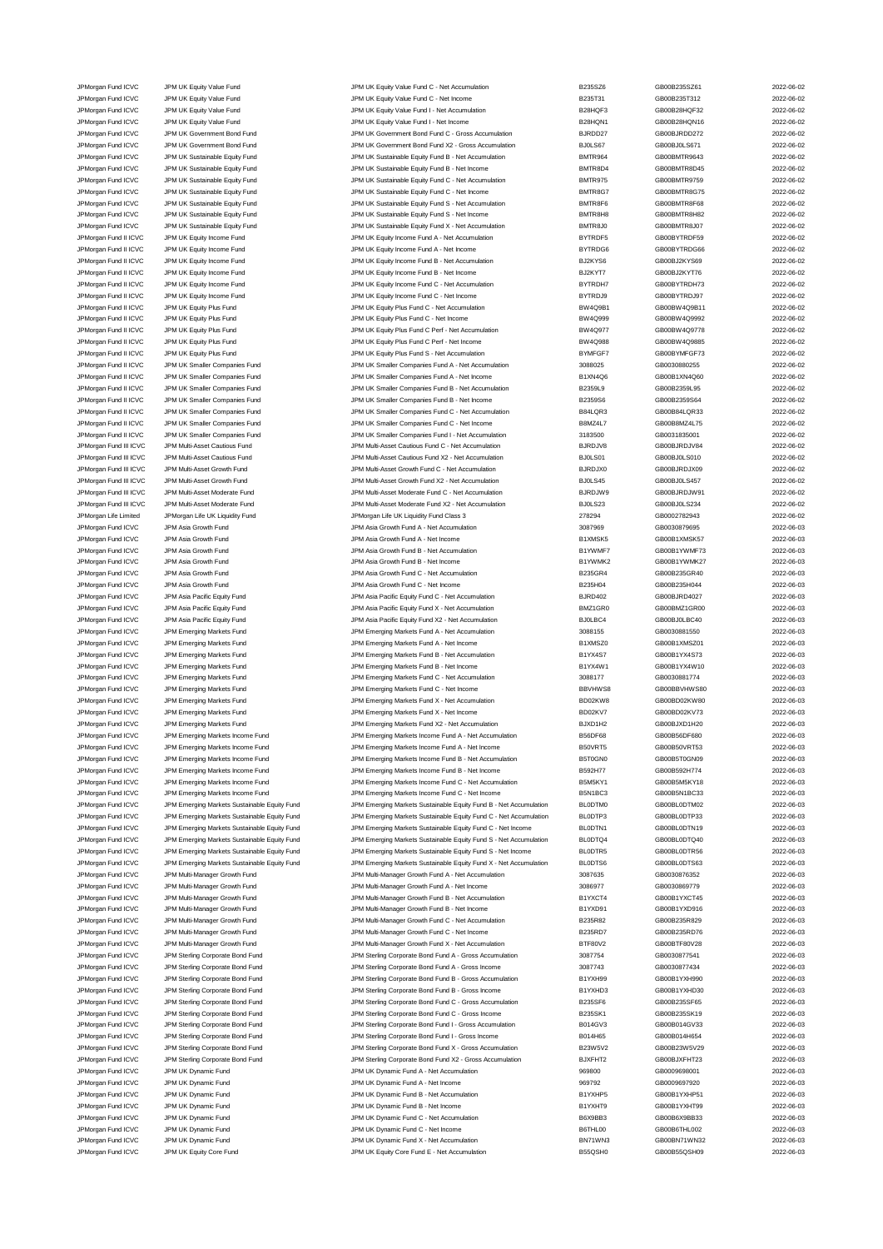JPMorgan Fund ICVC JPM UK Equity Value Fund JPM UK Equity Value Fund C - Net Accumulation and the B235SZ6 GB00B235SZ61 2022-06-02<br>JPM UR JPM UK Equity Value Fund JPM UK Equity Value Fund C - Net Income B235T31 GB00B235T312 JPM UK Equity Value Fund State of Control of Control UPM UK Equity Value Fund C - Net Income B235T31 GB00B235T312 2022-06-02 JPMorgan Fund ICVC JPM UK Equity Value Fund JPM UK Equity Value Fund I - Net Accumulation B28HQF3 GB00B28HQF32 2022-06-02 JPMorgan Fund ICVC JPM UK Equity Value Fund JPM UK Equity Value Fund I - Net Income B28HQN1 GB00B28HQN16 2022-06-02 JPMorgan Fund ICVC JPM UK Government Bond Fund JPM UK Government Bond Fund C - Gross Accumulation BJRDD27 GB00BJRDD272 2022-06-02 JPMorgan Fund ICVC JPM UK Government Bond Fund JPM UK Government Bond Fund X2 - Gross Accumulation BJ0LS67 GB00BJ0LS671 2022-06-02 JPMorgan Fund ICVC JPM UK Sustainable Equity Fund JPM UK Sustainable Equity Fund B - Net Accumulation BMTR964 GB00BMTR9643 2022-06-02 JPMorgan Fund ICVC JPM UK Sustainable Equity Fund JPM UK Sustainable Equity Fund B - Net Income BMTR8D4 BMTR8D4<br>JPMorgan Fund ICVC JPM UK Sustainable Equity Fund JPM UK Sustainable Equity Fund C - Net Accumulation BMTR975 JPMorgan Fund ICVC JPM UK Sustainable Equity Fund JPM UK Sustainable Equity Fund C - Net Accumulation BMTR975 GB00BMTR9759 2022-06-02 JPMorgan Fund ICVC JPM UK Sustainable Equity Fund JPM UK Sustainable Equity Fund C - Net Income BMTR8G7 GB00BMTR8G75 2022-06-02<br>JPM URG JPM UR Sustainable Equity Fund JPM UK Sustainable Equity Fund S - Net Accumulation BMT JPMorgan Fund ICVC JPM UK Sustainable Equity Fund JPM UK Sustainable Equity Fund S - Net Accumulation BMTR8F6 GB00BMTR8F68 2022-06-02 JPMorgan Fund ICVC JPM UK Sustainable Equity Fund S CHON UK Sustainable Equity Fund S - Net Income BMTR8H8 BMTR8H8 GB00BMTR8H82 2022-06-02 JPMorgan Fund ICVC JPM UK Sustainable Equity Fund JPM UK Sustainable Equity Fund X - Net Accumulation BMTR8J0 GB00BMTR8J07 2022-06-02<br>JPM URIN JPM UK Bruity Income Fund JPM UK Equity Income Fund A - Net Accumulation BYTRDF JPM UK Equity Income Fund A - Net Accumul JPMorgan Fund II ICVC JPM UK Equity Income Fund JPM UK Equity Income Fund A - Net Income CHO BYTRDG6 GB00BYTRDG66 CB00BYTRDG66 2022-06-02 JPMorgan Fund II ICVC JPM UK Equity Income Fund JPM UK Equity Income Fund B - Net Accumulation BJ2KYS6 GB00BJ2KYS69 2022-06-02 JPMorgan Fund II ICVC JPM UK Equity Income Fund JPM UK Equity Income Fund B - Net Income BJ2KYT7 GB00BJ2KYT76 2022-06-02 JPMorgan Fund II ICVC JPM UK Equity Income Fund JPM UK Equity Income Fund C - Net Accumulation BYTRDH7 GB00BYTRDH73 2022-06-02 JPMorgan Fund II ICVC JPM UK Equity Income Fund JPM UK Equity Income Fund C - Net Income BYTRDJ9 GB00BYTRDJ97 2022-06-02 JPMorgan Fund II ICVC JPM UK Equity Plus Fund JPM UK Equity Plus Fund C - Net Accumulation BW4Q9B1 GB00BW4Q9B11 2022-06-02 JPMorgan Fund II ICVC JPM UK Equity Plus Fund JPM UK Equity Plus Fund C - Net Income BW4Q999 GB00BW4Q9992 2022-06-02 JPM UK Equity Plus Fund II ICVC JPM UK Equity Plus Fund JPM UK Equity Plus Fund C Perf - Net Accumulation BU4Q JPMorgan Fund II ICVC JPM UK Equity Plus Fund JPM UK Equity Plus Fund C Perf - Net Income BW4Q988 GB00BW4Q9885 2022-06-02 JPMorgan Fund II ICVC JPM UK Equity Plus Fund JPM UK Equity Plus Fund S - Net Accumulation BYMFGF7 GB00BYMFGF73 2022-06-02 JPM UK Smaller Companies Fund 30282-06-02<br>
JPM UK Smaller Companies Fund A - Net Accumulation 3088025 GB0030880255 2022-06-02 JPMorgan Fund II ICVC JPM UK Smaller Companies Fund JPM UK Smaller Companies Fund A - Net Income B1XN4Q6 GB00B1XN4Q60 2022-06-02 JPM UK Smaller Companies Fund B - Net Accum JPMorgan Fund II ICVC JPM UK Smaller Companies Fund JPM UK Smaller Companies Fund B - Net Income B2359S6 GB00B2359S64 2022-06-02<br>JPM UK JPM UK Smaller Companies Fund JPM UK Smaller Companies Fund C - Net Accumulation B84LQ JPM UK Smaller Companies Fund C - Net Accumulation JPMorgan Fund II ICVC JPM UK Smaller Companies Fund JPM UK Smaller Companies Fund C - Net Income B8MZ4L7 GB00B8MZ4L75 2022-06-02 JPMorgan Fund II ICVC JPM UK Smaller Companies Fund JPM UK Smaller Companies Fund I - Net Accumulation 3183500<br>JPM Unity State of Development JPM Unity Section of Multi-Asset Cautious Fund C - Net Accumulation 3187 BJRDJV8 JPM Multi-Asset Cautious Fund C - Net Accumulation JPMorgan Fund III ICVC JPM Multi-Asset Cautious Fund JPM Multi-Asset Cautious Fund X2 - Net Accumulation BJ0LS01 GB00BJ0LS010 2022-06-02 JPMorgan Fund III ICVC JPM Multi-Asset Growth Fund JPM Multi-Asset Growth Fund C - Net Accumulation BJRDJX0 GB00BJRDJX09 2022-06-02 JPMorgan Fund III ICVC JPM Multi-Asset Growth Fund JPM Multi-Asset Growth Fund X2 - Net Accumulation BJ0LS45 GB00BJ0LS457 2022-06-02 JPMorgan Fund III ICVC JPM Multi-Asset Moderate Fund JPM Multi-Asset Moderate Fund C - Net Accumulation BJRDJW9 GB00BJRDJW91 2022-06-02 JPMorgan Fund III ICVC JPM Multi-Asset Moderate Fund JPM Multi-Asset Moderate Fund X2 - Net Accumulation BJ0LS23 GB00BJ0LS234 GB00BJ0LS234 2022-06-02<br>JPMorgan Life Limited JPMorgan Life UK Liquidity Fund JPMorgan Life UK L JPMorgan Life Limited JPMorgan Life UK Liquidity Fund JPMorgan Life UK Liquidity Fund Class 3 278294 GB0002782943 2022-06-02 JPMorgan Fund ICVC JPM Asia Growth Fund JPM Asia Growth Fund A - Net Accumulation 3087969 GB0030879695 2022-06-03 JPMorgan Fund ICVC JPM Asia Growth Fund A - Mexica Growth Fund A - Net Income B1XMSK5 B1XMSK5 GB00B1XMSK57 2022-06-03 JPMorgan Fund ICVC JPM Asia Growth Fund JPM Asia Growth Fund B - Net Accumulation B1YWMF7 GB00B1YWMF73 2022-06-03 JPMorgan Fund ICVC JPM Asia Growth Fund JPM Asia Growth Fund B - Net Income B1YWMK2 GB00B1YWMK27 2022-06-03 JPM Asia Growth Fund JPM Asia Growth Fund JPM Asia Growth Fund C - Net Accumulation B235GR4 GB00B235GR40 2022-06-03 JPMorgan Fund ICVC JPM Asia Growth Fund JPM Asia Growth Fund C - Net Income B235H04 GB00B235H044 2022-06-03 JPMorgan Fund ICVC JPM Asia Pacific Equity Fund JPM Asia Pacific Equity Fund C - Net Accumulation BJRD402 GB00BJRD4027 2022-06-03 JPMorgan Fund ICVC JPM Asia Pacific Equity Fund JPM Asia Pacific Equity Fund X - Net Accumulation BMZ1GR0 GB00BMZ1GR00 2022-06-03 JPMorgan Fund ICVC JPM Asia Pacific Equity Fund JPM Asia Pacific Equity Fund X2 - Net Accumulation BJ0LBC4 GB00BJ0LBC40 2022-06-03 JPMorgan Fund ICVC JPM Emerging Markets Fund JPM Emerging Markets Fund A - Net Accumulation 3088155 GB0030881550 2022-06-03 JPMorgan Fund ICVC JPM Emerging Markets Fund JPM Emerging Markets Fund A - Net Income B1XMSZ0 GB00B1XMSZ01 CB00B1XMSZ01 2022-06-03 JPMorgan Fund ICVC JPM Emerging Markets Fund JPM Emerging Markets Fund B - Net Accumulation B1YX4S7 GB00B1YX4S73 2022-06-03 JPMorgan Fund ICVC JPM Emerging Markets Fund JPM Emerging Markets Fund B - Net Income B1YX4W1 GB00B1YX4W10 2022-06-03 JPMorgan Fund ICVC JPM Emerging Markets Fund JPM Emerging Markets Fund C - Net Accumulation 3088177 GB0030881774 2022-06-03 JPMorgan Fund ICVC JPM Emerging Markets Fund JPM Emerging Markets Fund C - Net Income BBVHWS8 GB00BBVHWS80 CB00BBVHWS80 2022-06-03 JPMorgan Fund ICVC JPM Emerging Markets Fund JPM Emerging Markets Fund X - Net Accumulation BD02KW8 GB00BD02KW80 2022-06-03 JPMorgan Fund ICVC JPM Emerging Markets Fund JPM Emerging Markets Fund X - Net Income BD02KV7 GB00BD02KV73 2022-06-03 JPM Emerging Markets Fund<br>JPM Emerging Markets Income Fund<br>JPM Emerging Markets Income Fund JPM Emerging Markets Income Fund A - Net Accum JPM Emerging Markets Income Fund JPM Emerging Markets Income Fund A - Net Accumulation B56DF68 GB00B56DF680 2022-06-03 JPMorgan Fund ICVC JPM Emerging Markets Income Fund JPM Emerging Markets Income Fund A - Net Income Come Fund B50VRT5 GB00B50VRT53 2022-06-03<br>JPM Emerging Markets Income Fund JPM Emerging Markets Income Fund B - Net Accumu JPM Emerging Markets Income Fund B - Net Accumu JPMorgan Fund ICVC JPM Emerging Markets Income Fund JPM Emerging Markets Income Fund B - Net Income B592H77 BB00B592H774 2022-06-03<br>JPM Emerging Markets Income Fund JPM Emerging Markets Income Fund C - Net Accumulation B5M JPM Emerging Markets Income Fund JPM Emerging Markets Income Fund C - Net Accumulation B5M5KY1 GB00B5M5KY18 2022-06-03 JPMorgan Fund ICVC JPM Emerging Markets Income Fund JPM Emerging Markets Income Fund C - Net Income B5N1BC3 GB00B5N1BC33 2022-06-03 JPMorgan Fund ICVC JPM Emerging Markets Sustainable Equity Fund JPM Emerging Markets Sustainable Equity Fund B - Net Accumulation BL0DTM0 GB00BL0DTM02 2022-06-03 JPMorgan Fund ICVC JPM Emerging Markets Sustainable Equity Fund JPM Emerging Markets Sustainable Equity Fund C - Net Accumulation BL0DTP3 GB00BL0DTP33 2022-06-03 JPMorgan Fund ICVC JPM Emerging Markets Sustainable Equity Fund JPM Emerging Markets Sustainable Equity Fund C - Net Income BL0DTN1 GB00BL0DTN19 2022-06-03 JPMorgan Fund ICVC JPM Emerging Markets Sustainable Equity Fund JPM Emerging Markets Sustainable Equity Fund S - Net Accumulation BL0DTQ4 GB00BL0DTQ40 2022-06-03 JPMorgan Fund ICVC JPM Emerging Markets Sustainable Equity Fund JPM Emerging Markets Sustainable Equity Fund S - Net Income BL0DTR5 GB00BL0DTR56 2022-06-03 JPMorgan Fund ICVC JPM Emerging Markets Sustainable Equity Fund JPM Emerging Markets Sustainable Equity Fund X - Net Accumulation BL0DTS6 GB00BL0DTS63 2022-06-03 JPMorgan Fund ICVC JPM Multi-Manager Growth Fund JPM Multi-Manager Growth Fund A - Net Accumulation 3087635 GB0030876352 2022-06-03<br>JPM Multi-Manager Growth Fund JPM Multi-Manager Growth Fund A - Net Income 3086977 GB00308 JPMorgan Fund ICVC JPM Multi-Manager Growth Fund JPM Multi-Manager Growth Fund A - Net Income 3086977 GB0030869779 2022-06-03 JPMorgan Fund ICVC JPM Multi-Manager Growth Fund JPM Multi-Manager Growth Fund B - Net Accumulation B1YXCT4 GB00B1YXCT45 2022-06-03 JPMorgan Fund ICVC JPM Multi-Manager Growth Fund States of the Multi-Manager Growth Fund B - Net Income B1YXD91 B1YXD91 CB00B1YXD916 2022-06-03 JPMorgan Fund ICVC JPM Multi-Manager Growth Fund JPM Multi-Manager Growth Fund C - Net Accumulation B235R82 GB00B235R829 2022-06-03 JPMorgan Fund ICVC JPM Multi-Manager Growth Fund JPM Multi-Manager Growth Fund C - Net Income B235RD7 GB00B235RD76 2022-06-03 JPM Multi-Manager Growth Fund JPM Multi-Manager Growth Fund X - Net Accumulation BTF80V2 GB00BTF80V28 2022-06-03 JPMorgan Fund ICVC JPM Sterling Corporate Bond Fund JPM Sterling Corporate Bond Fund A - Gross Accumulation 3087754 GB0030877541 2022-06-03 JPMorgan Fund ICVC JPM Sterling Corporate Bond Fund JPM Sterling Corporate Bond Fund A - Gross Income 3087743 GB0030877434 2022-06-03 JPMorgan Fund ICVC JPM Sterling Corporate Bond Fund JPM Sterling Corporate Bond Fund B - Gross Accumulation B1YXH99 GB00B1YXH990 2022-06-03<br>JPM Sterling Corporate Bond Fund JPM Sterling Corporate Bond Fund B - Gross Income JPMorgan Fund ICVC JPM Sterling Corporate Bond Fund JPM Sterling Corporate Bond Fund B - Gross Income B1YXHD3 GB00B1YXHD30 2022-06-03 JPMorgan Fund ICVC JPM Sterling Corporate Bond Fund JPM Sterling Corporate Bond Fund C - Gross Accumulation B235SF6 GB00B235SF65 2022-06-03<br>JPM Sterling Corporate Bond Fund JPM Sterling Corporate Bond Fund C - Gross Income JPMorgan Fund ICVC JPM Sterling Corporate Bond Fund JPM Sterling Corporate Bond Fund C - Gross Income JPMorgan Fund ICVC JPM Sterling Corporate Bond Fund JPM Sterling Corporate Bond Fund I - Gross Accumulation B014GV3 GB00B014GV33 2022-06-03<br>JPM Sterling Corporate Bond Fund JPM Sterling Corporate Bond Fund I - Gross Income JPMorgan Fund ICVC JPM Sterling Corporate Bond Fund JPM Sterling Corporate Bond Fund I - Gross Income Bond Hers<br>JPM Sterling Corporate Bond Fund JPM Sterling Corporate Bond Fund X - Gross Accumulation B23W5V2 GB00B23W5V29 JPM Sterling Corporate Bond Fund JPM Sterling Corporate Bond Fund X - Gross Accumulation B23W5V2 GB00B23W5V29 2022-06-03 JPM Sterling Corporate Bond Fund JPM Sterling Corporate Bond Fund X2 - Gross Accumulation BJXFHT2 GB00BJXFHT23 2022-06-03<br>JPM UNIX JPM JPM JPM Dynamic Fund JPM JPM UNIX Dynamic Fund A - Net Accumulation 969800 GB0009698001 JPM UK Dynamic Fund A - Net Accum JPM URM THE HOT JPM UK Dynamic Fund JPM UK Dynamic Fund A - Net Income 969792 GB0009697920 GB0009697920 2022-06-03<br>JPM UK Dynamic Fund JPM UK Dynamic Tund JPM UK Dynamic Fund B - Net Accumulation B1YXHP5 GB0081YXHP51 CB008 JPM UK Dynamic Fund ICVC JPM UK Dynamic Fund B - Net Accumulation B1YXHP5 GB00B1YXHP51 2022-06-03 JPMorgan Fund ICVC JPM UK Dynamic Fund CO22-06-03<br>
JPM UK Dynamic Fund CO22-06-03 JPMorgan Fund ICVC JPM UK Dynamic Fund JPM UK Dynamic Fund C - Net Accumulation B6X9BB3 GB00B6X9BB33 2022-06-03 JPM UK Dynamic Fund C - Net Income JPMorgan Fund ICVC JPM UK Dynamic Fund JPM UK Dynamic Fund X - Net Accumulation BN71WN3 GB00BN71WN32 2022-06-03 JPMorgan Fund ICVC JPM UK Equity Core Fund Core Fund JPM UK Equity Core Fund E - Net Accumulation B55QSH0 GB00B55QSH09 2022-06-03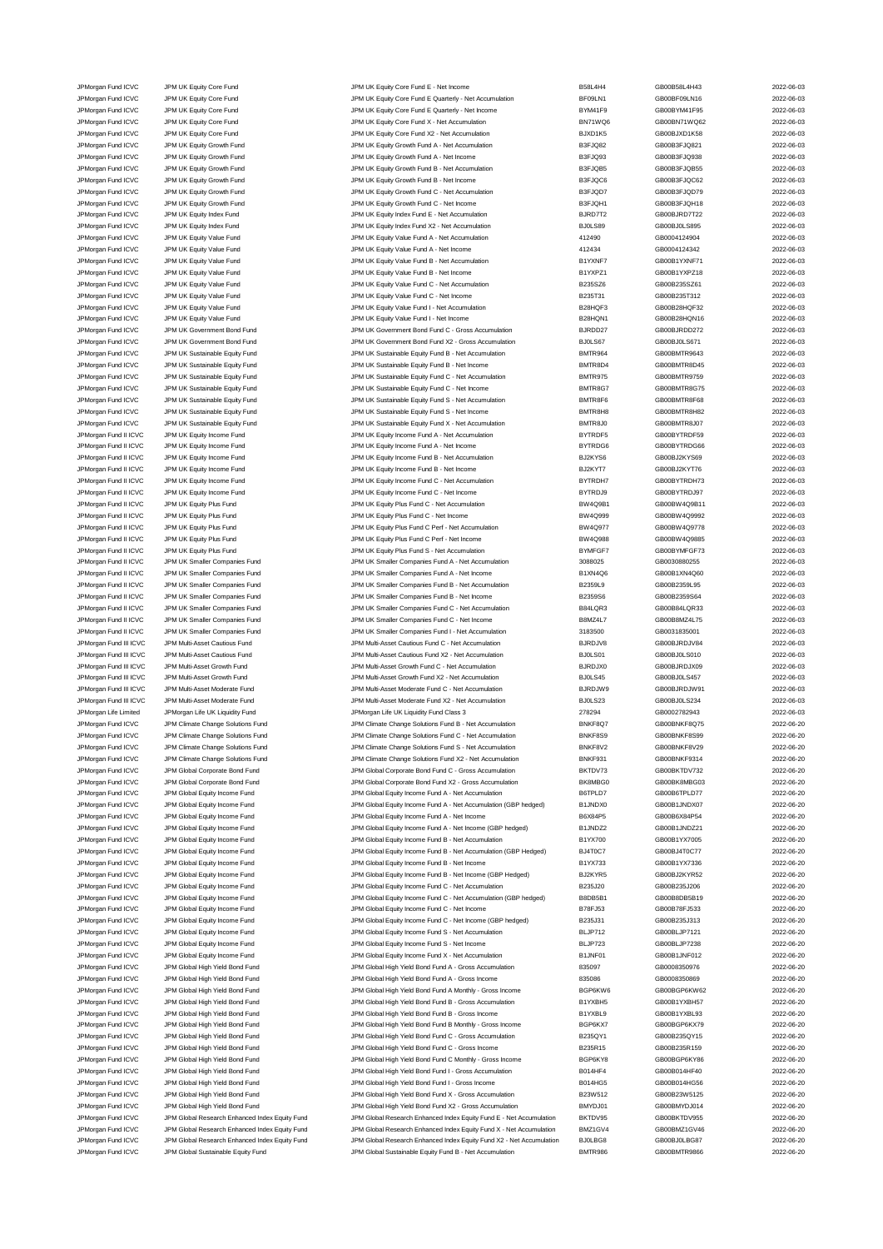JPMorgan Fund ICVC JPM UK Equity Core Fund<br>JPM UK Equity Core Fund JPM UK Equity Core Fund EQuarterly - Net Accumulation BFO9LN1 GB00BF09LN16 2022-06-03<br>JPM UK Equity Core Fund JPM UK Equity Core Fund EQuarterly - Net Accu JPM UK Equity Core Fund Core Fund JPM UK Equity Core Fund E Quarterly - Net Accumulation BF09LN1 GB00BF09LN16 2022-06-03 JPMorgan Fund ICVC JPM UK Equity Core Fund JPM UK Equity Core Fund E Quarterly - Net Income BYM41F9 GB00BYM41F95 2022-06-03 JPMorgan Fund ICVC JPM UK Equity Core Fund JPM UK Equity Core Fund X - Net Accumulation BN71WQ6 GB00BN71WQ62 2022-06-03 JPMorgan Fund ICVC JPM UK Equity Core Fund JPM UK Equity Core Fund X2 - Net Accumulation BJXD1K5 GB00BJXD1K58 2022-06-03 JPMorgan Fund ICVC JPM UK Equity Growth Fund JPM UK Equity Growth Fund A - Net Accumulation B3FJQ82 GB00B3FJQ821 2022-06-03 JPMorgan Fund ICVC JPM UK Equity Growth Fund JPM UK Equity Growth Fund A - Net Income B3FJQ93 GB00B3FJQ938 2022-06-03 JPMorgan Fund ICVC JPM UK Equity Growth Fund JPM UK Equity Growth Fund B - Net Accumulation B3FJQB5 GB00B3FJQB55 2022-06-03 JPMorgan Fund ICVC JPM UK Equity Growth Fund JPM UK Equity Growth Fund B - Net Income B3FJQC6 GB00B3FJQC62 2022-06-03 JPMorgan Fund ICVC JPM UK Equity Growth Fund JPM UK Equity Growth Fund C - Net Accumulation B3FJQD7 GB00B3FJQD79 2022-06-03 JPMorgan Fund ICVC JPM UK Equity Growth Fund JPM UK Equity Growth Fund C - Net Income B3FJQH1 GB00B3FJQH18 2022-06-03 JPMorgan Fund ICVC JPM UK Equity Index Fund JPM UK Equity Index Fund E - Net Accumulation BJRD7T2 GB00BJRD7T22 2022-06-03 JPMorgan Fund ICVC JPM UK Equity Index Fund JPM UK Equity Index Fund X2 - Net Accumulation BJ0LS89 GB00BJ0LS895 2022-06-03 JPM UK Equity Value Fund A - Net Accumulation JPMorgan Fund ICVC JPM UK Equity Value Fund JPM UK Equity Value Fund A - Net Income 412434 GB0004124342 2022-06-03 JPMorgan Fund ICVC JPM UK Equity Value Fund JPM UK Equity Value Fund B - Net Accumulation B1YXNF7 GB00B1YXNF71 2022-06-03 JPMorgan Fund ICVC JPM UK Equity Value Fund JPM UK Equity Value Fund B - Net Income B1YXPZ1 GB00B1YXPZ18 2022-06-03 JPMorgan Fund ICVC JPM UK Equity Value Fund JPM UK Equity Value Fund C - Net Accumulation B235SZ6 GB00B235SZ61 2022-06-03 JPMorgan Fund ICVC JPM UK Equity Value Fund JPM UK Equity Value Fund C - Net Income B235T31 GB00B235T312 2022-06-03 JPMorgan Fund ICVC JPM UK Equity Value Fund JPM UK Equity Value Fund I - Net Accumulation B28HQF3 GB00B28HQF32 2022-06-03 JPMorgan Fund ICVC JPM UK Equity Value Fund<br>JPM UK Equity Value Fund JPM UK Equity Value Fund JPM UK Government Bond Fund C - Gross Accumulation BURDD27 GB00BJRDD272 CB00BJRDD272 2022-06-03 JPM UK Government Bond Fund<br>JPM UK Government Bond Fund JPM UK Government Bond Fund JPM UK Government Bond Fund X2 - Gross Accumulation B<br>JPM UK Government Bond Fund JPM UK Government Bond Fund JPMorgan Fund ICVC JPM UK Government Bond Fund JPM UK Government Bond Fund X2 - Gross Accumulation BJ0LS67 GB00BJ0LS671 2022-06-03<br>JPM UK JPM UK Sustainable Equity Fund JPM UK Sustainable Equity Fund B - Net Accumulation B JPMorgan Fund ICVC JPM UK Sustainable Equity Fund JPM UK Sustainable Equity Fund B - Net Accumulation and BMTR964 GB00BMTR9643 2022-06-03<br>JPM URGan Fund ICVC JPM UK Sustainable Equity Fund JPM UK Sustainable Equity Fund B JPM UK Sustainable Equity Fund Class Company Company JPM UK Sustainable Equity Fund B - Net Income BMTR8D4 BMTR8D4 GB00BMTR8D45 2022-06-03 JPMorgan Fund ICVC JPM UK Sustainable Equity Fund JPM UK Sustainable Equity Fund C - Net Accumulation BMTR975 GB00BMTR9759 2022-06-03<br>JPM URG JPM UR Sustainable Equity Fund JPM UK Sustainable Equity Fund C - Net Income BMT JPM UK Sustainable Equity Fund C - Net Income JPMorgan Fund ICVC JPM UK Sustainable Equity Fund JPM UK Sustainable Equity Fund S - Net Accumulation BMTR8F6 GB00BMTR8F68 2022-06-03<br>JPM UR JPM UK Sustainable Equity Fund JPM UK Sustainable Equity Fund S - Net Income BMTR JPM UK Sustainable Equity Fund S - Net Income JPMorgan Fund ICVC JPM UK Sustainable Equity Fund JPM UK Sustainable Equity Fund X - Net Accumulation BMTR8J0 GB00BMTR8J07 2022-06-03 JPMorgan Fund II ICVC JPM UK Equity Income Fund JPM UK Equity Income Fund A - Net Accumulation BYTRDF5 GB00BYTRDF59 2022-06-03 JPM UK Equity Income Fund A - Net Income JPMorgan Fund II ICVC JPM UK Equity Income Fund JPM UK Equity Income Fund B - Net Accumulation BuzKYS6 GB00BJ2KYS69 2022-06-03 JPMorgan Fund II ICVC JPM UK Equity Income Fund JPM UK Equity Income Fund B - Net Income BJ2KYT7 GB00BJ2KYT76 2022-06-03 JPMorgan Fund II ICVC JPM UK Equity Income Fund JPM UK Equity Income Fund C - Net Accumulation BYTRDH7 GB00BYTRDH73 2022-06-03 JPMorgan Fund II ICVC JPM UK Equity Income Fund JPM UK Equity Income Fund C - Net Income BYTRDJ9 GB00BYTRDJ97 2022-06-03 JPMorgan Fund II ICVC JPM UK Equity Plus Fund JPM UK Equity Plus Fund C - Net Accumulation BW4Q9B1 GB00BW4Q9B11 2022-06-03 JPMorgan Fund II ICVC JPM UK Equity Plus Fund JPM UK Equity Plus Fund C - Net Income BW4Q999 GB00BW4Q9992 2022-06-03 JPMorgan Fund II ICVC JPM UK Equity Plus Fund JPM UK Equity Plus Fund C Perf - Net Accumulation BW4Q977 GB00BW4Q9778 2022-06-03 JPMorgan Fund II ICVC JPM UK Equity Plus Fund JPM UK Equity Plus Fund C Perf - Net Income BW4Q988 GB00BW4Q9885 2022-06-03 JPMorgan Fund II ICVC JPM UK Equity Plus Fund JPM UK Equity Plus Fund S - Net Accumulation BYMFGF7 GB00BYMFGF73 2022-06-03 JPMorgan Fund II ICVC JPM UK Smaller Companies Fund JPM UK Smaller Companies Fund A - Net Accumulation 3088025 GB0030880255 2022-06-03 JPMorgan Fund II ICVC JPM UK Smaller Companies Fund JPM UK Smaller Companies Fund A - Net Income B1XN4Q6 GB00B1XN4Q60 2022-06-03 JPMorgan Fund II ICVC JPM UK Smaller Companies Fund JPM UK Smaller Companies Fund B - Net Accumulation B2359L9 GB00B2359L95 2022-06-03 JPMorgan Fund II ICVC JPM UK Smaller Companies Fund JPM UK Smaller Companies Fund B - Net Income B2359S6 GB00B2359S64 GB00B2359S64 2022-06-03 JPMorgan Fund II ICVC JPM UK Smaller Companies Fund JPM UK Smaller Companies Fund C - Net Accumulation B84LQR3 GB00B84LQR33 2022-06-03 JPMorgan Fund II ICVC JPM UK Smaller Companies Fund JPM UK Smaller Companies Fund C - Net Income B8MZ4L7 GB00B8MZ4L75 2022-06-03 JPMorgan Fund II ICVC JPM UK Smaller Companies Fund JPM UK Smaller Companies Fund I - Net Accumulation 3183500 GB0031835001 2022-06-03 JPMorgan Fund III ICVC JPM Multi-Asset Cautious Fund JPM Multi-Asset Cautious Fund C - Net Accumulation BJRDJV8 GB00BJRDJV84 2022-06-03 JPMorgan Fund III ICVC JPM Multi-Asset Cautious Fund JPM Multi-Asset Cautious Fund X2 - Net Accumulation BJ0LS01 GB00BJ0LS010 2022-06-03 JPMorgan Fund III ICVC JPM Multi-Asset Growth Fund States of JPM Multi-Asset Growth Fund C - Net Accumulation<br>JPM Multi-Asset Growth Fund JPM Multi-Asset Growth Fund X2 - Net Accumulation BJOLS45 GB00BJ0LS457 2022-06-03 JPM Multi-Asset Growth Fund Company of the United States of the United X2 - Net Accumulation BJ0LS45 GB00BJ0LS457 CB00BJ0LS457 2022-06-03 JPMorgan Fund III ICVC JPM Multi-Asset Moderate Fund JPM Multi-Asset Moderate Fund C - Net Accumulation BJRDJW9 GB00BJRDJW91 2022-06-03 JPMorgan Fund III ICVC JPM Multi-Asset Moderate Fund JPM Multi-Asset Moderate Fund X2 - Net Accumulation BJ0LS23 GB00BJ0LS234 CB00BJ0LS234 2022-06-03<br>JPMorgan Life Limited JPMorgan Life UK Liquidity Fund JPMorgan Life UK L JPMorgan Life Limited JPMorgan Life UK Liquidity Fund Class JPMorgan Life UK Liquidity Fund Class 3 278294 GB0002782943 278294 GB0002782943 2022-06-03<br>JPMorgan Fund ICVC JPM Climate Change Solutions Fund JPM Climate Change JPM Climate Change Solutions Fund B - Net Accumulation JPMorgan Fund ICVC JPM Climate Change Solutions Fund JPM Climate Change Solutions Fund C - Net Accumulation BNKF8S9 GB00BNKF8S99 2022-06-20 JPMorgan Fund ICVC JPM Climate Change Solutions Fund JPM Climate Change Solutions Fund S - Net Accumulation BNKF8V2 GB00BNKF8V29 2022-06-20 JPM Climate Change Solutions Fund X2 - Net Accumul JPMorgan Fund ICVC JPM Global Corporate Bond Fund JPM Global Corporate Bond Fund C - Gross Accumulation BKTDV73 GB00BKTDV732 2022-06-20 JPMorgan Fund ICVC JPM Global Corporate Bond Fund JPM Global Corporate Bond Fund X2 - Gross Accumulation BK8MBG0 GB00BK8MBG03 2022-06-20 JPMorgan Fund ICVC JPM Global Equity Income Fund JPM Global Equity Income Fund A - Net Accumulation B6TPLD7 GB00B6TPLD77 2022-06-20 JPMorgan Fund ICVC JPM Global Equity Income Fund JPM Global Equity Income Fund A - Net Accumulation (GBP hedged) B1JNDX0 GB00B1JNDX07 2022-06-20 JPMorgan Fund ICVC JPM Global Equity Income Fund States and A - Net Income Fund A - Net Income Bund A - Net Income Bund A - Net Income Bund A - Net Income Bund A - Net Income Bund A - Net Income Bund A - Net Income Bund A JPMorgan Fund ICVC JPM Global Equity Income Fund JPM Global Equity Income Fund A - Net Income (GBP hedged) B1JNDZ2 GB00B1JNDZ21 2022-06-20 JPMorgan Fund ICVC JPM Global Equity Income Fund States of Development Development Development Development Development Development Development Development Development Development Development Development Development Develop JPMorgan Fund ICVC JPM Global Equity Income Fund JPM Global Equity Income Fund B - Net Accumulation (GBP Hedged) BJ4T0C7 GB00BJ4T0C77 2022-06-20 JPMorgan Fund ICVC JPM Global Equity Income Fund JPM Global Equity Income Fund B - Net Income CBP Hedged) B1YX733 GB00B1YX7336 2022-06-20<br>JPM Global Fund ICVC JPM Global Equity Income Fund JPM Global Equity Income Fund B -JPMorgan Fund ICVC JPM Global Equity Income Fund JPM Global Equity Income Fund B - Net Income (GBP Hedged) BJ2KYR5 GB00BJ2KYR52 2022-06-20<br>JPM Global And The Lobal Equity Income Fund JPM Global Equity Income Fund C - Net A JPM Global Equity Income Fund JPM Global Equity Income Fund C - Net Accumulation B235J20 GB00B235J206 2022-06-20 JPMorgan Fund ICVC JPM Global Equity Income Fund JPM Global Equity Income Fund C - Net Accumulation (GBP hedged) B8DB5B1 GB00B8DB5B19 2022-06-20 JPMorgan Fund ICVC JPM Global Equity Income Fund JPM Global Equity Income Fund C - Net Income B78FJ53 GB00B78FJ533 2022-06-20 JPMorgan Fund ICVC JPM Global Equity Income Fund JPM Global Equity Income Fund C - Net Income (GBP hedged) B235J31 GB00B235J313 2022-06-20 JPMorgan Fund ICVC JPM Global Equity Income Fund JPM Global Equity Income Fund S - Net Accumulation BLJP712 GB00BLJP7121 2022-06-20 JPMorgan Fund ICVC JPM Global Equity Income Fund S JPM Global Equity Income Fund S - Net Income Bund Buller BLJP723 GB00BLJP7238 GB00BLJP7238 2022-06-20 JPMorgan Fund ICVC JPM Global Equity Income Fund JPM Global Equity Income Fund X - Net Accumulation B1JNF01 GB00B1JNF012 2022-06-20 JPMorgan Fund ICVC JPM Global High Yield Bond Fund JPM Global High Yield Bond Fund A - Gross Accumulation 835097 GB0008350976 2022-06-20 JPMorgan Fund ICVC JPM Global High Yield Bond Fund JPM Global High Yield Bond Fund A - Gross Income 835086 GB0008350869 2022-06-20<br>JPM Global High Yield Bond Fund JPM Global High Yield Bond Fund A Monthly - Gross Income BG JPMorgan Fund ICVC JPM Global High Yield Bond Fund JPM Global High Yield Bond Fund A Monthly - Gross Income BGP6KW6 GB00BGP6KW62 2022-06-20 JPMorgan Fund ICVC JPM Global High Yield Bond Fund JPM Global High Yield Bond Fund B - Gross Accumulation B1YXBH5 GB00B1YXBH57 2022-06-20<br>JPM Group JPM Global High Yield Bond Fund JPM Global High Yield Bond Fund B - Gross JPMorgan Fund ICVC JPM Global High Yield Bond Fund JPM Global High Yield Bond Fund B - Gross Income JPMorgan Fund ICVC JPM Global High Yield Bond Fund JPM Global High Yield Bond Fund B Monthly - Gross Income BGP6KX7 GB00BGP6KX79 2022-06-20 JPMorgan Fund ICVC JPM Global High Yield Bond Fund JPM Global High Yield Bond Fund C - Gross Accumulation B235QY1 GB00B235QY15 2022-06-20 JPM Global High Yield Bond Fund 2022-06-20<br>2022-06-20 JPM Global High Yield Bond Fund C - Gross Income B235R15 GB00B235R159 2022-06-20 JPMorgan Fund ICVC JPM Global High Yield Bond Fund JPM Global High Yield Bond Fund C Monthly - Gross Income BGP6KY8 GB00BGP6KY86 2022-06-20 JPM Global High Yield Bond Fund I - Gross Accumulation JPMorgan Fund ICVC JPM Global High Yield Bond Fund JPM Global High Yield Bond Fund I - Gross Income B014HG5 GB00B014HG56 2022-06-20<br>JPM Global High Yield Bond Fund JPM Global High Yield Bond Fund X - Gross Accumulation B23 JPM Global High Yield Bond Fund Clobal High Yield Bond Fund X - Gross Accumulation B23W512 GB00B23W5125 2022-06-20 JPMorgan Fund ICVC JPM Global High Yield Bond Fund JPM Global High Yield Bond Fund X2 - Gross Accumulation BMYDJ01 GB00BMYDJ014 2022-06-20 JPMorgan Fund ICVC JPM Global Research Enhanced Index Equity Fund JPM Global Research Enhanced Index Equity Fund E - Net Accumulation BKTDV95 GB00BKTDV955 2022-06-20<br>JPMorgan Fund ICVC JPM Global Research Enhanced Index Eq JPM Global Research Enhanced Index Equity Fund X - Net Accumulation JPMorgan Fund ICVC JPM Global Research Enhanced Index Equity Fund JPM Global Research Enhanced Index Equity Fund X2 - Net Accumulation BJ0LBG8 GB00BJ0LBG87 2022-06-20 JPMorgan Fund ICVC JPM Global Sustainable Equity Fund JPM Global Sustainable Equity Fund B - Net Accumulation BMTR986 GB00BMTR9866 2022-06-20

| 1                        | GB00B58L4H43                 |
|--------------------------|------------------------------|
| 1                        | GB00BF09LN16                 |
| g                        | GB00BYM41F95                 |
| 26                       | GB00BN71WQ62                 |
| 5                        | GB00BJXD1K58                 |
| 2                        | GB00B3FJQ821                 |
| 3                        | GB00B3FJQ938                 |
| 5                        | GB00B3FJQB55                 |
| 6                        | GB00B3FJQC62                 |
| 7                        | GB00B3FJQD79                 |
| 1                        | GB00B3FJQH18                 |
| $\overline{c}$           | GB00BJRD7T22                 |
| ļ                        | GB00BJ0LS895                 |
|                          | GB0004124904                 |
|                          | GB0004124342                 |
| 7                        | GB00B1YXNF71                 |
| 1                        | GB00B1YXPZ18                 |
| ì                        | GB00B235SZ61                 |
| Í                        | GB00B235T312                 |
| 3                        | GB00B28HQF32                 |
| I1                       | GB00B28HQN16                 |
| 7                        | GB00BJRDD272                 |
|                          | GB00BJ0LS671                 |
| 4                        | GB00BMTR9643                 |
| 14                       | GB00BMTR8D45                 |
| 5                        | GB00BMTR9759                 |
| $\overline{7}$           | GB00BMTR8G75                 |
| 6                        | GB00BMTR8F68                 |
| ł8                       | GB00BMTR8H82                 |
|                          |                              |
| o                        | GB00BMTR8J07                 |
| 5                        | GB00BYTRDF59                 |
| àś,                      | GB00BYTRDG66                 |
| ĥ                        | GB00BJ2KYS69                 |
| 7                        | GB00BJ2KYT76                 |
| 17                       | GB00BYTRDH73                 |
| 9                        | GB00BYTRDJ97                 |
| 31                       | GB00BW4Q9B11                 |
| ą,                       | GB00BW4Q9992                 |
| 7                        | GB00BW4Q9778                 |
| 38                       | GB00BW4Q9885                 |
| -7                       | GB00BYMFGF73                 |
| ֘֒                       | GB0030880255                 |
| 6                        | GB00B1XN4Q60                 |
| þ                        | GB00B2359L95                 |
| j                        | GB00B2359S64                 |
| 3                        | GB00B84LQR33                 |
| 7                        | GB00B8MZ4L75                 |
| l                        | GB0031835001                 |
| 8                        | GB00BJRDJV84                 |
| ĺ                        | GB00BJ0LS010                 |
| O                        | GB00BJRDJX09                 |
| i                        | GB00BJ0LS457                 |
| I9                       | GB00BJRDJW91                 |
| Ś                        | GB00BJ0LS234                 |
|                          | GB0002782943                 |
| 17                       | GB00BNKF8Q75                 |
| 9                        | GB00BNKF8S99                 |
| 2                        | GB00BNKF8V29                 |
| 1                        | GB00BNKF9314                 |
| 3                        | GB00BKTDV732                 |
| эÓ                       | GB00BK8MBG03                 |
| 7                        | GB00B6TPLD77                 |
| O                        | GB00B1JNDX07                 |
| 5                        | GB00B6X84P54                 |
| 2                        | GB00B1JNDZ21                 |
| j                        | GB00B1YX7005                 |
| 7                        | GB00BJ4T0C77                 |
| 3                        | GB00B1YX7336                 |
| 5                        | GB00BJ2KYR52                 |
| $\overline{\phantom{a}}$ | GB00B235J206                 |
| 1                        | GB00B8DB5B19                 |
| ţ                        | GB00B78FJ533                 |
|                          | GB00B235J313                 |
| l                        | GB00BLJP7121                 |
| Ś                        | GB00BLJP7238                 |
|                          | GB00B1JNF012                 |
|                          | GB0008350976                 |
|                          | GB0008350869                 |
| V6                       | GB00BGP6KW62                 |
| 5                        | GB00B1YXBH57                 |
| 9                        | GB00B1YXBL93                 |
| 7                        | GB00BGP6KX79                 |
| 1                        | GB00B235QY15                 |
| 5                        |                              |
|                          |                              |
|                          | GB00B235R159                 |
|                          | GB00BGP6KY86                 |
| 8<br>4                   | GB00B014HF40                 |
| 5                        | GB00B014HG56                 |
| 2                        | GB00B23W5125                 |
| 1                        | GB00BMYDJ014                 |
| 5                        | GB00BKTDV955                 |
|                          | GB00BMZ1GV46                 |
| 14<br>R<br>6             | GB00BJ0LBG87<br>GB00BMTR9866 |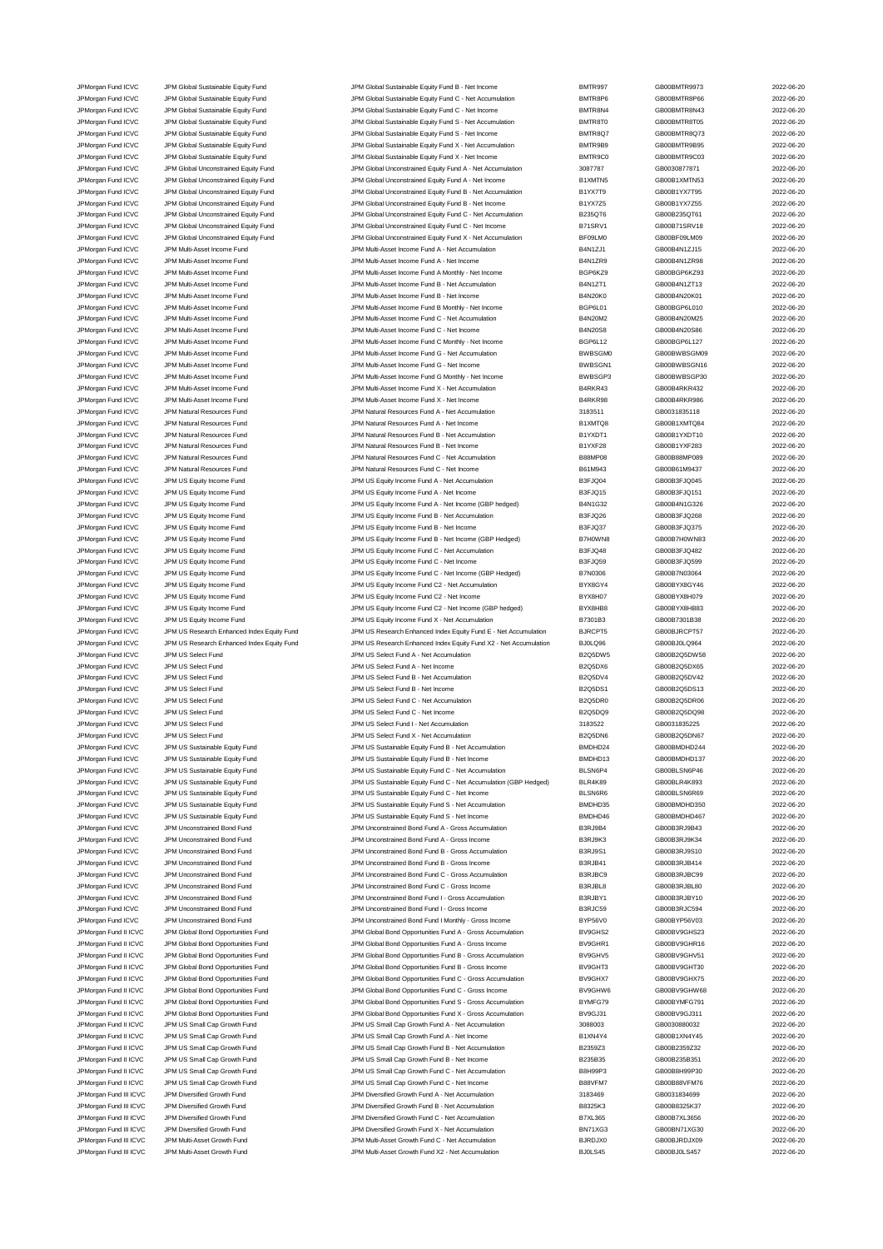JPMorgan Fund ICVC JPM Global Sustainable Equity Fund JPM Global Sustainable Equity Fund B - Net Income BMTR997 GB00BMTR9973 2022-06-20<br>JPM Group JPM Global Sustainable Equity Fund JPM Global Sustainable Equity Fund C - Ne JPM Global Sustainable Equity Fund **ICV COVER SUSTAINE SUSTAINE SUSTAINE ACCUMULATION** BOORGER GBOOBMTR8P66 CBD0BMTR8P66 2022-06-20 JPMorgan Fund ICVC JPM Global Sustainable Equity Fund JPM Global Sustainable Equity Fund C - Net Income BMTR8N4 GB00BMTR8N43 2022-06-20 JPMorgan Fund ICVC JPM Global Sustainable Equity Fund JPM Global Sustainable Equity Fund S - Net Accumulation BMTR8T0 GB00BMTR8T05 2022-06-20 JPMorgan Fund ICVC JPM Global Sustainable Equity Fund JPM Global Sustainable Equity Fund S - Net Income BMTR8Q7<br>JPM Group JPM Global Sustainable Equity Fund JPM Global Sustainable Equity Fund X - Net Accumulation BMTR9B9 G JPMorgan Fund ICVC JPM Global Sustainable Equity Fund JPM Global Sustainable Equity Fund X - Net Accumulation BMTR9B9 GB00BMTR9B95 2022-06-20 JPMorgan Fund ICVC JPM Global Sustainable Equity Fund JPM Global Sustainable Equity Fund X - Net Income BMTR9C0 GB00BMTR9C03 2022-06-20 JPMorgan Fund ICVC JPM Global Unconstrained Equity Fund JPM Global Unconstrained Equity Fund A - Net Accumulation 3087787 GB0030877871 2022-06-20 JPMorgan Fund ICVC JPM Global Unconstrained Equity Fund JPM Global Unconstrained Equity Fund A - Net Income B1XMTN5 GB00B1XMTN53 2022-06-20 JPMorgan Fund ICVC JPM Global Unconstrained Equity Fund JPM Global Unconstrained Equity Fund B - Net Accumulation<br>JPM Global VIC JPM Global Unconstrained Equity Fund JPM Global Unconstrained Equity Fund B - Net Income B1YX JPMorgan Fund ICVC JPM Global Unconstrained Equity Fund JPM Global Unconstrained Equity Fund B - Net Income B1YX7Z5 GB00B1YX7Z55 2022-06-20 JPMorgan Fund ICVC JPM Global Unconstrained Equity Fund JPM Global Unconstrained Equity Fund C - Net Accumulation B235QT6 GB00B235QT61 2022-06-20 JPMorgan Fund ICVC JPM Global Unconstrained Equity Fund JPM Global Unconstrained Equity Fund C - Net Income B71SRV1 GB00B71SRV18 2022-06-20<br>JPM Group JPM Global Unconstrained Equity Fund JPM Global Unconstrained Equity Fun JPM Global Unconstrained Equity Fund X - Net Accumu JPMorgan Fund ICVC JPM Multi-Asset Income Fund JPM Multi-Asset Income Fund A - Net Accumulation B4N1ZJ1 GB00B4N1ZJ15 2022-06-20 JPMorgan Fund ICVC JPM Multi-Asset Income Fund JPM Multi-Asset Income Fund A - Net Income B4N1ZR9 GB00B4N1ZR98 2022-06-20 JPMorgan Fund ICVC JPM Multi-Asset Income Fund COV2-06-20<br>JPM Multi-Asset Income Fund JPM Multi-Asset Income Fund B - Net Accumulation Beach B4N12T1 GB00B4N12T13 2022-06-20<br>JPM Multi-Asset Income Fund JON Multi-Asset Incom JPM Multi-Asset Income Fund JPM Multi-Asset Income Fund B - Net Accumulation B4N1ZT1 GB00B4N1ZT13 2022-06-20 JPMorgan Fund ICVC JPM Multi-Asset Income Fund JPM Multi-Asset Income Fund B - Net Income Fund B - Net Income Fund B - Net Income Fund B - Net Income Fund B - Net Income Fund B - Net Income Fund B - Net Income Fund B - Net JPM Multi-Asset Income Fund JPM Multi-Asset Income Fund B Monthly - Net Income Bund B Monthly - Net Income Bund B OGP6L01 GB00BGP6L010 2022-06-20 JPMorgan Fund ICVC JPM Multi-Asset Income Fund State Income Fund C - JPM Multi-Asset Income Fund C - Net Accumulation C - B4N20M2 GB00B4N20M25 2022-06-20<br>JPM Multi-Asset Income Fund JPM Multi-Asset Income Fund C - Net Inco JPM Multi-Asset Income Fund ICVC JPM Multi-Asset Income Fund JPM Multi-Asset Income Fund C - Net Income JPMorgan Fund ICVC JPM Multi-Asset Income Fund Come JPM Multi-Asset Income Fund C Monthly - Net Income BGP6L12<br>JPM Multi-Asset Income Fund JPM Multi-Asset Income Fund G - Net Accumulation BWBSGM0 GB00BWBSGM09 2022-06-20<br>JP JPMorgan Fund ICVC JPM Multi-Asset Income Fund JPM Multi-Asset Income Fund G - Net Accumulation BWBSGM0 GB00BWBSGM09 2022-06-20 JPM Multi-Asset Income Fund Contact Multi-Asset Income Fund G - Net Income Fund G - Net Income BWBSGN1 GB00BWBSGN16 2022-06-20 JPMorgan Fund ICVC JPM Multi-Asset Income Fund JPM Multi-Asset Income Fund G Monthly - Net Income BWBSGP3 GB00BWBSGP30 2022-06-20 JPM Multi-Asset Income Fund X - Net Accumulation JPMorgan Fund ICVC JPM Multi-Asset Income Fund JPM Multi-Asset Income Fund X - Net Income B4RKR98 GB00B4RKR986 2022-06-20 JPM Natural Resources Fund A - Net Accumulation JPMorgan Fund ICVC JPM Natural Resources Fund JPM Natural Resources Fund A - Net Income B1XMTQ8 GB00B1XMTQ84 2022-06-20 JPMorgan Fund ICVC JPM Natural Resources Fund JPM Natural Resources Fund B - Net Accumulation B1YXDT1 GB00B1YXDT10 2022-06-20 JPM Natural Resources Fund B - Net Income JPMorgan Fund ICVC JPM Natural Resources Fund JPM Natural Resources Fund C - Net Accumulation B88MP08 GB00B88MP089 2022-06-20 JPMorgan Fund ICVC JPM Natural Resources Fund JPM Natural Resources Fund C - Net Income B61M943 GB00B61M9437 2022-06-20 JPMorgan Fund ICVC JPM US Equity Income Fund JPM US Equity Income Fund A - Net Accumulation B3FJQ04 GB00B3FJQ045 2022-06-20 JPMorgan Fund ICVC JPM US Equity Income Fund JPM US Equity Income Fund A - Net Income B3FJQ15 GB00B3FJQ151 2022-06-20 JPMorgan Fund ICVC JPM US Equity Income Fund JPM US Equity Income Fund A - Net Income (GBP hedged) B4N1G32 GB00B4N1G326 2022-06-20 JPMorgan Fund ICVC JPM US Equity Income Fund JPM US Equity Income Fund B - Net Accumulation B3FJQ26 GB00B3FJQ268 2022-06-20 JPMorgan Fund ICVC JPM US Equity Income Fund JPM US Equity Income Fund B - Net Income Fund B - Net Income B as FJQ37 GB00B3FJQ375 2022-06-20 JPMorgan Fund ICVC JPM US Equity Income Fund JPM US Equity Income Fund B - Net Income (GBP Hedged) B7H0WN8 GB00B7H0WN83 2022-06-20 JPMorgan Fund ICVC JPM US Equity Income Fund JPM US Equity Income Fund C - Net Accumulation B3FJQ48 GB00B3FJQ482 2022-06-20 JPMorgan Fund ICVC JPM US Equity Income Fund JPM US Equity Income Fund C - Net Income B3FJQ59 GB00B3FJQ599 2022-06-20 JPMorgan Fund ICVC JPM US Equity Income Fund JPM US Equity Income Fund C - Net Income (GBP Hedged) B7N0306 GB00B7N03064 2022-06-20 JPMorgan Fund ICVC JPM US Equity Income Fund JPM US Equity Income Fund C2 - Net Accumulation BYX8GY4 GB00BYX8GY46 2022-06-20 JPMorgan Fund ICVC JPM US Equity Income Fund JPM US Equity Income Fund C2 - Net Income BYX8H07 GB00BYX8H079 2022-06-20 JPMorgan Fund ICVC JPM US Equity Income Fund JPM US Equity Income Fund C2 - Net Income (GBP hedged) BYX8HB8 GB00BYX8HB83 2022-06-20 JPMorgan Fund ICVC JPM US Equity Income Fund JPM US Equity Income Fund X - Net Accumulation B7301B3 GB00B7301B38 2022-06-20 JPMorgan Fund ICVC JPM US Research Enhanced Index Equity Fund JPM US Research Enhanced Index Equity Fund E - Net Accumulation BJRCPT5 GB00BJRCPT57 2022-06-20 JPMorgan Fund ICVC JPM US Research Enhanced Index Equity Fund JPM US Research Enhanced Index Equity Fund X2 - Net Accumulation BJ0LQ96 GB00BJ0LQ964 2022-06-20 JPMorgan Fund ICVC JPM US Select Fund JPM US Select Fund A - Net Accumulation B2Q5DW5 GB00B2Q5DW58 2022-06-20 JPMorgan Fund ICVC JPM US Select Fund JPM US Select Fund A - Net Income B2Q5DX6 GB00B2Q5DX65 2022-06-20 JPM US Select Fund **ICVC JPM US Select Fund B - Net Accumulation** B - Net Accumulation B - Net Accumulation B - N<br>JPM US Select Fund B - Net Accumulation B - Net Accumulation B - Net Accumulation B2Q5DV4 GB00B2Q5DV42 - 202 JPMorgan Fund ICVC JPM US Select Fund JPM US Select Fund B - Net Income B2Q5DS1 GB00B2Q5DS13 2022-06-20 JPMorgan Fund ICVC JPM US Select Fund JPM US Select Fund C - Net Accumulation B2Q5DR0 GB00B2Q5DR06 2022-06-20 JPMorgan Fund ICVC JPM US Select Fund JPM US Select Fund C - Net Income B2Q5DQ9 GB00B2Q5DQ98 2022-06-20 JPMorgan Fund ICVC JPM US Select Fund<br>JPMorgan Fund ICVC JPM US Select Fund JPM US Select Fund JPM US Select Fund X - Net Accumulation 3183522<br>JPM US Select Fund JPM US Select Fund JPM US Select Fund JPM US Select Fund X -JPM US Select Fund Text Community Select Fund X - Net Accumulation CB2Q5DN6 GB00B2Q5DN67 2022-06-20 JPMorgan Fund ICVC JPM US Sustainable Equity Fund JPM US Sustainable Equity Fund B - Net Accumulation and BMDHD24 GB00BMDHD244 2022-06-20<br>JPM US JPM US Sustainable Equity Fund JPM US Sustainable Equity Fund B - Net Income JPM US Sustainable Equity Fund B - Net Income JPMorgan Fund ICVC JPM US Sustainable Equity Fund JPM US Sustainable Equity Fund C - Net Accumulation BLSN6P4 GB00BLSN6P46 2022-06-20 JPM US Sustainable Equity Fund JPM US Sustainable Equity Fund C - Net Accumulation (GBP Hedged) BLR4K89 GB00BLR4K893<br>JPM US Sustainable Equity Fund JPM US Sustainable Equity Fund C - Net Income BLSN6R6 GB00BLSN6R69 3072-06 JPM US Sustainable Equity Fund C VICC JPM US Sustainable Equity Fund C - Net Income BLSN6R6 GB00BLSN6R69 2022-06-20 JPMorgan Fund ICVC JPM US Sustainable Equity Fund JPM US Sustainable Equity Fund S - Net Accumulation BMDHD35 GB00BMDHD350 2022-06-20 JPMorgan Fund ICVC JPM US Sustainable Equity Fund CO22-06-20<br>JPM US Sustainable Equity Fund JPM US Sustainable Equity Fund S - Net Income BMDHD46 GB00BMDHD467 CB00BMDHD467 JPMorgan Fund ICVC JPM Unconstrained Bond Fund JPM Unconstrained Bond Fund A - Gross Accumulation B3RJ9B4 GB00B3RJ9B43 2022-06-20 JPMorgan Fund ICVC JPM Unconstrained Bond Fund JPM Unconstrained Bond Fund A - Gross Income B3RJ9K3 GB00B3RJ9K34 2022-06-20 JPMorgan Fund ICVC JPM Unconstrained Bond Fund JPM Unconstrained Bond Fund B - Gross Accumulation B3RJ9S1 GB00B3RJ9S10 2022-06-20 JPMorgan Fund ICVC JPM Unconstrained Bond Fund JPM Unconstrained Bond Fund B - Gross Income B3RJB41 GB00B3RJB414 2022-06-20<br>JPM Unconstrained Bond Fund JPM Unconstrained Bond Fund C - Gross Accumulation B3RJBC9 GB00B3RJBC9 JPMorgan Fund ICVC JPM Unconstrained Bond Fund JPM Unconstrained Bond Fund C - Gross Accumulation B3RJBC9 GB00B3RJBC99 2022-06-20 JPMorgan Fund ICVC JPM Unconstrained Bond Fund JPM Unconstrained Bond Fund C - Gross Income B3RJBL8 GB00B3RJBL80 2022-06-20 JPMorgan Fund ICVC JPM Unconstrained Bond Fund JPM Unconstrained Bond Fund I - Gross Accumulation B3RJBY1 GB00B3RJBY10 2022-06-20 JPMorgan Fund ICVC JPM Unconstrained Bond Fund JPM Unconstrained Bond Fund I - Gross Income B3RJC59 GB00B3RJC594 2022-06-20 JPMorgan Fund ICVC JPM Unconstrained Bond Fund JPM Unconstrained Bond Fund I Monthly - Gross Income BYP56V0 GB00BYP56V03 2022-06-20 JPMorgan Fund II ICVC JPM Global Bond Opportunities Fund JPM Global Bond Opportunities Fund A - Gross Accumulation BV9GHS2 GB00BV9GHS23 2022-06-20 JPM Global Bond Opportunities Fund COD and Comportunities Fund A - Gross Income BV9GHR1 GB00BV9GHR16 2022-06-20 JPMorgan Fund II ICVC JPM Global Bond Opportunities Fund JPM Global Bond Opportunities Fund B - Gross Accumulation BV9GHV5 GB00BV9GHV51 2022-06-20<br>JPM Global Bond Deportunities Fund JPM Global Bond Opportunities Fund B - G JPMorgan Fund II ICVC JPM Global Bond Opportunities Fund JPM Global Bond Opportunities Fund B - Gross Income BV9GHT3 GB00BV9GHT30 CB00BV9GHT30 2022-06-20 JPMorgan Fund II ICVC JPM Global Bond Opportunities Fund Manual JPM Global Bond Opportunities Fund C - Gross Accumulation BV9GHX7 GB00BV9GHX75 2022-06-20<br>JPM Group JPM Global Bond Opportunities Fund JPM Global Bond Opportu JPMorgan Fund II ICVC JPM Global Bond Opportunities Fund JPM Global Bond Opportunities Fund C - Gross Income BV9GHW6 GB00BV9GHW68 2022-06-20 JPMorgan Fund II ICVC JPM Global Bond Opportunities Fund States JPM Global Bond Opportunities Fund S - Gross Accumulation BYMFG79 GB00BYMFG791 2022-06-20<br>JPM Group JPM Global Bond Opportunities Fund JPM Global Bond Opportu JPM Global Fund II ICVC JPM Global Bond Opportunities Fund JPM Global Bond Opportunities Fund X - Gross Accumulation JPMorgan Fund II ICVC JPM US Small Cap Growth Fund JPM US Small Cap Growth Fund A - Net Accumulation 3088003 GB0030880032 2022-06-20 JPM US And II ICVC JPM US Small Cap Growth Fund JPM US Small Cap Growth Fund A - Net Income B1XN4Y4 GB00B1XN4Y45 2022-06-20 JPMorgan Fund II ICVC JPM US Small Cap Growth Fund JPM US Small Cap Growth Fund B - Net Accumulation B2359Z3 GB00B2359Z32 2022-06-20 JPMorgan Fund II ICVC JPM US Small Cap Growth Fund JPM US Small Cap Growth Fund B - Net Income B235B35 GB00B235B351 2022-06-20 JPM US Small Cap Growth Fund C - Net Accumul JPMorgan Fund II ICVC JPM US Small Cap Growth Fund JPM US Small Cap Growth Fund C - Net Income B88VFM7 GB00B88VFM76<br>JPM Organ Fund III CVC JPM Diversified Growth Fund JPM Diversified Growth Fund A - Net Accumulation 318346 JPM Diversified Growth Fund 3183469 CB0031834699 2022-06-20 JPM Diversified Growth Fund JPM Diversified Growth Fund B - Net Accumulation BB325K3 GB00B8325K37 CB00B8325K37 JPMorgan Fund III ICVC JPM Diversified Growth Fund JPM Diversified Growth Fund C - Net Accumulation B7XL365 GB00B7XL3656 2022-06-20 JPM Diversified Growth Fund X - Net Accumulation JPM Multi-Asset Growth Fund JPM Multi-Asset Growth Fund C - Net Accumulation BJRDJX0 GB00BJRDJX09 CB00BJRDJX09 2022-06-20 JPMorgan Fund III ICVC JPM Multi-Asset Growth Fund JPM Multi-Asset Growth Fund X2 - Net Accumulation BJ0LS45 GB00BJ0LS457 2022-06-20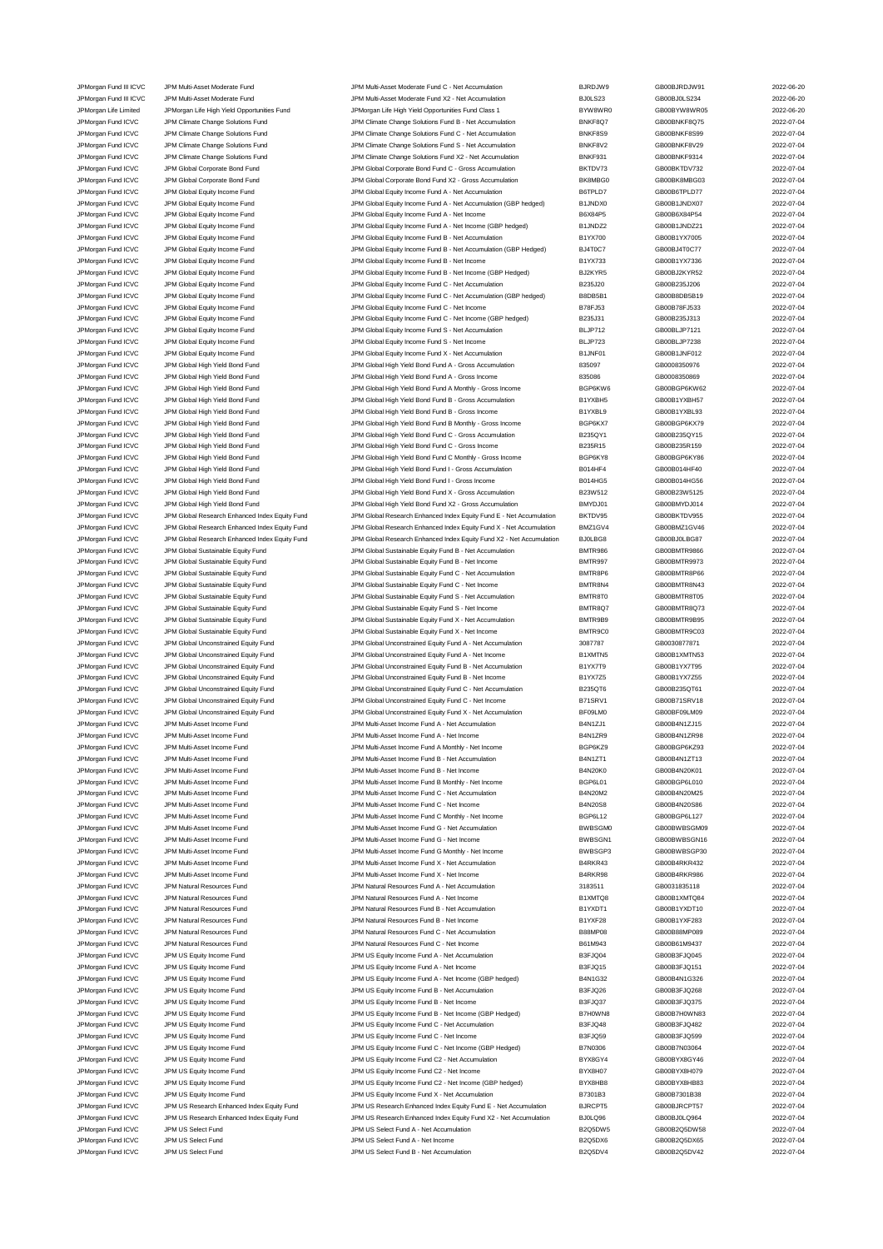JPM US Equity Income Fund<br>IPM US Equity Income Fund IPM US Equity Income Fund C2 - Net Income<br>JPM US Equity Income Fund C2 - Net Income

JPMorgan Fund III ICVC JPM Multi-Asset Moderate Fund JPM Multi-Asset Moderate Fund X2 - Net Accumulation BJ0LS23 GB00BJ0LS234 2022-06-20 JPMorgan Life Limited JPMorgan Life High Yield Opportunities Fund JPMorgan Life High Yield Opportunities Fund Class 1 BYW8WR0 GB00BYW8WR05 2022-06-20<br>JPM Opportunities And Digital Annual Channel Solutions Fund Limited Annu JPMorgan Fund ICVC JPM Climate Change Solutions Fund JPM Climate Change Solutions Fund B - Net Accumulation BNKF8Q7 GB00BNKF8Q75 2022-07-04 JPMorgan Fund ICVC JPM Climate Change Solutions Fund JPM Climate Change Solutions Fund C - Net Accumulation and DNKF8S9 GB00BNKF8S99 2022-07-04<br>JPM Climate Change Solutions Fund JPM Climate Change Solutions Fund S - Net Ac JPMorgan Fund ICVC JPM Climate Change Solutions Fund JPM Climate Change Solutions Fund S - Net Accumulation BNKF8V2 GB00BNKF8V29 2022-07-04 JPMorgan Fund ICVC JPM Climate Change Solutions Fund JPM Climate Change Solutions Fund X2 - Net Accumulation BNKF931 GB00BNKF9314 2022-07-04 JPMorgan Fund ICVC JPM Global Corporate Bond Fund JPM Global Corporate Bond Fund C - Gross Accumulation BKTDV73 GB00BKTDV732 2022-07-04 JPMorgan Fund ICVC JPM Global Corporate Bond Fund JPM Global Corporate Bond Fund X2 - Gross Accumulation BK8MBG0 CB00BK8MBG03 JPMorgan Fund ICVC JPM Global Equity Income Fund JPM Global Equity Income Fund A - Net Accumulation B6TPLD7 GB00B6TPLD77 2022-07-04 JPMorgan Fund ICVC JPM Global Equity Income Fund JPM Global Equity Income Fund A - Net Accumulation (GBP hedged) B1JNDX0 GB00B1JNDX07 2022-07-04 JPMorgan Fund ICVC JPM Global Fquity Income Fund JPM Global Fquity Income Fund A - Net Income Beau A - Net Income Fund A - Net Income Fund A - Net Income Fund B6X84P54 CB00B6X84P54 2022-07-04 JPMorgan Fund ICVC JPM Global Equity Income Fund JPM Global Equity Income Fund A - Net Income (GBP hedged) B1JNDZ2 GB00B1JNDZ21 2022-07-04 JPM Global Equity Income Fund B - Net Accum JPMorgan Fund ICVC JPM Global Equity Income Fund JPM Global Equity Income Fund B - Net Accumulation (GBP Hedged) BJ4T0C7 GB00BJ4T0C77 2022-07-04 JPMorgan Fund ICVC JPM Global Equity Income Fund<br>JPM Global The State of The State of Bund JPM Global Fouth Income Fund B - Net Income (GBP Hedged) BJ2KYR5 GB00B1YX7336 2022-07-04<br>JPM Gram Hund ICVC JPM Global Fouth Income JPMorgan Fund ICVC JPM Global Equity Income Fund JPM Global Equity Income Fund B - Net Income (GBP Hedged) BJ2KYR5 GB00BJ2KYR52 2022-07-04<br>JPM Group JPM Global Equity Income Fund JPM Global Equity Income Fund C - Net Accum JPMorgan Fund ICVC JPM Global Equity Income Fund JPM Global Equity Income Fund C - Net Accumulation B235J20 GB00B235J206 2022-07-04 JPMorgan Fund ICVC JPM Global Equity Income Fund JPM Global Equity Income Fund C - Net Accumulation (GBP hedged) B8DB5B1 GB00B8DB5B19 2022-07-04 JPMorgan Fund ICVC JPM Global Equity Income Fund JPM Global Equity Income Fund C - Net Income B78FJ53 GB00B78FJ533 2022-07-04 JPMorgan Fund ICVC JPM Global Equity Income Fund JPM Global Equity Income Fund C - Net Income (GBP hedged) B235J31 GB00B235J313 2022-07-04<br>JPM Group JPM Global Equity Income Fund JPM Global Equity Income Fund S - Net Accum JPM Global Equity Income Fund JPM Global Equity Income Fund JPM Global Equity Income Fund S - Net Accumulation<br>JPM Global Equity Income JPM Global Equity Income Fund JPM Global Equity Income Fund S - Net Income JPMorgan Fund ICVC JPM Global Equity Income Fund JPM Global Equity Income Fund S - Net Income BLJP723 GB00BLJP7238 2022-07-04 JPMorgan Fund ICVC JPM Global Equity Income Fund JPM Global Global Equity Income Fund X - Net Accumulation B1JNF01 GB00B1JNF012 2022-07-04<br>JPM Global How JPM Global High Yield Bond Fund JPM Global High Yield Bond Fund A - JPM Global High Yield Bond Fund JPM Global High Yield Bond Fund A - Gross Accumulation 835097 GB0008350976 CB0008350976 2022-07-04 JPMorgan Fund ICVC JPM Global High Yield Bond Fund JPM Global High Yield Bond Fund A - Gross Income 835086 GB0008350869 2022-07-04<br>JPM Global High Yield Bond Fund JPM Global High Yield Bond Fund A Monthy - Gross Income BGP JPM Global High Yield Bond Fund A Monthly - Gross Income JPMorgan Fund ICVC JPM Global High Yield Bond Fund JPM Global High Yield Bond Fund B - Gross Accumulation B1YXBH5 GB00B1YXBH57 2022-07-04<br>JPM Global High Yield Bond Fund JPM Global High Yield Bond Fund B - Gross Income B1Y JPM Global High Yield Bond Fund B - Gross Income JPMorgan Fund ICVC JPM Global High Yield Bond Fund JPM Global High Yield Bond Fund B Monthly - Gross Income BGP6KX7 GB00BGP6KX79 2022-07-04 JPMorgan Fund ICVC JPM Global High Yield Bond Fund JPM Global High Yield Bond Fund C - Gross Accumulation B235QY1 GB00B235QY15 2022-07-04 JPM Global High Yield Bond Fund C - Gross Income JPMorgan Fund ICVC JPM Global High Yield Bond Fund JPM Global High Yield Bond Fund C Monthly - Gross Income BGP6KY8 GB00BGP6KY86 2022-07-04 JPM Global High Yield Bond Fund ICVC JPM Global High Yield Bond Fund I - Gross Accumulation B014HF4 GB00B014HF40 2022-07-04 JPMorgan Fund ICVC JPM Global High Yield Bond Fund JPM Global High Yield Bond Fund I - Gross Income B014HG5 GB00B014HG56 2022-07-04 JPMorgan Fund ICVC JPM Global High Yield Bond Fund JPM Global High Yield Bond Fund X - Gross Accumulation B23W512 GB00B23W5125 2022-07-04 JPMorgan Fund ICVC JPM Global High Yield Bond Fund JPM Global High Yield Bond Fund X2 - Gross Accumulation BMYDJ01 GB00BMYDJ014 2022-07-04 JPMorgan Fund ICVC JPM Global Research Enhanced Index Equity Fund JPM Global Research Enhanced Index Equity Fund E - Net Accumulation BKTDV95 GB00BKTDV955 2022-07-04 JPMorgan Fund ICVC JPM Global Research Enhanced Index Equity Fund JPM Global Research Enhanced Index Equity Fund X - Net Accumulation BMZ1GV4 GB00BMZ1GV46 2022-07-04 JPMorgan Fund ICVC JPM Global Research Enhanced Index Equity Fund JPM Global Research Enhanced Index Equity Fund X2 - Net Accumulation BJ0LBG8 GB00BJ0LBG87 2022-07-04 JPMorgan Fund ICVC JPM Global Sustainable Equity Fund JPM Global Sustainable Equity Fund B - Net Accumulation BMTR986 GB00BMTR9866 2022-07-04 JPMorgan Fund ICVC JPM Global Sustainable Equity Fund JPM Global Sustainable Equity Fund B - Net Income BMTR997 GB00BMTR9973 2022-07-04 JPMorgan Fund ICVC JPM Global Sustainable Equity Fund JPM Global Sustainable Equity Fund C - Net Accumulation BMTR8P6 GB00BMTR8P66 2022-07-04 JPMorgan Fund ICVC JPM Global Sustainable Equity Fund JPM Global Sustainable Equity Fund C - Net Income BMTR8N4 GB00BMTR8N43 2022-07-04 JPMorgan Fund ICVC JPM Global Sustainable Equity Fund Sustainable Form JPM Global Sustainable Equity Fund S - Net Accumulation BMTR8T0 GB00BMTR8T05 2022-07-04 JPMorgan Fund ICVC JPM Global Sustainable Equity Fund JPM Global Sustainable Equity Fund S - Net Income BMTR8Q7 GB00BMTR8Q73 2022-07-04 JPMorgan Fund ICVC JPM Global Sustainable Equity Fund Sustainable Equity Fund X - Net Accumulation BMTR9B9 GB00BMTR9B95 2022-07-04 JPMorgan Fund ICVC JPM Global Sustainable Equity Fund JPM Global Sustainable Equity Fund X - Net Income BMTR9C0 GB00BMTR9C03 2022-07-04 JPMorgan Fund ICVC JPM Global Unconstrained Equity Fund JPM Global Unconstrained Equity Fund A - Net Accumulation 3087787 GB0030877871 GB0030877871 JPMorgan Fund ICVC JPM Global Unconstrained Equity Fund JPM Global Unconstrained Equity Fund A - Net Income B1XMTN5 GB00B1XMTN53 2022-07-04 JPMorgan Fund ICVC JPM Global Unconstrained Equity Fund JPM Global Unconstrained Equity Fund B - Net Accumulation B1YX7T9 GB00B1YX7T95 2022-07-04<br>JPM Global VPM Global Unconstrained Equity Fund JPM Global Unconstrained Equ JPM Global Unconstrained Equity Fund B - Net Income B1YX7Z5 GB00B1YX7Z55 GB00B1YX7Z55 2022-07-04 JPMorgan Fund ICVC JPM Global Unconstrained Equity Fund JPM Global Unconstrained Equity Fund C - Net Accumulation B235QT6 GB00B235QT61 CB00B235QT61 JPMorgan Fund ICVC JPM Global Unconstrained Equity Fund JPM Global Unconstrained Equity Fund C - Net Income B71SRV1 GB00B71SRV18 2022-07-04 JPMorgan Fund ICVC JPM Global Unconstrained Equity Fund JPM Global Unconstrained Equity Fund X - Net Accumulation BF09LM0 GB00BF09LM09 2022-07-04<br>JPM organ Fund ICVC JPM Multi-Asset Income Fund JPM Multi-Asset Income Fund JPM Multi-Asset Income Fund A - Net Accumulation JPM Multi-Asset Income Fund JPM Multi-Asset Income Fund JPM Multi-Asset Income Fund A - Net Income B4N1ZR9 B4N1ZR9 GB00B4N1ZR98 2022-07-04 JPMorgan Fund ICVC JPM Multi-Asset Income Fund JPM Multi-Asset Income Fund A Monthly - Net Income BGP6KZ9 GB00BGP6KZ93 2022-07-04 JPM Multi-Asset Income Fund B - Net Accumulation B4N1 JPM Multi-Asset Income Fund JPM Multi-Asset Income Fund B - Net Income Fund B - Net Income Based B4N20K0 GB00B4N20K01 2022-07-04 JPMorgan Fund ICVC JPM Multi-Asset Income Fund JPM Multi-Asset Income Fund B Monthly - Net Income BGP6L01 GB00BGP6L010 2022-07-04 JPMorgan Fund ICVC JPM Multi-Asset Income Fund JPM Multi-Asset Income Fund C - Net Accumulation B4N20M2 GB00B4N20M25 2022-07-04 JPMorgan Fund ICVC JPM Multi-Asset Income Fund JPM Multi-Asset Income Fund C - Net Income B4N20S8 GB00B4N20S86 2022-07-04 JPMorgan Fund ICVC JPM Multi-Asset Income Fund JPM Multi-Asset Income Fund C Monthly - Net Income BGP6L12 GB00BGP6L127 2022-07-04 JPMorgan Fund ICVC JPM Multi-Asset Income Fund JPM Multi-Asset Income Fund G - Net Accumulation BWBSGM0 GB00BWBSGM09 2022-07-04 JPMorgan Fund ICVC JPM Multi-Asset Income Fund JPM Multi-Asset Income Fund G - Net Income BWBSGN1 GB00BWBSGN16 2022-07-04 JPMorgan Fund ICVC JPM Multi-Asset Income Fund JPM Multi-Asset Income Fund G Monthly - Net Income BWBSGP3 GB00BWBSGP30 2022-07-04 JPMorgan Fund ICVC JPM Multi-Asset Income Fund JPM Multi-Asset Income Fund X - Net Accumulation B4RKR43 GB00B4RKR432 2022-07-04 JPMorgan Fund ICVC JPM Multi-Asset Income Fund JPM Multi-Asset Income Fund X - Net Income B4RKR98 GB00B4RKR986 2022-07-04 JPM Natural Resources Fund COVC JPM Natural Resources Fund A - Net Accumulation 3183511 GB003183511 GB003183511 JPMorgan Fund ICVC JPM Natural Resources Fund JPM Natural Resources Fund A - Net Income B1XMTQ8 GB00B1XMTQ84 2022-07-04 JPMorgan Fund ICVC JPM Natural Resources Fund JPM Natural Resources Fund B - Net Accumulation B1YXDT1 GB00B1YXDT10 2022-07-04 JPMorgan Fund ICVC JPM Natural Resources Fund JPM Natural Resources Fund B - Net Income B1YXF28 GB00B1YXF283 2022-07-04 JPMorgan Fund ICVC JPM Natural Resources Fund JPM Natural Resources Fund C - Net Accumulation B88MP08 GB00B88MP089 2022-07-04 JPMorgan Fund ICVC JPM Natural Resources Fund JPM Natural Resources Fund C - Net Income B61M943 GB00B61M9437 CB00B61M9437 2022-07-04 JPMorgan Fund ICVC JPM US Equity Income Fund JPM US Equity Income Fund A - Net Accumulation B3FJQ04 GB00B3FJQ045 2022-07-04 JPMorgan Fund ICVC JPM US Equity Income Fund JPM US Equity Income Fund A - Net Income B3FJQ15 GB00B3FJQ151 2022-07-04 JPMorgan Fund ICVC JPM US Equity Income Fund JPM US Equity Income Fund A - Net Income (GBP hedged) B4N1G32 GB00B4N1G326 2022-07-04 JPMorgan Fund ICVC JPM US Equity Income Fund JPM US Equity Income Fund B - Net Accumulation B3FJQ26 GB00B3FJQ268 2022-07-04 JPMorgan Fund ICVC JPM US Equity Income Fund JPM US Equity Income Fund B - Net Income Pund B - Net Income And D<br>JPM US Equity Income Fund JPM US Equity Income Fund B - Net Income (GBP Hedged) B7H0WN8 GB00B7H0WN83 2022-07-0 JPMorgan Fund ICVC JPM US Equity Income Fund JPM US Equity Income Fund B - Net Income (GBP Hedged) JPMorgan Fund ICVC JPM US Equity Income Fund JPM US Equity Income Fund C - Net Accumulation B3FJQ48 GB00B3FJQ482 2022-07-04 JPMorgan Fund ICVC JPM US Equity Income Fund JPM US Equity Income Fund C - Net Income Pund C - Net Income B3FJQ59 GB00B3FJQ599 2022-07-04<br>JPM US And ICVC JPM US Equity Income Fund JPM US Equity Income Fund C - Net Income ( JPM US Equity Income Fund JPM US Equity Income Fund C - Net Income (GBP Hedged) B7N0306 GB00B7N03064 2022-07-04 JPMorgan Fund ICVC JPM US Equity Income Fund JPM US Equity Income Fund C2 - Net Accumulation BYX8GY4 GB00BYX8GY46 2022-07-04 JPMorgan Fund ICVC JPM US Equity Income Fund JPM US Equity Income Fund C2 - Net Income (GBP hedged) BYX8HB8 GB00BYX8HB83 2022-07-04 JPM US Equity Income Fund **ICV CONTENT CONTENT** JPM US Equity Income Fund X - Net Accumulation B7301B3 **B7301B3** CB00B7301B38 2022-07-04 JPMorgan Fund ICVC JPM US Research Enhanced Index Equity Fund JPM US Research Enhanced Index Equity Fund E - Net Accumulation BJRCPT5 GB00BJRCPT57 2022-07-04 JPMorgan Fund ICVC JPM US Research Enhanced Index Equity Fund JPM US Research Enhanced Index Equity Fund X2 - Net Accumulation BJ0LQ96 GB00BJ0LQ964 2022-07-04<br>JPM US Select Fund JPM US Select Fund A - Net Accumulation B2Q5 JPM US Select Fund A - Net Accumula JPM US Select Fund JPM US Select Fund JPM US Select Fund A - Net Income B2Q5DX6 B2Q5DX6 GB00B2Q5DX65 2022-07-04 JPMorgan Fund ICVC JPM US Select Fund JPM US Select Fund B - Net Accumulation B2Q5DV4 GB00B2Q5DV42 2022-07-04

JPMorgan Fund III ICVC JPM Multi-Asset Moderate Fund JPM Multi-Asset Moderate Fund C - Net Accumulation BJRDJW9<br>JPM Multi-Asset Moderate Fund JPM Multi-Asset Moderate Fund X2 - Net Accumulation BJ0LS23 GB00BJ0LS234 GB00BJ0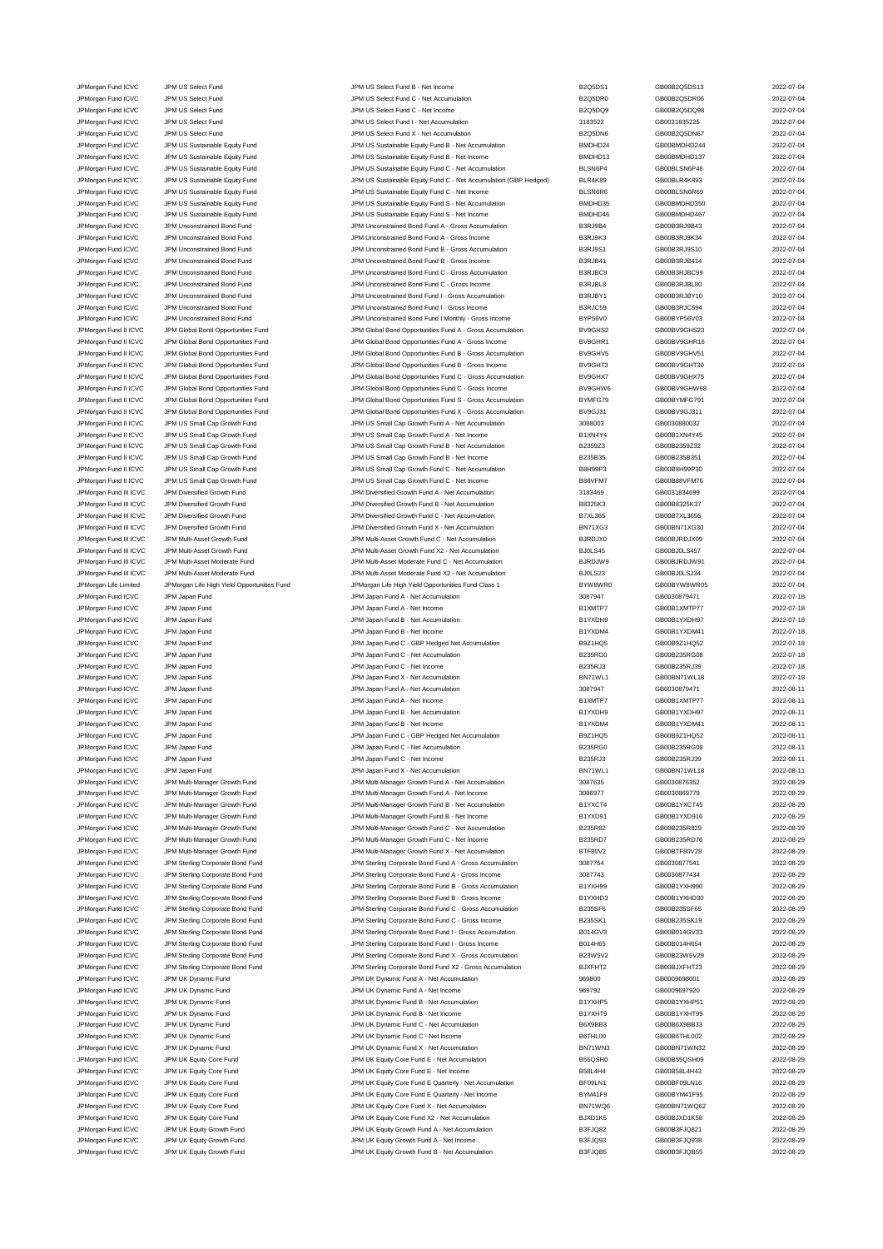JPM Japan Fund ICVC JPM Japan Fund JPM Japan Jump JPM Japan Fund B - Net Income JPM Japan Fund B1<br>JPM Japan Fund ICVC JPM Japan Fund JPM Japan Tund B1 3000 11 3024-11 2022

JPMorgan Fund ICVC JPM US Select Fund JPM US Select Fund C - Net Accumulation B2Q5DR0 GB00B2Q5DR06 2022-07-04 JPMorgan Fund ICVC JPM US Select Fund JPM US Select Fund C - Net Income B2Q5DQ9 GB00B2Q5DQ98 2022-07-04 JPMorgan Fund ICVC JPM US Select Fund JPM US Select Fund I - Net Accumulation 3183522 GB0031835225 2022-07-04 JPMorgan Fund ICVC JPM US Select Fund JPM US Select Fund X - Net Accumulation B2Q5DN6 GB00B2Q5DN67 2022-07-04 JPMorgan Fund ICVC JPM US Sustainable Equity Fund JPM US Sustainable Equity Fund B - Net Accumulation BMDHD24 GB00BMDHD244 2022-07-04 JPMorgan Fund ICVC JPM US Sustainable Equity Fund JPM US Sustainable Equity Fund B - Net Income BMDHD13 GB00BMDHD137 2022-07-04 JPMorgan Fund ICVC JPM US Sustainable Equity Fund JPM US Sustainable Equity Fund C - Net Accumulation (GBP Hedged) BLSN6P4 GB00BLSN6P46 2022-07-04<br>JPM US Sustainable Equity Fund JPM US Sustainable Equity Fund C - Net Accum JPMorgan Fund ICVC JPM US Sustainable Equity Fund Government Communication (GBP Hedged) BLAKES GBD Hedged) JPMorgan Fund ICVC JPM US Sustainable Equity Fund JPM US Sustainable Equity Fund C - Net Income BLSN6R6 GB00BLSN6R69 2022-07-04<br>JPM US JPM US Sustainable Equity Fund JPM US Sustainable Equity Fund S - Net Accumulation BMDH JPM US Sustainable Equity Fund S - Net Accumulation **BMDHD35** BMDHD35 GB00BMDHD350 2022-07-04 JPMorgan Fund ICVC JPM US Sustainable Equity Fund JPM US Sustainable Equity Fund S - Net Income BMDHD46 GB00BMDHD467 2022-07-04 JPMorgan Fund ICVC JPM Unconstrained Bond Fund JPM Unconstrained Bond Fund A - Gross Accumulation B3RJ9B4 GB00B3RJ9B43 2022-07-04 JPM Unconstrained Bond Fund A - Gross Income JPMorgan Fund ICVC JPM Unconstrained Bond Fund JPM Unconstrained Bond Fund B - Gross Accumulation B3RJ9S1 GB00B3RJ9S10 2022-07-04 JPMorgan Fund ICVC JPM Unconstrained Bond Fund JPM Unconstrained Bond Fund B - Gross Income B3RJB41 GB00B3RJB414 2022-07-04 JPMorgan Fund ICVC JPM Unconstrained Bond Fund JPM Unconstrained Bond Fund C - Gross Accumulation B3RJBC9 GB00B3RJBC99 2022-07-04 JPMorgan Fund ICVC JPM Unconstrained Bond Fund JPM Unconstrained Bond Fund C - Gross Income B3RJBL8 GB00B3RJBL80 2022-07-04 JPMorgan Fund ICVC JPM Unconstrained Bond Fund JPM Unconstrained Bond Fund I - Gross Accumulation B3RJBY1 GB00B3RJBY10 2022-07-04 JPMorgan Fund ICVC JPM Unconstrained Bond Fund JPM Unconstrained Bond Fund I - Gross Income B3RJC59 GB00B3RJC594 2022-07-04 JPMorgan Fund ICVC JPM Unconstrained Bond Fund JM Unconstrained Bond Fund I Monthly - Gross Income BYP56V0 GB00BYP56V03 2022-07-04<br>JPM GB00BV9GHS23 GB00BY9GHS23 2022-07-04 JPM Global Bond Opportunities Fund A - Gross Accum JPM Global Bond II ICVC JPM Global Bond Opportunities Fund JPM Global Bond Opportunities Fund A - Gross Accumulation BV9GHS JPMorgan Fund II ICVC JPM Global Bond Opportunities Fund JPM Global Bond Opportunities Fund A - Gross Income BV9GHR1 GB00BV9GHR16 2022-07-04<br>JPM Group JPM Global Bond Opportunities Fund JPM Global Bond Opportunities Fund B JPMorgan Fund II ICVC JPM Global Bond Opportunities Fund JPM Global Bond Opportunities Fund B - Gross Accumulation BV9GHV5 GB00BV9GHV51 2022-07-04<br>JPM Global Bond Deportunities Fund JPM Global Bond Opportunities Fund B - G JPM Global Bond Opportunities Fund JPM Global Bond Opportunities Fund B - Gross Income BV9GHT3 GB00BV9GHT30 2022-07-04 JPMorgan Fund II ICVC JPM Global Bond Opportunities Fund Comportunities Fund C - Gross Accumulation BV9GHX7 GB00BV9GHX75 2022-07-04<br>JPM Global Bond Deportunities Fund JPM Global Bond Opportunities Fund C - Gross Income BV9 JPM Global Bond Opportunities Fund C - Gross Income JPMorgan Fund II ICVC JPM Global Bond Opportunities Fund JPM Global Bond Opportunities Fund S - Gross Accumulation BYMFG79 GB00BYMFG791 2022-07-04<br>JPM Group JPM Global Bond Opportunities Fund JPM Global Bond Opportunities JPM Global Bond Opportunities Fund X - Gross Accumulation JPMorgan Fund II ICVC JPM US Small Cap Growth Fund JPM US Small Cap Growth Fund A - Net Accumulation 3088003 GB0030880032 2022-07-04 JPMorgan Fund II ICVC JPM US Small Cap Growth Fund JPM US Small Cap Growth Fund A - Net Income B1XN4Y4 GB00B1XN4Y45 2022-07-04 JPM US Small Cap Growth Fund B - Net Accumulation B3 JPMorgan Fund II ICVC JPM US Small Cap Growth Fund JPM US Small Cap Growth Fund B - Net Income B235B35 GB00B235B351 2022-07-04<br>JPM US JPM US Small Cap Growth Fund JPM US Small Cap Growth Fund C - Net Accumulation BBH99P3 G JPMorgan Fund II ICVC JPM US Small Cap Growth Fund JPM US Small Cap Growth Fund C - Net Accumulation B8H99P3 GB00B8H99P30 2022-07-04 JPMorgan Fund II ICVC JPM US Small Cap Growth Fund JPM US Small Cap Growth Fund C - Net Income B88VFM7 GB00B88VFM76 2022-07-04 JPMorgan Fund III ICVC JPM Diversified Growth Fund JPM Diversified Growth Fund A - Net Accumulation 3183469 GB0031834699 2022-07-04<br>JPM Diversified Growth Fund JPM Diversified Growth Fund B - Net Accumulation B8325K3 GB00B JPMorgan Fund III ICVC JPM Diversified Growth Fund JPM Diversified Growth Fund B - Net Accumulation B8325K3 GB00B8325K37 2022-07-04<br>JPM Diversified Growth Fund JPM Diversified Growth Fund C - Net Accumulation B7XL365 GB00B JPMorgan Fund III ICVC JPM Diversified Growth Fund JPM Diversified Growth Fund C - Net Accumulation B7XL365 GB00B7XL3656 2022-07-04 JPM Dragan Fund III ICVC JPM Diversified Growth Fund JPM Diversified Growth Fund X - Net Accumulation BN71XG3 GB00BN71XG30 2022-07-04 JPMorgan Fund III ICVC JPM Multi-Asset Growth Fund States of JPM Multi-Asset Growth Fund C - Net Accumulation BJRDJX0 BJRDJX0 GB00BJRDJX09 2022-07-04<br>JPM Morgan Fund III ICVC JPM Multi-Asset Growth Fund JPM Multi-Asset Gro JPMorgan Fund III ICVC JPM Multi-Asset Growth Fund JPM Multi-Asset Growth Fund X2 - Net Accumulation BJ0LS45 GB00BJ0LS457 2022-07-04 JPMorgan Fund III ICVC JPM Multi-Asset Moderate Fund JPM Multi-Asset Moderate Fund C - Net Accumulation BJRDJW9 GB00BJRDJW91 2022-07-04 JPMorgan Fund III ICVC JPM Multi-Asset Moderate Fund JPM Multi-Asset Moderate Fund X2 - Net Accumulation BJ0LS23 GB00BJ0LS234 2022-07-04 JPMorgan Life Limited JPMorgan Life High Yield Opportunities Fund JPMorgan Life High Yield Opportunities Fund Class 1 BYW8WR0 GB00BYW8WR05 2022-07-04 JPMorgan Fund ICVC JPM Japan Fund JPM Japan Fund A - Net Accumulation 3087947 GB0030879471 2022-07-18 JPM Japan Fund ICVC JPM Japan Fund CO22-07-18<br>JPM Japan Fund COVC JPM Japan Fund CO22-07-18 JPMorgan Fund ICVC JPM Japan Fund CO22-07-18 JPM Japan Fund B - Net Accumulation B1YXDH9 GB00B1YXDH9 GB00B1YXDH97 2022-07-18 JPMorgan Fund ICVC JPM Japan Fund JPM Japan Fund B - Net Income B1YXDM4 GB00B1YXDM41 2022-07-18 JPMorgan Fund ICVC JPM Japan Fund JPM Japan Fund C - GBP Hedged Net Accumulation B9Z1HQ5 GB00B9Z1HQ52 2022-07-18 JPMorgan Fund ICVC JPM Japan Fund 1002-007-18 JPM Japan Fund C - Net Accumulation B235RG0 GB00B235RG08 2022-07-18 JPMorgan Fund ICVC JPM Japan Fund JPM Japan Fund C - Net Income B235RJ3 GB00B235RJ39 2022-07-18 JPM Japan Fund JPM Japan Fund X - Net Accumulation BN71WL1 GB00BN71WL18 2022-07-18 JPMorgan Fund ICVC JPM Japan Fund JPM Japan Fund A - Net Accumulation 3087947 GB0030879471 2022-08-11 JPMorgan Fund ICVC JPM Japan Fund JPM Japan Fund A - Net Income B1XMTP7 GB00B1XMTP77 2022-08-11 JPMorgan Fund ICVC JPM Japan Fund JPM Japan Fund B - Net Accumulation B1YXDH9 GB00B1YXDH97 2022-08-11 JPM Japan Fund ICVC JPM Japan Fund C - GBP Hedged Net Accumulation B9Z1HQ5 GB00B9Z1HQ52 CO22-08-11 JPMorgan Fund ICVC JPM Japan Fund JPM Japan Fund C - Net Accumulation B235RG0 GB00B235RG08 2022-08-11 JPM Japan Fund C - Net Income JPMorgan Fund ICVC JPM Japan Fund JPM Japan Fund X - Net Accumulation BN71WL1 GB00BN71WL18 2022-08-11 JPMorgan Fund ICVC JPM Multi-Manager Growth Fund JPM Multi-Manager Growth Fund A - Net Accumulation 3087635 GB0030876352 2022-08-29 JPMorgan Fund ICVC JPM Multi-Manager Growth Fund JPM Multi-Manager Growth Fund A - Net Income 3086977 GB0030869779 2022-08-29 JPMorgan Fund ICVC JPM Multi-Manager Growth Fund JPM Multi-Manager Growth Fund B - Net Accumulation B1YXCT4 GB00B1YXCT45 2022-08-29 JPMorgan Fund ICVC JPM Multi-Manager Growth Fund JPM Multi-Manager Growth Fund B - Net Income B1YXD91 GB00B1YXD916 2022-08-29<br>JPM Multi-Manager Growth Fund JPM Multi-Manager Growth Fund C - Net Accumulation B235R82 GB00B23 JPMorgan Fund ICVC JPM Multi-Manager Growth Fund JPM Multi-Manager Growth Fund C - Net Accumulation B235R82 GB00B235R829 2022-08-29 JPMorgan Fund ICVC JPM Multi-Manager Growth Fund JPM Multi-Manager Growth Fund C - Net Income B235RD7 GB00B235RD76 2022-08-29 JPMorgan Fund ICVC JPM Multi-Manager Growth Fund JPM Multi-Manager Growth Fund X - Net Accumulation BTF80V2 GB00BTF80V28 2022-08-29 JPMorgan Fund ICVC JPM Sterling Corporate Bond Fund JPM Sterling Corporate Bond Fund A - Gross Accumulation 3087754 GB0030877541 2022-08-29 JPMorgan Fund ICVC JPM Sterling Corporate Bond Fund JPM Sterling Corporate Bond Fund A - Gross Income 3087743 GB0030877434 2022-08-29 JPMorgan Fund ICVC JPM Sterling Corporate Bond Fund JPM Sterling Corporate Bond Fund B - Gross Accumulation B1YXH99 GB00B1YXH990 2022-08-29 JPMorgan Fund ICVC JPM Sterling Corporate Bond Fund JPM Sterling Corporate Bond Fund B - Gross Income B1YXHD3 GB00B1YXHD30 2022-08-29 JPMorgan Fund ICVC JPM Sterling Corporate Bond Fund JPM Sterling Corporate Bond Fund C - Gross Accumulation B235SF6 GB00B235SF65 2022-08-29 JPMorgan Fund ICVC JPM Sterling Corporate Bond Fund JPM Sterling Corporate Bond Fund C - Gross Income B235SK1 GB00B235SK19 2022-08-29 JPMorgan Fund ICVC JPM Sterling Corporate Bond Fund JPM Sterling Corporate Bond Fund I - Gross Accumulation B014GV3 GB00B014GV33 2022-08-29 JPMorgan Fund ICVC JPM Sterling Corporate Bond Fund JPM Sterling Corporate Bond Fund I - Gross Income B014H65 GB00B014H654 2022-08-29 JPMorgan Fund ICVC JPM Sterling Corporate Bond Fund JPM Sterling Corporate Bond Fund X - Gross Accumulation B23W5V2 GB00B23W5V29 2022-08-29 JPMorgan Fund ICVC JPM Sterling Corporate Bond Fund JPM Sterling Corporate Bond Fund X2 - Gross Accumulation BJXFHT2 GB00BJXFHT23 2022-08-29 JPMorgan Fund ICVC JPM UK Dynamic Fund JPM UK Dynamic Fund A - Net Accumulation 969800 GB0009698001 2022-08-29 JPMorgan Fund ICVC JPM UK Dynamic Fund JPM UK Dynamic Fund A - Net Income 969792 GB0009697920 2022-08-29 JPMorgan Fund ICVC JPM UK Dynamic Fund JPM UK Dynamic Fund B - Net Accumulation B1YXHP5 GB00B1YXHP51 2022-08-29 JPM UK Dynamic Fund ICVC JPM UK Dynamic Fund JPM UK Dynamic Fund B - Net Income JPM UK Dynamic Fund JPM UK Dynamic Fund JPM UK Dynamic Fund C - Net Accumulation B6X9BB3 GB00B6X9BB33 CB00B6X9BB33 2022-08-29 JPM URM THE HOT JPM UK Dynamic Fund JPM UK Dynamic Fund C - Net Income **B6THL00** GB00B6THL002 JPM OCC JPM UK Dynamic Fund C - Net Income BRTHL00 B6D0B6THL002 JPM UK Dynamic Fund CHC JPM UK Dynamic Fund X - Net Accumulation JPM UK Dynamic Fund ICVC JPM UK Dynamic Fund X - Net Accumulation BN71WN3 GB00BN71WN32 2022-08-29 JPMorgan Fund ICVC JPM UK Equity Core Fund JPM UK Equity Core Fund E - Net Accumulation B55QSH0 GB00B55QSH09 2022-08-29 JPM UK Equity Core Fund E - Net Income JPMorgan Fund ICVC JPM UK Equity Core Fund JPM UK Equity Core Fund E Quarterly - Net Accumulation BF09LN1 GB00BF09LN16 2022-08-29 JPM UK Equity Core Fund Core Fund JPM UK Equity Core Fund E Quarterly - Net Income BYM41F9 GB00BYM41F95 2022-08-29 JPMorgan Fund ICVC JPM UK Equity Core Fund JPM UK Equity Core Fund X - Net Accumulation BN71WQ6 GB00BN71WQ62 2022-08-29 JPMorgan Fund ICVC JPM UK Equity Core Fund JPM UK Equity Core Fund X2 - Net Accumulation BJXD1K5 GB00BJXD1K58 2022-08-29 JPM UK Equity Growth Fund A - Net Accumula JPMorgan Fund ICVC JPM UK Equity Growth Fund JPM UK Equity Growth Fund A - Net Income B3FJQ93 GB00B3FJQ938 CB00B3FJQ938 2022-08-29 JPMorgan Fund ICVC JPM UK Equity Growth Fund JPM UK Equity Growth Fund B - Net Accumulation B3FJQB5 GB00B3FJQB55 2022-08-29

JPMorgan Fund ICVC JPM US Select Fund JPM US Select Fund B - Net Income B2Q5DS1 GB00B2Q5DS13 2022-07-04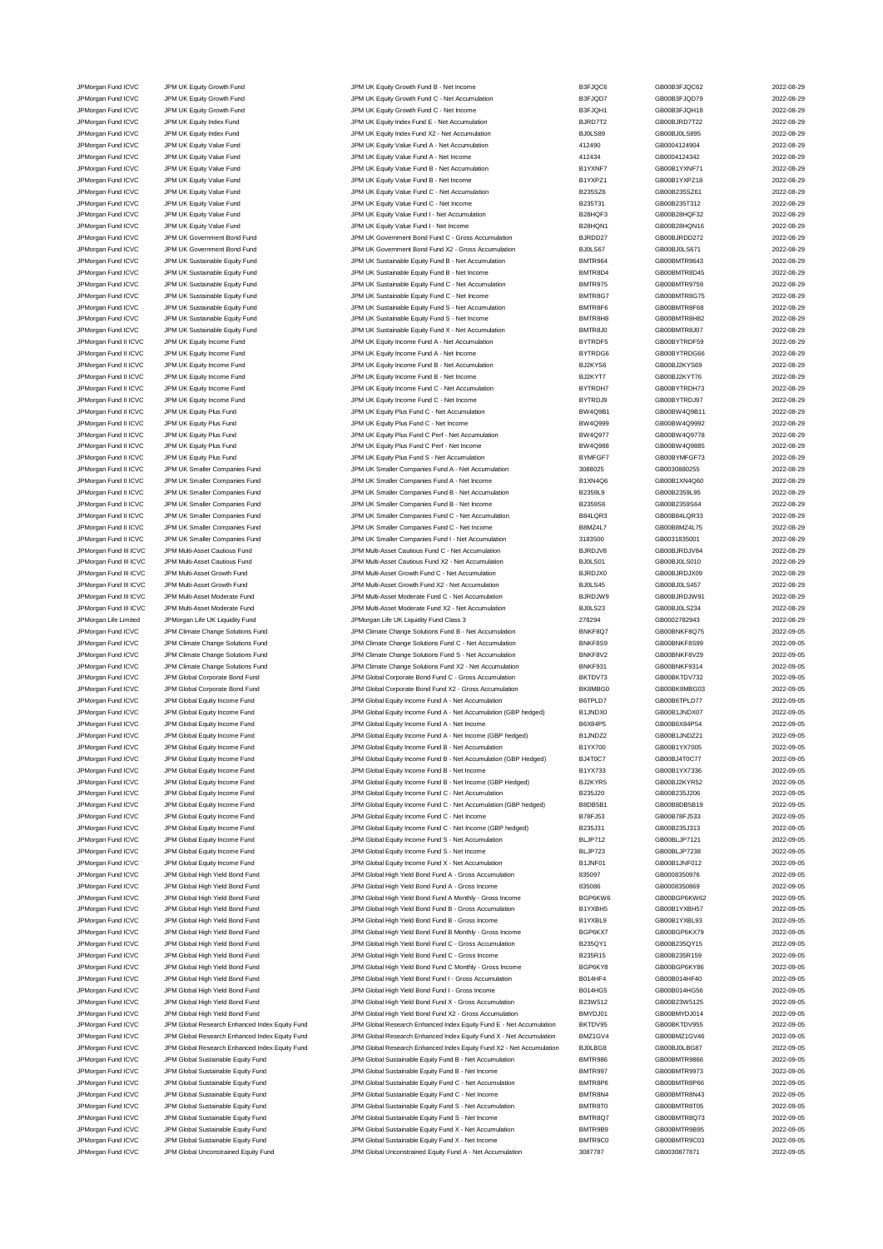JPMorgan Fund ICVC JPM UK Equity Growth Fund JPM UK Equity Growth Fund B - Net Income and the Date of B3FJQC6 GB00B3FJQC62 2022-08-29<br>JPM UK JPM UK Equity Growth Fund JPM UK Equity Growth Fund C - Net Accumulation B3FJQD7 JPM UK Equity Growth Fund C 3022-08-29 JPM UK Equity Growth Fund C - Net Accumulation B3FJQD7 GB00B3FJQD79 2022-08-29 JPMorgan Fund ICVC JPM UK Equity Growth Fund JPM UK Equity Growth Fund C - Net Income B3FJQH1 GB00B3FJQH18 2022-08-29 JPMorgan Fund ICVC JPM UK Equity Index Fund JPM UK Equity Index Fund E - Net Accumulation BJRD7T2 GB00BJRD7T22 2022-08-29 JPMorgan Fund ICVC JPM UK Equity Index Fund JPM UK Equity Index Fund X2 - Net Accumulation BJ0LS89 GB00BJ0LS895 2022-08-29 JPMorgan Fund ICVC JPM UK Equity Value Fund JPM UK Equity Value Fund A - Net Accumulation 412490 GB0004124904 2022-08-29 JPMorgan Fund ICVC JPM UK Equity Value Fund JPM UK Equity Value Fund A - Net Income 412434 GB0004124342 2022-08-29 JPMorgan Fund ICVC JPM UK Equity Value Fund JPM UK Equity Value Fund B - Net Accumulation B1YXNF7 GB00B1YXNF71 2022-08-29 JPMorgan Fund ICVC JPM UK Equity Value Fund JPM UK Equity Value Fund B - Net Income B1YXPZ1 GB00B1YXPZ18 CBD0B1YXPZ18 2022-08-29 JPMorgan Fund ICVC JPM UK Equity Value Fund JPM UK Equity Value Fund C - Net Accumulation B235SZ6 GB00B235SZ61 2022-08-29 JPMorgan Fund ICVC JPM UK Equity Value Fund JPM UK Equity Value Fund C - Net Income B235T31 GB00B235T312 2022-08-29 JPMorgan Fund ICVC JPM UK Equity Value Fund JPM UK Equity Value Fund I - Net Accumulation B28HQF3 GB00B28HQF32 2022-08-29 JPMorgan Fund ICVC JPM UK Equity Value Fund<br>JPM UK Equity Apple The UK Equity Value Fund JPM UK Government Bond Fund C - Gross Accumulation BURDD27 GB00BJRDD272 CB00BJRDD272 2022-08-29 JPM UK Government Bond Fund C - Gross A JPMorgan Fund ICVC JPM UK Government Bond Fund JPM UK Government Bond Fund X2 - Gross Accumulation BJ0LS67 GB00BJ0LS671 2022-08-29 JPMorgan Fund ICVC JPM UK Sustainable Equity Fund JPM UK Sustainable Equity Fund B - Net Accumulation and BMTR964 GB00BMTR9643 2022-08-29<br>JPM UK Sustainable Fouty Fund JPM UK Sustainable Fouty Fund B - Net Income BMTR804 G JPMorgan Fund ICVC JPM UK Sustainable Equity Fund JPM UK Sustainable Equity Fund B - Net Income BMTR8D4 BMTR8D4<br>JPMorgan Fund ICVC JPM UK Sustainable Equity Fund JPM UK Sustainable Equity Fund C - Net Accumulation BMTR975 JPMorgan Fund ICVC JPM UK Sustainable Equity Fund JPM UK Sustainable Equity Fund C - Net Accumulation BMTR975 GB00BMTR9759 2022-08-29 JPMorgan Fund ICVC JPM UK Sustainable Equity Fund CO22-08-29<br>JPM UK Sustainable Equity Fund JPM UK Sustainable Equity Fund C - Net Income BMTR8G7 GB00BMTR8G75 2022-08-29 JPMorgan Fund ICVC JPM UK Sustainable Equity Fund JPM UK Sustainable Equity Fund S - Net Accumulation BMTR8F6 GB00BMTR8F68 2022-08-29 JPMorgan Fund ICVC JPM UK Sustainable Equity Fund JPM UK Sustainable Equity Fund S - Net Income BMTR8H8 GB00BMTR8H82 2022-08-29<br>JPM URG JPM UR Sustainable Equity Fund JPM UK Sustainable Equity Fund X - Net Accumulation BMT JPM UK Sustainable Tunnel CVC JPM UK Sustainable Equity Fund JPM UK Sustainable Equity Fund X - Net Accumulation JPMorgan Fund II ICVC JPM UK Equity Income Fund JPM UK Equity Income Fund A - Net Accumulation BYTRDF5 GB00BYTRDF59 2022-08-29 JPMorgan Fund II ICVC JPM UK Equity Income Fund JPM UK Equity Income Fund A - Net Income Pund A - Net Income BYTRDG6 GB00BYTRDG66 2022-08-29<br>JPM UK JPM UK Equity Income Fund JPM UK Equity Income Fund B - Net Accumulation B JPM UK Equity Income Fund Income Fund B - Net Accumulation BJ2KYS6 GB00BJ2KYS69 CB00BJ2KYS69 2022-08-29 JPMorgan Fund II ICVC JPM UK Equity Income Fund JPM UK Equity Income Fund B - Net Income BJ2KYT7 GB00BJ2KYT76 2022-08-29 JPM UK Equity Income Fund C - Net Accum JPM URM THE HOT DRAIN THE HOT DRAIN A SUNG THE HOT DRAIN OF THE HOT DRAIN OF THE HOT DRAIN OF THE HOT DRAIN DR<br>19 JPM UND THE HOT DRAIN Fund The Sund of DRAIN JPM UK Equity Plus Fund C - Net Accumulation BW DRAIN BW 409B1 JPM UK Equity Plus Fund C - Net Accumulation JPMorgan Fund II ICVC JPM UK Equity Plus Fund JPM UK Equity Plus Fund C - Net Income BW4Q999 GB00BW4Q9992 2022-08-29 JPMorgan Fund II ICVC JPM UK Equity Plus Fund JPM UK Equity Plus Fund C Perf - Net Accumulation BW4Q977 GB00BW4Q9778 2022-08-29 JPM UK Equity Plus Fund C Perf - Net Income JPMorgan Fund II ICVC JPM UK Equity Plus Fund JPM UK Equity Plus Fund S - Net Accumulation BYMFGF7 GB00BYMFGF73 2022-08-29 JPMorgan Fund II ICVC JPM UK Smaller Companies Fund JPM UK Smaller Companies Fund A - Net Accumulation 3088025 GB0030880255 2022-08-29 JPMorgan Fund II ICVC JPM UK Smaller Companies Fund JPM UK Smaller Companies Fund A - Net Income B1XN4Q6 GB00B1XN4Q60 2022-08-29 JPMorgan Fund II ICVC JPM UK Smaller Companies Fund JPM UK Smaller Companies Fund B - Net Accumulation B2359L9<br>JPM UR JPM UK Smaller Companies Fund JPM UK Smaller Companies Fund B - Net Income B2359S6 B200B2359S64 GB00B235 JPMorgan Fund II ICVC JPM UK Smaller Companies Fund JPM UK Smaller Companies Fund B - Net Income 1999 B2359S6 GB00B2359S64 2022-08-29<br>JPM UR JPM JPM UK Smaller Companies Fund JPM UK Smaller Companies Fund C - Net Accumulat JPMorgan Fund II ICVC JPM UK Smaller Companies Fund JPM UK Smaller Companies Fund C - Net Accumulation B84LQR3 GB00B84LQR33 2022-08-29 JPMorgan Fund II ICVC JPM UK Smaller Companies Fund JPM UK Smaller Companies Fund C - Net Income B8MZ4L7 GB00B8MZ4L75 2022-08-29 JPMorgan Fund II ICVC JPM UK Smaller Companies Fund JPM UK Smaller Companies Fund I - Net Accumulation 3183500 GB0031835001 2022-08-29 JPMorgan Fund III ICVC JPM Multi-Asset Cautious Fund JPM Multi-Asset Cautious Fund C - Net Accumulation BJRDJV8 GB00BJRDJV84 2022-08-29 JPMorgan Fund III ICVC JPM Multi-Asset Cautious Fund JPM Multi-Asset Cautious Fund X2 - Net Accumulation BJ0LS01 GB00BJ0LS010 2022-08-29 JPMorgan Fund III ICVC JPM Multi-Asset Growth Fund JPM Multi-Asset Growth Fund C - Net Accumulation BJRDJX0 GB00BJRDJX09 2022-08-29 JPMorgan Fund III ICVC JPM Multi-Asset Growth Fund JPM Multi-Asset Growth Fund X2 - Net Accumulation BJ0LS45 GB00BJ0LS457 2022-08-29<br>JPM Morgan Fund III ICVC JPM Multi-Asset Moderate Fund Community JPM Multi-Asset Moderate JPMorgan Fund III ICVC JPM Multi-Asset Moderate Fund JPM Multi-Asset Moderate Fund C - Net Accumulation BJRDJW9 GB00BJRDJW91 2022-08-29 JPMorgan Fund III ICVC JPM Multi-Asset Moderate Fund JPM Multi-Asset Moderate Fund X2 - Net Accumulation BJ0LS23 GB00BJ0LS234 2022-08-29 JPMorgan Life Limited JPMorgan Life UK Liquidity Fund JPMorgan Life UK Liquidity Fund Class 3 278294 GB0002782943 2022-08-29 JPMorgan Fund ICVC JPM Climate Change Solutions Fund JPM Climate Change Solutions Fund B - Net Accumulation BNKF8Q7 GB00BNKF8Q75 2022-09-05 JPMorgan Fund ICVC JPM Climate Change Solutions Fund JPM Climate Change Solutions Fund C - Net Accumulation BNKF8S9 GB00BNKF8S99 2022-09-05 JPMorgan Fund ICVC JPM Climate Change Solutions Fund JPM Climate Change Solutions Fund S - Net Accumulation BNKF8V2 GB00BNKF8V29 2022-09-05 JPMorgan Fund ICVC JPM Climate Change Solutions Fund JPM Climate Change Solutions Fund X2 - Net Accumulation BNKF931 GB00BNKF9314 2022-09-05<br>JPM Group JPM Global Corporate Bond Fund JPM Global Corporate Bond Fund C - Gross JPM Global Corporate Bond Fund **ICVC 1000 CORPORATE CORPORATION** CORPORATION CORPORATION BENTDV73 GB00BKTDV732 2022-09-05 JPMorgan Fund ICVC JPM Global Corporate Bond Fund JPM Global Corporate Bond Fund X2 - Gross Accumulation BK8MBG0 GB00BK8MBG03 2022-09-05 JPMorgan Fund ICVC JPM Global Equity Income Fund JPM Global Equity Income Fund A - Net Accumulation (GBP hedged) B1JNDX0 GB00B6TPLD77 2022-09-05<br>JPM Global And All And JPM Global Equity Income Fund A - Net Accumulation (GB JPMorgan Fund ICVC JPM Global Equity Income Fund JPM Global Equity Income Fund A - Net Accumulation (GBP hedged) B1JNDX0 GB00B1JNDX07 2022-09-05<br>JPM Global And JPM Global Equity Income Fund JPM Global Global Equity Income JPM Global Equity Income Fund A - Net Income JPMorgan Fund ICVC JPM Global Equity Income Fund JPM Global Equity Income Fund A - Net Income (GBP hedged) B1JNDZ2 GB00B1JNDZ21 2022-09-05 JPMorgan Fund ICVC JPM Global Equity Income Fund JPM Global Equity Income Fund B - Net Accumulation (GBP Hedged) BJYX700 GB00B1YX7005 2022-09-05<br>JPM Global Fund ICVC JPM Global Equity Income Fund JPM Global Equity Income F JPM Global Equity Income Fund B - Net Accumulation (GBP Hedged) JPM Global Equity Income Fund JPM Global Equity Income Fund B - Net Income B1YX733 GB00B1YX7336 CB00B1YX7336 2022-09-05 JPMorgan Fund ICVC JPM Global Equity Income Fund JPM Global Equity Income Fund B - Net Income (GBP Hedged) BJ2KYR5 GB00BJ2KYR52 2022-09-05 JPMorgan Fund ICVC JPM Global Equity Income Fund JPM Global Equity Income Fund C - Net Accumulation B235J20 GB00B235J206 2022-09-05 JPMorgan Fund ICVC JPM Global Equity Income Fund JPM Global Equity Income Fund C - Net Accumulation (GBP hedged) B8DB5B1 GB00B8DB5B19 2022-09-05 JPMorgan Fund ICVC JPM Global Equity Income Fund JPM Global Equity Income Fund C - Net Income B78FJ53 GB00B78FJ533 2022-09-05 JPMorgan Fund ICVC JPM Global Equity Income Fund C - Met Income Fund C - Net Income (GBP hedged) B235J31 GB00B235J313 CB00B235J313 JPMorgan Fund ICVC JPM Global Equity Income Fund Secure Control Control Control of the Communism Design of the Super Secure Accumulation Bulleting COVC-09-05 JPMorgan Fund ICVC JPM Global Equity Income Fund JPM Global Equity Income Fund S - Net Income BLJP723 GB00BLJP7238 2022-09-05 JPMorgan Fund ICVC JPM Global Equity Income Fund JPM Global Equity Income Fund X - Net Accumulation B1JNF01 GB00B1JNF012 2022-09-05 JPMorgan Fund ICVC JPM Global High Yield Bond Fund JPM Global High Yield Bond Fund A - Gross Accumulation and a 835097 GB0008350976 2022-09-05<br>JPM Group JPM Global High Yield Bond Fund JPM Global High Yield Bond Fund A - G JPMorgan Fund ICVC JPM Global High Yield Bond Fund JPM Global High Yield Bond Fund A - Gross Income 835086 GB0008350869 2022-09-05 JPMorgan Fund ICVC JPM Global High Yield Bond Fund JPM Global High Yield Bond Fund A Monthly - Gross Income BGP6KW6 GB00BGP6KW62 2022-09-05 JPMorgan Fund ICVC JPM Global High Yield Bond Fund JPM Global High Yield Bond Fund B - Gross Accumulation B1YXBH5 GB00B1YXBH57 GB00B1YXBH57 2022-09-05 JPMorgan Fund ICVC JPM Global High Yield Bond Fund JPM Global High Yield Bond Fund B - Gross Income B1YXBL9 GB00B1YXBL93 2022-09-05 JPMorgan Fund ICVC JPM Global High Yield Bond Fund JPM Global High Yield Bond Fund B Monthly - Gross Income BGP6KX7 GB00BGP6KX79 2022-09-05 JPMorgan Fund ICVC JPM Global High Yield Bond Fund JPM Global High Yield Bond Fund C - Gross Accumulation B235QY1 GB00B235QY15 2022-09-05 JPMorgan Fund ICVC JPM Global High Yield Bond Fund JPM Global High Yield Bond Fund C - Gross Income B235R15 GB00B235R159 2022-09-05 JPMorgan Fund ICVC JPM Global High Yield Bond Fund JPM Global High Yield Bond Fund C Monthly - Gross Income BGP6KY8 GB00BGP6KY86 2022-09-05 JPMorgan Fund ICVC JPM Global High Yield Bond Fund JPM Global High Yield Bond Fund I - Gross Accumulation B014HF4 GB00B014HF40 2022-09-05 JPMorgan Fund ICVC JPM Global High Yield Bond Fund JPM Global High Yield Bond Fund I - Gross Income B014HG5 GB00B014HG56 CB00B014HG56 2022-09-05 JPMorgan Fund ICVC JPM Global High Yield Bond Fund JPM Global High Yield Bond Fund X - Gross Accumulation B23W512 GB00B23W5125 2022-09-05 JPMorgan Fund ICVC JPM Global High Yield Bond Fund JPM Global High Yield Bond Fund X2 - Gross Accumulation JPMorgan Fund ICVC JPM Global Research Enhanced Index Equity Fund JPM Global Research Enhanced Index Equity Fund E - Net Accumulation BKTDV95 GB00BKTDV955 2022-09-05 JPMorgan Fund ICVC JPM Global Research Enhanced Index Equity Fund JPM Global Research Enhanced Index Equity Fund X - Net Accumulation BMZ1GV4 GB00BMZ1GV46 2022-09-05<br>JPMorgan Fund ICVC JPM Global Research Enhanced Index Eq JPM Global Research Enhanced Index Equity Fund JPM Global Research Enhanced Index Equity Fund X2 - Net Accumulation BJ0LBG8 GB00BJ0LBG87 2022-09-05 JPMorgan Fund ICVC JPM Global Sustainable Equity Fund JPM Global Sustainable Equity Fund B - Net Accumulation BMTR986 GB00BMTR9866 2022-09-05<br>JPM Group JPM Global Sustainable Equity Fund JPM Global Sustainable Equity Fund JPM Global Sustainable Equity Fund B - Net Income JPMorgan Fund ICVC JPM Global Sustainable Equity Fund JPM Global Sustainable Equity Fund C - Net Accumulation<br>JPM Group JPM Global Sustainable Equity Fund JPM Global Sustainable Equity Fund C - Net Income BMTR8N4 GB00BMTR8 JPM Global Sustainable Equity Fund C - Net Income BMTR8N4 BMTR8N4 GB00BMTR8N43 2022-09-05 JPMorgan Fund ICVC JPM Global Sustainable Equity Fund Sustainable Equity Fund S - Net Accumulation BMTR8T0 GB00BMTR8T05 2022-09-05 JPMorgan Fund ICVC JPM Global Sustainable Equity Fund State JPM Global Sustainable Equity Fund S - Net Income BMTR8Q7 - BMTR8Q7 - GB00BMTR8Q73 2022-09-05<br>JPM Group JPM Global Sustainable Equity Fund - JPM Global Sustainabl JPM Global Sustainable Equity Fund X - Net Accumulation BM JPMorgan Fund ICVC JPM Global Sustainable Equity Fund JPM Global Sustainable Equity Fund X - Net Income BMTR9C0 GB00BMTR9C03 2022-09-05 JPMorgan Fund ICVC JPM Global Unconstrained Equity Fund JPM Global Unconstrained Equity Fund A - Net Accumulation 3087787 GB0030877871 GB0030877871 2022-09-05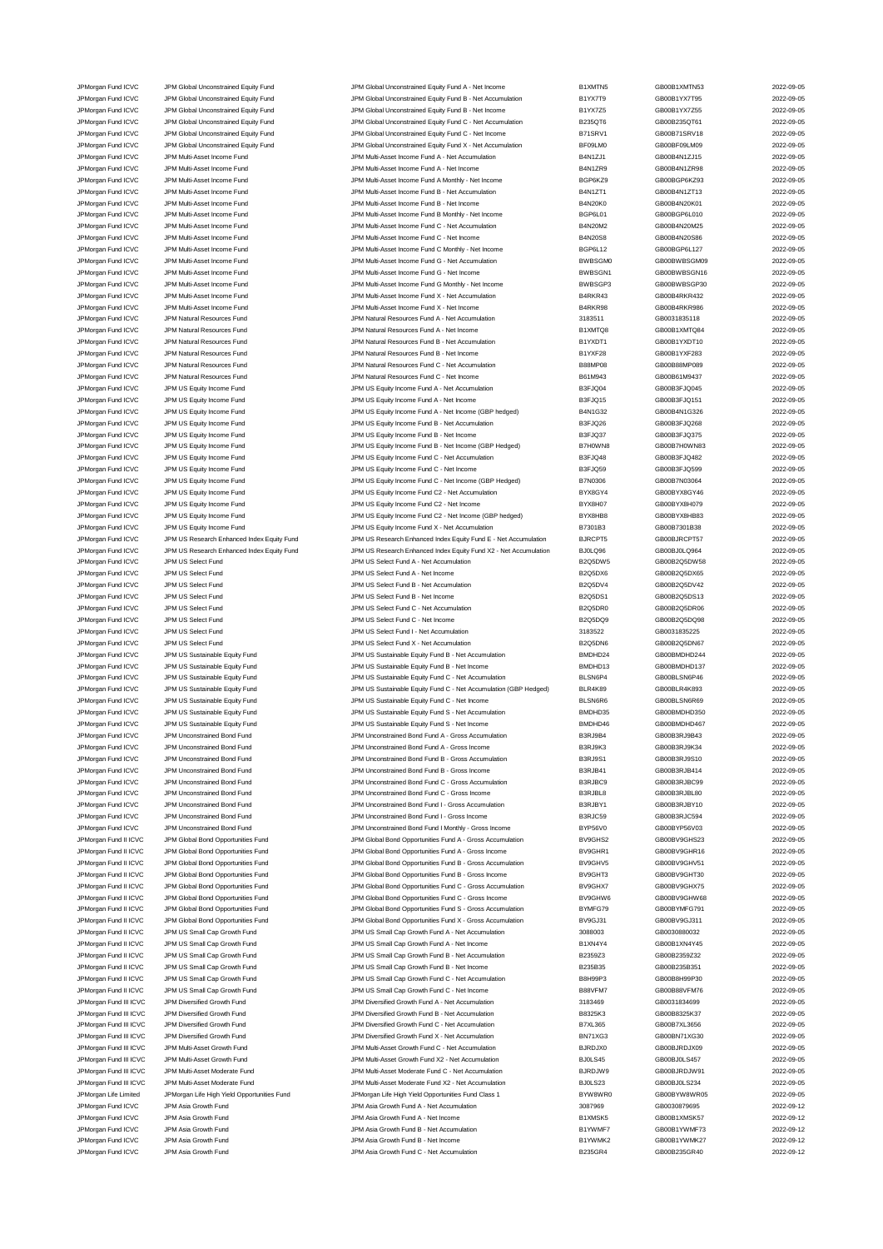JPM Natural Resources Fund JPM Natural Resources Fund JPM Natural Resources Fund A - Net Income B1XMTQ84 2022-0

JPMorgan Fund ICVC JPM Global Unconstrained Equity Fund JPM Global Unconstrained Equity Fund A - Net Income and A - Net Income B1XMTN5 GB00B1XMTN53 2022-09-05<br>JPM Gram JPM Global Unconstrained Equity Fund JPM Global Uncons JPM Global Unconstrained Equity Fund States of the Superior of Unconstrained Equity Fund B - Net Accumulation B1YX7T9 GB00B1YX7T95 2022-09-05 JPMorgan Fund ICVC JPM Global Unconstrained Equity Fund JPM Global Unconstrained Equity Fund B - Net Income B1YX7Z5 GB00B1YX7Z55 2022-09-05 JPMorgan Fund ICVC JPM Global Unconstrained Equity Fund JPM Global Unconstrained Equity Fund C - Net Accumulation B235QT6 GB00B235QT61 2022-09-05 JPMorgan Fund ICVC JPM Global Unconstrained Equity Fund JPM Global Unconstrained Equity Fund C - Net Income B71SRV1 GB00B71SRV18 2022-09-05 JPMorgan Fund ICVC JPM Global Unconstrained Equity Fund JPM Global Unconstrained Equity Fund X - Net Accumulation BF09LM0 GB00BF09LM09 2022-09-05 JPMorgan Fund ICVC JPM Multi-Asset Income Fund JPM Multi-Asset Income Fund A - Net Accumulation B4N1ZJ1 GB00B4N1ZJ15 2022-09-05 JPMorgan Fund ICVC JPM Multi-Asset Income Fund JPM Multi-Asset Income Fund A - Net Income B4N1ZR9 GB00B4N1ZR98 2022-09-05 JPMorgan Fund ICVC JPM Multi-Asset Income Fund JPM Multi-Asset Income Fund A Monthly - Net Income BGP6KZ9 GB00BGP6KZ93 2022-09-05 JPMorgan Fund ICVC JPM Multi-Asset Income Fund JPM Multi-Asset Income Fund B - Net Accumulation B4N1ZT1 GB00B4N1ZT13 2022-09-05 JPMorgan Fund ICVC JPM Multi-Asset Income Fund JPM Multi-Asset Income Fund B - Net Income B4N20K0 GB00B4N20K01 2022-09-05 JPMorgan Fund ICVC JPM Multi-Asset Income Fund C202-09-05 JPM Multi-Asset Income Fund B Monthly - Net Income BGP6L01 BGP6L01 GB00BGP6L010 2022-09-05 JPMorgan Fund ICVC JPM Multi-Asset Income Fund JPM Multi-Asset Income Fund C - Net Accumulation B4N20M2 GB00B4N20M25 2022-09-05 JPM Multi-Asset Income Fund C - Net Income JPM Multi-Asset Income Fund JPM Multi-Asset Income Fund C Monthly - Net Income Bund C Monthly - Net Income Bund C Monthly - Net Income Bund C Monthly - Net Income Bund C Monthly - Net Income Bund BGP6L12 GB00BGP6L127 2022-JPMorgan Fund ICVC JPM Multi-Asset Income Fund JPM Multi-Asset Income Fund G - Net Accumulation BWBSGM0 GB00BWBSGM09 2022-09-05 JPMorgan Fund ICVC JPM Multi-Asset Income Fund JPM Multi-Asset Income Fund G - Net Income BWBSGN1 GB00BWBSGN16 2022-09-05 JPM Multi-Asset Income Fund JPM Multi-Asset Income Fund G Monthly - Net Income Bund G Monthly - Net Income Bund G MOSSCP3 GB00BWBSGP30 2022-09-05 JPMorgan Fund ICVC JPM Multi-Asset Income Fund JPM Multi-Asset Income Fund X - Net Accumulation B4RKR43 GB00B4RKR432 2022-09-05 JPM Multi-Asset Income Fund JPM Multi-Asset Income Fund JPM Multi-Asset Income Fund X - Net Income B4RKR98 B4RKR98 GB00B4RKR986 2022-09-05 JPMorgan Fund ICVC JPM Natural Resources Fund JPM Natural Resources Fund A - Net Accumulation 3183511 GB0031835118 2022-09-05 JPMorgan Fund ICVC JPM Natural Resources Fund JPM Natural Resources Fund B - Net Accumulation B1YXDT1 GB00B1YXDT10 2022-09-05 JPMorgan Fund ICVC JPM Natural Resources Fund JPM Natural Resources Fund B - Net Income B1YXF28 GB00B1YXF283 2022-09-05 JPMorgan Fund ICVC JPM Natural Resources Fund JPM Natural Resources Fund C - Net Accumulation B88MP08 GB00B88MP089 2022-09-05 JPMorgan Fund ICVC JPM Natural Resources Fund JPM Natural Resources Fund C - Net Income B61M943 GB00B61M9437 2022-09-05 JPM US Equity Income Fund A - Net Accumu JPMorgan Fund ICVC JPM US Equity Income Fund JPM US Equity Income Fund A - Net Income B3FJQ15 GB00B3FJQ151 2022-09-05 JPM US Equity Income Fund A - Net Income (GBP hedged) JPMorgan Fund ICVC JPM US Equity Income Fund JPM US Equity Income Fund B - Net Accumulation B B3FJQ26 GB00B3FJQ268 CB00B3FJQ268 2022-09-05 JPMorgan Fund ICVC JPM US Equity Income Fund JPM US Equity Income Fund B - Net Income B3FJQ37 GB00B3FJQ375 2022-09-05 JPM US Equity Income Fund B - Net Income (GBP Hedged) JPMorgan Fund ICVC JPM US Equity Income Fund JPM US Equity Income Fund C - Net Accumulation B3FJQ48 GB00B3FJQ482 2022-09-05 JPM US Equity Income Fund ICVC JPM US Equity Income Fund C - Net Income **B3FJQ59** B3FJQ59 GB00B3FJQ599 2022-09-05 JPMorgan Fund ICVC JPM US Equity Income Fund JPM US Equity Income Fund C - Net Income (GBP Hedged) B7N0306 GB00B7N03064 2022-09-05 JPMorgan Fund ICVC JPM US Equity Income Fund JPM US Equity Income Fund C2 - Net Accumulation BYX8GY4 GB00BYX8GY46 2022-09-05 JPMorgan Fund ICVC JPM US Equity Income Fund JPM US Equity Income Fund C2 - Net Income BYX8H07 GB00BYX8H079 2022-09-05 JPMorgan Fund ICVC JPM US Equity Income Fund JPM US Equity Income Fund C2 - Net Income (GBP hedged) BYX8HB8 GB00BYX8HB83 2022-09-05 JPMorgan Fund ICVC JPM US Equity Income Fund JPM US Equity Income Fund X - Net Accumulation B7301B3 GB00B7301B38 2022-09-05 JPMorgan Fund ICVC JPM US Research Enhanced Index Equity Fund JPM US Research Enhanced Index Equity Fund E - Net Accumulation BJRCPT5 GB00BJRCPT57 2022-09-05 JPMorgan Fund ICVC JPM US Research Enhanced Index Equity Fund JPM US Research Enhanced Index Equity Fund X2 - Net Accumulation BJ0LQ96 GB00BJ0LQ964 2022-09-05 JPMorgan Fund ICVC JPM US Select Fund JPM US Select Fund A - Net Accumulation B2Q5DW5 GB00B2Q5DW58 2022-09-05 JPMorgan Fund ICVC JPM US Select Fund JPM US Select Fund A - Net Income B2Q5DX6 GB00B2Q5DX65 2022-09-05 JPMorgan Fund ICVC JPM US Select Fund JPM US Select Fund B - Net Accumulation B2Q5DV4 GB00B2Q5DV42 2022-09-05 JPMorgan Fund ICVC JPM US Select Fund JPM US Select Fund B - Net Income B2Q5DS1 GB00B2Q5DS13 2022-09-05 JPMorgan Fund ICVC JPM US Select Fund JPM US Select Fund C - Net Accumulation B2Q5DR0 GB00B2Q5DR06 2022-09-05 JPMorgan Fund ICVC JPM US Select Fund JPM US Select Fund C - Net Income B2Q5DQ9 GB00B2Q5DQ98 2022-09-05 JPMorgan Fund ICVC JPM US Select Fund JPM US Select Fund I - Net Accumulation 3183522 GB0031835225 2022-09-05 JPMorgan Fund ICVC JPM US Select Fund JPM US Select Fund X - Net Accumulation B2Q5DN6 GB00B2Q5DN67 2022-09-05 JPMorgan Fund ICVC JPM US Sustainable Equity Fund JPM US Sustainable Equity Fund B - Net Accumulation BMDHD24 GB00BMDHD244 2022-09-05 JPMorgan Fund ICVC JPM US Sustainable Equity Fund JPM US Sustainable Equity Fund B - Net Income BMDHD13 GB00BMDHD137 2022-09-05<br>JPM US JPM US Sustainable Equity Fund JPM US Sustainable Equity Fund C - Net Accumulation BLSN JPM US Sustainable Equity Fund JPM US Sustainable Equity Fund C - Net Accumulation BLSN6P4 GB00BLSN6P46 2022-09-05 JPMorgan Fund ICVC JPM US Sustainable Equity Fund JPM US Sustainable Equity Fund C - Net Accumulation (GBP Hedged) BLR4K89 GB00BLR4K893 2022-09-05 JPMorgan Fund ICVC JPM US Sustainable Equity Fund JPM US Sustainable Equity Fund C - Net Income BLSN6R6 GB00BLSN6R69 2022-09-05<br>JPM US JPM US Sustainable Equity Fund JPM US Sustainable Equity Fund S - Net Accumulation BMDH JPMorgan Fund ICVC JPM US Sustainable Equity Fund JPM US Sustainable Equity Fund S - Net Accumulation and BMDHD55 GB00BMDHD350 2022-09-05<br>JPM US JPM US Sustainable Equity Fund JPM US Sustainable Equity Fund S - Net Income JPM US Sustainable Equity Fund JPM US Sustainable Equity Fund JPM US Sustainable Equity Fund S - Net Income<br>JPM Unconstrained Bond Fund JPM Unconstrained Bond Fund JPM Unconstrained Bond Fund A - Gross Accum JPMorgan Fund ICVC JPM Unconstrained Bond Fund JPM Unconstrained Bond Fund A - Gross Accumulation B3RJ9B4 GB00B3RJ9B43 2022-09-05 JPMorgan Fund ICVC JPM Unconstrained Bond Fund JPM Unconstrained Bond Fund A - Gross Income B3RJ9K3 GB00B3RJ9K34 2022-09-05 JPM Unconstrained Bond Fund B - Gross Accum JPMorgan Fund ICVC JPM Unconstrained Bond Fund JPM Unconstrained Bond Fund B - Gross Income B3RJB41 GB00B3RJB414 2022-09-05 JPMorgan Fund ICVC JPM Unconstrained Bond Fund JPM Unconstrained Bond Fund C - Gross Accumulation B3RJBC9 GB00B3RJBC99 2022-09-05 JPMorgan Fund ICVC JPM Unconstrained Bond Fund JPM Unconstrained Bond Fund C - Gross Income B3RJBL8 GB00B3RJBL80 2022-09-05 JPMorgan Fund ICVC JPM Unconstrained Bond Fund JPM Unconstrained Bond Fund I - Gross Accumulation B3RJBY1 GB00B3RJBY10 2022-09-05 JPMorgan Fund ICVC JPM Unconstrained Bond Fund JPM Unconstrained Bond Fund I - Gross Income B3RJC59 GB00B3RJC594 2022-09-05 JPMorgan Fund ICVC JPM Unconstrained Bond Fund JPM Unconstrained Bond Fund I Monthly - Gross Income BYP56V0 GB00BYP56V03 2022-09-05 JPMorgan Fund II ICVC JPM Global Bond Opportunities Fund JPM Global Bond Opportunities Fund A - Gross Accumulation BV9GHS2 GB00BV9GHS23 2022-09-05 JPMorgan Fund II ICVC JPM Global Bond Opportunities Fund JPM Global Bond Opportunities Fund A - Gross Income BV9GHR1 GB00BV9GHR16 2022-09-05 JPMorgan Fund II ICVC JPM Global Bond Opportunities Fund JPM Global Bond Opportunities Fund B - Gross Accumulation BV9GHV5 GB00BV9GHV51 2022-09-05<br>JPM Global Bond Deportunities Fund JPM Global Bond Opportunities Fund B - G JPMorgan Fund II ICVC JPM Global Bond Opportunities Fund JPM Global Bond Opportunities Fund B - Gross Income<br>JPM Group JPM Global Bond Opportunities Fund JPM Global Bond Opportunities Fund C - Gross Accumulation BV9GHX7 GB JPM Global Bond Opportunities Fund JPM Global Bond Opportunities Fund C - Gross Accumulation BV9GHX7 GB00BV9GHX75 2022-09-05 JPMorgan Fund II ICVC JPM Global Bond Opportunities Fund C - CHOS DROOT UPM Global Bond Opportunities Fund C - Gross Income BV9GHW6 GB00BV9GHW68 2022-09-05 JPMorgan Fund II ICVC JPM Global Bond Opportunities Fund JPM Global Bond Opportunities Fund S - Gross Accumulation BYMFG79 GB00BYMFG791 2022-09-05<br>JPM Group JPM Global Bond Opportunities Fund JPM Global Bond Opportunities JPMorgan Fund II ICVC JPM Global Bond Opportunities Fund JPM Global Bond Opportunities Fund X - Gross Accumulation BV9GJ31 GB00BV9GJ311 2022-09-05 JPMorgan Fund II ICVC JPM US Small Cap Growth Fund JPM US Small Cap Growth Fund A - Net Accumulation 3088003 GB0030880032 2022-09-05 JPMorgan Fund II ICVC JPM US Small Cap Growth Fund JPM US Small Cap Growth Fund A - Net Income B1XN4Y4 GB00B1XN4Y45 2022-09-05 JPMorgan Fund II ICVC JPM US Small Cap Growth Fund JPM US Small Cap Growth Fund B - Net Accumulation B2359Z3 GB00B2359Z32 2022-09-05 JPMorgan Fund II ICVC JPM US Small Cap Growth Fund JPM US Small Cap Growth Fund B - Net Income B235B35 GB00B235B351 2022-09-05 JPMorgan Fund II ICVC JPM US Small Cap Growth Fund JPM US Small Cap Growth Fund C - Net Accumulation B8H99P3 GB00B8H99P30 2022-09-05 JPMorgan Fund II ICVC JPM US Small Cap Growth Fund JPM US Small Cap Growth Fund C - Net Income B88VFM7 GB00B88VFM76 2022-09-05 JPM Diversified Growth Fund JPM Diversified Growth Fund A - Net Accumulation 3183469 GB0031834699 2022-09-05<br>JPM Diversified Growth Fund JPM Diversified Growth Fund B - Net Accumulation B8325K3 GB00B8325K37 CB00B8325K37 JPM Diversified Growth Fund JPM Diversified Growth Fund JPM Diversified Growth Fund B - Net Accumulation B8325 JPMorgan Fund III ICVC JPM Diversified Growth Fund JPM Diversified Growth Fund C - Net Accumulation B7XL365 GB00B7XL3656 2022-09-05 JPMorgan Fund III ICVC JPM Diversified Growth Fund JPM Diversified Growth Fund X - Net Accumulation BN71XG3 GB00BN71XG30 2022-09-05<br>JPM Diversion Fund III CVC JPM Multi-Asset Growth Fund JPM Multi-Asset Growth Fund C - Net JPM Multi-Asset Growth Fund CO22-09-05<br>JPM Multi-Asset Growth Fund Communication C - Net Accumulation BJRDJX0 GB00BJRDJX09 2022-09-05 JPMorgan Fund III ICVC JPM Multi-Asset Growth Fund JPM Multi-Asset Growth Fund X2 - Net Accumulation BJ0LS45 GB00BJ0LS457 2022-09-05<br>JPM Multi-Asset Mortal Asset Moderate Fund JPM Multi-Asset Moderate Fund C - Net Accumula JPM Multi-Asset Moderate Fund C - Net Accumulation JPMorgan Fund III ICVC JPM Multi-Asset Moderate Fund JPM Multi-Asset Moderate Fund X2 - Net Accumulation BJ0LS23 GB00BJ0LS234 2022-09-05<br>JPMorgan Life Limited JPMorgan Life High Yield Opportunities Fund JPMorgan Life High JPMorgan Life Limited JPMorgan Life High Yield Opportunities Fund JPMorgan Life High Yield Opportunities Fund Class 1 BYW8WR0 GB00BYW8WR05 2022-09-05 JPMorgan Fund ICVC JPM Asia Growth Fund JPM Asia Growth Fund A - Net Accumulation 3087969 GB0030879695 2022-09-12 JPMorgan Fund ICVC JPM Asia Growth Fund ICVC JPM Asia Growth Fund A - Net Income COMB1XMSK5 B1XMSK5 GB00B1XMSK57 2022-09-12<br>JPM Asia Growth Fund JPM Asia Growth Fund JPM Asia Growth Fund B - Net Accumulation B1YWMF7 GB00B1 JPM Asia Growth Fund B - Net Accumu JPM Asia Growth Fund JPM Asia Growth Fund JPM Asia Asia Growth Fund B - Net Income B1YWMK2 GB00B1YWMK27 CHOMB1 JPMorgan Fund ICVC JPM Asia Growth Fund JPM Asia Growth Fund C - Net Accumulation B235GR4 GB00B235GR40 2022-09-12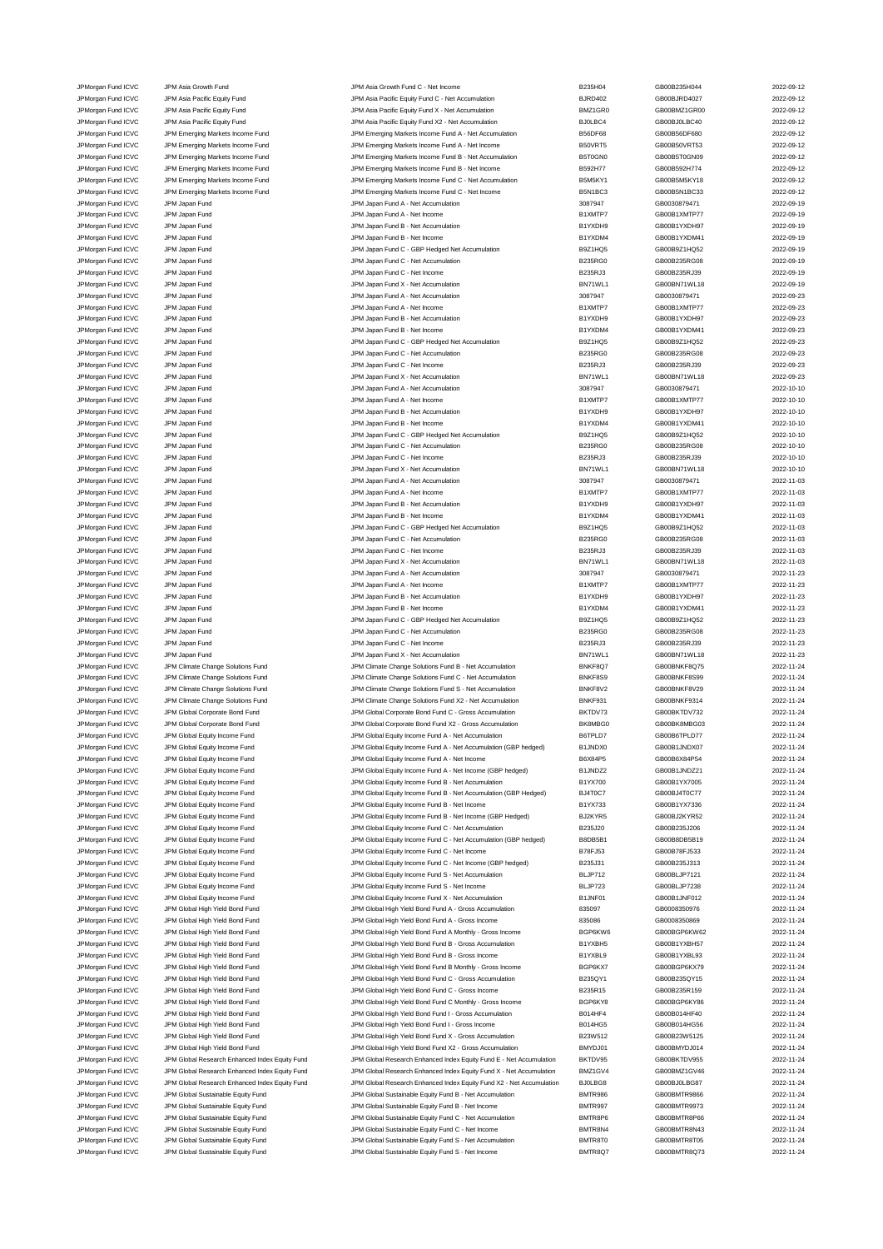|                                          | JPM Asia Growth Fund                           | JPM Asia Growth Fund C - Net Income                                  | B235H04        | GB00B235H044 | 2022-09-12 |
|------------------------------------------|------------------------------------------------|----------------------------------------------------------------------|----------------|--------------|------------|
| JPMorgan Fund ICVC<br>JPMorgan Fund ICVC | JPM Asia Pacific Equity Fund                   | JPM Asia Pacific Equity Fund C - Net Accumulation                    | <b>BJRD402</b> | GB00BJRD4027 | 2022-09-12 |
|                                          |                                                |                                                                      |                |              | 2022-09-12 |
| JPMorgan Fund ICVC                       | JPM Asia Pacific Equity Fund                   | JPM Asia Pacific Equity Fund X - Net Accumulation                    | BMZ1GR0        | GB00BMZ1GR00 |            |
| JPMorgan Fund ICVC                       | JPM Asia Pacific Equity Fund                   | JPM Asia Pacific Equity Fund X2 - Net Accumulation                   | BJ0LBC4        | GB00BJ0LBC40 | 2022-09-12 |
| JPMorgan Fund ICVC                       | JPM Emerging Markets Income Fund               | JPM Emerging Markets Income Fund A - Net Accumulation                | <b>B56DF68</b> | GB00B56DF680 | 2022-09-12 |
| JPMorgan Fund ICVC                       | JPM Emerging Markets Income Fund               | JPM Emerging Markets Income Fund A - Net Income                      | B50VRT5        | GB00B50VRT53 | 2022-09-12 |
| JPMorgan Fund ICVC                       | JPM Emerging Markets Income Fund               | JPM Emerging Markets Income Fund B - Net Accumulation                | B5T0GN0        | GB00B5T0GN09 | 2022-09-12 |
| JPMorgan Fund ICVC                       | JPM Emerging Markets Income Fund               | JPM Emerging Markets Income Fund B - Net Income                      | B592H77        | GB00B592H774 | 2022-09-12 |
| JPMorgan Fund ICVC                       | JPM Emerging Markets Income Fund               | JPM Emerging Markets Income Fund C - Net Accumulation                | B5M5KY1        | GB00B5M5KY18 | 2022-09-12 |
| JPMorgan Fund ICVC                       | JPM Emerging Markets Income Fund               | JPM Emerging Markets Income Fund C - Net Income                      | B5N1BC3        | GB00B5N1BC33 | 2022-09-12 |
| JPMorgan Fund ICVC                       | JPM Japan Fund                                 | JPM Japan Fund A - Net Accumulation                                  | 3087947        | GB0030879471 | 2022-09-19 |
| JPMorgan Fund ICVC                       | JPM Japan Fund                                 | JPM Japan Fund A - Net Income                                        | B1XMTP7        | GB00B1XMTP77 | 2022-09-19 |
| JPMorgan Fund ICVC                       | JPM Japan Fund                                 | JPM Japan Fund B - Net Accumulation                                  | B1YXDH9        | GB00B1YXDH97 | 2022-09-19 |
|                                          |                                                |                                                                      |                |              |            |
| JPMorgan Fund ICVC                       | JPM Japan Fund                                 | JPM Japan Fund B - Net Income                                        | B1YXDM4        | GB00B1YXDM41 | 2022-09-19 |
| JPMorgan Fund ICVC                       | JPM Japan Fund                                 | JPM Japan Fund C - GBP Hedged Net Accumulation                       | B9Z1HQ5        | GB00B9Z1HQ52 | 2022-09-19 |
| JPMorgan Fund ICVC                       | JPM Japan Fund                                 | JPM Japan Fund C - Net Accumulation                                  | B235RG0        | GB00B235RG08 | 2022-09-19 |
| JPMorgan Fund ICVC                       | JPM Japan Fund                                 | JPM Japan Fund C - Net Income                                        | B235RJ3        | GB00B235RJ39 | 2022-09-19 |
| JPMorgan Fund ICVC                       | JPM Japan Fund                                 | JPM Japan Fund X - Net Accumulation                                  | BN71WL1        | GB00BN71WL18 | 2022-09-19 |
| JPMorgan Fund ICVC                       | JPM Japan Fund                                 | JPM Japan Fund A - Net Accumulation                                  | 3087947        | GB0030879471 | 2022-09-23 |
| JPMorgan Fund ICVC                       | JPM Japan Fund                                 | JPM Japan Fund A - Net Income                                        | B1XMTP7        | GB00B1XMTP77 | 2022-09-23 |
| JPMorgan Fund ICVC                       | JPM Japan Fund                                 | JPM Japan Fund B - Net Accumulation                                  | B1YXDH9        | GB00B1YXDH97 | 2022-09-23 |
| JPMorgan Fund ICVC                       | JPM Japan Fund                                 | JPM Japan Fund B - Net Income                                        | B1YXDM4        | GB00B1YXDM41 | 2022-09-23 |
| JPMorgan Fund ICVC                       | JPM Japan Fund                                 | JPM Japan Fund C - GBP Hedged Net Accumulation                       | B9Z1HQ5        | GB00B9Z1HQ52 | 2022-09-23 |
|                                          |                                                |                                                                      |                |              |            |
| JPMorgan Fund ICVC                       | JPM Japan Fund                                 | JPM Japan Fund C - Net Accumulation                                  | B235RG0        | GB00B235RG08 | 2022-09-23 |
| JPMorgan Fund ICVC                       | JPM Japan Fund                                 | JPM Japan Fund C - Net Income                                        | B235RJ3        | GB00B235RJ39 | 2022-09-23 |
| JPMorgan Fund ICVC                       | JPM Japan Fund                                 | JPM Japan Fund X - Net Accumulation                                  | BN71WL1        | GB00BN71WL18 | 2022-09-23 |
| JPMorgan Fund ICVC                       | JPM Japan Fund                                 | JPM Japan Fund A - Net Accumulation                                  | 3087947        | GB0030879471 | 2022-10-10 |
| JPMorgan Fund ICVC                       | JPM Japan Fund                                 | JPM Japan Fund A - Net Income                                        | B1XMTP7        | GB00B1XMTP77 | 2022-10-10 |
| JPMorgan Fund ICVC                       | JPM Japan Fund                                 | JPM Japan Fund B - Net Accumulation                                  | B1YXDH9        | GB00B1YXDH97 | 2022-10-10 |
| JPMorgan Fund ICVC                       | JPM Japan Fund                                 | JPM Japan Fund B - Net Income                                        | B1YXDM4        | GB00B1YXDM41 | 2022-10-10 |
| JPMorgan Fund ICVC                       | JPM Japan Fund                                 | JPM Japan Fund C - GBP Hedged Net Accumulation                       | B9Z1HQ5        | GB00B9Z1HQ52 | 2022-10-10 |
| JPMorgan Fund ICVC                       | JPM Japan Fund                                 | JPM Japan Fund C - Net Accumulation                                  | B235RG0        | GB00B235RG08 | 2022-10-10 |
| JPMorgan Fund ICVC                       | JPM Japan Fund                                 | JPM Japan Fund C - Net Income                                        | B235RJ3        | GB00B235RJ39 | 2022-10-10 |
|                                          |                                                |                                                                      | BN71WL1        |              |            |
| JPMorgan Fund ICVC                       | JPM Japan Fund                                 | JPM Japan Fund X - Net Accumulation                                  |                | GB00BN71WL18 | 2022-10-10 |
| JPMorgan Fund ICVC                       | JPM Japan Fund                                 | JPM Japan Fund A - Net Accumulation                                  | 3087947        | GB0030879471 | 2022-11-03 |
| JPMorgan Fund ICVC                       | JPM Japan Fund                                 | JPM Japan Fund A - Net Income                                        | B1XMTP7        | GB00B1XMTP77 | 2022-11-03 |
| JPMorgan Fund ICVC                       | JPM Japan Fund                                 | JPM Japan Fund B - Net Accumulation                                  | B1YXDH9        | GB00B1YXDH97 | 2022-11-03 |
| JPMorgan Fund ICVC                       | JPM Japan Fund                                 | JPM Japan Fund B - Net Income                                        | B1YXDM4        | GB00B1YXDM41 | 2022-11-03 |
| JPMorgan Fund ICVC                       | JPM Japan Fund                                 | JPM Japan Fund C - GBP Hedged Net Accumulation                       | B9Z1HQ5        | GB00B9Z1HQ52 | 2022-11-03 |
| JPMorgan Fund ICVC                       | JPM Japan Fund                                 | JPM Japan Fund C - Net Accumulation                                  | B235RG0        | GB00B235RG08 | 2022-11-03 |
| JPMorgan Fund ICVC                       | JPM Japan Fund                                 | JPM Japan Fund C - Net Income                                        | B235RJ3        | GB00B235RJ39 | 2022-11-03 |
| JPMorgan Fund ICVC                       | JPM Japan Fund                                 | JPM Japan Fund X - Net Accumulation                                  | BN71WL1        | GB00BN71WL18 | 2022-11-03 |
| JPMorgan Fund ICVC                       | JPM Japan Fund                                 | JPM Japan Fund A - Net Accumulation                                  | 3087947        | GB0030879471 | 2022-11-23 |
|                                          |                                                |                                                                      |                |              |            |
| JPMorgan Fund ICVC                       | JPM Japan Fund                                 | JPM Japan Fund A - Net Income                                        | B1XMTP7        | GB00B1XMTP77 | 2022-11-23 |
| JPMorgan Fund ICVC                       | JPM Japan Fund                                 | JPM Japan Fund B - Net Accumulation                                  | B1YXDH9        | GB00B1YXDH97 | 2022-11-23 |
| JPMorgan Fund ICVC                       | JPM Japan Fund                                 | JPM Japan Fund B - Net Income                                        | B1YXDM4        | GB00B1YXDM41 | 2022-11-23 |
| JPMorgan Fund ICVC                       | JPM Japan Fund                                 | JPM Japan Fund C - GBP Hedged Net Accumulation                       | B9Z1HQ5        | GB00B9Z1HQ52 | 2022-11-23 |
| JPMorgan Fund ICVC                       | JPM Japan Fund                                 | JPM Japan Fund C - Net Accumulation                                  | <b>B235RG0</b> | GB00B235RG08 | 2022-11-23 |
| JPMorgan Fund ICVC                       | JPM Japan Fund                                 | JPM Japan Fund C - Net Income                                        | B235RJ3        | GB00B235RJ39 | 2022-11-23 |
| JPMorgan Fund ICVC                       | JPM Japan Fund                                 | JPM Japan Fund X - Net Accumulation                                  | BN71WL1        | GB00BN71WL18 | 2022-11-23 |
| JPMorgan Fund ICVC                       |                                                | JPM Climate Change Solutions Fund B - Net Accumulation               |                |              | 2022-11-24 |
|                                          | JPM Climate Change Solutions Fund              |                                                                      | BNKF8Q7        | GB00BNKF8Q75 |            |
|                                          |                                                |                                                                      |                |              |            |
| JPMorgan Fund ICVC                       | JPM Climate Change Solutions Fund              | JPM Climate Change Solutions Fund C - Net Accumulation               | BNKF8S9        | GB00BNKF8S99 | 2022-11-24 |
| JPMorgan Fund ICVC                       | JPM Climate Change Solutions Fund              | JPM Climate Change Solutions Fund S - Net Accumulation               | BNKF8V2        | GB00BNKF8V29 | 2022-11-24 |
| JPMorgan Fund ICVC                       | JPM Climate Change Solutions Fund              | JPM Climate Change Solutions Fund X2 - Net Accumulation              | BNKF931        | GB00BNKF9314 | 2022-11-24 |
| JPMorgan Fund ICVC                       | JPM Global Corporate Bond Fund                 | JPM Global Corporate Bond Fund C - Gross Accumulation                | BKTDV73        | GB00BKTDV732 | 2022-11-24 |
| JPMorgan Fund ICVC                       | JPM Global Corporate Bond Fund                 | JPM Global Corporate Bond Fund X2 - Gross Accumulation               | BK8MBG0        | GB00BK8MBG03 | 2022-11-24 |
| JPMorgan Fund ICVC                       | JPM Global Equity Income Fund                  | JPM Global Equity Income Fund A - Net Accumulation                   | B6TPLD7        | GB00B6TPLD77 | 2022-11-24 |
| JPMorgan Fund ICVC                       | JPM Global Equity Income Fund                  | JPM Global Equity Income Fund A - Net Accumulation (GBP hedged)      | B1JNDX0        | GB00B1JNDX07 | 2022-11-24 |
| JPMorgan Fund ICVC                       | JPM Global Equity Income Fund                  | JPM Global Equity Income Fund A - Net Income                         | B6X84P5        | GB00B6X84P54 | 2022-11-24 |
| JPMorgan Fund ICVC                       | JPM Global Equity Income Fund                  | JPM Global Equity Income Fund A - Net Income (GBP hedged)            | B1JNDZ2        | GB00B1JNDZ21 | 2022-11-24 |
| JPMorgan Fund ICVC                       | JPM Global Equity Income Fund                  | JPM Global Equity Income Fund B - Net Accumulation                   | B1YX700        | GB00B1YX7005 | 2022-11-24 |
|                                          |                                                | JPM Global Equity Income Fund B - Net Accumulation (GBP Hedged)      |                |              |            |
| JPMorgan Fund ICVC                       | JPM Global Equity Income Fund                  |                                                                      | BJ4T0C7        | GB00BJ4T0C77 | 2022-11-24 |
| JPMorgan Fund ICVC                       | JPM Global Equity Income Fund                  | JPM Global Equity Income Fund B - Net Income                         | B1YX733        | GB00B1YX7336 | 2022-11-24 |
| JPMorgan Fund ICVC                       | JPM Global Equity Income Fund                  | JPM Global Equity Income Fund B - Net Income (GBP Hedged)            | BJ2KYR5        | GB00BJ2KYR52 | 2022-11-24 |
| JPMorgan Fund ICVC                       | JPM Global Equity Income Fund                  | JPM Global Equity Income Fund C - Net Accumulation                   | B235J20        | GB00B235J206 | 2022-11-24 |
| JPMorgan Fund ICVC                       | JPM Global Equity Income Fund                  | JPM Global Equity Income Fund C - Net Accumulation (GBP hedged)      | B8DB5B1        | GB00B8DB5B19 | 2022-11-24 |
| JPMorgan Fund ICVC                       | JPM Global Equity Income Fund                  | JPM Global Equity Income Fund C - Net Income                         | B78FJ53        | GB00B78FJ533 | 2022-11-24 |
| JPMorgan Fund ICVC                       | JPM Global Equity Income Fund                  | JPM Global Equity Income Fund C - Net Income (GBP hedged)            | B235J31        | GB00B235J313 | 2022-11-24 |
| JPMorgan Fund ICVC                       | JPM Global Equity Income Fund                  | JPM Global Equity Income Fund S - Net Accumulation                   | BLJP712        | GB00BLJP7121 | 2022-11-24 |
| JPMorgan Fund ICVC                       | JPM Global Equity Income Fund                  | JPM Global Equity Income Fund S - Net Income                         | BLJP723        | GB00BLJP7238 | 2022-11-24 |
| JPMorgan Fund ICVC                       | JPM Global Equity Income Fund                  | JPM Global Equity Income Fund X - Net Accumulation                   | B1JNF01        | GB00B1JNF012 | 2022-11-24 |
| JPMorgan Fund ICVC                       | JPM Global High Yield Bond Fund                | JPM Global High Yield Bond Fund A - Gross Accumulation               | 835097         | GB0008350976 | 2022-11-24 |
|                                          |                                                |                                                                      |                |              |            |
| JPMorgan Fund ICVC                       | JPM Global High Yield Bond Fund                | JPM Global High Yield Bond Fund A - Gross Income                     | 835086         | GB0008350869 | 2022-11-24 |
| JPMorgan Fund ICVC                       | JPM Global High Yield Bond Fund                | JPM Global High Yield Bond Fund A Monthly - Gross Income             | BGP6KW6        | GB00BGP6KW62 | 2022-11-24 |
| JPMorgan Fund ICVC                       | JPM Global High Yield Bond Fund                | JPM Global High Yield Bond Fund B - Gross Accumulation               | B1YXBH5        | GB00B1YXBH57 | 2022-11-24 |
| JPMorgan Fund ICVC                       | JPM Global High Yield Bond Fund                | JPM Global High Yield Bond Fund B - Gross Income                     | B1YXBL9        | GB00B1YXBL93 | 2022-11-24 |
| JPMorgan Fund ICVC                       | JPM Global High Yield Bond Fund                | JPM Global High Yield Bond Fund B Monthly - Gross Income             | BGP6KX7        | GB00BGP6KX79 | 2022-11-24 |
| JPMorgan Fund ICVC                       | JPM Global High Yield Bond Fund                | JPM Global High Yield Bond Fund C - Gross Accumulation               | B235QY1        | GB00B235QY15 | 2022-11-24 |
| JPMorgan Fund ICVC                       | JPM Global High Yield Bond Fund                | JPM Global High Yield Bond Fund C - Gross Income                     | B235R15        | GB00B235R159 | 2022-11-24 |
| JPMorgan Fund ICVC                       | JPM Global High Yield Bond Fund                | JPM Global High Yield Bond Fund C Monthly - Gross Income             | BGP6KY8        | GB00BGP6KY86 | 2022-11-24 |
| JPMorgan Fund ICVC                       | JPM Global High Yield Bond Fund                | JPM Global High Yield Bond Fund I - Gross Accumulation               | B014HF4        | GB00B014HF40 | 2022-11-24 |
| JPMorgan Fund ICVC                       | JPM Global High Yield Bond Fund                | JPM Global High Yield Bond Fund I - Gross Income                     | B014HG5        | GB00B014HG56 | 2022-11-24 |
|                                          |                                                |                                                                      |                |              |            |
| JPMorgan Fund ICVC                       | JPM Global High Yield Bond Fund                | JPM Global High Yield Bond Fund X - Gross Accumulation               | B23W512        | GB00B23W5125 | 2022-11-24 |
| JPMorgan Fund ICVC                       | JPM Global High Yield Bond Fund                | JPM Global High Yield Bond Fund X2 - Gross Accumulation              | BMYDJ01        | GB00BMYDJ014 | 2022-11-24 |
| JPMorgan Fund ICVC                       | JPM Global Research Enhanced Index Equity Fund | JPM Global Research Enhanced Index Equity Fund E - Net Accumulation  | BKTDV95        | GB00BKTDV955 | 2022-11-24 |
| JPMorgan Fund ICVC                       | JPM Global Research Enhanced Index Equity Fund | JPM Global Research Enhanced Index Equity Fund X - Net Accumulation  | BMZ1GV4        | GB00BMZ1GV46 | 2022-11-24 |
| JPMorgan Fund ICVC                       | JPM Global Research Enhanced Index Equity Fund | JPM Global Research Enhanced Index Equity Fund X2 - Net Accumulation | BJ0LBG8        | GB00BJ0LBG87 | 2022-11-24 |
| JPMorgan Fund ICVC                       | JPM Global Sustainable Equity Fund             | JPM Global Sustainable Equity Fund B - Net Accumulation              | <b>BMTR986</b> | GB00BMTR9866 | 2022-11-24 |
| JPMorgan Fund ICVC                       | JPM Global Sustainable Equity Fund             | JPM Global Sustainable Equity Fund B - Net Income                    | BMTR997        | GB00BMTR9973 | 2022-11-24 |
| JPMorgan Fund ICVC                       | JPM Global Sustainable Equity Fund             | JPM Global Sustainable Equity Fund C - Net Accumulation              | BMTR8P6        | GB00BMTR8P66 | 2022-11-24 |
| JPMorgan Fund ICVC                       | JPM Global Sustainable Equity Fund             | JPM Global Sustainable Equity Fund C - Net Income                    | BMTR8N4        | GB00BMTR8N43 | 2022-11-24 |
| JPMorgan Fund ICVC                       | JPM Global Sustainable Equity Fund             | JPM Global Sustainable Equity Fund S - Net Accumulation              | BMTR8T0        | GB00BMTR8T05 | 2022-11-24 |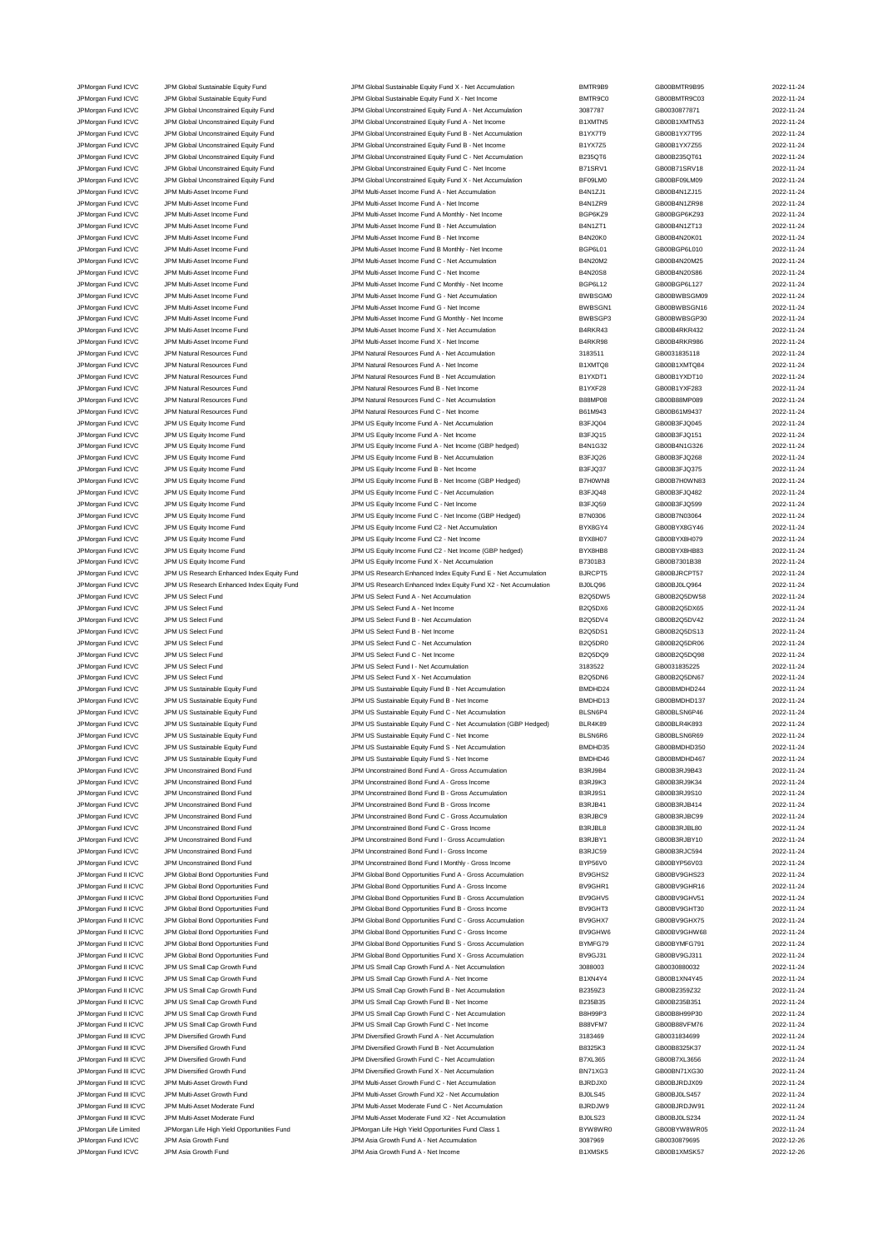JPMorgan Fund ICVC JPM Global Sustainable Equity Fund JPM Global Sustainable Equity Fund X - Net Accumulation BMTR9<br>JPM Global Sustainable JPM Global Sustainable Equity Fund JPM Global Sustainable Equity Fund X - Net Incom JPM Global Sustainable Equity Fund X - Net Income BMTR9 JPMorgan Fund ICVC JPM Global Unconstrained Equity Fund JPM Global Unconstrained Equity Fund A - Net Accumulation 308778 JPMorgan Fund ICVC JPM Global Unconstrained Equity Fund JPM Global Unconstrained Equity Fund A - Net Income B1XMTI JPMorgan Fund ICVC JPM Global Unconstrained Equity Fund JPM Global Unconstrained Equity Fund B - Net Accumulation B1YX7T JPMorgan Fund ICVC JPM Global Unconstrained Equity Fund JPM Global Unconstrained Equity Fund B - Net Income B1YX7Z5 JPMorgan Fund ICVC JPM Global Unconstrained Equity Fund JPM Global Unconstrained Equity Fund C - Net Accumulation B235QT61 JPMorgan Fund ICVC JPM Global Unconstrained Equity Fund JPM Global Unconstrained Equity Fund C - Net Income B71SRV JPMorgan Fund ICVC JPM Global Unconstrained Equity Fund JPM Global Unconstrained Equity Fund X - Net Accumulation BF09LM JPM Multi-Asset Accumulti-Asset Income Fund JPM Multi-Asset Income Fund A - Net Accumulation and CVC JPM Multi-Asset Income Fund A - Net Income<br>JPM Multi-Asset Income JPM Multi-Asset Income Fund JPM Multi-Asset Income Fund JPM Multi-Asset Income Fund A - Net Income **Fund A - Net Income** JPMorgan Fund ICVC JPM Multi-Asset Income Fund Multi-Asset Income Fund A Monthly - Net Income BGP6K JPM Multi-Asset Income Fund JPM Multi-Asset Income Fund JPM Multi-Asset Income Fund B - Net Accumulation and D<br>19 JPM Multi-Asset Income Fund JPM Multi-Asset Income Fund B - Net Income Fund B - Net Income JPM Multi-Asset Income Fund B - Net Income JPMorgan Fund ICVC JPM Multi-Asset Income Fund JPM Multi-Asset Income Fund B Monthly - Net Income Current BGP6L0 JPMorgan Fund ICVC JPM Multi-Asset Income Fund C - Net Accumulation B4N20M25 2022-11-24 2020 JPMorgan Fund ICVC JPM Multi-Asset Income Fund JPM Multi-Asset Income Fund C - Net Income B4N20S8 GB00B4N20S86 2022-11-24 JPMorgan Fund ICVC JPM Multi-Asset Income Fund JPM Multi-Asset Income Fund C Monthly - Net Income JPMorgan Fund ICVC JPM Multi-Asset Income Fund G - Net Accumulation BWBSG - Net Accumulation BWBSG JPMorgan Fund ICVC JPM Multi-Asset Income Fund and Same Come Fund G - Net Income Fund G - Net Income Come Fund G - Net Income JPM Multi-Asset Income Fund JPM Multi-Asset Income Fund JPM Multi-Asset Income Fund G Monthly - Net Income<br>JPM Multi-Asset Income Fund JPM Multi-Asset Income Fund JPM Multi-Asset Income Fund X - Net Accumulation JPM M JPM organ Fund ICVC JPM Multi-Asset Income Fund<br>JPM organ Fund ICVC JPM Multi-Asset Income Fund and Accumulation B4RK JPM Multi-Asset Income Fund X - Net Income JPM Multi-Asset Income Fund JPM Multi-Asset Income Fund JPM Multi-Asset Income Fund X - Net Income<br>19 JPM Multimare Text JPM Natural Resources Fund JPM Matural Resources Fund A - Net Accumulation J918351 2023-JPM Organ Fund ICVC JPM Natural Resources Fund<br>JPM Natural Archives Fund JPM Natural Resources Fund JPM Natural Resources Fund A - Net Income<br>JPM Natural Resources Fund JPM Natural Archives Fund JPM Natural Resources Fund JPM Natural Resources Fund ICV COMPORTED THE SERVER OF STANDARD AND THE SERVER A SERVER AND RESOURCES Fund A - Net Income JPM Natural ICVC JPM Natural Resources Fund<br>JPM Natural Resources Fund JPM Natural Resources Fund JPM Natural Resources Fund B - Net Income<br>JPM Natural Resources Fund B1YXF2 JPM Natural Resources Fund B - Net Income JPM Organ Fund ICVC JPM Natural Resources Fund<br>JPM Natural Resources Fund JPM Natural Resources Fund JPM Natural Resources Fund C - Net Income<br>JPM Natural Resources Fund JPM Natural Resources Fund JPM Natural Resources Fun JPM Natural Resources Fund C - Net Income JPMorgan Fund ICVC JPM US Equity Income Fund JPM US Equity Income Fund A - Net Accumulation B3FJQ04 GB5FJQ04 B3FJQ04 JPM US Equity Income Fund ICVC JPM US Equity Income Fund JPM US Equity Income Fund A - Net Income<br>1999 JPM US Equity Income Fund JPM US Equity Income Fund JPM US Equity Income Fund A - Net Income (GBP hedged) JPM US Equity Income Fund A - Net Income (GBP hedged JPM US Equity Income Fund JPM US Equity Income Fund JPM US Equity Income Fund B - Net Accumulation B3FJQ26 B3F<br>1999 JPM US Equity Income Fund JPM US Equity Income Fund JPM US Equity Income Fund B - Net Income JPMorgan Fund ICVC JPM US Equity Income Fund JPM US Equity Income Fund B - Net Income B3FJQ37 GB00B3FJQ375 2022-11-24 JPMorgan Fund ICVC JPM US Equity Income Fund JPM US Equity Income Fund B - Net Income (GBP Hedged) B7H0W JPMorgan Fund ICVC JPM US Equity Income Fund JPM US Equity Income Fund C - Net Accumulation B3FJQ4 JPMorgan Fund ICVC JPM US Equity Income Fund JPM US Equity Income Fund C - Net Income Come B3FJQ599 2022-11-24 JPMorgan Fund ICVC JPM US Equity Income Fund JPM US Equity Income Fund C - Net Income (GBP Hedged) B7N030 JPMorgan Fund ICVC JPM US Equity Income Fund JPM US Equity Income Fund C2 - Net Accumulation BYX8GY JPMorgan Fund ICVC JPM US Equity Income Fund JPM US Equity Income Fund C2 - Net Income C3 - Net Income C3 - Net Income JPM US Equity Income Fund JPM US Equity Income Fund JPM US Equity Income Fund C2 - Net Income (GBP hedged) BYX8HB JPMorgan Fund ICVC JPM US Equity Income Fund JPM US Equity Income Fund X - Net Accumulation B7301B JPMorgan Fund ICVC JPM US Research Enhanced Index Equity Fund JPM US Research Enhanced Index Equity Fund E - Net Accumulation BJRCP JPMorgan Fund ICVC JPM US Research Enhanced Index Equity Fund JPM US Research Enhanced Index Equity Fund X2 - Net Accumulation BJ0LQ96 GB00BJ0LQ964 2022-11-24 JPMorgan Fund ICVC JPM US Select Fund JPM US Select Fund A - Net Accumulation B2Q5DW58 B2Q5DW JPM US Select Fund ICVC JPM US Select Fund JPM US Select Fund A - Net Income CHO00B2Q5DX66 GB000B2Q5DX66 2022-0 JPM US Select Fund ICVC JPM US Select Fund JPM US Select Fund B - Net Accumulation B2Q5DV JPMorgan Fund ICVC JPM US Select Fund JPM US Select Fund B - Net Income B2Q5DS1 GB00B2Q5DS13 2022-11-24 JPMorgan Fund ICVC JPM US Select Fund JPM US Select Fund C - Net Accumulation B2Q5DI JPMorgan Fund ICVC JPM US Select Fund JPM US Select Fund C - Net Income C - Net Income B2Q5DQ JPM US Select Fund JPM US Select Fund JPM US Select Fund I - Net Accumulation 318352<br>JPM US Select Fund JPM US Select Fund JPM US Select Fund X - Net Accumulation 31205 2023-01 JPM US Select Fund ICVC JPM US Select Fund X - Net Accumulation B2Q5DN67 2023-2022-12-24 JPM US Sustainable Equity Fund JPM US Sustainable Equity Fund Sustainable Equity Fund B - Net Accumulation and DMDHD<br>19 JPM US Sustainable Equity Fund JPM US Sustainable Equity Fund BADHD 34 2024-11-24 2022-11-24 2022-11-2 JPM US Sustainable Equity Fund JPM US Sustainable Equity Fund Sustainable Equity Fund B - Net Income BMDHD133<br>19 JPM US Sustainable Equity Fund JPM US Sustainable Equity Fund Sustainable Equity Fund C - Net Accumulation JPM US Sustainable Equity Fund JPM US Sustainable Equity Fund C - Net Accumulation (GBP Hedged) BLSN6F<br>JPM US Sustainable Equity Fund JPM US Sustainable Equity Fund JPM US Sustainable Equity Fund C - Net Accumulation (GBP JPM Organ Fund ICVC JPM US Sustainable Equity Fund<br>JPM US Sustainable Equity Fund JPM US Sustainable Equity Fund JPM US Sustainable Equity Fund C - Net Income JPM US Sustainable Equity Fund **ICV CONTENT CONSUMER CONTENT** JPM US Sustainable Equity Fund C - Net Income **CONTENT** JPM US Sustainable Equity Fund JPM US Sustainable Equity Fund S - Net Accumulation and S - Net Accumulation and S - Net Accumulation BMDHD<br>3 JPM US Sustainable Equity Fund JPM US Sustainable Equity Fund S - Net Income JPM US Sustainable Equity Fund S - Net Income JPMorgan Fund ICVC JPM Unconstrained Bond Fund JPM Unconstrained Bond Fund A - Gross Accumulation B3RJ9B JPMorgan Fund ICVC JPM Unconstrained Bond Fund JPM Unconstrained Bond Fund A - Gross Income B3RJ9K3 B3RJ9K3 JPMorgan Fund ICVC JPM Unconstrained Bond Fund JPM Unconstrained Bond Fund B - Gross Accumulation B3RJ9S JPM Unconstrained Bond Fund JPM Unconstrained Bond Fund JPM Unconstrained Bond Fund B - Gross Income B3RJB4 JPM Unconstrained Bond Fund JPM Unconstrained Bond Fund C - Gross Accumulation B3RJBC<br>JPM Unconstrained Bond Fund JPM Unconstrained Bond Fund JPM Unconstrained Bond Fund C - Gross Income<br>B3RJBL JPMorgan Fund ICVC JPM Unconstrained Bond Fund JPM Unconstrained Bond Fund C - Gross Income B3RJBL JPM Unconstrained Bond Fund JPM Unconstrained Bond Fund JPM Unconstrained Bond Fund I - Gross Accumulation B3RJBY JPM Unconstrained Bond Fund JPM Unconstrained Bond Fund JPM Unconstrained Bond Fund I - Gross Income B3RJC5 JPM Unconstrained Bond Fund JPM Unconstrained Bond Fund JPM Unconstrained Bond Fund I Monthly - Gross Income BYP56V JPMorgan Fund II ICVC JPM Global Bond Opportunities Fund Same JPM Global Bond Opportunities Fund A - Gross Accumulation BV9GHS<br>JPM Global BONG JPM Global Bond Opportunities Fund JPM Global Bond Opportunities Fund A - Gross JPM Global Bond Opportunities Fund **IDM** Global Bond Opportunities Fund A - Gross Income BV9GH JPMorgan Fund II ICVC JPM Global Bond Opportunities Fund JPM Global Bond Opportunities Fund B - Gross Accumulation BV9GH JPMorgan Fund II ICVC JPM Global Bond Opportunities Fund State and Bond Opportunities Fund B - Gross Income BV9GHT JPMorgan Fund II ICVC JPM Global Bond Opportunities Fund JPM Global Bond Opportunities Fund C - Gross Accumulation BV9GH JPM Gran Fund II ICVC JPM Global Bond Opportunities Fund<br>JPM Global Bond JPM Global Bond Opportunities Fund JPM Global Bond Opportunities Fund S - Gross Accumulation B<br>JPM Global Bond JPM Global Bond Opportunities Fund JPM Global Bond Opportunities Fund **Interval and Synthestian Conduct Accumulation** BYMFG<sup>3</sup> GB00BYMFG JPMorgan Fund II ICVC JPM Global Bond Opportunities Fund JPM Global Bond Opportunities Fund X - Gross Accumulation BV9GJ31 GB00BV9GJ311 2022-11-24 JPMorgan Fund II ICVC JPM US Small Cap Growth Fund JPM US Small Cap Growth Fund A - Net Accumulation 3088003 JPMorgan Fund II ICVC JPM US Small Cap Growth Fund JPM US Small Cap Growth Fund A - Net Income B1XN41 JPMorgan Fund II ICVC JPM US Small Cap Growth Fund JPM US Small Cap Growth Fund B - Net Accumulation B2359Z JPM US Small Cap Growth Fund JPM US Small Cap Growth Fund JPM US Small Cap Growth Fund B - Net Income<br>JPM US Small Cap Growth Fund JPM US Small Cap Growth Fund JPM US Small Cap Growth Fund C - Net Accumulation BBH995-<br>JPM JPMorgan Fund II ICVC JPM US Small Cap Growth Fund JPM US Small Cap Growth Fund C - Net Accumulation JPMorgan Fund II ICVC JPM US Small Cap Growth Fund JPM US Small Cap Growth Fund C - Net Income B88VFM JPMorgan Fund III ICVC JPM Diversified Growth Fund JPM Diversified Growth Fund A - Net Accumulation 3183469 JPM organ Fund III ICVC JPM Diversified Growth Fund **JPM Diversified Growth Fund B - Net Accumulation** B8325K JPM Diversified Growth Fund JPM Diversified Growth Fund JPM Diversified Growth Fund C - Net Accumulation B7XL36<br>JPM Diversified Growth Fund JPM Diversified Growth Fund JPM Diversified Growth Fund X - Net Accumulation BN71X JPM Diversified Growth Fund JPM Diversified Growth Fund JPM Diversified Growth Fund X - Net Accumulation JPM Diversified Growth Fund X - Net Accumulation JPM Diversified Growth Fund C - Net Accumulation Burld30 2023-11-24 JPM Multi-Asset Growth Fund JPM Multi-Asset Growth Fund JPM Multi-Asset Growth Fund C - Net Accumulation BJRDJ<br>19 JPM Multi-Asset Growth Fund JPM Multi-Asset Growth Fund JPM Multi-Asset Growth Fund X2 - Net Accumulation B JPM Multi-Asset Growth Fund **III ICV CONTAINED ASSET GROWTH Fund X2** - Net Accumulation BJ0LS4 JPMorgan Fund III ICVC JPM Multi-Asset Moderate Fund C - Net Accumulation BJRDJV JPM Multi-Asset Moderate Fund JPM Multi-Asset Moderate Fund X2 - Net Accumulation BJ0LS2<br>19 JPM JPM JPM JPM JPM JPM JPM JPM JPM STATE HOT ASSET ASSET ASSET ASSET ASSET ASSET A STATE BOOT BOOT JPM JP<br>19 JPM JPM JPM JPM JPM JPMorgan Life High Yield Opportunities Fund Class 1 JPMorgan Fund ICVC JPM Asia Growth Fund <br>JPM Asia Growth Fund JPM Asia Growth Fund 3087969 JPMorgan Fund ICVC JPM Asia Growth Fund JPM Asia Growth Fund A - Net Income B1XMSK GB1XMS

| 39             | GB00BMTR9B95                                 |
|----------------|----------------------------------------------|
| CO.            | GB00BMTR9C03                                 |
|                | GB0030877871                                 |
| J5             | GB00B1XMTN53                                 |
| 9              | GB00B1YX7T95                                 |
| 5              | GB00B1YX7Z55                                 |
| 6              | GB00B235QT61                                 |
| 1              | GB00B71SRV18                                 |
| IO             | GB00BF09LM09                                 |
| 1              | GB00B4N1ZJ15                                 |
| 9              | GB00B4N1ZR98                                 |
| 29             | GB00BGP6KZ93                                 |
| 1              | GB00B4N1ZT13                                 |
| 0              | GB00B4N20K01                                 |
| 11             | GB00BGP6L010                                 |
| 12             | GB00B4N20M25                                 |
| 8              | GB00B4N20S86                                 |
| $\overline{2}$ | GB00BGP6L127                                 |
| M <sub>0</sub> | GB00BWBSGM09                                 |
| N <sub>1</sub> | GB00BWBSGN16                                 |
| P <sub>3</sub> | GB00BWBSGP30                                 |
| I3             | GB00B4RKR432                                 |
| 98             | GB00B4RKR986                                 |
| Í              | GB0031835118                                 |
| 28             | GB00B1XMTQ84                                 |
| 1              | GB00B1YXDT10                                 |
| 8              | GB00B1YXF283                                 |
| 18             | GB00B88MP089                                 |
| 3              | GB00B61M9437                                 |
| 4              | GB00B3FJQ045                                 |
| 5              | GB00B3FJQ151                                 |
| I)             | GB00B4N1G326                                 |
| 6              | GB00B3FJQ268                                 |
| 7              | GB00B3FJQ375                                 |
| N8             | GB00B7H0WN83                                 |
| 8              | GB00B3FJQ482                                 |
| g              | GB00B3FJQ599                                 |
| 6              | GB00B7N03064                                 |
| $\frac{1}{4}$  | GB00BYX8GY46                                 |
| 17             | GB00BYX8H079                                 |
| 88             | GB00BYX8HB83                                 |
| 3              | GB00B7301B38                                 |
| 5              | GB00BJRCPT57                                 |
| 6              | GB00BJ0LQ964                                 |
| V5             | GB00B2Q5DW58                                 |
| (6             | GB00B2Q5DX65                                 |
| /4             | GB00B2Q5DV42                                 |
| $\frac{1}{2}$  | GB00B2Q5DS13                                 |
| 9S             | GB00B2Q5DR06                                 |
| 59             | GB00B2Q5DQ98                                 |
| 2              | GB0031835225                                 |
| Jĥ             | GB00B2Q5DN67<br>GB00BMDHD244                 |
| 24             |                                              |
| 13             | GB00BMDHD137                                 |
| 4              | GB00BLSN6P46                                 |
| 9              | GB00BLR4K893                                 |
| è6             | GB00BLSN6R69<br><b>EROORME</b><br>ו⊔ו<br>ነጋፎ |
| 35             |                                              |
| 46             | GB00BMDHD467                                 |
| 4<br>3         | GB00B3RJ9B43<br>GB00B3RJ9K34                 |
| 1              | GB00B3RJ9S10                                 |
| 1              | GB00B3RJB414                                 |
| :9             | GB00B3RJBC99                                 |
| 8              | GB00B3RJBL80                                 |
| 1              | GB00B3RJBY10                                 |
| 9              | GB00B3RJC594                                 |
| O              | GB00BYP56V03                                 |
| $^{52}$        | GB00BV9GHS23                                 |
| 31             | GB00BV9GHR16                                 |
| /5             | GB00BV9GHV51                                 |
| Γ3             | GB00BV9GHT30                                 |
| 〈7             | GB00BV9GHX75                                 |
| N6             | GB00BV9GHW68                                 |
| 79             | GB00BYMFG791                                 |
| 1              | GB00BV9GJ311                                 |
| Ś              | GB0030880032                                 |
| $\frac{1}{4}$  | GB00B1XN4Y45                                 |
| 3              | GB00B2359Z32                                 |
| 5              | GB00B235B351                                 |
| 3              | GB00B8H99P30                                 |
| 17             | GB00B88VFM76                                 |
| đ              | GB0031834699                                 |
| 3              | GB00B8325K37                                 |
| 5              | GB00B7XL3656                                 |
| $\mathbf{a}$   | GB00BN71XG30                                 |
| 0              | GB00BJRDJX09                                 |
| 5              | GB00BJ0LS457                                 |
| 19             | GB00BJRDJW91                                 |
| 3              | GB00BJ0LS234                                 |
| R <sub>0</sub> | GB00BYW8WR05                                 |
| j              | GB0030879695                                 |
| $5$            | GB00B1XMSK57                                 |
|                |                                              |

| 2022-11-2<br>2022-11-2<br>$-11$      |                   |
|--------------------------------------|-------------------|
| 2022-11-2                            |                   |
| 2022-11-2                            |                   |
| 2022-11                              | $\overline{2}$    |
| 2022-11                              | $\ddot{\text{2}}$ |
| ==========<br>2022-11-2<br>2022-11-2 |                   |
|                                      |                   |
| 2022-11-2                            |                   |
| 2022-11-2                            |                   |
| 2022-11-2                            |                   |
| $-11$<br>2022                        | $-2$              |
| 2022-11-2                            |                   |
| 2022-11-2                            |                   |
| 2022-11-2                            |                   |
| 2022-11-2                            |                   |
| ==========<br>2022-11-2<br>2022-11-2 |                   |
|                                      |                   |
| 2022-11-2                            |                   |
|                                      |                   |
| 2022-11-2<br>2022-11-2               |                   |
|                                      |                   |
| 2022-11-2                            |                   |
| 2022-11-2                            |                   |
| 2022-11-2                            |                   |
| 2022-11-2                            |                   |
| 2022-11-2                            |                   |
| --<br>2022-11-2                      |                   |
| 2022-11-2                            |                   |
| 2022-11-2                            |                   |
| 2022-11-2                            |                   |
| 2022-11-2                            |                   |
| 2022-11-2                            |                   |
| 2022-11-2                            |                   |
| . .<br>2022-11-2                     |                   |
| 2022-11-2                            |                   |
| 2022-11-2                            |                   |
| 2022-11-2                            |                   |
| 2022-11-2                            |                   |
| 2022-11-2                            |                   |
| 2022-11-2                            |                   |
| 2022-11-2                            |                   |
| 2022-11-2                            |                   |
| 2022-11-2                            |                   |
| 2022-11-2                            |                   |
| 2022-11-2                            |                   |
|                                      |                   |
|                                      |                   |
| 2022-11-2                            |                   |
| --<br>2022-11-2                      |                   |
| 2022-11-2                            |                   |
| 2022-11-2                            |                   |
| 2022-11-2                            |                   |
| 2022-11-2                            |                   |
| 2022-11-2                            |                   |
| 2022-11-2                            |                   |
| 2022-11-2                            |                   |
|                                      | $-11-2$           |
| 2022-11-2                            |                   |
| $22 - 11 - 2$<br>20                  |                   |
| 2022-11-2                            |                   |
| 2022-11-2                            |                   |
| 2022-11-2                            |                   |
| 2022-11-2                            |                   |
|                                      |                   |
| 2022-11-2                            |                   |
| 2022-11-2                            |                   |
| 2022-11-2<br>2022-11-2               |                   |
| 2022-11-2                            |                   |
|                                      |                   |
| 2022-11-2                            |                   |
| 2022-11-2                            |                   |
| 2022-11-2                            |                   |
| 2022-11-2                            |                   |
| 2022-11-2                            |                   |
| 2022-11-2                            |                   |
| 2022-11-2                            |                   |
| 2022-11-2                            |                   |
| 2022-11-2                            |                   |
| 2022-11-2                            |                   |
| 2022-11-2                            |                   |
| 2022-11-2                            |                   |
| 2022-11-2                            |                   |
| 2022-11-2                            |                   |
| 2022-11-2                            |                   |
| 2022-11-2                            |                   |
| 2022-11-2                            |                   |
| 2022-11-2                            |                   |
| 2022-11-2                            |                   |
| 2022-11-2                            |                   |
| 2022-11-2                            |                   |
| 2022-11-2                            |                   |
| 2022-11-2                            |                   |
| 2022-11-2                            |                   |
| 2022-11-2                            |                   |
|                                      |                   |
| 2022-12-2<br>2022-12-2               |                   |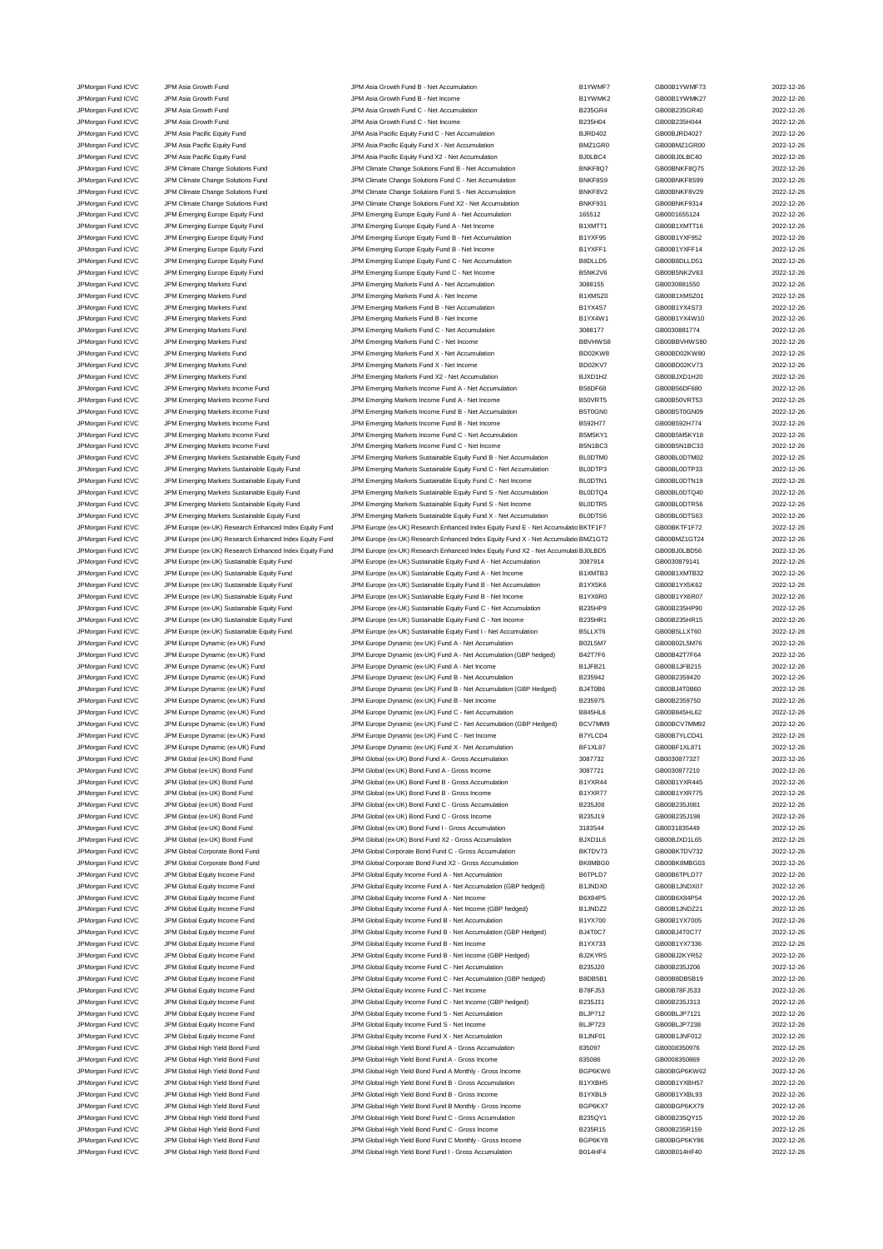JPMorgan Fund ICVC JPM Asia Growth Fund JPM Asia Growth Fund B - Net Accumulation and B1YWMF7 GB00B1YWMF73 2022-12-26<br>JPM Asia Growth Fund JPM Asia Growth Fund JPM Asia Growth Fund B - Net Income B1YWMK2 GB00B1YWMK27 CB00B JPMorgan Fund ICVC JPM Asia Growth Fund JPM Asia Growth Fund B - Net Income B1YWMK2 GB00B1YWMK27 2022-12-26 JPMorgan Fund ICVC JPM Asia Growth Fund JPM Asia Growth Fund C - Net Accumulation B235GR4 GB00B235GR40 2022-12-26 JPM Asia Growth Fund JPM Asia Growth Fund JPM Asia Growth Fund C - Net Income B235H04 GB00B235H04 GB00B235H044 2022-12-26 JPMorgan Fund ICVC JPM Asia Pacific Equity Fund JPM Asia Pacific Equity Fund C - Net Accumulation BJRD402 GB00BJRD4027 2022-12-26 JPMorgan Fund ICVC JPM Asia Pacific Equity Fund JPM Asia Pacific Equity Fund X - Net Accumulation BMZ1GR0 GB00BMZ1GR00 2022-12-26 JPMorgan Fund ICVC JPM Asia Pacific Equity Fund JPM Asia Pacific Equity Fund X2 - Net Accumulation BJ0LBC4 GB00BJ0LBC40 2022-12-26 JPM Cromations Change Solutions Fund JPM Climate Change Solutions Fund B - Net Accumulation BNKF8Q7 GB00BNKF8Q75 2022-12-26<br>JPM Climate Change Solutions Fund JPM Climate Change Solutions Fund C - Net Accumulation BNKF8S9 G JPMorgan Fund ICVC JPM Climate Change Solutions Fund JPM Climate Change Solutions Fund C - Net Accumulation BNKF8S9 GB00BNKF8S99 2022-12-26 JPMorgan Fund ICVC JPM Climate Change Solutions Fund JPM Climate Change Solutions Fund S - Net Accumulation BNKF8V2 GB00BNKF8V29 2022-12-26<br>JPM Climate Change Solutions Fund JPM Climate Change Solutions Fund X2 - Net Accum JPMorgan Fund ICVC JPM Climate Change Solutions Fund JPM Climate Change Solutions Fund X2 - Net Accumulation BNKF931 GB00BNKF9314 2022-12-26 JPMorgan Fund ICVC JPM Emerging Europe Equity Fund JPM Emerging Europe Equity Fund A - Net Accumulation 165512 GB0001655124 2022-12-26 JPMorgan Fund ICVC JPM Emerging Europe Equity Fund JPM Emerging Europe Equity Fund A - Net Income B1XMTT1 GB00B1XMTT16 2022-12-26<br>JPM Emerging Fund ICVC JPM Emerging Europe Equity Fund JPM Emerging Europe Equity Fund B - N JPM Emerging Europe Equity Fund B - Net Accum JPMorgan Fund ICVC JPM Emerging Europe Equity Fund JPM Emerging Europe Equity Fund B - Net Income B1YXFF1 GB00B1YXFF14 2022-12-26<br>JPM Emerging Europe Equity Fund JPM Emerging Europe Equity Fund C - Net Accumulation BBDLLD5 JPMorgan Fund ICVC JPM Emerging Europe Equity Fund JPM Emerging Europe Equity Fund C - Net Accumulation B8DLLD5 GB00B8DLLD51 2022-12-26 JPMorgan Fund ICVC JPM Emerging Europe Equity Fund JPM Emerging Europe Equity Fund C - Net Income B5NK2V6 GB00B5NK2V63 2022-12-26 JPMorgan Fund ICVC JPM Emerging Markets Fund JPM Emerging Markets Fund A - Net Accumulation 3088155 GB0030881550 2022-12-26 JPMorgan Fund ICVC JPM Emerging Markets Fund JPM Emerging Markets Fund A - Net Income B1XMSZ0 GB00B1XMSZ01 2022-12-26 JPMorgan Fund ICVC JPM Emerging Markets Fund JPM Emerging Markets Fund B - Net Accumulation B1YX4S7 GB00B1YX4S73 2022-12-26 JPMorgan Fund ICVC JPM Emerging Markets Fund JPM Emerging Markets Fund B - Net Income 1980 B1YX4W1 GB00B1YX4W10 2022-12-26<br>JPM Emerging Markets Fund JPM Emerging Markets Fund Branching Markets Fund C - Net Accumulation 308 JPM Emerging Markets Fund JPM Emerging Markets Fund JPM Emerging Markets Fund C - Net Accumulation JPMorgan Fund ICVC JPM Emerging Markets Fund JPM Emerging Markets Fund C - Net Income BBVHWS8 GB00BBVHWS80 2022-12-26 JPM Emerging Markets Fund JPM Emerging Markets Fund X - Net Accumulation CHO2KW8 CHO00BD02KW8 CHO00BD02KW80 2022-12-26<br>1999 JPM Emerging Markets Fund JPM Emerging Markets Fund X - Net Income BD02KV7 GB00BD02KV73 2022-12-26 JPMorgan Fund ICVC JPM Emerging Markets Fund JPM Emerging Markets Fund X - Net Income BD02KV7 GB00BD02KV73 2022-12-26 JPMorgan Fund ICVC JPM Emerging Markets Fund JPM Emerging Markets Fund X2 - Net Accumulation BJXD1H2 GB00BJXD1H20 2022-12-26<br>JPM Emerging Markets Income Fund JPM Emerging Markets Income Fund A - Net Accumulation BS6DF68 GB JPM Emerging Markets Income Fund A - Net Accumu JPMorgan Fund ICVC JPM Emerging Markets Income Fund JPM Emerging Markets Income Fund A - Net Income B50VRT5 GB00B50VRT53 2022-12-26<br>JPM Emerging Markets Income Fund JPM Emerging Markets Income Fund B - Net Accumulation B5T JPM Emerging Markets Income Fund B - Net Accumulation JPMorgan Fund ICVC JPM Emerging Markets Income Fund States Income Fund B - Net Income Fund B - Net Income Bund B - Net Income Bund B - Net Income Bund B - Net Income Bund B - Net Income Bund B - Net Income Bund B - B592H77 JPMorgan Fund ICVC JPM Emerging Markets Income Fund JPM Emerging Markets Income Fund C - Net Accumulation B5M5KY1 GB00B5M5KY18 2022-12-26<br>JPM organ Fund ICVC JPM Emerging Markets Income Fund JPM Emerging Markets Income Fun JPM Emerging Markets Income Fund C - Net Income JPMorgan Fund ICVC JPM Emerging Markets Sustainable Equity Fund JPM Emerging Markets Sustainable Equity Fund B - Net Accumulation BL0DTM0 GB00BL0DTM02 2022-12-26<br>JPMorgan Fund ICVC JPM Emerging Markets Sustainable Equity F JPM Emerging Markets Sustainable Equity Fund C - Net Accumulation BL0DTP3 GB00BL0DTP33 2022-12-26 JPMorgan Fund ICVC JPM Emerging Markets Sustainable Equity Fund JPM Emerging Markets Sustainable Equity Fund C - Net Income BL0DTN1 GB00BL0DTN19 2022-12-26 JPMorgan Fund ICVC JPM Emerging Markets Sustainable Equity Fund JPM Emerging Markets Sustainable Equity Fund S - Net Accumulation BL0DTQ4 GB00BL0DTQ40 2022-12-26 JPMorgan Fund ICVC JPM Emerging Markets Sustainable Equity Fund JPM Emerging Markets Sustainable Equity Fund S - Net Income BL0DTR5 GB00BL0DTR56 2022-12-26<br>JPMorgan Fund ICVC JPM Emerging Markets Sustainable Equity Fund JP JPMorgan Fund ICVC JPM Emerging Markets Sustainable Equity Fund JPM Emerging Markets Sustainable Equity Fund X - Net Accumulation BL0DTS6 GB00BL0DTS63 2022-12-26 JPMorgan Fund ICVC JPM Europe (ex-UK) Research Enhanced Index Equity Fund JPM Europe (ex-UK) Research Enhanced Index Equity Fund E - Net Accumulatic BKTF1F7 GB00BKTF1F72 2022-12-26 JPMorgan Fund ICVC JPM Europe (ex-UK) Research Enhanced Index Equity Fund JPM Europe (ex-UK) Research Enhanced Index Equity Fund X - Net Accumulatic BMZ1GT2 GB00BMZ1GT24 2022-12-26<br>JPMorgan Fund ICVC JPM Europe (ex-UK) Res JPMorgan Fund ICVC JPM Europe (ex-UK) Research Enhanced Index Equity Fund JPM Europe (ex-UK) Research Enhanced Index Equity Fund X2 - Net Accumulati BJ0LBD5 GB00BJ0LBD56 2022-12-26 JPMorgan Fund ICVC JPM Europe (ex-UK) Sustainable Equity Fund JPM Europe (ex-UK) Sustainable Equity Fund A - Net Accumulation 3087914 GB0030879141 2022-12-26 JPMorgan Fund ICVC JPM Europe (ex-UK) Sustainable Equity Fund JPM Europe (ex-UK) Sustainable Equity Fund A - Net Income B1XMTB3 GB00B1XMTB32 2022-12-26 JPMorgan Fund ICVC JPM Europe (ex-UK) Sustainable Equity Fund JPM Europe (ex-UK) Sustainable Equity Fund B - Net Accumulation B1YX5K6 GB00B1YX5K62 2022-12-26 JPMorgan Fund ICVC JPM Europe (ex-UK) Sustainable Equity Fund JPM Europe (ex-UK) Sustainable Equity Fund B - Net Income B1YX6R0 GB00B1YX6R07 2022-12-26 JPMorgan Fund ICVC JPM Europe (ex-UK) Sustainable Equity Fund JPM Europe (ex-UK) Sustainable Equity Fund C - Net Accumulation B235HP9 GB00B235HP90 2022-12-26 JPMorgan Fund ICVC JPM Europe (ex-UK) Sustainable Equity Fund JPM Europe (ex-UK) Sustainable Equity Fund C - Net Income B235HR1 GB00B235HR15 2022-12-26 JPMorgan Fund ICVC JPM Europe (ex-UK) Sustainable Equity Fund JPM Europe (ex-UK) Sustainable Equity Fund I - Net Accumulation B5LLXT6 GB00B5LLXT60 2022-12-26 JPMorgan Fund ICVC JPM Europe Dynamic (ex-UK) Fund JPM Europe Dynamic (ex-UK) Fund A - Net Accumulation B02L5M7 GB00B02L5M76 2022-12-26 JPMorgan Fund ICVC JPM Europe Dynamic (ex-UK) Fund JPM Europe Dynamic (ex-UK) Fund A - Net Accumulation (GBP hedged) B42T7F6 GB00B42T7F64 2022-12-26 JPMorgan Fund ICVC JPM Europe Dynamic (ex-UK) Fund JPM Europe Dynamic (ex-UK) Fund A - Net Income B1JFB21 GB00B1JFB215 2022-12-26 JPM Europe Dynamic (ex-UK) Fund Care and The UCVC JPM Europe Dynamic (ex-UK) Fund B - Net Accumulation B235942 CB00B2359420 GB00B2359420 2022-12-26 JPMorgan Fund ICVC JPM Europe Dynamic (ex-UK) Fund JPM Europe Dynamic (ex-UK) Fund B - Net Accumulation (GBP Hedged) BJ4T0B6 GB00BJ4T0B60 2022-12-26 JPMorgan Fund ICVC JPM Europe Dynamic (ex-UK) Fund JPM Europe Dynamic (ex-UK) Fund B - Net Income B235975 GB00B2359750 2022-12-26 JPMorgan Fund ICVC JPM Europe Dynamic (ex-UK) Fund JPM Europe Dynamic (ex-UK) Fund C - Net Accumulation B845HL6 GB00B845HL62 2022-12-26 JPM Europe Dynamic (ex-UK) Fund C - Net Accumulation (GBP Hedged) JPMorgan Fund ICVC JPM Europe Dynamic (ex-UK) Fund JPM Europe Dynamic (ex-UK) Fund C - Net Income B7YLCD4 GB00B7YLCD41 2022-12-26 JPMorgan Fund ICVC JPM Europe Dynamic (ex-UK) Fund JPM Europe Dynamic (ex-UK) Fund X - Net Accumulation BF1XL87 GB00BF1XL871 2022-12-26 JPM Global (ex-UK) Bond Fund A - Gross Accum JPMorgan Fund ICVC JPM Global (ex-UK) Bond Fund JPM Global (ex-UK) Bond Fund A - Gross Income 3087721 GB0030877210 2022-12-26 JPMorgan Fund ICVC JPM Global (ex-UK) Bond Fund JPM Global (ex-UK) Bond Fund B - Gross Accumulation B1YXR44 GB00B1YXR445 2022-12-26 JPMorgan Fund ICVC JPM Global (ex-UK) Bond Fund Sex-UK) Bond Fund B - Gross Income B1YXR77 GB00B1YXR775 2022-12-26 JPMorgan Fund ICVC JPM Global (ex-UK) Bond Fund JPM Global (ex-UK) Bond Fund C - Gross Accumulation B235J08 GB00B235J081 2022-12-26 JPMorgan Fund ICVC JPM Global (ex-UK) Bond Fund JPM Global (ex-UK) Bond Fund C - Gross Income B235J19 GB00B235J198 2022-12-26 JPMorgan Fund ICVC JPM Global (ex-UK) Bond Fund JPM Global (ex-UK) Bond Fund I - Gross Accumulation 3183544 GB0031835449 2022-12-26 JPMorgan Fund ICVC JPM Global (ex-UK) Bond Fund State of the March Christian CBD of Arctic Christian CBOOBJXD1L65 2022-12-26 2022-12-26 JPMorgan Fund ICVC JPM Global Corporate Bond Fund JPM Global Corporate Bond Fund C - Gross Accumulation BKTDV73 GB00BKTDV732 2022-12-26 JPMorgan Fund ICVC JPM Global Corporate Bond Fund JPM Global Corporate Bond Fund X2 - Gross Accumulation BK8MBG0 GB00BK8MBG03 2022-12-26<br>JPM Group JPM Global Equity Income Fund JPM Global Equity Income Fund A - Net Accumul JPMorgan Fund ICVC JPM Global Equity Income Fund JPM Global Equity Income Fund A - Net Accumulation (GBP hedged) B1JNDX0 GB00B6TPLD77 2022-12-26<br>JPM Global LPM Global Equity Income Fund JPM Global Equity Income Fund A - Ne JPMorgan Fund ICVC JPM Global Equity Income Fund JPM Global Equity Income Fund A - Net Accumulation (GBP hedged) B1JNDX0 GB00B1JNDX07 2022-12-26 JPMorgan Fund ICVC JPM Global Equity Income Fund States of A - Met Income Fund A - Net Income Fund A - Net Income Bexaca Bexaca Bexaca GB00B6X84P54 2022-12-26 JPMorgan Fund ICVC JPM Global Equity Income Fund JPM Global Equity Income Fund A - Net Income (GBP hedged) B1JNDZ2 GB00B1JNDZ21 2022-12-26 JPMorgan Fund ICVC JPM Global Equity Income Fund JPM Global Equity Income Fund B - Net Accumulation B1YX700 GB00B1YX7005 2022-12-26 JPMorgan Fund ICVC JPM Global Equity Income Fund JPM Global Equity Income Fund B - Net Accumulation (GBP Hedged) BJ4T0C7 GB00BJ4T0C77 2022-12-26 JPMorgan Fund ICVC JPM Global Equity Income Fund Security Income Fund B - Net Income Fund B - Net Income Bund B - Net Income Bund B - Net Income Bund B - Net Income Bund B - Net Income Bund B - Net Income Bund B - Net Inco JPMorgan Fund ICVC JPM Global Equity Income Fund JPM Global Equity Income Fund B - Net Income (GBP Hedged) BJ2KYR5 GB00BJ2KYR52 2022-12-26 JPMorgan Fund ICVC JPM Global Equity Income Fund JPM Global Equity Income Fund C - Net Accumulation B235J20 GB00B235J206 2022-12-26 JPMorgan Fund ICVC JPM Global Equity Income Fund JPM Global Equity Income Fund C - Net Accumulation (GBP hedged) B8DB5B1 GB00B8DB5B19 2022-12-26 JPMorgan Fund ICVC JPM Global Equity Income Fund JPM Global Equity Income Fund C - Net Income B78FJ53 GB00B78FJ533 2022-12-26 JPMorgan Fund ICVC JPM Global Equity Income Fund JPM Global Equity Income Fund C - Net Income (GBP hedged) B235J31 GB00B235J313 2022-12-26 JPMorgan Fund ICVC JPM Global Equity Income Fund JPM Global Equity Income Fund S - Net Accumulation JPMorgan Fund ICVC JPM Global Equity Income Fund JPM Global Equity Income Fund S - Net Income BLJP723 GB00BLJP7238 2022-12-26 JPMorgan Fund ICVC JPM Global Equity Income Fund Accome Cund Accome Fund X - Net Accumulation B1JNF01 GB00B1JNF012 2022-12-26<br>JPM Group JPM Global High Yield Bond Fund JPM Global High Yield Bond Fund A - Gross Accumulation JPM Global High Yield Bond Fund and The JOVC JPM Global High Yield Bond Fund A - Gross Accumulation 835097 GB0008350976 2022-12-26 JPMorgan Fund ICVC JPM Global High Yield Bond Fund JPM Global High Yield Bond Fund A - Gross Income 835086 GB0008350869 2022-12-26<br>JPM Group JPM Global High Yield Bond Fund JPM Global High Yield Bond Fund A Monthy - Gross JPM Global High Yield Bond Fund A Monthly - Gross Income JPMorgan Fund ICVC JPM Global High Yield Bond Fund JPM Global High Yield Bond Fund B - Gross Accumulation B1YXBH5 GB00B1YXBH57 2022-12-26<br>JPM Group JPM Global High Yield Bond Fund JPM Global High Yield Bond Fund B - Gross JPMorgan Fund ICVC JPM Global High Yield Bond Fund JPM Global High Yield Bond Fund B - Gross Income B1YXBL9 GB00B1YXBL93 2022-12-26 JPMorgan Fund ICVC JPM Global High Yield Bond Fund State of The State of DRM Global High Yield Bond Fund B Monthly - Gross Income BGP6KX7 GB00BGP6KX79 2022-12-26 JPMorgan Fund ICVC JPM Global High Yield Bond Fund JPM Global High Yield Bond Fund C - Gross Accumulation B235QY1 GB00B235QY15 2022-12-26 JPM Global High Yield Bond Fund C - Gross Income JPMorgan Fund ICVC JPM Global High Yield Bond Fund JPM Global High Yield Bond Fund C Monthly - Gross Income BGP6KY8 GB00BGP6KY86 2022-12-26 JPMorgan Fund ICVC JPM Global High Yield Bond Fund JPM Global High Yield Bond Fund I - Gross Accumulation B014HF4 GB00B014HF40 2022-12-26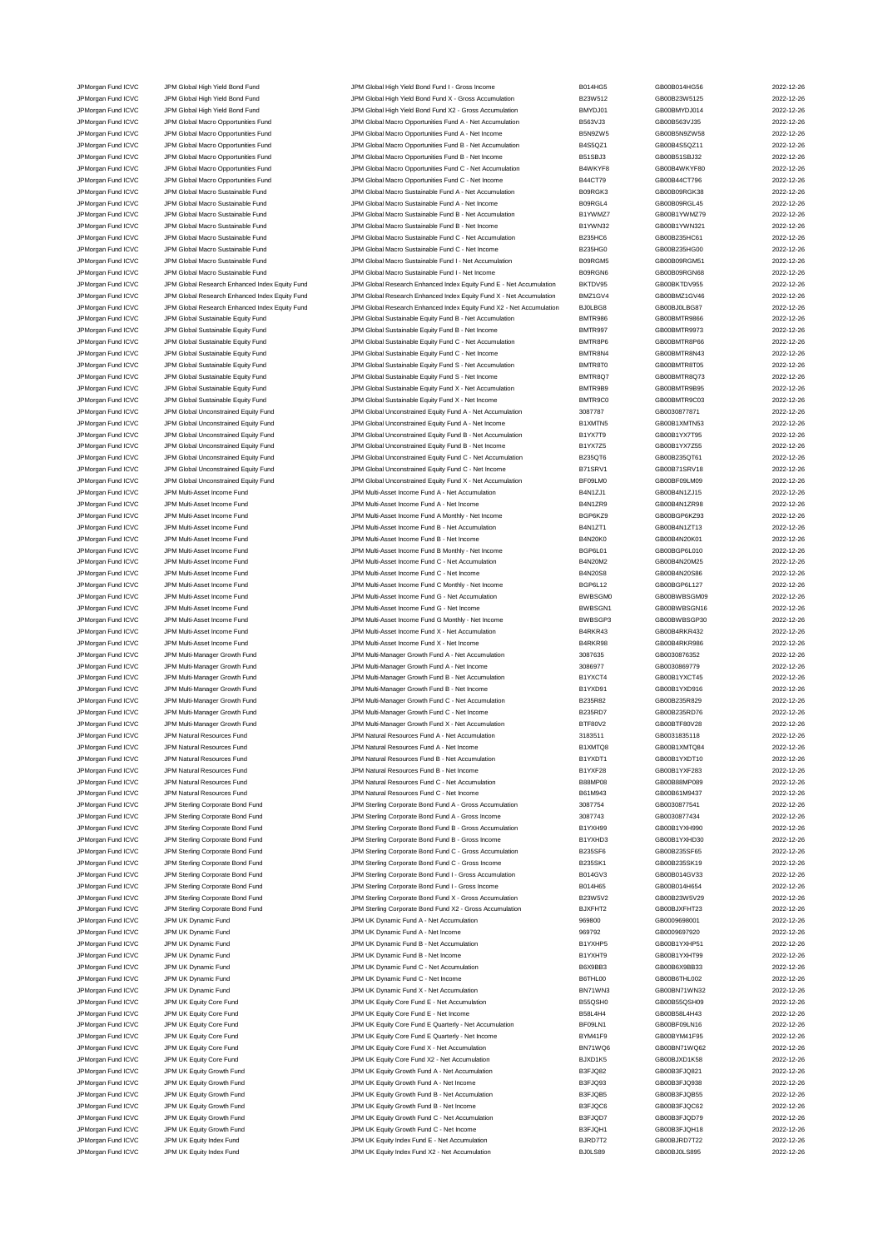JPMorgan Fund ICVC JPM Global High Yield Bond Fund JPM Global High Yield Bond Fund I - Gross Income B014HG5 GB00B014HG56 2022-12-26<br>JPM Group JPM Global High Yield Bond Fund JPM Global High Yield Bond Fund X - Gross Accumu JPM Global High Yield Bond Fund Company of Company JPM Global High Yield Bond Fund X - Gross Accumulation B23W512 30000023W5125 2022-12-26 JPMorgan Fund ICVC JPM Global High Yield Bond Fund JPM Global High Yield Bond Fund X2 - Gross Accumulation BMYDJ01 GB00BMYDJ014 2022-12-26 JPMorgan Fund ICVC JPM Global Macro Opportunities Fund JPM Global Macro Opportunities Fund A - Net Accumulation B563VJ3 GB00B563VJ35 2022-12-26 JPMorgan Fund ICVC JPM Global Macro Opportunities Fund JPM Global Macro Opportunities Fund A - Net Income B5N9ZW5 GB00B5N9ZW58 2022-12-26 JPMorgan Fund ICVC JPM Global Macro Opportunities Fund JPM Global Macro Opportunities Fund B - Net Accumulation B4S5QZ1 GB00B4S5QZ11 2022-12-26 JPMorgan Fund ICVC JPM Global Macro Opportunities Fund JPM Global Macro Opportunities Fund B - Net Income B51SBJ3 GB00B51SBJ32 2022-12-26 JPMorgan Fund ICVC JPM Global Macro Opportunities Fund JPM Global Macro Opportunities Fund C - Net Accumulation<br>JPM GB00B44CT796 JPM Global Macro Opportunities Fund JPM Global Macro Opportunities Fund C - Net Income B44CT7 JPMorgan Fund ICVC JPM Global Macro Opportunities Fund JPM Global Macro Opportunities Fund C - Net Income B44CT79 GB00B44CT796 GB00B44CT796 2022-12-26 JPMorgan Fund ICVC JPM Global Macro Sustainable Fund JPM Global Macro Sustainable Fund A - Net Accumulation B09RGK3 GB00B09RGK38 2022-12-26 JPMorgan Fund ICVC JPM Global Macro Sustainable Fund JPM Global Macro Sustainable Fund A - Net Income B09RGL4 GB00B09RGL45 2022-12-26 JPMorgan Fund ICVC JPM Global Macro Sustainable Fund JPM Global Macro Sustainable Fund B - Net Accumulation B1YWMZ7 GB00B1YWMZ79 2022-12-26 JPMorgan Fund ICVC JPM Global Macro Sustainable Fund JPM Global Macro Sustainable Fund B - Net Income B1YWN32 GB00B1YWN321 2022-12-26<br>JPM Group JPM Global Macro Sustainable Fund JPM Global Macro Sustainable Fund C - Net Ac JPM Global Macro Sustainable Fund C - Net Accumu JPM Ground ICVC JPM Global Macro Sustainable Fund JPM Global Macro Sustainable Fund C - Net Income B235HG0 GB00B235HG00 GB00B235HG00 2022-12-26 JPMorgan Fund ICVC JPM Global Macro Sustainable Fund JPM Global Macro Sustainable Fund I - Net Accumulation B09RGM5 GB00B09RGM51 2022-12-26 JPMorgan Fund ICVC JPM Global Macro Sustainable Fund JPM Global Macro Sustainable Fund I - Net Income B09RGN6 GB00B09RGN68 2022-12-26 JPMorgan Fund ICVC JPM Global Research Enhanced Index Equity Fund JPM Global Research Enhanced Index Equity Fund E - Net Accumulation BKTDV95 GB00BKTDV955 2022-12-26 JPMorgan Fund ICVC JPM Global Research Enhanced Index Equity Fund JPM Global Research Enhanced Index Equity Fund X - Net Accumulation BMZ1GV4 GB00BMZ1GV46 2022-12-26 JPMorgan Fund ICVC JPM Global Research Enhanced Index Equity Fund JPM Global Research Enhanced Index Equity Fund X2 - Net Accumulation BJ0LBG8 GB00BJ0LBG87 2022-12-26 JPMorgan Fund ICVC JPM Global Sustainable Equity Fund Sustainable Authority Fund B - Net Accumulation BMTR986 GB00BMTR9866 2022-12-26<br>JPM Gram JPM Global Sustainable Equity Fund JPM Global Sustainable Equity Fund B - Net I JPM Global Sustainable Equity Fund<br>JPM Global Sustainable Equity Fund JPM Global Sustainable Equity Fund JPM Global Sustainable Equity Fund C - Net Accum JPMorgan Fund ICVC JPM Global Sustainable Equity Fund JPM Global Sustainable Equity Fund C - Net Accumulation<br>JPM Group JPM Global Sustainable Equity Fund JPM Global Sustainable Equity Fund C - Net Income BMTR8N4 GB00BMTR8 JPM Global Sustainable Equity Fund JPM Global Sustainable Equity Fund C - Net Income BMTR8N4 GB00BMTR8N43 2022-12-26<br>IPM Global Sustainable Fund JPM Global Sustainable Equity Fund S - Net Accumulation BMTR8T0 GB00BMTR8T05 JPMorgan Fund ICVC JPM Global Sustainable Equity Fund JPM Global Sustainable Equity Fund S - Net Accumulation BMTR8T0 GB00BMTR8T05 2022-12-26 JPMorgan Fund ICVC JPM Global Sustainable Equity Fund State JPM Global Sustainable Equity Fund S - Net Income BMTR8Q7 - BMTR8Q7 GB00BMTR8Q73 2022-12-26<br>JPM Group JPM Global Sustainable Equity Fund JPM Global Sustainable Eq JPM Global Sustainable Equity Fund X - Net Accumul JPMorgan Fund ICVC JPM Global Sustainable Equity Fund Sustainable Equity Fund A - Net Income MITR9C0 BMTR9C0 GB00BMTR9C03 2022-12-26<br>JPM Group JPM Global Unconstrained Equity Fund JPM Global Unconstrained Equity Fund A - N JPM Global Unconstrained Equity Fund A - Net Accumulation JPMorgan Fund ICVC JPM Global Unconstrained Equity Fund JPM Global Unconstrained Equity Fund A - Net Income B1XMTN5 GB00B1XMTN53 2022-12-26 JPMorgan Fund ICVC JPM Global Unconstrained Equity Fund JPM Global Unconstrained Equity Fund B - Net Accumulation B1YX7T9 GB00B1YX7T95 2022-12-26<br>JPM Group JPM Global Unconstrained Equity Fund JPM Global Unconstrained Equi JPM Global Unconstrained Equity Fund B - Net Income JPMorgan Fund ICVC JPM Global Unconstrained Equity Fund JPM Global Unconstrained Equity Fund C - Net Accumulation<br>JPM Group JPM Global Unconstrained Equity Fund JPM Global Unconstrained Equity Fund C - Net Income B71SRV1 G JPMorgan Fund ICVC JPM Global Unconstrained Equity Fund JPM Global Unconstrained Equity Fund C - Net Income B71SRV1 GB00B71SRV18 2022-12-26 JPMorgan Fund ICVC JPM Global Unconstrained Equity Fund JPM Global Unconstrained Equity Fund X - Net Accumulation BF09LM0 GB00BF09LM09 2022-12-26 JPMorgan Fund ICVC JPM Multi-Asset Income Fund JPM Multi-Asset Income Fund A - Net Accumulation B4N1ZJ1 GB00B4N1ZJ15 2022-12-26 JPMorgan Fund ICVC JPM Multi-Asset Income Fund JPM Multi-Asset Income Fund A - Net Income B4N1ZR9 GB00B4N1ZR98 2022-12-26 JPMorgan Fund ICVC JPM Multi-Asset Income Fund JPM Multi-Asset Income Fund A Monthly - Net Income BGP6KZ9 GB00BGP6KZ93 2022-12-26 JPMorgan Fund ICVC JPM Multi-Asset Income Fund JPM Multi-Asset Income Fund B - Net Accumulation B4N1ZT1 GB00B4N1ZT13 2022-12-26 JPMorgan Fund ICVC JPM Multi-Asset Income Fund JPM Multi-Asset Income Fund B - Net Income B4N20K0 GB00B4N20K01 2022-12-26 JPMorgan Fund ICVC JPM Multi-Asset Income Fund JPM Multi-Asset Income Fund B Monthly - Net Income BGP6L01 GB00BGP6L010 2022-12-26 JPMorgan Fund ICVC JPM Multi-Asset Income Fund JPM Multi-Asset Income Fund C - Net Accumulation B4N20M2 GB00B4N20M25 2022-12-26 JPM Multi-Asset Income Fund JPM Multi-Asset Income Fund C - Net Income Fund C - Net Income B4N20S8 GB00B4N20S86 CB00B4N20S86 2022-12-26 JPMorgan Fund ICVC JPM Multi-Asset Income Fund JPM Multi-Asset Income Fund C Monthly - Net Income BGP6L12 GB00BGP6L127 2022-12-26 JPMorgan Fund ICVC JPM Multi-Asset Income Fund JPM Multi-Asset Income Fund G - Net Accumulation BWBSGM0 GB00BWBSGM09 2022-12-26 JPMorgan Fund ICVC JPM Multi-Asset Income Fund JPM Multi-Asset Income Fund G - Net Income BWBSGN1 GB00BWBSGN16 2022-12-26 JPMorgan Fund ICVC JPM Multi-Asset Income Fund JPM Multi-Asset Income Fund G Monthly - Net Income BWBSGP3 GB00BWBSGP30 2022-12-26 JPMorgan Fund ICVC JPM Multi-Asset Income Fund JPM Multi-Asset Income Fund X - Net Accumulation B4RKR43 GB00B4RKR432 2022-12-26 JPMorgan Fund ICVC JPM Multi-Asset Income Fund JPM Multi-Asset Income Fund X - Net Income B4RKR98 GB00B4RKR986 2022-12-26 JPMorgan Fund ICVC JPM Multi-Manager Growth Fund JPM Multi-Manager Growth Fund A - Net Accumulation 3087635 GB0030876352 2022-12-26<br>JPM Morgan Fund ICVC JPM Multi-Manager Growth Fund JPM Multi-Manager Growth Fund A - Net I JPMorgan Fund ICVC JPM Multi-Manager Growth Fund JPM Multi-Manager Growth Fund A - Net Income 3086977 GB0030869779 2022-12-26 JPMorgan Fund ICVC JPM Multi-Manager Growth Fund JPM Multi-Manager Growth Fund B - Net Accumulation B1YXCT4 GB00B1YXCT45 2022-12-26 JPMorgan Fund ICVC JPM Multi-Manager Growth Fund JPM Multi-Manager Growth Fund B - Net Income B1YXD91 GB00B1YXD916 2022-12-26<br>JPM JPM JPM Multi-Manager Growth Fund JPM Multi-Manager Growth Fund C - Net Accumulation B235R82 JPMorgan Fund ICVC JPM Multi-Manager Growth Fund JPM Multi-Manager Growth Fund C - Net Accumulation B235R82 GB00B235R829 2022-12-26 JPMorgan Fund ICVC JPM Multi-Manager Growth Fund JPM Multi-Manager Growth Fund C - Net Income B235RD7 GB00B235RD76 2022-12-26<br>JPM JPM JPM Multi-Manager Growth Fund JPM Multi-Manager Growth Fund X - Net Accumulation BTF80V2 JPM Multi-Manager Growth Fund X - Net Accumulat JPMorgan Fund ICVC JPM Natural Resources Fund JPM Natural Resources Fund A - Net Accumulation 3183511 GB0031835118 2022-12-26 JPMorgan Fund ICVC JPM Natural Resources Fund JPM Natural Resources Fund A - Net Income B1XMTQ8 GB00B1XMTQ84 2022-12-26 JPM Natural Resources Fund B - Net Accumu JPM Natural Resources Fund JPM Natural Resources Fund B - Net Income B1YXF28 GB00B1YXF283 CB00B1YXF283 2022-12-26 JPMorgan Fund ICVC JPM Natural Resources Fund JPM Natural Resources Fund C - Net Accumulation B88MP08 GB00B88MP089 2022-12-26 JPMorgan Fund ICVC JPM Natural Resources Fund States Fund JPM Natural Resources Fund C - Net Income B61M943 B61M943 CB00B61M9437 2022-12-26 JPMorgan Fund ICVC JPM Sterling Corporate Bond Fund JPM Sterling Corporate Bond Fund A - Gross Accumulation 3087754 GB0030877541 2022-12-26 JPMorgan Fund ICVC JPM Sterling Corporate Bond Fund JPM Sterling Corporate Bond Fund A - Gross Income 3087743 GB0030877434 2022-12-26 JPMorgan Fund ICVC JPM Sterling Corporate Bond Fund Corporate Bond Fund B - Gross Accumulation B1YXH99 GB00B1YXH990 2022-12-26 JPMorgan Fund ICVC JPM Sterling Corporate Bond Fund JPM Sterling Corporate Bond Fund B - Gross Income B1YXHD3 GB00B1YXHD30 3022-12-26 JPMorgan Fund ICVC JPM Sterling Corporate Bond Fund JPM Sterling Corporate Bond Fund C - Gross Accumulation B235SF6 GB00B235SF65 2022-12-26 JPMorgan Fund ICVC JPM Sterling Corporate Bond Fund JPM Sterling Corporate Bond Fund C - Gross Income B235SK1 GB00B235SK19 2022-12-26 JPMorgan Fund ICVC JPM Sterling Corporate Bond Fund JPM Sterling Corporate Bond Fund I - Gross Accumulation B014GV3 GB00B014GV33 2022-12-26 JPM Sterling Corporate Bond Fund **ICV JPM Sterling Corporate Bond Fund I - Gross Income** B014H65 GB00B014H654 2022-12-26 JPMorgan Fund ICVC JPM Sterling Corporate Bond Fund JPM Sterling Corporate Bond Fund X - Gross Accumulation B23W5V2 GB00B23W5V29 2022-12-26 JPMorgan Fund ICVC JPM Sterling Corporate Bond Fund JPM Sterling Corporate Bond Fund X2 - Gross Accumulation BJXFHT2 GB00BJXFHT23 2022-12-26 JPMorgan Fund ICVC JPM UK Dynamic Fund JPM UK Dynamic Fund A - Net Accumulation 969800 GB0009698001 2022-12-26 JPMorgan Fund ICVC JPM UK Dynamic Fund JPM UK Dynamic Fund A - Net Income 969792 GB0009697920 2022-12-26 JPMorgan Fund ICVC JPM UK Dynamic Fund JPM UK Dynamic Fund B - Net Accumulation B1YXHP5 GB00B1YXHP51 2022-12-26 JPMorgan Fund ICVC JPM UK Dynamic Fund JPM UK Dynamic Fund B - Net Income B1YXHT9 GB00B1YXHT99 2022-12-26 JPM UK Dynamic Fund JPM UK Dynamic Fund JPM UK Dynamic Fund C - Net Accumulation B6X9BB3 GB00B6X9BB33 CB00B6X9BB33 2022-12-26 JPMorgan Fund ICVC JPM UK Dynamic Fund JPM UK Dynamic Fund C - Net Income B6THL00 GB00B6THL002 2022-12-26 JPMorgan Fund ICVC JPM UK Dynamic Fund JPM UK Dynamic Fund X - Net Accumulation BN71WN3 GB00BN71WN32 2022-12-26 JPMorgan Fund ICVC JPM UK Equity Core Fund JPM UK Equity Core Fund E - Net Accumulation B55QSH0 GB00B55QSH09 2022-12-26 JPMorgan Fund ICVC JPM UK Equity Core Fund JPM UK Equity Core Fund E - Net Income JPMorgan Fund ICVC JPM UK Equity Core Fund JPM UK Equity Core Fund E Quarterly - Net Accumulation BF09LN1 GB00BF09LN16 2022-12-26 JPMorgan Fund ICVC JPM UK Equity Core Fund JPM UK Equity Core Fund E Quarterly - Net Income BYM41F9 GB00BYM41F95 2022-12-26 JPMorgan Fund ICVC JPM UK Equity Core Fund JPM UK Equity Core Fund X - Net Accumulation BN71WQ6 GB00BN71WQ62 2022-12-26 JPMorgan Fund ICVC JPM UK Equity Core Fund JPM UK Equity Core Fund X2 - Net Accumulation BJXD1K5 GB00BJXD1K58 2022-12-26<br>JPM UR JPM UK Equity Growth Fund JPM UK Equity Crowth Fund A - Net Accumulation B3FJQ82 GB00B3FJQ821 JPM UK Equity Growth Fund A - Net Accumulation JPMorgan Fund ICVC JPM UK Equity Growth Fund JPM UK Equity Growth Fund A - Net Income B3FJQ93 GB00B3FJQ938 3022-12-26<br>JPM UK JPM UK Equity Growth Fund JPM UK Equity Growth Fund B - Net Accumulation B3FJQB5 GB00B3FJQB55 202 JPMorgan Fund ICVC JPM UK Equity Growth Fund JPM UK Equity Growth Fund B - Net Accumulation B3FJQB5 GB00B3FJQB55 2022-12-26 JPMorgan Fund ICVC JPM UK Equity Growth Fund JPM UK Equity Growth Fund B - Net Income B3FJQC6 GB00B3FJQC62 2022-12-26 JPMorgan Fund ICVC JPM UK Equity Growth Fund JPM UK Equity Growth Fund C - Net Accumulation B3FJQD7 GB00B3FJQD79 2022-12-26 JPM UK Equity Growth Fund C - Net Income JPMorgan Fund ICVC JPM UK Equity Index Fund JPM UK Equity Index Fund E - Net Accumulation BJRD7T2 GB00BJRD7T22 2022-12-26 JPMorgan Fund ICVC JPM UK Equity Index Fund JPM UK Equity Index Fund X2 - Net Accumulation BJ0LS89 GB00BJ0LS895 2022-12-26

|   | GB00B014HG56                 |
|---|------------------------------|
|   | GB00B23W5125                 |
|   | GB00BMYDJ014                 |
|   | GB00B563VJ35                 |
|   | GB00B5N9ZW58                 |
|   | GB00B4S5QZ11<br>GB00B51SBJ32 |
|   | GB00B4WKYF80                 |
|   | GB00B44CT796                 |
|   | GB00B09RGK38                 |
|   | GB00B09RGL45                 |
|   | GB00B1YWMZ79                 |
|   | GB00B1YWN321                 |
|   | GB00B235HC61                 |
|   | GB00B235HG00                 |
|   | GB00B09RGM51                 |
|   | GB00B09RGN68<br>GB00BKTDV955 |
|   | GB00BMZ1GV46                 |
|   | GB00BJ0LBG87                 |
|   | GB00BMTR9866                 |
|   | GB00BMTR9973                 |
|   | GB00BMTR8P66                 |
|   | GB00BMTR8N43                 |
|   | GB00BMTR8T05                 |
|   | GB00BMTR8Q73                 |
|   | GB00BMTR9B95                 |
|   | GB00BMTR9C03                 |
|   | GB0030877871                 |
|   | GB00B1XMTN53<br>GB00B1YX7T95 |
|   | GB00B1YX7Z55                 |
|   | GB00B235QT61                 |
|   | GB00B71SRV18                 |
|   | GB00BF09LM09                 |
|   | GB00B4N1ZJ15                 |
|   | GB00B4N1ZR98                 |
|   | GB00BGP6KZ93                 |
|   | GB00B4N1ZT13                 |
|   | GB00B4N20K01                 |
|   | GB00BGP6L010                 |
|   | GB00B4N20M25<br>GB00B4N20S86 |
|   | GB00BGP6L127                 |
| O | GB00BWBSGM09                 |
|   | GB00BWBSGN16                 |
| 1 |                              |
| 3 | GB00BWBSGP30                 |
|   | GB00B4RKR432                 |
|   | GB00B4RKR986                 |
|   | GB0030876352                 |
|   | GB0030869779                 |
|   | GB00B1YXCT45                 |
|   | GB00B1YXD916                 |
|   | GB00B235R829                 |
|   | GB00B235RD76                 |
|   | GB00BTF80V28                 |
|   | GB0031835118<br>GB00B1XMTQ84 |
|   | GB00B1YXDT10                 |
|   | GB00B1YXF283                 |
|   | GB00B88MP089                 |
|   | GB00B61M9437                 |
|   | GB0030877541                 |
|   | GB0030877434                 |
|   | GB00B1YXH990                 |
|   | GB00B1YXHD30                 |
|   | GB00B235SF65                 |
|   | GB00B235SK19<br>GB00B014GV33 |
|   | GB00B014H654                 |
|   | GB00B23W5V29                 |
|   | GB00BJXFHT23                 |
|   | GB0009698001                 |
|   | GB0009697920                 |
|   | GB00B1YXHP51                 |
|   | GB00B1YXHT99                 |
|   | GB00B6X9BB33                 |
|   | GB00B6THL002                 |
|   | GB00BN71WN32                 |
|   | GB00B55QSH09<br>GB00B58L4H43 |
|   | GB00BF09LN16                 |
|   | GB00BYM41F95                 |
|   | GB00BN71WQ62                 |
| ì | GB00BJXD1K58                 |
|   | GB00B3FJQ821                 |
|   | GB00B3FJQ938                 |
|   | GB00B3FJQB55                 |
|   | GB00B3FJQC62                 |
|   | GB00B3FJQD79                 |
|   | GB00B3FJQH18<br>GB00BJRD7T22 |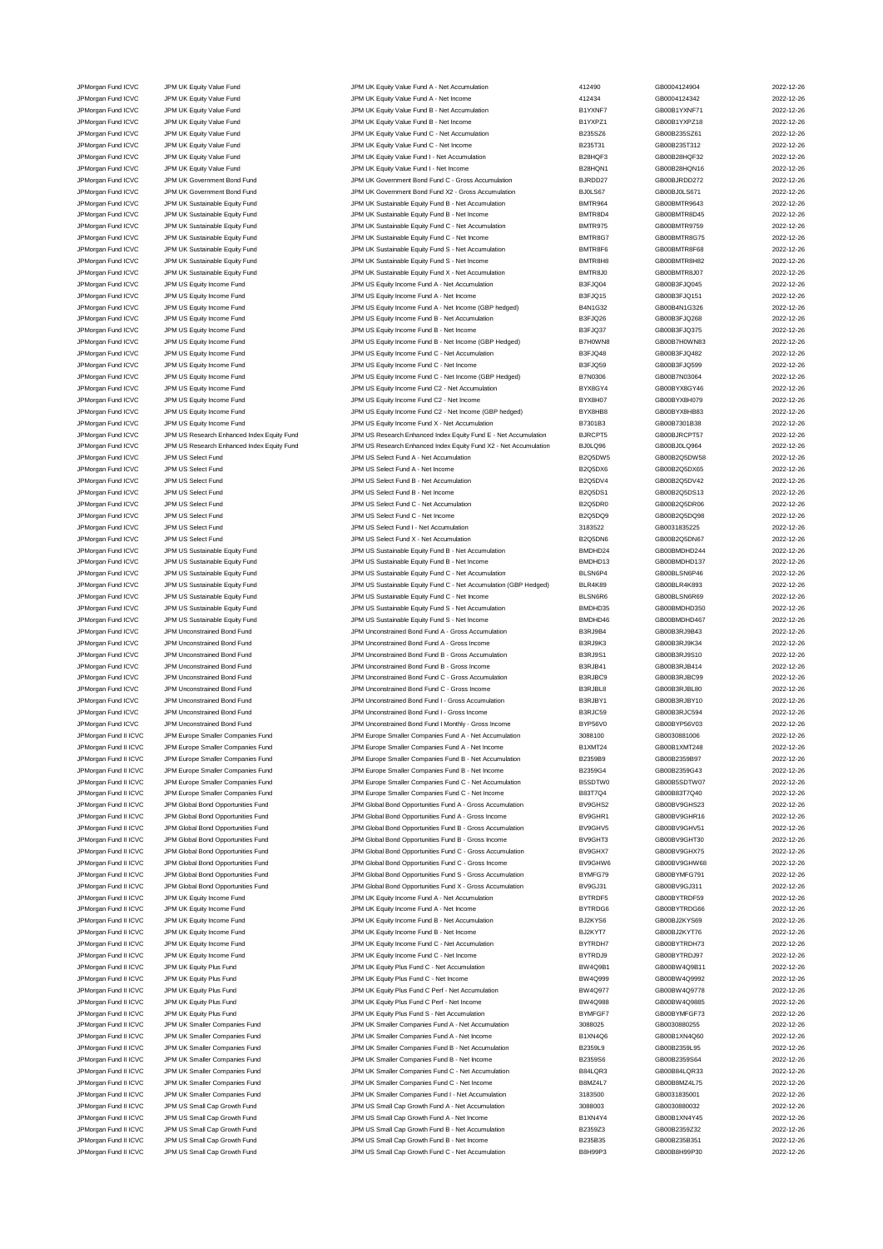JPMorgan Fund ICVC JPM UK Equity Value Fund JPM UK Equity Value Fund A - Net Accumulation 412490 GB0004124904 2022-12-26 JPM UK Equity Value Fund Control Control of Control JPM UK Equity Value Fund A - Net Income 412434 4 412434 CB0004124342 2022-12-26 JPMorgan Fund ICVC JPM UK Equity Value Fund States of Many UK Equity Value Fund B - Net Accumulation and B1YXNF7 GB00B1YXNF71 2022-12-26<br>JPM UR JPM UK Equity Value Fund JPM UK Equity Value Fund B - Net Income B1YXP21 GB00B JPMorgan Fund ICVC JPM UK Equity Value Fund JPM UK Equity Value Fund B - Net Income B1YXPZ1 GB00B1YXPZ18 2022-12-26 JPMorgan Fund ICVC JPM UK Equity Value Fund JPM UK Equity Value Fund C - Net Accumulation B235SZ6 GB00B235SZ61 2022-12-26 JPMorgan Fund ICVC JPM UK Equity Value Fund JPM UK Equity Value Fund C - Net Income B235T31 GB00B235T312 2022-12-26 JPMorgan Fund ICVC JPM UK Equity Value Fund JPM UK Equity Value Fund I - Net Accumulation B28HQF3 GB00B28HQF32 2022-12-26 JPMorgan Fund ICVC JPM UK Equity Value Fund<br>JPM UK Equity Alter States of Development Bond Fund Comment Bond Fund C - Gross Accumulation BURDD27 GB00BJRDD272 2022-12-26<br>JPM UK GROUN ART DEVELOPMENT DEVELOPMENT DEVELOPMENT JPMorgan Fund ICVC JPM UK Government Bond Fund JPM UK Government Bond Fund C - Gross Accumulation JPMorgan Fund ICVC JPM UK Government Bond Fund JPM UK Government Bond Fund X2 - Gross Accumulation BJ0LS67 GB00BJ0LS671 2022-12-26 JPMorgan Fund ICVC JPM UK Sustainable Equity Fund JPM UK Sustainable Equity Fund B - Net Accumulation BMTR964 GB00BMTR9643 2022-12-26 JPMorgan Fund ICVC JPM UK Sustainable Equity Fund JPM UK Sustainable Equity Fund B - Net Income BMTR8D4 GB00BMTR8D45 2022-12-26 JPMorgan Fund ICVC JPM UK Sustainable Equity Fund JPM UK Sustainable Equity Fund C - Net Accumulation and BMTR975 GB00BMTR9759 2022-12-26<br>JPM URGan Fund ICVC JPM UK Sustainable Equity Fund JPM UK Sustainable Equity Fund C JPM UK Sustainable Equity Fund<br>IPM UK Sustainable Equity Fund C - Net Income BMTR8G7 GR00BMTR8G7 GR00BMTR8G7 COMBIR8G7 COMBIR8G7 GR00BMTR8G75 JPMorgan Fund ICVC JPM UK Sustainable Equity Fund JPM UK Sustainable Equity Fund S - Net Accumulation BMTR8F6 GB00BMTR8F68 2022-12-26 JPMorgan Fund ICVC JPM UK Sustainable Equity Fund JPM UK Sustainable Equity Fund S - Net Income BMTR8H8 BOOBMTR8H82 2022-12-26<br>JPM URGAN THE SUSTAING BOOBMTR8J07 2022-12-26 JPM UK Sustainable Equity Fund X - Net Accumulati JPMorgan Fund ICVC JPM UK Sustainable Equity Fund JPM UK Sustainable Equity Fund X - Net Accumulation BMTR8J0 GB00BMTR8J07 2022-12-26 JPMorgan Fund ICVC JPM US Equity Income Fund JPM US Equity Income Fund A - Net Accumulation B3FJQ04 GB00B3FJQ045 2022-12-26 JPMorgan Fund ICVC JPM US Equity Income Fund JPM US Equity Income Fund A - Net Income Base JQ15 GB00B3FJQ151 2022-12-26 JPMorgan Fund ICVC JPM US Equity Income Fund JPM US Equity Income Fund A - Net Income (GBP hedged) B4N1G32 GB00B4N1G326 2022-12-26 JPMorgan Fund ICVC JPM US Equity Income Fund JPM US Equity Income Fund B - Net Accumulation B3FJQ26 GB00B3FJQ268 2022-12-26 JPM US Equity Income Fund ICVC JPM US Equity Income Fund JPM US Equity Income Fund B - Net Income JPMorgan Fund ICVC JPM US Equity Income Fund JPM US Equity Income Fund B - Net Income (GBP Hedged) B7H0WN8 GB00B7H0WN83 2022-12-26 JPM US Equity Income Fund ICVC JPM US Equity Income Fund C - Net Accumulation B3FJQ48 GB00B3FJQ482 2022-12-26 JPMorgan Fund ICVC JPM US Equity Income Fund JPM US Equity Income Fund C - Net Income B3FJQ59 GB00B3FJQ599 2022-12-26 JPMorgan Fund ICVC JPM US Equity Income Fund JPM US Equity Income Fund C - Net Income (GBP Hedged) B7N0306 GB00B7N03064 2022-12-26 JPM US Equity Income Fund C2 - Net Accumulation By JPMorgan Fund ICVC JPM US Equity Income Fund JPM US Equity Income Fund C2 - Net Income BYX8H07 GB00BYX8H079 2022-12-26 JPM US Equity Income Fund C2 - Net Income (GBP hedged) JPMorgan Fund ICVC JPM US Equity Income Fund JPM US Equity Income Fund X - Net Accumulation B7301B3 GB00B7301B38 2022-12-26 JPMorgan Fund ICVC JPM US Research Enhanced Index Equity Fund JPM US Research Enhanced Index Equity Fund E - Net Accumulation BJRCPT5 GB00BJRCPT57 2022-12-26<br>JPMorgan Fund ICVC JPM US Research Enhanced Index Equity Fund JP JPM US Research Enhanced Index Equity Fund X2 - Net Accumulation JPMorgan Fund ICVC JPM US Select Fund JPM US Select Fund A - Net Accumulation B2Q5DW5 GB00B2Q5DW58 2022-12-26 JPMorgan Fund ICVC JPM US Select Fund JPM US Select Fund A - Net Income B2Q5DX6 GB00B2Q5DX65 2022-12-26 JPMorgan Fund ICVC JPM US Select Fund 
<br>
JPM US Select Fund B - Net Accumulation 
B2Q5DV4 GB00B2Q5DV42 2022-12-26 JPMorgan Fund ICVC JPM US Select Fund JPM US Select Fund B - Net Income B2Q5DS1 GB00B2Q5DS13 2022-12-26 JPMorgan Fund ICVC JPM US Select Fund JPM US Select Fund C - Net Accumulation B2Q5DR0 GB00B2Q5DR06 2022-12-26 JPMorgan Fund ICVC JPM US Select Fund JPM US Select Fund C - Net Income B2Q5DQ9 GB00B2Q5DQ98 2022-12-26 JPMorgan Fund ICVC JPM US Select Fund JPM US Select Fund I - Net Accumulation 3183522 GB0031835225 2022-12-26 JPMorgan Fund ICVC JPM US Select Fund JPM US Select Fund X - Net Accumulation B2Q5DN6 GB00B2Q5DN67 2022-12-26 JPMorgan Fund ICVC JPM US Sustainable Equity Fund JPM US Sustainable Equity Fund B - Net Accumulation BMDHD24 GB00BMDHD244 2022-12-26 JPMorgan Fund ICVC JPM US Sustainable Equity Fund JPM US Sustainable Equity Fund B - Net Income BMDHD13 GB00BMDHD137 2022-12-26 JPMorgan Fund ICVC JPM US Sustainable Equity Fund JPM US Sustainable Equity Fund C - Net Accumulation BLSN6P4 GB00BLSN6P46 2022-12-26 JPMorgan Fund ICVC JPM US Sustainable Equity Fund JPM US Sustainable Equity Fund C - Net Accumulation (GBP Hedged) BLR4K89 GB00BLR4K893 2022-12-26 JPMorgan Fund ICVC JPM US Sustainable Equity Fund Company of Many JPM US Sustainable Equity Fund C - Net Income BLSN6R6 GB00BLSN6R69 2022-12-26 JPMorgan Fund ICVC JPM US Sustainable Equity Fund JPM US Sustainable Equity Fund S - Net Accumulation BMDHD35 GB00BMDHD350 2022-12-26 JPMorgan Fund ICVC JPM US Sustainable Equity Fund JPM US Sustainable Equity Fund S - Net Income BMDHD46 GB00BMDHD467 2022-12-26 JPMorgan Fund ICVC JPM Unconstrained Bond Fund JPM Unconstrained Bond Fund A - Gross Accumulation B3RJ9B4 GB00B3RJ9B43 2022-12-26 JPMorgan Fund ICVC JPM Unconstrained Bond Fund JPM Unconstrained Bond Fund A - Gross Income B3RJ9K3 GB00B3RJ9K34 2022-12-26 JPMorgan Fund ICVC JPM Unconstrained Bond Fund JPM Unconstrained Bond Fund B - Gross Accumulation B3RJ9S1 GB00B3RJ9S10 2022-12-26 JPMorgan Fund ICVC JPM Unconstrained Bond Fund JPM Unconstrained Bond Fund B - Gross Income B3RJB41 GB00B3RJB414 2022-12-26 JPMorgan Fund ICVC JPM Unconstrained Bond Fund JPM Unconstrained Bond Fund C - Gross Accumulation B3RJBC9 GB00B3RJBC99 2022-12-26 JPMorgan Fund ICVC JPM Unconstrained Bond Fund JPM Unconstrained Bond Fund C - Gross Income B3RJBL8 GB00B3RJBL80 2022-12-26 JPMorgan Fund ICVC JPM Unconstrained Bond Fund JPM Unconstrained Bond Fund I - Gross Accumulation B3RJBY1 GB00B3RJBY10 2022-12-26 JPMorgan Fund ICVC JPM Unconstrained Bond Fund JPM Unconstrained Bond Fund I - Gross Income B3RJC59 GB00B3RJC594 2022-12-26 JPM Unconstrained Bond Fund I Monthly - Gross Income JPMorgan Fund II ICVC JPM Europe Smaller Companies Fund JPM Europe Smaller Companies Fund A - Net Accumulation 3088100 GB0030881006 2022-12-26 JPMorgan Fund II ICVC JPM Europe Smaller Companies Fund JPM Europe Smaller Companies Fund A - Net Income B1XMT24 GB00B1XMT248 2022-12-26<br>JPM GB00B17 JPM Europe Smaller Companies Fund JPM Europe Smaller Companies Fund B - N JPM Europe Smaller Companies Fund B - Net Accum JPMorgan Fund II ICVC JPM Europe Smaller Companies Fund JPM Europe Smaller Companies Fund B - Net Income B2359G4 GB00B2359G43 2022-12-26 JPMorgan Fund II ICVC JPM Europe Smaller Companies Fund JPM Europe Smaller Companies Fund C - Net Accumulation B5SDTW0 GB00B5SDTW07 2022-12-26 JPMorgan Fund II ICVC JPM Europe Smaller Companies Fund JPM Europe Smaller Companies Fund C - Net Income B83T7Q4 GB00B83T7Q40 2022-12-26 JPMorgan Fund II ICVC JPM Global Bond Opportunities Fund JPM Global Bond Opportunities Fund A - Gross Accumulation BV9GHS2 GB00BV9GHS23 2022-12-26 JPMorgan Fund II ICVC JPM Global Bond Opportunities Fund Capach and Comportunities Fund A - Gross Income BV9GHR1 GB00BV9GHR16 2022-12-26 JPMorgan Fund II ICVC JPM Global Bond Opportunities Fund JPM Global Bond Opportunities Fund B - Gross Accumulation BV9GHV5 GB00BV9GHV51 2022-12-26 JPMorgan Fund II ICVC JPM Global Bond Opportunities Fund Comportunities Fund JPM Global Bond Opportunities Fund B - Gross Income BV9GHT3 GB00BV9GHT30 2022-12-26 JPMorgan Fund II ICVC JPM Global Bond Opportunities Fund JPM Global Bond Opportunities Fund C - Gross Accumulation BV9GHX7 GB00BV9GHX75 2022-12-26 JPMorgan Fund II ICVC JPM Global Bond Opportunities Fund JPM Global Bond Opportunities Fund C - Gross Income BV9GHW6 GB00BV9GHW68 2022-12-26 JPMorgan Fund II ICVC JPM Global Bond Opportunities Fund JPM Global Bond Opportunities Fund S - Gross Accumulation BYMFG79 GB00BYMFG791 2022-12-26<br>JPM Group JPM Global Bond Opportunities Fund JPM Global Bond Opportunities JPM Global Bond Opportunities Fund II ICVC JPM Global Bond Opportunities Fund X - Gross Accumulation BV9GJ31 GB00BV9GJ311 CB00BV9GJ311 2022-12-26 JPMorgan Fund II ICVC JPM UK Equity Income Fund JPM UK Equity Income Fund A - Net Accumulation BYTRDF5 GB00BYTRDF59 2022-12-26 JPMorgan Fund II ICVC JPM UK Equity Income Fund JPM UK Equity Income Fund A - Net Income BYTRDG6 GB00BYTRDG66 2022-12-26 JPMorgan Fund II ICVC JPM UK Equity Income Fund JPM UK Equity Income Fund B - Net Accumulation BJ2KYS6 GB00BJ2KYS69 2022-12-26 JPMorgan Fund II ICVC JPM UK Equity Income Fund JPM UK Equity Income Fund B - Net Income BJ2KYT7 GB00BJ2KYT76 2022-12-26 JPMorgan Fund II ICVC JPM UK Equity Income Fund JPM UK Equity Income Fund C - Net Accumulation BYTRDH7 GB00BYTRDH73 2022-12-26 JPMorgan Fund II ICVC JPM UK Equity Income Fund JPM UK Equity Income Fund C - Net Income BYTRDJ9 GB00BYTRDJ97 2022-12-26 JPMorgan Fund II ICVC JPM UK Equity Plus Fund JPM UK Equity Plus Fund C - Net Accumulation BW4Q9B1 GB00BW4Q9B11 2022-12-26 JPMorgan Fund II ICVC JPM UK Equity Plus Fund JPM UK Equity Plus Fund C - Net Income BW4Q999 GB00BW4Q9992 CBD0BW4Q9992 2022-12-26 JPMorgan Fund II ICVC JPM UK Equity Plus Fund JPM UK Equity Plus Fund C Perf - Net Accumulation BW4Q977 GB00BW4Q9778 2022-12-26 JPMorgan Fund II ICVC JPM UK Equity Plus Fund JPM UK Equity Plus Fund C Perf - Net Income BW4Q988 GB00BW4Q9885 2022-12-26 JPMorgan Fund II ICVC JPM UK Equity Plus Fund JPM UK Equity Plus Fund S - Net Accumulation JPMorgan Fund II ICVC JPM UK Smaller Companies Fund JPM UK Smaller Companies Fund A - Net Accumulation 3088025 GB0030880255 2022-12-26 JPMorgan Fund II ICVC JPM UK Smaller Companies Fund JPM UK Smaller Companies Fund A - Net Income B1XN4Q6 GB00B1XN4Q60 2022-12-26 JPM UK Smaller Companies Fund JPM UK Smaller Companies Fund B - Net Accumulation B2359L9 GB00B2359L95 2022-12-26 JPMorgan Fund II ICVC JPM UK Smaller Companies Fund JPM UK Smaller Companies Fund B - Net Income B2359S6 GB00B2359S64 2022-12-26 JPM UK Smaller Companies Fund C - Net Accumu JPMorgan Fund II ICVC JPM UK Smaller Companies Fund JPM UK Smaller Companies Fund C - Net Income B8MZ4L7 GB00B8MZ4L75 2022-12-26<br>JPM UR JPM UK Smaller Companies Fund JPM UK Smaller Companies Fund I - Net Accumulation 31835 JPM UK Smaller Companies Fund I - Net Accumulation 3183500 GB0031835001 CB0031835001 JPMorgan Fund II ICVC JPM US Small Cap Growth Fund JPM US Small Cap Growth Fund A - Net Accumulation 3088003 GB0030880032 2022-12-26 JPMorgan Fund II ICVC JPM US Small Cap Growth Fund JPM US Small Cap Growth Fund A - Net Income B1XN4Y4 GB00B1XN4Y45 2022-12-26 JPM US Small Cap Growth Fund B - Net Accumul JPMorgan Fund II ICVC JPM US Small Cap Growth Fund JPM US Small Cap Growth Fund B - Net Income B235B35 GB00B235B351 2022-12-26 JPMorgan Fund II ICVC JPM US Small Cap Growth Fund JPM US Small Cap Growth Fund C - Net Accumulation B8H99P3 GB00B8H99P30 2022-12-26

|                              | GB0004124904                 | 2                                         |
|------------------------------|------------------------------|-------------------------------------------|
|                              | GB0004124342                 | $\overline{2}$                            |
| 7                            | GB00B1YXNF71                 | 2                                         |
| 1                            | GB00B1YXPZ18                 | $\overline{a}$                            |
| ì                            | GB00B235SZ61                 | $\overline{a}$                            |
| ĺ                            | GB00B235T312                 | $\overline{a}$                            |
| 3                            | GB00B28HQF32                 | $\overline{2}$                            |
| 11                           | GB00B28HQN16                 | $\overline{\mathbf{c}}$                   |
| 7                            | GB00BJRDD272                 | $\overline{a}$                            |
|                              | GB00BJ0LS671                 | $\overline{a}$                            |
| 4                            | GB00BMTR9643                 | $\overline{a}$                            |
| $^{14}$                      | GB00BMTR8D45                 | $\overline{\mathbf{c}}$                   |
| 5<br>$\overline{\mathbf{z}}$ | GB00BMTR9759<br>GB00BMTR8G75 | $\overline{\mathbf{c}}$<br>$\overline{a}$ |
| 6                            | GB00BMTR8F68                 | $\overline{2}$                            |
| l8                           | GB00BMTR8H82                 | $\overline{\mathbf{c}}$                   |
| O                            | GB00BMTR8J07                 | $\overline{2}$                            |
| 4                            | GB00B3FJQ045                 | $\overline{\mathbf{c}}$                   |
| 5                            | GB00B3FJQ151                 | $\overline{a}$                            |
| 2                            | GB00B4N1G326                 | $\overline{a}$                            |
| ĉ                            | GB00B3FJQ268                 | $\overline{\mathbf{c}}$                   |
| 7                            | GB00B3FJQ375                 | $\overline{\mathbf{c}}$                   |
| 18                           | GB00B7H0WN83                 | $\overline{\mathbf{c}}$                   |
| 3                            | GB00B3FJQ482                 | $\overline{a}$                            |
| Ę                            | GB00B3FJQ599                 | $\overline{2}$                            |
| 5                            | GB00B7N03064                 | $\overline{\mathbf{c}}$                   |
| $\overline{4}$               | GB00BYX8GY46                 | $\overline{2}$                            |
| 7                            | GB00BYX8H079                 | $\overline{\mathbf{c}}$                   |
| 8                            | GB00BYX8HB83                 | $\overline{a}$                            |
| š                            | GB00B7301B38                 | $\overline{2}$                            |
| 5                            | GB00BJRCPT57                 | $\overline{\mathbf{c}}$                   |
| ŝ                            | GB00BJ0LQ964                 | $\overline{\mathbf{c}}$                   |
| $\sqrt{5}$<br>6              | GB00B2Q5DW58<br>GB00B2Q5DX65 | $\overline{\mathbf{c}}$<br>$\overline{a}$ |
| $\frac{1}{4}$                | GB00B2Q5DV42                 | $\overline{2}$                            |
| 1                            | GB00B2Q5DS13                 | $\overline{\mathbf{c}}$                   |
| 0                            | GB00B2Q5DR06                 | $\overline{a}$                            |
| 19                           | GB00B2Q5DQ98                 | $\overline{\mathbf{c}}$                   |
|                              | GB0031835225                 | $\overline{a}$                            |
| 16                           | GB00B2Q5DN67                 | $\overline{a}$                            |
| 24                           | GB00BMDHD244                 | $\overline{\mathbf{c}}$                   |
| 13                           | GB00BMDHD137                 | $\overline{\mathbf{c}}$                   |
| 4                            | GB00BLSN6P46                 | $\overline{\mathbf{c}}$                   |
| 9                            | GB00BLR4K893                 | $\overline{a}$                            |
| 6                            | GB00BLSN6R69                 | $\overline{2}$                            |
| 35                           | GB00BMDHD350                 | $\overline{\mathbf{c}}$                   |
| 46                           | GB00BMDHD467                 | $\overline{2}$                            |
| 4                            | GB00B3RJ9B43                 | $\overline{\mathbf{c}}$                   |
| 3                            | GB00B3RJ9K34                 | $\overline{a}$                            |
| 1                            | GB00B3RJ9S10                 | $\overline{a}$                            |
| 1                            | GB00B3RJB414                 | $\overline{\mathbf{c}}$                   |
| 9<br>3                       | GB00B3RJBC99<br>GB00B3RJBL80 | $\overline{\mathbf{c}}$                   |
| 1                            | GB00B3RJBY10                 | $\overline{\mathbf{c}}$<br>$\overline{a}$ |
| q                            | GB00B3RJC594                 | $\overline{2}$                            |
| Ó                            | GB00BYP56V03                 | $\overline{\mathbf{c}}$                   |
|                              | GB0030881006                 | $\overline{a}$                            |
| 4                            | GB00B1XMT248                 | $\overline{a}$                            |
| 9                            | GB00B2359B97                 | $\overline{a}$                            |
| 4                            | GB00B2359G43                 | $\overline{a}$                            |
| 70                           | GB00B5SDTW07                 | $\overline{a}$                            |
| 4                            | GB00B83T7Q40                 | $\overline{2}$                            |
| $\overline{2}$               | GB00BV9GHS23                 | $\overline{a}$                            |
| ł1                           | GB00BV9GHR16                 | $\overline{a}$                            |
| 15                           | GB00BV9GHV51                 | $\overline{a}$                            |
| 3                            | GB00BV9GHT30                 | $\overline{\mathbf{c}}$                   |
| 7                            | GB00BV9GHX75                 | $\overline{a}$                            |
| V6                           | GB00BV9GHW68                 | $\overline{a}$                            |
| '9                           | GB00BYMFG791<br>GB00BV9GJ311 | $\overline{a}$                            |
| 1<br>5                       |                              | $\overline{a}$                            |
| $\overline{\phantom{1}}$     | GB00BYTRDF59<br>GB00BYTRDG66 | $\overline{\mathbf{c}}$                   |
| ŝ                            | GB00BJ2KYS69                 | $\overline{\mathbf{c}}$<br>$\overline{a}$ |
| 7                            | GB00BJ2KYT76                 | $\overline{a}$                            |
| 17                           | GB00BYTRDH73                 | $\overline{a}$                            |
| 9                            | GB00BYTRDJ97                 | $\overline{\mathbf{c}}$                   |
| 31                           | GB00BW4Q9B11                 | $\overline{a}$                            |
| 99                           | GB00BW4Q9992                 | $\overline{a}$                            |
| 7                            | GB00BW4Q9778                 | $\overline{a}$                            |
| 88                           | GB00BW4Q9885                 | $\overline{a}$                            |
| -7                           | GB00BYMFGF73                 | $\overline{\mathbf{c}}$                   |
| ֘֒                           | GB0030880255                 | $\overline{\mathbf{c}}$                   |
| 6                            | GB00B1XN4Q60                 | $\overline{a}$                            |
| ļ                            | GB00B2359L95                 | $\overline{a}$                            |
| ì                            | GB00B2359S64                 | $\overline{a}$                            |
| 3                            | GB00B84LQR33                 | $\overline{\mathbf{c}}$                   |
| 7                            | GB00B8MZ4L75                 | $\overline{a}$                            |
| $\overline{\phantom{a}}$     | GB0031835001<br>GB0030880032 | $\overline{a}$<br>$\overline{a}$          |
| ֘֒<br>4                      | GB00B1XN4Y45                 | $\overline{a}$                            |
| Ś                            | GB00B2359Z32                 | $\overline{\mathbf{c}}$                   |
| 5                            | GB00B235B351                 | $\overline{\mathbf{c}}$                   |
| 3                            | GB00B8H99P30                 | $\overline{\mathbf{c}}$                   |
|                              |                              |                                           |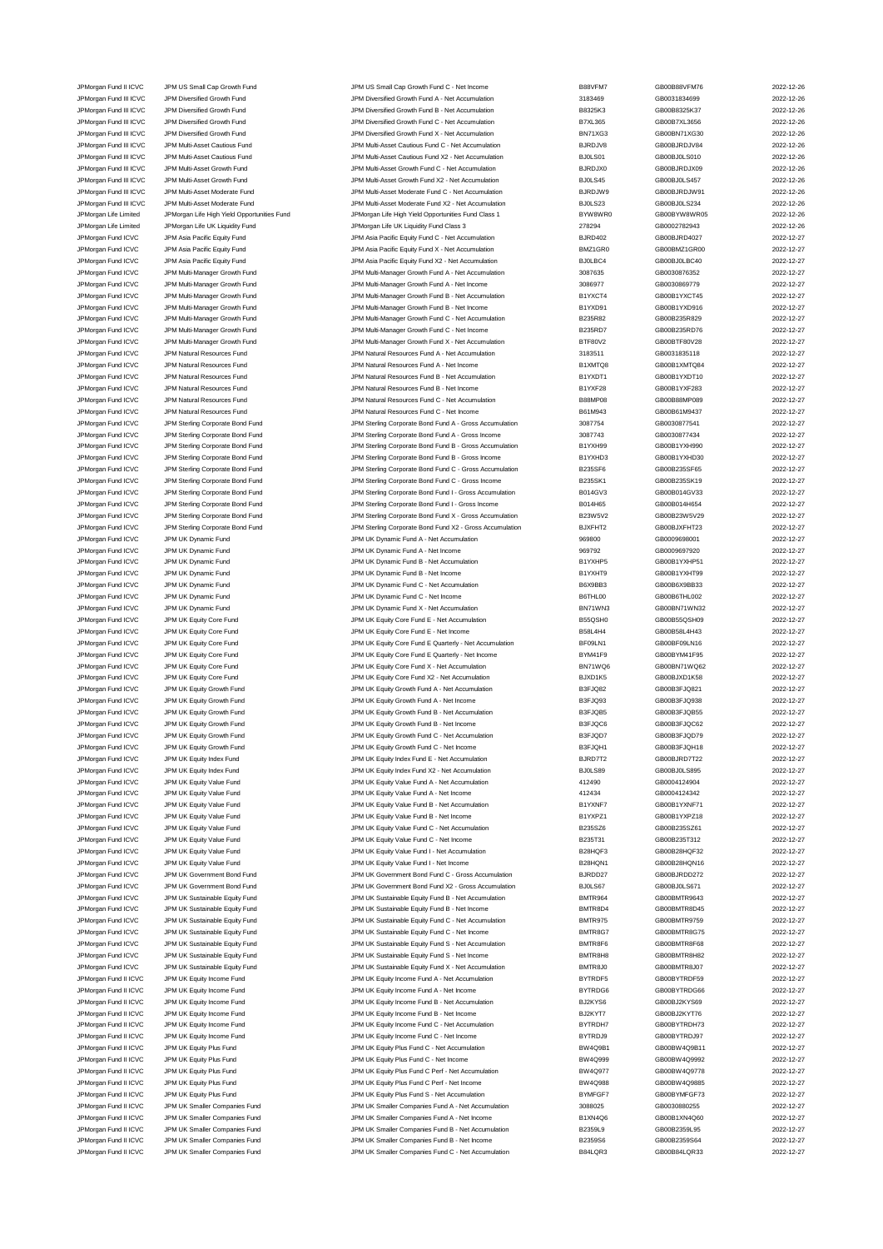| JPMorgan Fund II ICVC  | JPM US Small Cap Growth Fund                | JPM US Small Cap Growth Fund C - Net Income              | B88VFM7        | GB00B88VFM76 | 2022-12-26 |
|------------------------|---------------------------------------------|----------------------------------------------------------|----------------|--------------|------------|
| JPMorgan Fund III ICVC | JPM Diversified Growth Fund                 | JPM Diversified Growth Fund A - Net Accumulation         | 3183469        | GB0031834699 | 2022-12-26 |
| JPMorgan Fund III ICVC | JPM Diversified Growth Fund                 | JPM Diversified Growth Fund B - Net Accumulation         | B8325K3        | GB00B8325K37 | 2022-12-26 |
| JPMorgan Fund III ICVC | JPM Diversified Growth Fund                 | JPM Diversified Growth Fund C - Net Accumulation         | <b>B7XL365</b> | GB00B7XL3656 | 2022-12-26 |
| JPMorgan Fund III ICVC | JPM Diversified Growth Fund                 | JPM Diversified Growth Fund X - Net Accumulation         | BN71XG3        | GB00BN71XG30 | 2022-12-26 |
| JPMorgan Fund III ICVC | JPM Multi-Asset Cautious Fund               | JPM Multi-Asset Cautious Fund C - Net Accumulation       | BJRDJV8        | GB00BJRDJV84 | 2022-12-26 |
| JPMorgan Fund III ICVC | JPM Multi-Asset Cautious Fund               | JPM Multi-Asset Cautious Fund X2 - Net Accumulation      | BJ0LS01        | GB00BJ0LS010 | 2022-12-26 |
| JPMorgan Fund III ICVC | JPM Multi-Asset Growth Fund                 | JPM Multi-Asset Growth Fund C - Net Accumulation         | <b>BJRDJX0</b> | GB00BJRDJX09 | 2022-12-26 |
| JPMorgan Fund III ICVC | JPM Multi-Asset Growth Fund                 | JPM Multi-Asset Growth Fund X2 - Net Accumulation        | BJ0LS45        | GB00BJ0LS457 | 2022-12-26 |
|                        |                                             |                                                          |                |              |            |
| JPMorgan Fund III ICVC | JPM Multi-Asset Moderate Fund               | JPM Multi-Asset Moderate Fund C - Net Accumulation       | BJRDJW9        | GB00BJRDJW91 | 2022-12-26 |
| JPMorgan Fund III ICVC | JPM Multi-Asset Moderate Fund               | JPM Multi-Asset Moderate Fund X2 - Net Accumulation      | BJ0LS23        | GB00BJ0LS234 | 2022-12-26 |
| JPMorgan Life Limited  | JPMorgan Life High Yield Opportunities Fund | JPMorgan Life High Yield Opportunities Fund Class 1      | BYW8WR0        | GB00BYW8WR05 | 2022-12-26 |
| JPMorgan Life Limited  | JPMorgan Life UK Liquidity Fund             | JPMorgan Life UK Liquidity Fund Class 3                  | 278294         | GB0002782943 | 2022-12-26 |
| JPMorgan Fund ICVC     | JPM Asia Pacific Equity Fund                | JPM Asia Pacific Equity Fund C - Net Accumulation        | <b>BJRD402</b> | GB00BJRD4027 | 2022-12-27 |
| JPMorgan Fund ICVC     | JPM Asia Pacific Equity Fund                | JPM Asia Pacific Equity Fund X - Net Accumulation        | BMZ1GR0        | GB00BMZ1GR00 | 2022-12-27 |
|                        |                                             |                                                          |                |              |            |
| JPMorgan Fund ICVC     | JPM Asia Pacific Equity Fund                | JPM Asia Pacific Equity Fund X2 - Net Accumulation       | BJ0LBC4        | GB00BJ0LBC40 | 2022-12-27 |
| JPMorgan Fund ICVC     | JPM Multi-Manager Growth Fund               | JPM Multi-Manager Growth Fund A - Net Accumulation       | 3087635        | GB0030876352 | 2022-12-27 |
| JPMorgan Fund ICVC     | JPM Multi-Manager Growth Fund               | JPM Multi-Manager Growth Fund A - Net Income             | 3086977        | GB0030869779 | 2022-12-27 |
| JPMorgan Fund ICVC     | JPM Multi-Manager Growth Fund               | JPM Multi-Manager Growth Fund B - Net Accumulation       | B1YXCT4        | GB00B1YXCT45 | 2022-12-27 |
| JPMorgan Fund ICVC     | JPM Multi-Manager Growth Fund               | JPM Multi-Manager Growth Fund B - Net Income             | B1YXD91        | GB00B1YXD916 | 2022-12-27 |
| JPMorgan Fund ICVC     | JPM Multi-Manager Growth Fund               | JPM Multi-Manager Growth Fund C - Net Accumulation       | B235R82        | GB00B235R829 | 2022-12-27 |
|                        |                                             |                                                          |                |              |            |
| JPMorgan Fund ICVC     | JPM Multi-Manager Growth Fund               | JPM Multi-Manager Growth Fund C - Net Income             | <b>B235RD7</b> | GB00B235RD76 | 2022-12-27 |
| JPMorgan Fund ICVC     | JPM Multi-Manager Growth Fund               | JPM Multi-Manager Growth Fund X - Net Accumulation       | BTF80V2        | GB00BTF80V28 | 2022-12-27 |
| JPMorgan Fund ICVC     | JPM Natural Resources Fund                  | JPM Natural Resources Fund A - Net Accumulation          | 3183511        | GB0031835118 | 2022-12-27 |
| JPMorgan Fund ICVC     | JPM Natural Resources Fund                  | JPM Natural Resources Fund A - Net Income                | B1XMTQ8        | GB00B1XMTQ84 | 2022-12-27 |
| JPMorgan Fund ICVC     | <b>JPM Natural Resources Fund</b>           | JPM Natural Resources Fund B - Net Accumulation          | B1YXDT1        | GB00B1YXDT10 | 2022-12-27 |
| JPMorgan Fund ICVC     | JPM Natural Resources Fund                  | JPM Natural Resources Fund B - Net Income                | B1YXF28        | GB00B1YXF283 | 2022-12-27 |
|                        |                                             |                                                          |                |              |            |
| JPMorgan Fund ICVC     | JPM Natural Resources Fund                  | JPM Natural Resources Fund C - Net Accumulation          | <b>B88MP08</b> | GB00B88MP089 | 2022-12-27 |
| JPMorgan Fund ICVC     | JPM Natural Resources Fund                  | JPM Natural Resources Fund C - Net Income                | B61M943        | GB00B61M9437 | 2022-12-27 |
| JPMorgan Fund ICVC     | JPM Sterling Corporate Bond Fund            | JPM Sterling Corporate Bond Fund A - Gross Accumulation  | 3087754        | GB0030877541 | 2022-12-27 |
| JPMorgan Fund ICVC     | JPM Sterling Corporate Bond Fund            | JPM Sterling Corporate Bond Fund A - Gross Income        | 3087743        | GB0030877434 | 2022-12-27 |
| JPMorgan Fund ICVC     | JPM Sterling Corporate Bond Fund            | JPM Sterling Corporate Bond Fund B - Gross Accumulation  | B1YXH99        | GB00B1YXH990 | 2022-12-27 |
| JPMorgan Fund ICVC     | JPM Sterling Corporate Bond Fund            | JPM Sterling Corporate Bond Fund B - Gross Income        | B1YXHD3        | GB00B1YXHD30 | 2022-12-27 |
|                        |                                             |                                                          |                |              |            |
| JPMorgan Fund ICVC     | JPM Sterling Corporate Bond Fund            | JPM Sterling Corporate Bond Fund C - Gross Accumulation  | B235SF6        | GB00B235SF65 | 2022-12-27 |
| JPMorgan Fund ICVC     | JPM Sterling Corporate Bond Fund            | JPM Sterling Corporate Bond Fund C - Gross Income        | <b>B235SK1</b> | GB00B235SK19 | 2022-12-27 |
| JPMorgan Fund ICVC     | JPM Sterling Corporate Bond Fund            | JPM Sterling Corporate Bond Fund I - Gross Accumulation  | B014GV3        | GB00B014GV33 | 2022-12-27 |
| JPMorgan Fund ICVC     | JPM Sterling Corporate Bond Fund            | JPM Sterling Corporate Bond Fund I - Gross Income        | B014H65        | GB00B014H654 | 2022-12-27 |
| JPMorgan Fund ICVC     | JPM Sterling Corporate Bond Fund            | JPM Sterling Corporate Bond Fund X - Gross Accumulation  | B23W5V2        | GB00B23W5V29 | 2022-12-27 |
|                        |                                             |                                                          |                |              |            |
| JPMorgan Fund ICVC     | JPM Sterling Corporate Bond Fund            | JPM Sterling Corporate Bond Fund X2 - Gross Accumulation | BJXFHT2        | GB00BJXFHT23 | 2022-12-27 |
| JPMorgan Fund ICVC     | JPM UK Dynamic Fund                         | JPM UK Dynamic Fund A - Net Accumulation                 | 969800         | GB0009698001 | 2022-12-27 |
| JPMorgan Fund ICVC     | JPM UK Dynamic Fund                         | JPM UK Dynamic Fund A - Net Income                       | 969792         | GB0009697920 | 2022-12-27 |
| JPMorgan Fund ICVC     | JPM UK Dynamic Fund                         | JPM UK Dynamic Fund B - Net Accumulation                 | B1YXHP5        | GB00B1YXHP51 | 2022-12-27 |
| JPMorgan Fund ICVC     | JPM UK Dynamic Fund                         | JPM UK Dynamic Fund B - Net Income                       | B1YXHT9        | GB00B1YXHT99 | 2022-12-27 |
| JPMorgan Fund ICVC     | JPM UK Dynamic Fund                         | JPM UK Dynamic Fund C - Net Accumulation                 | B6X9BB3        | GB00B6X9BB33 | 2022-12-27 |
|                        |                                             |                                                          |                |              |            |
| JPMorgan Fund ICVC     | JPM UK Dynamic Fund                         | JPM UK Dynamic Fund C - Net Income                       | B6THL00        | GB00B6THL002 | 2022-12-27 |
| JPMorgan Fund ICVC     | JPM UK Dynamic Fund                         | JPM UK Dynamic Fund X - Net Accumulation                 | BN71WN3        | GB00BN71WN32 | 2022-12-27 |
| JPMorgan Fund ICVC     | JPM UK Equity Core Fund                     | JPM UK Equity Core Fund E - Net Accumulation             | B55QSH0        | GB00B55QSH09 | 2022-12-27 |
| JPMorgan Fund ICVC     | JPM UK Equity Core Fund                     | JPM UK Equity Core Fund E - Net Income                   | <b>B58L4H4</b> | GB00B58L4H43 | 2022-12-27 |
| JPMorgan Fund ICVC     | JPM UK Equity Core Fund                     | JPM UK Equity Core Fund E Quarterly - Net Accumulation   | BF09LN1        | GB00BF09LN16 | 2022-12-27 |
| JPMorgan Fund ICVC     | JPM UK Equity Core Fund                     | JPM UK Equity Core Fund E Quarterly - Net Income         | BYM41F9        | GB00BYM41F95 | 2022-12-27 |
|                        |                                             |                                                          |                |              |            |
| JPMorgan Fund ICVC     | JPM UK Equity Core Fund                     | JPM UK Equity Core Fund X - Net Accumulation             | BN71WQ6        | GB00BN71WQ62 | 2022-12-27 |
| JPMorgan Fund ICVC     | JPM UK Equity Core Fund                     | JPM UK Equity Core Fund X2 - Net Accumulation            | BJXD1K5        | GB00BJXD1K58 | 2022-12-27 |
| JPMorgan Fund ICVC     | JPM UK Equity Growth Fund                   | JPM UK Equity Growth Fund A - Net Accumulation           | B3FJQ82        | GB00B3FJQ821 | 2022-12-27 |
| JPMorgan Fund ICVC     | JPM UK Equity Growth Fund                   | JPM UK Equity Growth Fund A - Net Income                 | B3FJQ93        | GB00B3FJQ938 | 2022-12-27 |
| JPMorgan Fund ICVC     | JPM UK Equity Growth Fund                   | JPM UK Equity Growth Fund B - Net Accumulation           | B3FJQB5        | GB00B3FJQB55 | 2022-12-27 |
| JPMorgan Fund ICVC     | JPM UK Equity Growth Fund                   | JPM UK Equity Growth Fund B - Net Income                 | B3FJQC6        | GB00B3FJQC62 | 2022-12-27 |
|                        |                                             |                                                          |                |              |            |
| JPMorgan Fund ICVC     | JPM UK Equity Growth Fund                   | JPM UK Equity Growth Fund C - Net Accumulation           | B3FJQD7        | GB00B3FJQD79 | 2022-12-27 |
| JPMorgan Fund ICVC     | JPM UK Equity Growth Fund                   | JPM UK Equity Growth Fund C - Net Income                 | B3FJQH1        | GB00B3FJQH18 | 2022-12-27 |
| JPMorgan Fund ICVC     | JPM UK Equity Index Fund                    | JPM UK Equity Index Fund E - Net Accumulation            | BJRD7T2        | GB00BJRD7T22 | 2022-12-27 |
| JPMorgan Fund ICVC     | JPM UK Equity Index Fund                    | JPM UK Equity Index Fund X2 - Net Accumulation           | BJ0LS89        | GB00BJ0LS895 | 2022-12-27 |
| JPMorgan Fund ICVC     | JPM UK Equity Value Fund                    | JPM UK Equity Value Fund A - Net Accumulation            | 412490         | GB0004124904 | 2022-12-27 |
| JPMorgan Fund ICVC     | JPM UK Equity Value Fund                    | JPM UK Equity Value Fund A - Net Income                  | 412434         | GB0004124342 | 2022-12-27 |
|                        |                                             |                                                          |                |              |            |
| JPMorgan Fund ICVC     | JPM UK Equity Value Fund                    | JPM UK Equity Value Fund B - Net Accumulation            | B1YXNF7        | GB00B1YXNF71 | 2022-12-27 |
| JPMorgan Fund ICVC     | JPM UK Equity Value Fund                    | JPM UK Equity Value Fund B - Net Income                  | B1YXPZ1        | GB00B1YXPZ18 | 2022-12-27 |
| JPMorgan Fund ICVC     | JPM UK Equity Value Fund                    | JPM UK Equity Value Fund C - Net Accumulation            | B235SZ6        | GB00B235SZ61 | 2022-12-27 |
| JPMorgan Fund ICVC     | JPM UK Equity Value Fund                    | JPM UK Equity Value Fund C - Net Income                  | B235T31        | GB00B235T312 | 2022-12-27 |
| JPMorgan Fund ICVC     | JPM UK Equity Value Fund                    | JPM UK Equity Value Fund I - Net Accumulation            | B28HQF3        | GB00B28HQF32 | 2022-12-27 |
| JPMorgan Fund ICVC     | JPM UK Equity Value Fund                    | JPM UK Equity Value Fund I - Net Income                  | B28HQN1        | GB00B28HQN16 | 2022-12-27 |
| JPMorgan Fund ICVC     | JPM UK Government Bond Fund                 | JPM UK Government Bond Fund C - Gross Accumulation       | BJRDD27        | GB00BJRDD272 | 2022-12-27 |
|                        | JPM UK Government Bond Fund                 | JPM UK Government Bond Fund X2 - Gross Accumulation      |                |              | 2022-12-27 |
| JPMorgan Fund ICVC     |                                             |                                                          | BJ0LS67        | GB00BJ0LS671 |            |
| JPMorgan Fund ICVC     | JPM UK Sustainable Equity Fund              | JPM UK Sustainable Equity Fund B - Net Accumulation      | <b>BMTR964</b> | GB00BMTR9643 | 2022-12-27 |
| JPMorgan Fund ICVC     | JPM UK Sustainable Equity Fund              | JPM UK Sustainable Equity Fund B - Net Income            | BMTR8D4        | GB00BMTR8D45 | 2022-12-27 |
| JPMorgan Fund ICVC     | JPM UK Sustainable Equity Fund              | JPM UK Sustainable Equity Fund C - Net Accumulation      | <b>BMTR975</b> | GB00BMTR9759 | 2022-12-27 |
| JPMorgan Fund ICVC     | JPM UK Sustainable Equity Fund              | JPM UK Sustainable Equity Fund C - Net Income            | BMTR8G7        | GB00BMTR8G75 | 2022-12-27 |
| JPMorgan Fund ICVC     | JPM UK Sustainable Equity Fund              | JPM UK Sustainable Equity Fund S - Net Accumulation      | BMTR8F6        | GB00BMTR8F68 | 2022-12-27 |
|                        |                                             |                                                          |                |              |            |
| JPMorgan Fund ICVC     | JPM UK Sustainable Equity Fund              | JPM UK Sustainable Equity Fund S - Net Income            | BMTR8H8        | GB00BMTR8H82 | 2022-12-27 |
| JPMorgan Fund ICVC     | JPM UK Sustainable Equity Fund              | JPM UK Sustainable Equity Fund X - Net Accumulation      | BMTR8J0        | GB00BMTR8J07 | 2022-12-27 |
| JPMorgan Fund II ICVC  | JPM UK Equity Income Fund                   | JPM UK Equity Income Fund A - Net Accumulation           | BYTRDF5        | GB00BYTRDF59 | 2022-12-27 |
| JPMorgan Fund II ICVC  | JPM UK Equity Income Fund                   | JPM UK Equity Income Fund A - Net Income                 | BYTRDG6        | GB00BYTRDG66 | 2022-12-27 |
| JPMorgan Fund II ICVC  | JPM UK Equity Income Fund                   | JPM UK Equity Income Fund B - Net Accumulation           | BJ2KYS6        | GB00BJ2KYS69 | 2022-12-27 |
| JPMorgan Fund II ICVC  | JPM UK Equity Income Fund                   | JPM UK Equity Income Fund B - Net Income                 | BJ2KYT7        | GB00BJ2KYT76 | 2022-12-27 |
|                        |                                             |                                                          |                |              |            |
| JPMorgan Fund II ICVC  | JPM UK Equity Income Fund                   | JPM UK Equity Income Fund C - Net Accumulation           | BYTRDH7        | GB00BYTRDH73 | 2022-12-27 |
| JPMorgan Fund II ICVC  | JPM UK Equity Income Fund                   | JPM UK Equity Income Fund C - Net Income                 | BYTRDJ9        | GB00BYTRDJ97 | 2022-12-27 |
| JPMorgan Fund II ICVC  | JPM UK Equity Plus Fund                     | JPM UK Equity Plus Fund C - Net Accumulation             | BW4Q9B1        | GB00BW4Q9B11 | 2022-12-27 |
| JPMorgan Fund II ICVC  | JPM UK Equity Plus Fund                     | JPM UK Equity Plus Fund C - Net Income                   | BW4Q999        | GB00BW4Q9992 | 2022-12-27 |
| JPMorgan Fund II ICVC  | JPM UK Equity Plus Fund                     | JPM UK Equity Plus Fund C Perf - Net Accumulation        | BW4Q977        | GB00BW4Q9778 | 2022-12-27 |
| JPMorgan Fund II ICVC  | JPM UK Equity Plus Fund                     | JPM UK Equity Plus Fund C Perf - Net Income              | <b>BW4Q988</b> | GB00BW4Q9885 | 2022-12-27 |
|                        |                                             |                                                          |                |              |            |
| JPMorgan Fund II ICVC  | JPM UK Equity Plus Fund                     | JPM UK Equity Plus Fund S - Net Accumulation             | BYMFGF7        | GB00BYMFGF73 | 2022-12-27 |
| JPMorgan Fund II ICVC  | JPM UK Smaller Companies Fund               | JPM UK Smaller Companies Fund A - Net Accumulation       | 3088025        | GB0030880255 | 2022-12-27 |
| JPMorgan Fund II ICVC  | JPM UK Smaller Companies Fund               | JPM UK Smaller Companies Fund A - Net Income             | B1XN4Q6        | GB00B1XN4Q60 | 2022-12-27 |
| JPMorgan Fund II ICVC  | JPM UK Smaller Companies Fund               | JPM UK Smaller Companies Fund B - Net Accumulation       | B2359L9        | GB00B2359L95 | 2022-12-27 |
| JPMorgan Fund II ICVC  | JPM UK Smaller Companies Fund               | JPM UK Smaller Companies Fund B - Net Income             | B2359S6        | GB00B2359S64 | 2022-12-27 |
|                        | JPM UK Smaller Companies Fund               | JPM UK Smaller Companies Fund C - Net Accumulation       | B84LQR3        | GB00B84LQR33 | 2022-12-27 |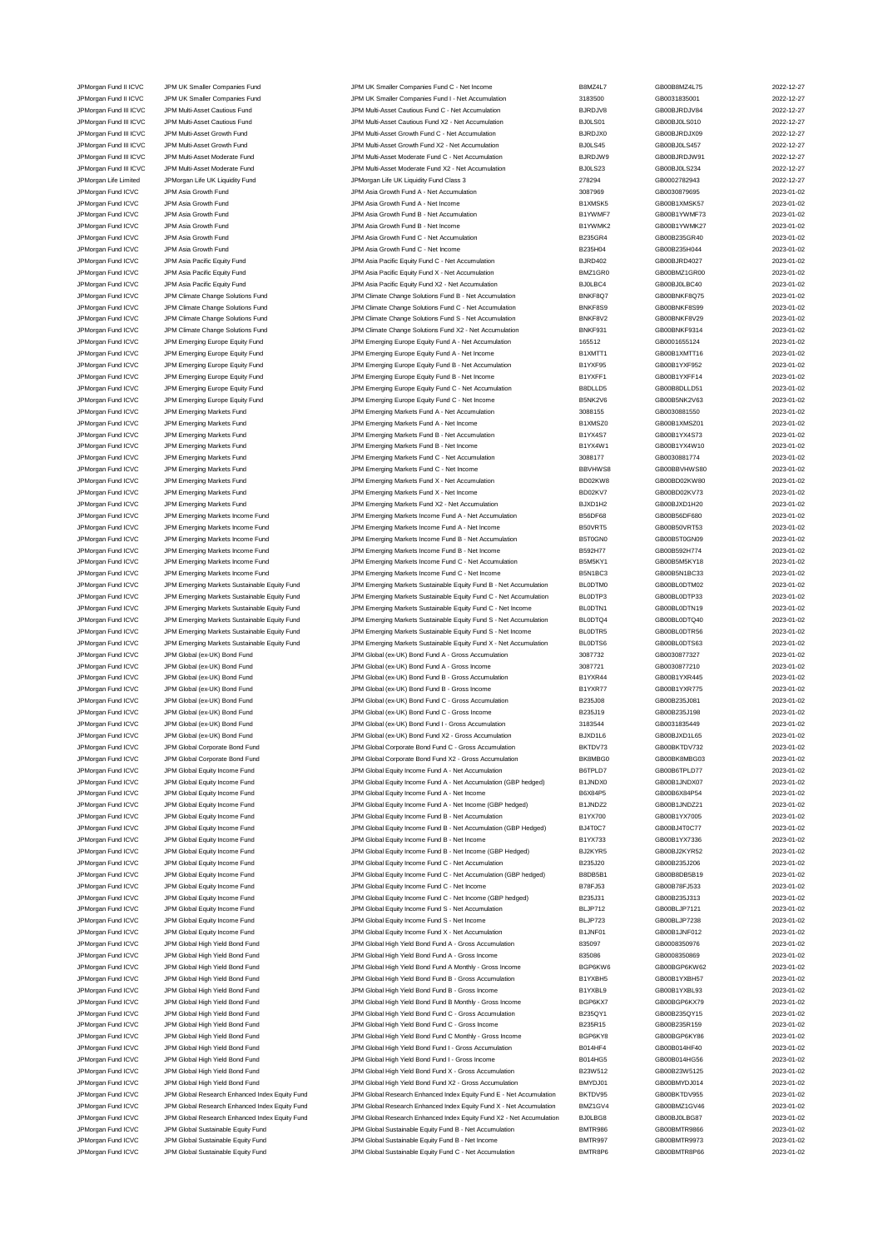JPMorgan Fund II ICVC JPM UK Smaller Companies Fund JPM UK Smaller Companies Fund C - Net Income B8MZ4L7 GB00B8MZ4L75 2022-12-27<br>JPM URG JPM UR Smaller Companies Fund JPM UK Smaller Companies Fund I - Net Accumulation 3183 JPM UK Smaller Companies Fund JPM UK Smaller Companies Fund I - Net Accumulation 3183500 GB0031835001 CB0031835001 2022-12-27 JPMorgan Fund III ICVC JPM Multi-Asset Cautious Fund JPM Multi-Asset Cautious Fund C - Net Accumulation BJRDJV8 GB00BJRDJV84 2022-12-27 JPMorgan Fund III ICVC JPM Multi-Asset Cautious Fund JPM Multi-Asset Cautious Fund X2 - Net Accumulation BJ0LS01 GB00BJ0LS010 2022-12-27 JPMorgan Fund III ICVC JPM Multi-Asset Growth Fund JPM Multi-Asset Growth Fund C - Net Accumulation BJRDJX0 GB00BJRDJX09 2022-12-27 JPMorgan Fund III ICVC JPM Multi-Asset Growth Fund JPM Multi-Asset Growth Fund X2 - Net Accumulation BJ0LS45 GB00BJ0LS457 2022-12-27 JPMorgan Fund III ICVC JPM Multi-Asset Moderate Fund JPM Multi-Asset Moderate Fund C - Net Accumulation BJRDJW9 GB00BJRDJW91 2022-12-27 JPMorgan Fund III ICVC JPM Multi-Asset Moderate Fund JPM Multi-Asset Moderate Fund X2 - Net Accumulation BJ0LS23 GB00BJ0LS234 2022-12-27 JPMorgan Life Limited JPMorgan Life UK Liquidity Fund JPMorgan Life UK Liquidity Fund Class 3 278294 GB0002782943 2022-12-27 JPMorgan Fund ICVC JPM Asia Growth Fund JPM Asia Growth Fund A - Net Accumulation 3087969 GB0030879695 2023-01-02 JPMorgan Fund ICVC JPM Asia Growth Fund JPM Asia Growth Fund A - Net Income B1XMSK5 GB00B1XMSK57 2023-01-02 JPMorgan Fund ICVC JPM Asia Growth Fund JPM Asia Growth Fund B - Net Accumulation B1YWMF7 GB00B1YWMF73 2023-01-02 JPMorgan Fund ICVC JPM Asia Growth Fund Strowth Fund B - Net Income COMB1 - Maximum B1YWMK2 GB00B1YWMK27 2023-01-02<br>JPM Asia Growth Fund JPM Asia Growth Fund JPM Asia Growth Fund C - Net Accumulation B235GR4 GB00B235GR40 G JPM Asia Growth Fund C - Net Accumu JPM Asia Growth Fund JPM Asia Growth Fund JPM Asia Growth Fund C - Net Income B235H04 B235H04 GB00B235H044 2023-01-02 JPMorgan Fund ICVC JPM Asia Pacific Equity Fund JPM Asia Pacific Equity Fund C - Net Accumulation BJRD402 GB00BJRD4027 CBD0BJRD4027 2023-01-02<br>JPM Asia Pacific Equity Fund JPM Asia Pacific Equity Fund X - Net Accumulation JPMorgan Fund ICVC JPM Asia Pacific Equity Fund JPM Asia Pacific Equity Fund X - Net Accumulation BMZ1GR0 GB00BMZ1GR00 2023-01-02<br>JPM Asia Pacific Equity Fund JPM Asia Pacific Equity Fund X2 - Net Accumulation BJ0LBC4 GB00 JPM Asia Pacific Equity Fund JPM Asia Pacific Equity Fund X2 - Net Accumulation BJ0LBC4 GB00BJ0LBC40 CB00BJ0LBC40 2023-01-02 JPMorgan Fund ICVC JPM Climate Change Solutions Fund JPM Climate Change Solutions Fund B - Net Accumulation and CHC HRKF8Q7 GB00BNKF8Q75 2023-01-02<br>JPM Climate Change Solutions Fund JPM Climate Change Solutions Fund C - Ne JPMorgan Fund ICVC JPM Climate Change Solutions Fund JPM Climate Change Solutions Fund C - Net Accumulation BNKF8S9 GB00BNKF8S99 2023-01-02 JPM Cromations Fund ICVC JPM Climate Change Solutions Fund State Change Solutions Fund S - Net Accumulation<br>JPM Climate Change Solutions Fund JPM Climate Change Solutions Fund X2 - Net Accumulation BNKF931 GB00BNKF9314<br>JPM JPM Climate Change Solutions Fund JPM Climate Change Solutions Fund JPM Climate Change Solutions Fund X2 - Net Accumulation JPMorgan Fund ICVC JPM Emerging Europe Equity Fund JPM Emerging Europe Equity Fund A - Net Accumulation 165512<br>JPM Emerging Europe Equity Fund JPM Emerging Europe Equity Fund A - Net Income 165512 B1XMTT1 GB00B1XMTT16 2023 JPM Emerging Europe Equity Fund A - Net Income B1XMTT1 GB00B1XMTT16 CB00B1XMTT16 2023-01-02 JPMorgan Fund ICVC JPM Emerging Europe Equity Fund JPM Emerging Europe Equity Fund B - Net Accumulation B1YXF95 GB00B1YXF952 2023-01-02 JPMorgan Fund ICVC JPM Emerging Europe Equity Fund JPM Emerging Europe Equity Fund B - Net Income B1YXFF1 GB00B1YXFF14 2023-01-02<br>JPM Emerging Europe Equity Fund JPM Emerging Europe Equity Fund C - Net Accumulation BBDLLD5 JPM Emerging Europe Equity Fund C - Net Accumu JPMorgan Fund ICVC JPM Emerging Europe Equity Fund JPM Emerging Europe Equity Fund C - Net Income B5NK2V6 GB00B5NK2V63 2023-01-02<br>JPM Emerging Markets Fund JPM Emerging Markets Fund A - Net Accumulation 3088155 GB003088155 JPM Emerging Markets Fund A - Net Accumulation 3088155 GB0030881550 JPMorgan Fund ICVC JPM Emerging Markets Fund JPM Emerging Markets Fund A - Net Income B1XMSZ0 GB00B1XMSZ01 2023-01-02 JPMorgan Fund ICVC JPM Emerging Markets Fund JPM Emerging Markets Fund B - Net Accumulation B1YX4S7 GB00B1YX4S73 2023-01-02 JPM Emerging Markets Fund B - Net Income JPMorgan Fund ICVC JPM Emerging Markets Fund JPM Emerging Markets Fund C - Net Accumulation 3088177 GB0030881774 2023-01-02 JPMorgan Fund ICVC JPM Emerging Markets Fund JPM Emerging Markets Fund C - Net Income BBVHWS8 GB00BBVHWS80 2023-01-02 JPMorgan Fund ICVC JPM Emerging Markets Fund JPM Emerging Markets Fund X - Net Accumulation BD02KW8 GB00BD02KW80 2023-01-02 JPMorgan Fund ICVC JPM Emerging Markets Fund JPM Emerging Markets Fund X - Net Income BD02KV7 GB00BD02KV73 2023-01-02 JPMorgan Fund ICVC JPM Emerging Markets Fund JPM Emerging Markets Fund X2 - Net Accumulation BJXD1H2 GB00BJXD1H20 2023-01-02<br>JPM Emerging Markets Income Fund JPM Emerging Markets Income Fund A - Net Accumulation B56DF68 GB JPMorgan Fund ICVC JPM Emerging Markets Income Fund JPM Emerging Markets Income Fund A - Net Accumulation B56DF68 GB00B56DF680 2023-01-02 JPMorgan Fund ICVC JPM Emerging Markets Income Fund JPM Emerging Markets Income Fund A - Net Income B50VRT5 GB00B50VRT53 2023-01-02 JPMorgan Fund ICVC JPM Emerging Markets Income Fund JPM Emerging Markets Income Fund B - Net Accumulation B5T0GN0 GB00B5T0GN09 2023-01-02 JPMorgan Fund ICVC JPM Emerging Markets Income Fund JPM Emerging Markets Income Fund B - Net Income B592H77 GB00B592H774 2023-01-02 JPMorgan Fund ICVC JPM Emerging Markets Income Fund JPM Emerging Markets Income Fund C - Net Accumulation B5M5KY1 GB00B5M5KY18 2023-01-02<br>JPM organ Fund ICVC JPM Emerging Markets Income Fund JPM Emerging Markets Income Fun JPMorgan Fund ICVC JPM Emerging Markets Income Fund JPM Emerging Markets Income Fund C - Net Income B5N1BC3 GB00B5N1BC33 2023-01-02 JPMorgan Fund ICVC JPM Emerging Markets Sustainable Equity Fund JPM Emerging Markets Sustainable Equity Fund B - Net Accumulation BL0DTM0 GB00BL0DTM02 2023-01-02 JPMorgan Fund ICVC JPM Emerging Markets Sustainable Equity Fund JPM Emerging Markets Sustainable Equity Fund C - Net Accumulation BL0DTP3 GB00BL0DTP33 2023-01-02 JPMorgan Fund ICVC JPM Emerging Markets Sustainable Equity Fund JPM Emerging Markets Sustainable Equity Fund C - Net Income BL0DTN1 GB00BL0DTN19 2023-01-02 JPMorgan Fund ICVC JPM Emerging Markets Sustainable Equity Fund JPM Emerging Markets Sustainable Equity Fund S - Net Accumulation BL0DTQ4 GB00BL0DTQ40 2023-01-02 JPMorgan Fund ICVC JPM Emerging Markets Sustainable Equity Fund JPM Emerging Markets Sustainable Equity Fund S - Net Income BL0DTR5 GB00BL0DTR56 2023-01-02<br>JPM Emerging Markets Sustainable Equity Fund JPM Emerging Markets JPMorgan Fund ICVC JPM Emerging Markets Sustainable Equity Fund JPM Emerging Markets Sustainable Equity Fund X - Net Accumulation BL0DTS6 GB00BL0DTS63 2023-01-02 JPMorgan Fund ICVC JPM Global (ex-UK) Bond Fund JPM Global (ex-UK) Bond Fund A - Gross Accumulation 3087732 GB0030877327 2023-01-02 JPMorgan Fund ICVC JPM Global (ex-UK) Bond Fund JPM Global (ex-UK) Bond Fund A - Gross Income 3087721 GB0030877210 2023-01-02 JPMorgan Fund ICVC JPM Global (ex-UK) Bond Fund JPM Global (ex-UK) Bond Fund B - Gross Accumulation B1YXR44 GB00B1YXR445 2023-01-02 JPMorgan Fund ICVC JPM Global (ex-UK) Bond Fund JPM Global (ex-UK) Bond Fund B - Gross Income B1YXR77 GB00B1YXR775 2023-01-02 JPMorgan Fund ICVC JPM Global (ex-UK) Bond Fund JPM Global (ex-UK) Bond Fund C - Gross Accumulation B235J08 GB00B235J081 2023-01-02 JPMorgan Fund ICVC JPM Global (ex-UK) Bond Fund JPM Global (ex-UK) Bond Fund C - Gross Income B235J19 GB00B235J198 2023-01-02 JPM Global (ex-UK) Bond Fund I - Gross Accumulation JPMorgan Fund ICVC JPM Global (ex-UK) Bond Fund JPM Global (ex-UK) Bond Fund X2 - Gross Accumulation BJXD1L6 GB00BJXD1L65 2023-01-02 JPMorgan Fund ICVC JPM Global Corporate Bond Fund JPM Global Corporate Bond Fund C - Gross Accumulation BKTDV73 GB00BKTDV732 2023-01-02<br>JPM Group JPM Global Corporate Bond Fund JPM Global Corporate Bond Fund X2 - Gross Acc JPM Global Corporate Bond Fund X2 - Gross Accumu JPMorgan Fund ICVC JPM Global Equity Income Fund JPM Global Equity Income Fund A - Net Accumulation B6TPLD7 GB00B6TPLD77 2023-01-02 JPMorgan Fund ICVC JPM Global Equity Income Fund JPM Global Equity Income Fund A - Net Accumulation (GBP hedged) B1JNDX0 GB00B1JNDX07 2023-01-02 JPMorgan Fund ICVC JPM Global Equity Income Fund JPM Global Equity Income Fund A - Net Income B6X84P5 GB00B6X84P54 2023-01-02 JPMorgan Fund ICVC JPM Global Equity Income Fund JPM Global Equity Income Fund A - Net Income (GBP hedged) B1JNDZ2 GB00B1JNDZ21 2023-01-02 JPMorgan Fund ICVC JPM Global Equity Income Fund States and Development Development Development Development Development Development Development Development Development Development Development Development Development Develo JPMorgan Fund ICVC JPM Global Equity Income Fund JPM Global Equity Income Fund B - Net Accumulation (GBP Hedged) BJ4T0C7 GB00BJ4T0C77 2023-01-02 JPMorgan Fund ICVC JPM Global Equity Income Fund Server And Development Development Development Development Development B - Net Income Bund B - Net Income Bund B - Net Income Bund B - Net Income Bund B - Net Income Bund B JPMorgan Fund ICVC JPM Global Equity Income Fund Section 100 Clobal Equity Income Fund B - Net Income (GBP Hedged) BJ2KYR5 GB00BJ2KYR52 2023-01-02 JPMorgan Fund ICVC JPM Global Equity Income Fund C - Metal Accumulation C - Net Accumulation B235J20 GB00B235J206 2023-01-02 JPMorgan Fund ICVC JPM Global Equity Income Fund JPM Global Equity Income Fund C - Net Accumulation (GBP hedged) B8DB5B1 GB00B8DB5B19 2023-01-02<br>JPM Global Equity Income Fund JPM Global Equity Income Fund C - Net Income B7 JPMorgan Fund ICVC JPM Global Equity Income Fund JPM Global Equity Income Fund C - Net Income B78FJ53 GB00B78FJ533 2023-01-02 JPMorgan Fund ICVC JPM Global Equity Income Fund JPM Global Equity Income Fund C - Net Income (GBP hedged) B235J31 GB00B235J313 2023-01-02 JPMorgan Fund ICVC JPM Global Equity Income Fund JPM Global Equity Income Fund S - Net Accumulation BLJP712 GB00BLJP7121 2023-01-02 JPMorgan Fund ICVC JPM Global Equity Income Fund JPM Global Equity Income Fund S - Net Income BLJP723 GB00BLJP7238 2023-01-02 JPMorgan Fund ICVC JPM Global Equity Income Fund JPM Global Equity Income Fund X - Net Accumulation B1JNF01 GB00B1JNF012 2023-01-02 JPMorgan Fund ICVC JPM Global High Yield Bond Fund JPM Global High Yield Bond Fund A - Gross Accumulation 835097 GB0008350976 2023-01-02 JPMorgan Fund ICVC JPM Global High Yield Bond Fund JPM Global High Yield Bond Fund A - Gross Income 835086 GB0008350869 2023-01-02 JPMorgan Fund ICVC JPM Global High Yield Bond Fund JPM Global High Yield Bond Fund A Monthly - Gross Income BGP6KW6 GB00BGP6KW62 2023-01-02 JPMorgan Fund ICVC JPM Global High Yield Bond Fund JPM Global High Yield Bond Fund B - Gross Accumulation B1YXBH5 GB00B1YXBH57 2023-01-02 JPMorgan Fund ICVC JPM Global High Yield Bond Fund JPM Global High Yield Bond Fund B - Gross Income B1YXBL9 GB00B1YXBL93 2023-01-02 JPMorgan Fund ICVC JPM Global High Yield Bond Fund JPM Global High Yield Bond Fund B Monthly - Gross Income BGP6KX7 GB00BGP6KX79 2023-01-02 JPM Global High Yield Bond Fund JPM Global High Yield Bond Fund JPM Global High Yield Bond Fund C - Gross Accumulation JPMorgan Fund ICVC JPM Global High Yield Bond Fund JPM Global High Yield Bond Fund C - Gross Income B235R15 GB00B235R159 2023-01-02<br>JPM Group JPM Global High Yield Bond Fund JPM Global High Yield Bond Fund C Monthly - Gros JPMorgan Fund ICVC JPM Global High Yield Bond Fund State of JPM Global High Yield Bond Fund C Monthly - Gross Income BGP6KY8 GB00BGP6KY86 2023-01-02<br>JPM Group JPM Global High Yield Bond Fund JPM Global High Yield Bond Fund JPM Global High Yield Bond Fund JPM Global High Yield Bond Fund I - Gross Accumulation B014HF4 GB00B014HF40 2023-01-02<br>JPM Global High Yield Bond Fund 2023-01-02 JPMorgan Fund ICVC JPM Global High Yield Bond Fund JPM Global High Yield Bond Fund I - Gross Income B014HG5 GB00B014HG56 SB00B014HG56 2023-01-02<br>JPM Glorgan Fund ICVC JPM Global High Yield Bond Fund JPM Global High Yield B JPM Global High Yield Bond Fund X - Gross Accumul JPMorgan Fund ICVC JPM Global High Yield Bond Fund JPM Global Migh Yield Bond Fund X2 - Gross Accumulation BMYDJ01 GB00BMYDJ014 2023-01-02<br>JPM Group JPM Global Research Enhanced Index Equity Fund JPM Global Research Enhanc JPM Global Research Enhanced Index Equity Fund JPM Global Research Enhanced Index Equity Fund E - Net Accumulation BKTDV95 GB00BKTDV955 2023-01-02 JPMorgan Fund ICVC JPM Global Research Enhanced Index Equity Fund JPM Global Research Enhanced Index Equity Fund X - Net Accumulation BMZ1GV4 GB00BMZ1GV46 2023-01-02 JPMorgan Fund ICVC JPM Global Research Enhanced Index Equity Fund JPM Global Research Enhanced Index Equity Fund X2 - Net Accumulation BJ0LBG8 GB00BJ0LBG87 2023-01-02<br>JPM Gram Indie Computer States of the Sund Accumulation JPM Global Sustainable Equity Fund B - Net Accum JPMorgan Fund ICVC JPM Global Sustainable Equity Fund JPM Global Sustainable Equity Fund B - Net Income BMTR997 GB00BMTR9973 2023-01-02 JPMorgan Fund ICVC JPM Global Sustainable Equity Fund C - MC JPM Global Sustainable Equity Fund C - Net Accumulation BMTR8P6 GB00BMTR8P6 GB00BMTR8P6 2023-01-02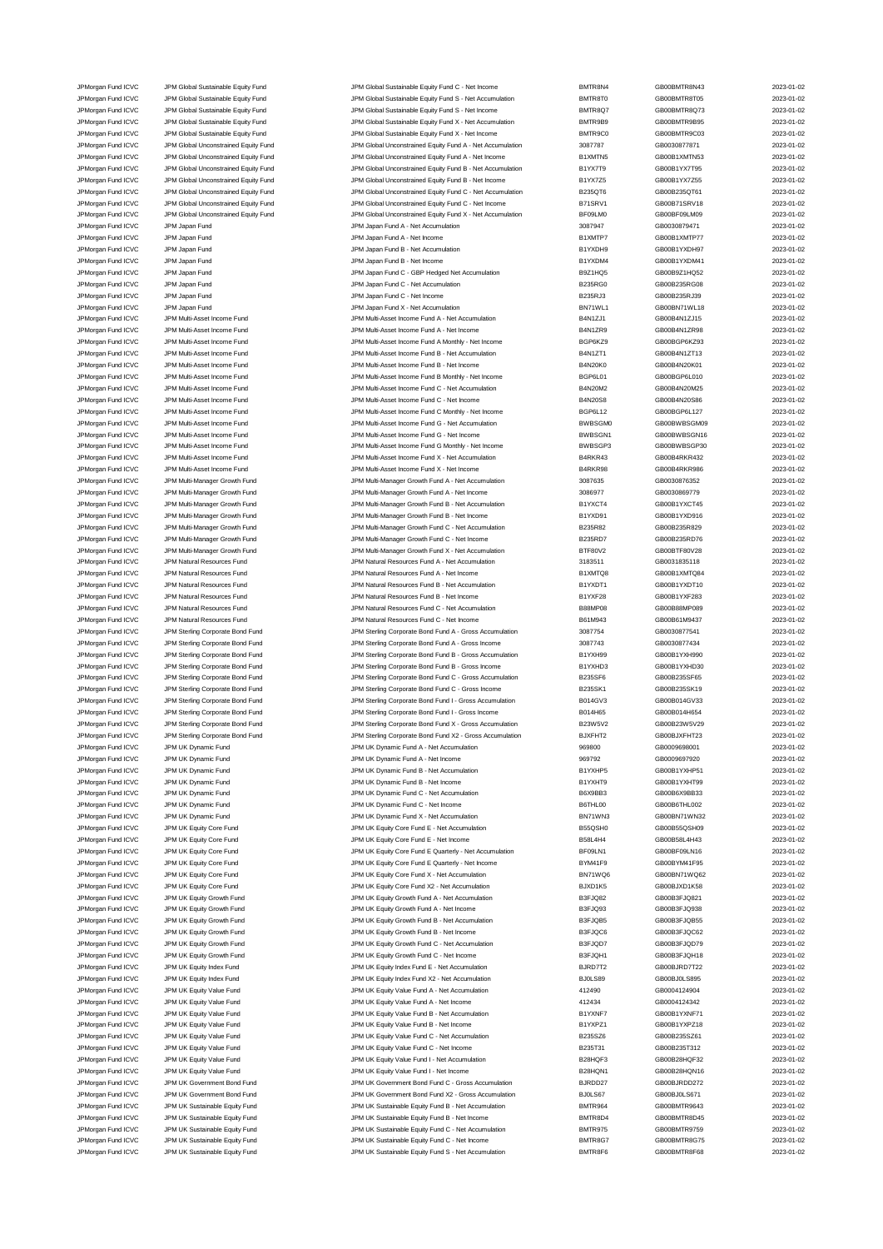JPM Global Sustainable Equity Fund **ICV COVER SUSTAINE SUSTAINE SUSTAINE SUSTAINE SUSTAINE SUSTAINE SUSTAINER SUSTAINER SUSTAINER SUSTAINER SUSTAINER SUSTAINER SUSTAINER SUSTAINER SUSTAINER SUSTAINER SUSTAINER SUSTAINER SU** JPMorgan Fund ICVC JPM Global Sustainable Equity Fund JPM Global Sustainable Equity Fund S - Net Income BMTR8Q7 GB00BMTR8Q73 2023-01-02 JPMorgan Fund ICVC JPM Global Sustainable Equity Fund JPM Global Sustainable Equity Fund X - Net Accumulation BMTR9B9 GB00BMTR9B95 2023-01-02 JPMorgan Fund ICVC JPM Global Sustainable Equity Fund Sustainable Authority Fund A - Net Income BMTR9C0 BOODMTR9C03<br>JPM GB0030877871 CDM Global Unconstrained Equity Fund JPM Global Unconstrained Equity Fund A - Net Accumul JPMorgan Fund ICVC JPM Global Unconstrained Equity Fund JPM Global Unconstrained Equity Fund A - Net Accumulation 3087787 GB0030877871 CB0030877871 2023-01-02 JPMorgan Fund ICVC JPM Global Unconstrained Equity Fund JPM Global Unconstrained Equity Fund A - Net Income B1XMTN5 GB00B1XMTN53 2023-01-02 JPM Group JPM Global Unconstrained Equity Fund JPM Global Unconstrained Equity Fund B - Net Accumulation B1YX7T9 GB00B1YX7T95 2023-01-02<br>JPM Group JPM Global Unconstrained Equity Fund JPM Global Unconstrained Equity Fund B JPMorgan Fund ICVC JPM Global Unconstrained Equity Fund JPM Global Unconstrained Equity Fund B - Net Income B1YX7Z5 GB00B1YX7Z55 GB00B1YX7Z55 2023-01-02 JPMorgan Fund ICVC JPM Global Unconstrained Equity Fund JPM Global Unconstrained Equity Fund C - Net Accumulation<br>JPM Group Train JPM Global Unconstrained Equity Fund JPM Global Unconstrained Equity Fund C - Net Income B71 JPM Global Unconstrained Equity Fund C - Net Income B71SRV1 BROOB71SRV1 GB00B71SRV18 2023-01-02 JPMorgan Fund ICVC JPM Global Unconstrained Equity Fund JPM Global Unconstrained Equity Fund X - Net Accumulation BF09LM0 GB00BF09LM09 2023-01-02 JPMorgan Fund ICVC JPM Japan Fund JPM Japan Fund A - Net Accumulation 3087947 GB0030879471 2023-01-02 JPM Japan Fund A - Net Income JPMorgan Fund ICVC JPM Japan Fund JPM Japan Fund B - Net Accumulation B1YXDH9 GB00B1YXDH97 2023-01-02 JPMorgan Fund ICVC JPM Japan Fund JPM Japan Fund B - Net Income B1YXDM4 GB00B1YXDM41 2023-01-02 JPMorgan Fund ICVC JPM Japan Fund JPM Japan Fund C - GBP Hedged Net Accumulation B9Z1HQ5 GB00B9Z1HQ52 2023-01-02 JPMorgan Fund ICVC JPM Japan Fund JPM Japan Fund C - Net Accumulation B235RG0 GB00B235RG08 2023-01-02 JPMorgan Fund ICVC JPM Japan Fund JPM Japan Fund C - Net Income B235RJ3 GB00B235RJ39 2023-01-02 JPMorgan Fund ICVC JPM Japan Fund JPM Japan Fund X - Net Accumulation BN71WL1 GB00BN71WL18 2023-01-02 JPMorgan Fund ICVC JPM Multi-Asset Income Fund JPM Multi-Asset Income Fund A - Net Accumulation B4N1ZJ1 GB00B4N1ZJ15 2023-01-02 JPM Multi-Asset Income Fund ICVC JPM Multi-Asset Income Fund JPM Multi-Asset Income Fund A - Net Income JPMorgan Fund ICVC JPM Multi-Asset Income Fund JPM Multi-Asset Income Fund A Monthly - Net Income BGP6KZ9 GB00BGP6KZ93 2023-01-02 JPMorgan Fund ICVC JPM Multi-Asset Income Fund JPM Multi-Asset Income Fund B - Net Accumulation B4N1ZT1 GB00B4N1ZT13 2023-01-02 JPMorgan Fund ICVC JPM Multi-Asset Income Fund JPM Multi-Asset Income Fund B - Net Income B4N20K0 GB00B4N20K01 2023-01-02 JPMorgan Fund ICVC JPM Multi-Asset Income Fund JPM Multi-Asset Income Fund B Monthly - Net Income BGP6L01 GB00BGP6L010 2023-01-02 JPM Multi-Asset Income Fund C - Net Accumulation JPMorgan Fund ICVC JPM Multi-Asset Income Fund JPM Multi-Asset Income Fund C - Net Income B4N20S8 GB00B4N20S86 2023-01-02 JPM Multi-Asset Income Fund C Monthly - Net Income JPMorgan Fund ICVC JPM Multi-Asset Income Fund Come Current Come Fund G - Net Accumulation BWBSGM0 GB00BWBSGM09 2023-01-02 JPMorgan Fund ICVC JPM Multi-Asset Income Fund JPM Multi-Asset Income Fund G - Net Income BWBSGN1 GB00BWBSGN16 2023-01-02 JPM Multi-Asset Income Fund G Monthly - Net In JPMorgan Fund ICVC JPM Multi-Asset Income Fund JPM Multi-Asset Income Fund X - Net Accumulation B4RKR43 GB00B4RKR432 2023-01-02 JPMorgan Fund ICVC JPM Multi-Asset Income Fund JPM Multi-Asset Income Fund X - Net Income B4RKR98 GB00B4RKR986 2023-01-02 JPM Multi-Manager Growth Fund JPM Multi-Manager Growth Fund A - Net Accumulation 3087635 GB0030876352 2023-01-02<br>19 JPM JPM Multi-Manager Growth Fund JPM Multi-Manager Growth Fund A - Net Income 3086977 GB0030869779 3083-JPMorgan Fund ICVC JPM Multi-Manager Growth Fund JPM Multi-Manager Growth Fund A - Net Income 3086977 GB0030869779 2023-01-02 JPMorgan Fund ICVC JPM Multi-Manager Growth Fund JPM Multi-Manager Growth Fund B - Net Accumulation B1YXCT4 GB00B1YXCT45 2023-01-02<br>JPM Multi-Manager Growth Fund JPM Multi-Manager Growth Fund B - Net Income B1YXD91 GB00B1Y JPMorgan Fund ICVC JPM Multi-Manager Growth Fund JPM Multi-Manager Growth Fund B - Net Income B1YXD91 GB00B1YXD916 2023-01-02 JPMorgan Fund ICVC JPM Multi-Manager Growth Fund JPM Multi-Manager Growth Fund C - Net Accumulation B235R82 GB00B235R829 2023-01-02 JPMorgan Fund ICVC JPM Multi-Manager Growth Fund JPM Multi-Manager Growth Fund C - Net Income B235RD7 GB00B235RD76 2023-01-02<br>JPM JPM JPM Multi-Manager Growth Fund JPM Multi-Manager Growth Fund X - Net Accumulation BTF80V2 JPMorgan Fund ICVC JPM Multi-Manager Growth Fund JPM Multi-Manager Growth Fund X - Net Accumulation BTF80V2 GB00BTF80V28 2023-01-02 JPMorgan Fund ICVC JPM Natural Resources Fund JPM Natural Resources Fund A - Net Accumulation 3183511 GB0031835118 2023-01-02 JPMorgan Fund ICVC JPM Natural Resources Fund JPM Natural Resources Fund A - Net Income B1XMTQ8 GB00B1XMTQ84 2023-01-02 JPMorgan Fund ICVC JPM Natural Resources Fund JPM Natural Resources Fund B - Net Accumulation B1YXDT1 GB00B1YXDT10 2023-01-02 JPMorgan Fund ICVC JPM Natural Resources Fund JPM Natural Resources Fund B - Net Income B1YXF28 GB00B1YXF283 2023-01-02 JPMorgan Fund ICVC JPM Natural Resources Fund JPM Natural Resources Fund C - Net Accumulation B88MP08 GB00B88MP089 2023-01-02 JPM Natural Resources Fund JPM Natural Resources Fund C - Net Income B61M943 GB00B61M9437 GB00B61M9437 2023-01-02 JPMorgan Fund ICVC JPM Sterling Corporate Bond Fund JPM Sterling Corporate Bond Fund A - Gross Accumulation 3087754 GB0030877541 2023-01-02 JPMorgan Fund ICVC JPM Sterling Corporate Bond Fund JPM Sterling Corporate Bond Fund A - Gross Income 3087743 GB0030877434 2023-01-02 JPMorgan Fund ICVC JPM Sterling Corporate Bond Fund JPM Sterling Corporate Bond Fund B - Gross Accumulation B1YXH99 GB00B1YXH990 2023-01-02 JPMorgan Fund ICVC JPM Sterling Corporate Bond Fund JPM Sterling Corporate Bond Fund B - Gross Income B1YXHD3 GB00B1YXHD30 2023-01-02<br>JPM Sterling Corporate Bond Fund JPM Sterling Corporate Bond Fund C - Gross Accumulation JPMorgan Fund ICVC JPM Sterling Corporate Bond Fund JPM Sterling Corporate Bond Fund C - Gross Accumulation B235SF6 GB00B235SF65 2023-01-02 JPMorgan Fund ICVC JPM Sterling Corporate Bond Fund JPM Sterling Corporate Bond Fund C - Gross Income B235SK1 GB00B235SK19 2023-01-02 JPMorgan Fund ICVC JPM Sterling Corporate Bond Fund JPM Sterling Corporate Bond Fund I - Gross Accumulation B014GV3 GB00B014GV33 2023-01-02<br>JPM Sterling Corporate Bond Fund JPM Sterling Corporate Bond Fund I - Gross Income JPMorgan Fund ICVC JPM Sterling Corporate Bond Fund JPM Sterling Corporate Bond Fund I - Gross Income Bond Heat<br>JPM Sterling Corporate Bond Fund JPM Sterling Corporate Bond Fund X - Gross Accumulation B23W5V2 GB00B23W5V29 JPM Sterling Corporate Bond Fund JPM Sterling Corporate Bond Fund JPM Sterling Corporate Bond Fund X - Gross Accumulation JPM Sterling Corporate Bond Fund X - Gross Accumulation B23W5V2 GB008 2023-01-023 2023-023 2023-023-JPMorgan Fund ICVC JPM Sterling Corporate Bond Fund JPM Sterling Corporate Bond Fund X2 - Gross Accumulation BJXFHT2 GB00BJXFHT23 2023-01-02 JPMorgan Fund ICVC JPM UK Dynamic Fund JPM UK Dynamic Fund A - Net Accumulation 969800 GB0009698001 2023-01-02 JPM UK Dynamic Fund A - Net Income JPMorgan Fund ICVC JPM UK Dynamic Fund JPM UK Dynamic Fund B - Net Accumulation B1YXHP5 GB00B1YXHP51 2023-01-02 JPMorgan Fund ICVC JPM UK Dynamic Fund CO23-01-02<br>JPM UK Dynamic Fund CO23-01-02 JPMorgan Fund ICVC JPM UK Dynamic Fund CO23-01-02<br>JPM UK Dynamic Fund Company of Accumulation B6X9BB3 GB00B6X9BB33 GB00B6X9BB33 2023-01-02 JPM UK Dynamic Fund JPM UK Dynamic Fund JPM UK Dynamic Fund C - Net Income B6THL00 GB00B6THL002 CB00B6THL002 2023-01-02 JPMorgan Fund ICVC JPM UK Dynamic Fund JPM UK Dynamic Fund X - Net Accumulation BN71WN3 GB00BN71WN32 2023-01-02 JPMorgan Fund ICVC JPM UK Equity Core Fund JPM UK Equity Core Fund E - Net Accumulation B55QSH0 GB00B55QSH09 2023-01-02 JPMorgan Fund ICVC JPM UK Equity Core Fund JPM UK Equity Core Fund E - Net Income B58L4H4 B58L4H4 GB00B58L4H43 2023-01-02 JPMorgan Fund ICVC JPM UK Equity Core Fund JPM UK Equity Core Fund E Quarterly - Net Accumulation BF09LN1 GB00BF09LN16 2023-01-02 JPMorgan Fund ICVC JPM UK Equity Core Fund JPM UK Equity Core Fund E Quarterly - Net Income BYM41F9 GB00BYM41F95 2023-01-02 JPMorgan Fund ICVC JPM UK Equity Core Fund JPM UK Equity Core Fund X - Net Accumulation BN71WQ6 GB00BN71WQ62 2023-01-02 JPMorgan Fund ICVC JPM UK Equity Core Fund JPM UK Equity Core Fund X2 - Net Accumulation BJXD1K5 GB00BJXD1K58 2023-01-02 JPMorgan Fund ICVC JPM UK Equity Growth Fund JPM UK Equity Growth Fund A - Net Accumulation B3FJQ82 GB00B3FJQ821 2023-01-02 JPMorgan Fund ICVC JPM UK Equity Growth Fund JPM UK Equity Growth Fund A - Net Income B3FJQ93 GB00B3FJQ938 2023-01-02 JPMorgan Fund ICVC JPM UK Equity Growth Fund JPM UK Equity Growth Fund B - Net Accumulation B3FJQB5 GB00B3FJQB55 2023-01-02 JPMorgan Fund ICVC JPM UK Equity Growth Fund JPM UK Equity Growth Fund B - Net Income B3FJQC6 GB00B3FJQC62 2023-01-02 JPMorgan Fund ICVC JPM UK Equity Growth Fund JPM UK Equity Growth Fund C - Net Accumulation B3FJQD7 GB00B3FJQD79 2023-01-02 JPMorgan Fund ICVC JPM UK Equity Growth Fund JPM UK Equity Growth Fund C - Net Income B3FJQH1 GB00B3FJQH18 2023-01-02 JPMorgan Fund ICVC JPM UK Equity Index Fund JPM UK Equity Index Fund E - Net Accumulation BJRD7T2 GB00BJRD7T22 2023-01-02 JPMorgan Fund ICVC JPM UK Equity Index Fund JPM UK Equity Index Fund X2 - Net Accumulation BJ0LS89 GB00BJ0LS895 2023-01-02 JPMorgan Fund ICVC JPM UK Equity Value Fund JPM UK Equity Value Fund A - Net Accumulation 412490 GB0004124904 2023-01-02 JPMorgan Fund ICVC JPM UK Equity Value Fund JPM UK Equity Value Fund A - Net Income 412434 GB0004124342 2023-01-02 JPMorgan Fund ICVC JPM UK Equity Value Fund JPM UK Equity Value Fund B - Net Accumulation JPMorgan Fund ICVC JPM UK Equity Value Fund JPM UK Equity Value Fund B - Net Income B1YXPZ1 GB00B1YXPZ18 2023-01-02 JPMorgan Fund ICVC JPM UK Equity Value Fund JPM UK Equity Value Fund C - Net Accumulation B235SZ6 GB00B235SZ61 2023-01-02 JPM UK Equity Value Fund C - Net Income B235T31 GB00B235T312 2023-01-02 JPMorgan Fund ICVC JPM UK Equity Value Fund JPM UK Equity Value Fund I - Net Accumulation B28HQF3 GB00B28HQF32 2023-01-02 JPM UK Equity Value Fund I - Net Income JPMorgan Fund ICVC JPM UK Government Bond Fund JPM UK Government Bond Fund C - Gross Accumulation BJRDD27 GB00BJRDD272 2023-01-02<br>JPM UK JPM UK Government Bond Fund JPM UK Government Bond Fund X2 - Gross Accumulation BJ0LS JPM UK Government Bond Fund **ICV COVERT UNITED ACCUMULATION** COVERTIBON CHARGET ACCUMULATION BUCKS ACCUMULATION BUCKS ACCUMULATION BUCKS ACCUMULATION BUCKS ACCUMULATION BUCKS ACCUMULATION BUCKS ACCUMULATION BUCKS ACCUMULAT JPMorgan Fund ICVC JPM UK Sustainable Equity Fund Microsoft 102023-01-02 JPM UK Sustainable Equity Fund B - Net Accumulation BMTR964 GB00BMTR9643 2023-01-02 JPMorgan Fund ICVC JPM UK Sustainable Equity Fund Sustainable Equity Fund B - Net Income BMTR8D4 GB00BMTR8D45 2023-01-02<br>JPMorgan Fund ICVC JPM UK Sustainable Equity Fund Sustainable Equity Fund C - Net Accumulation BMTR97 JPM UK Sustainable Equity Fund C - Net Accumu JPMorgan Fund ICVC JPM UK Sustainable Equity Fund JPM UK Sustainable Equity Fund C - Net Income BMTR8G7 GB00BMTR8G75 2023-01-02 JPMorgan Fund ICVC JPM UK Sustainable Equity Fund JPM UK Sustainable Equity Fund S - Net Accumulation BMTR8F6 GB00BMTR8F68 2023-01-02

JPMorgan Fund ICVC JPM Global Sustainable Equity Fund JPM Global Sustainable Equity Fund C - Net Income BMTR8N4<br>JPM Gram JPM Global Sustainable Equity Fund JPM Global Sustainable Equity Fund S - Net Accumulation BMTR8T0 GB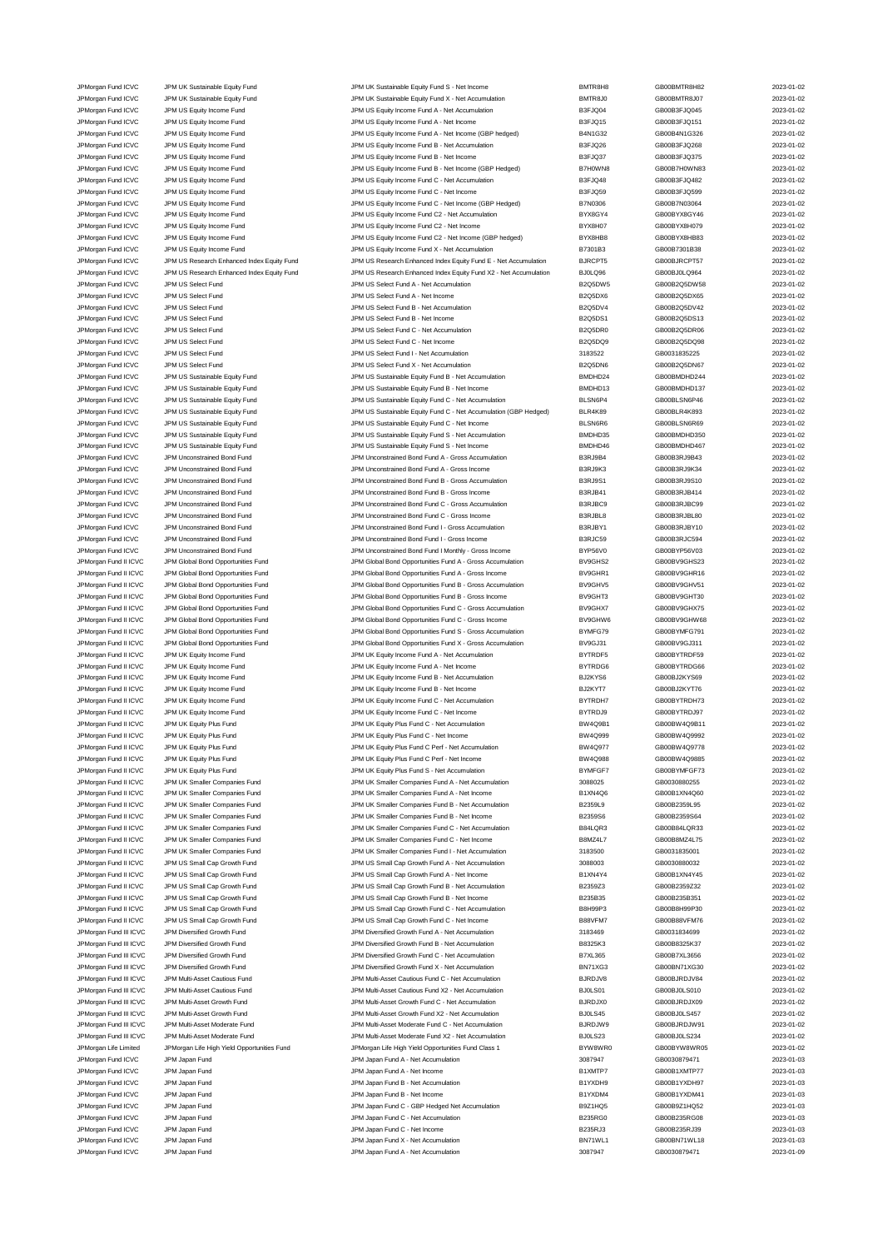JPM Organ Fund ICVC JPM US Select Fund<br>JPM organ Fund ICVC JPM US Select Fund C - Net Income C - Net Income C - Net Income JPM Japan Fund ICVC JPM Japan Fund A - Net Income

JPMorgan Fund ICVC JPM UK Sustainable Equity Fund JPM UK Sustainable Equity Fund S - Net Income BMTR8H8 GB00BMTR8H82 2023-01-02<br>JPM URG JPM UR Sustainable Equity Fund JPM UK Sustainable Equity Fund X - Net Accumulation BMT JPM UK Sustainable Equity Fund 10 Class Control Control Control Definition Class Control Definition BMTR8J0 GB00BMTR8J07 2023-01-02 JPMorgan Fund ICVC JPM US Equity Income Fund JPM US Equity Income Fund A - Net Accumulation B3FJQ04 GB00B3FJQ045 2023-01-02 JPMorgan Fund ICVC JPM US Equity Income Fund JPM US Equity Income Fund A - Net Income B3FJQ15 GB00B3FJQ151 2023-01-02 JPMorgan Fund ICVC JPM US Equity Income Fund JPM US Equity Income Fund A - Net Income (GBP hedged) B4N1G32 GB00B4N1G326 2023-01-02 JPMorgan Fund ICVC JPM US Equity Income Fund JPM US Equity Income Fund B - Net Accumulation B3FJQ26 GB00B3FJQ268 2023-01-02 JPMorgan Fund ICVC JPM US Equity Income Fund JPM US Equity Income Fund B - Net Income Fund B - Net Income B as FJQ37 GB00B3FJQ375 2023-01-02 JPMorgan Fund ICVC JPM US Equity Income Fund JPM US Equity Income Fund B - Net Income (GBP Hedged) B7H0WN8 GB00B7H0WN83 2023-01-02 JPMorgan Fund ICVC JPM US Equity Income Fund<br>JPM US Equity Income Fund C - Net Accumula JPMorgan Fund ICVC JPM US Equity Income Fund JPM US Equity Income Fund C - Net Income B3FJQ59 GB00B3FJQ599 2023-01-02 JPMorgan Fund ICVC JPM US Equity Income Fund JPM US Equity Income Fund C - Net Income (GBP Hedged) B7N0306 GB00B7N03064 2023-01-02 JPMorgan Fund ICVC JPM US Equity Income Fund JPM US Equity Income Fund C2 - Net Accumulation BYX8GY4 GB00BYX8GY46 2023-01-02 JPMorgan Fund ICVC JPM US Equity Income Fund JPM US Equity Income Fund C2 - Net Income Pund C2 - Desember 1000<br>JPM US Equity Income Fund JPM US Equity Income Fund C2 - Net Income (GBP hedged) BYX8HB8 GB00BYX8HB83 2023-01-0 JPM US Equity Income Fund C2 - Net Income (GBP hedged) JPMorgan Fund ICVC JPM US Equity Income Fund JPM US Equity Income Fund X - Net Accumulation B7301B3 GB00B7301B38 2023-01-02 JPMorgan Fund ICVC JPM US Research Enhanced Index Equity Fund JPM US Research Enhanced Index Equity Fund E - Net Accumulation BJRCPT5 GB00BJRCPT57 2023-01-02 JPMorgan Fund ICVC JPM US Research Enhanced Index Equity Fund JPM US Research Enhanced Index Equity Fund X2 - Net Accumulation BJ0LQ96 GB00BJ0LQ964 2023-01-02 JPMorgan Fund ICVC JPM US Select Fund JPM US Select Fund A - Net Accumulation B2Q5DW5 GB00B2Q5DW58 2023-01-02 JPMorgan Fund ICVC JPM US Select Fund JPM US Select Fund A - Net Income B2Q5DX6 GB00B2Q5DX65 2023-01-02 JPMorgan Fund ICVC JPM US Select Fund JPM US Select Fund B - Net Accumulation B2Q5DV4 GB00B2Q5DV42 2023-01-02 JPMorgan Fund ICVC JPM US Select Fund JPM US Select Fund B - Net Income B2Q5DS1 GB00B2Q5DS13 2023-01-02 JPMorgan Fund ICVC JPM US Select Fund JPM US Select Fund C - Net Income B2Q5DQ9 GB00B2Q5DQ98 2023-01-02 JPMorgan Fund ICVC JPM US Select Fund JPM US Select Fund I - Net Accumulation 3183522 GB0031835225 2023-01-02 JPMorgan Fund ICVC JPM US Select Fund JPM US Select Fund X - Net Accumulation B2Q5DN6 GB00B2Q5DN67 2023-01-02 JPMorgan Fund ICVC JPM US Sustainable Equity Fund JPM US Sustainable Equity Fund B - Net Accumulation and BMDHD24 GB00BMDHD244 2023-01-02<br>JPM US Sustainable Equity Fund JPM US Sustainable Equity Fund B - Net Income BMDHD13 JPM US Sustainable Equity Fund B - Net Income JPMorgan Fund ICVC JPM US Sustainable Equity Fund JPM US Sustainable Equity Fund C - Net Accumulation (GBP Hedged) BLSN6P4 GB00BLSN6P46 2023-01-02<br>JPM US JPM US Sustainable Equity Fund JPM US Sustainable Equity Fund C - Ne JPM US Sustainable Equity Fund C - Net Accumulation (GBP Hedged) JPMorgan Fund ICVC JPM US Sustainable Equity Fund C - Net Income Busing BLSN6R6 GB00BLSN6R6 GB00BLSN6R69 2023-01-02 JPMorgan Fund ICVC JPM US Sustainable Equity Fund JPM US Sustainable Equity Fund S - Net Accumulation and BMDHD35 GB00BMDHD350 2023-01-02<br>JPM US JPM US Sustainable Equity Fund JPM US Sustainable Equity Fund S - Net Income JPM US Sustainable Equity Fund S - Net Income JPMorgan Fund ICVC JPM Unconstrained Bond Fund JPM Unconstrained Bond Fund A - Gross Accumulation B3RJ9B4 GB00B3RJ9B43 2023-01-02 JPMorgan Fund ICVC JPM Unconstrained Bond Fund JPM Unconstrained Bond Fund A - Gross Income B3RJ9K3 GB00B3RJ9K34 2023-01-02 JPMorgan Fund ICVC JPM Unconstrained Bond Fund JPM Unconstrained Bond Fund B - Gross Accumulation B3RJ9S1 GB00B3RJ9S10 2023-01-02 JPMorgan Fund ICVC JPM Unconstrained Bond Fund JPM Unconstrained Bond Fund B - Gross Income B3RJB41 GB00B3RJB414 2023-01-02 JPMorgan Fund ICVC JPM Unconstrained Bond Fund JPM Unconstrained Bond Fund C - Gross Accumulation B3RJBC9 GB00B3RJBC99 2023-01-02 JPMorgan Fund ICVC JPM Unconstrained Bond Fund JPM Unconstrained Bond Fund C - Gross Income B3RJBL8 GB00B3RJBL80 2023-01-02 JPMorgan Fund ICVC JPM Unconstrained Bond Fund JPM Unconstrained Bond Fund I - Gross Accumulation B3RJBY1 GB00B3RJBY10 2023-01-02 JPMorgan Fund ICVC JPM Unconstrained Bond Fund JPM Unconstrained Bond Fund I - Gross Income B3RJC59 GB00B3RJC594 2023-01-02 JPM Unconstrained Bond Fund JPM Unconstrained Bond Fund I Monthly - Gross Income Bond Fund I Monthly - Gross Income Bond Fund I Monthly - Gross Income Bond Fund I Monthly - Gross Income Bond Fund I Monthly - Gross Income B JPMorgan Fund II ICVC JPM Global Bond Opportunities Fund JPM Global Bond Opportunities Fund A - Gross Accumulation BV9GHS2 GB00BV9GHS23 2023-01-02 JPMorgan Fund II ICVC JPM Global Bond Opportunities Fund JPM Global Bond Opportunities Fund A - Gross Income BV9GHR1 GB00BV9GHR16 2023-01-02 JPMorgan Fund II ICVC JPM Global Bond Opportunities Fund JPM Global Bond Opportunities Fund B - Gross Accumulation BV9GHV5 GB00BV9GHV51 2023-01-02 JPMorgan Fund II ICVC JPM Global Bond Opportunities Fund JPM Global Bond Opportunities Fund B - Gross Income BV9GHT3 GB00BV9GHT30 2023-01-02 JPMorgan Fund II ICVC JPM Global Bond Opportunities Fund JPM Global Bond Opportunities Fund C - Gross Accumulation BV9GHX7 GB00BV9GHX75 2023-01-02 JPMorgan Fund II ICVC JPM Global Bond Opportunities Fund JPM Global Bond Opportunities Fund C - Gross Income BV9GHW6 GB00BV9GHW68 2023-01-02 JPMorgan Fund II ICVC JPM Global Bond Opportunities Fund S - CM S - JPM Global Bond Opportunities Fund S - Gross Accumulation BYMFG79 GB00BYMFG791 2023-01-02 JPMorgan Fund II ICVC JPM Global Bond Opportunities Fund JPM Global Bond Opportunities Fund X - Gross Accumulation BV9GJ31 GB00BV9GJ311 2023-01-02 JPMorgan Fund II ICVC JPM UK Equity Income Fund JPM UK Equity Income Fund A - Net Accumulation BYTRDF5 GB00BYTRDF59 2023-01-02 JPM URM THE TRIM THE LATT HOT A HOT HOT SERVEN ON THE SUIT A SUIT A SUIT A SUIT A SUIT AND HOT A SUIT AND SUIT<br>19 JPM UND THE SUIT A SUIT A SUIT AND SUIT AND A SUIT A SUIT A SUIT A SUIT AND A SUIT A SUIT AND SUIT AND SUIT JPMorgan Fund II ICVC JPM UK Equity Income Fund JPM UK Equity Income Fund B - Net Accumulation BJ2KYS6 GB00BJ2KYS69 2023-01-02 JPMorgan Fund II ICVC JPM UK Equity Income Fund JPM UK Equity Income Fund B - Net Income Fund B - Net Income Fund B - Net Income Fund B - Net Income Fund B - Net Income Fund B - Net Income Fund B - Net Income Fund B - Net JPMorgan Fund II ICVC JPM UK Equity Income Fund JPM UK Equity Income Fund C - Net Accumulation BYTRDH7 GB00BYTRDH73 2023-01-02 JPMorgan Fund II ICVC JPM UK Equity Income Fund JPM UK Equity Income Fund C - Net Income BYTRDJ9 GB00BYTRDJ97 2023-01-02 JPM UK Equity Plus Fund C - Net Accumulation JPMorgan Fund II ICVC JPM UK Equity Plus Fund JPM UK Equity Plus Fund C - Net Income BW4Q999 GB00BW4Q9992 2023-01-02 JPMorgan Fund II ICVC JPM UK Equity Plus Fund JPM UK Equity Plus Fund C Perf - Net Accumulation BW4Q977 GB00BW4Q9778 2023-01-02 JPM UK Equity Plus Fund C Perf - Net Income JPMorgan Fund II ICVC JPM UK Equity Plus Fund States of the UK Equity Plus Fund S - Net Accumulation و2023-01-02<br>19 JPM UK DRA JPM UK Smaller Companies Fund JPM UK Smaller Companies Fund A - Net Accumulation 3088025 GB003 JPMorgan Fund II ICVC JPM UK Smaller Companies Fund JPM UK Smaller Companies Fund A - Net Accumulation 3088025 GB0030880255 2023-01-02 JPMorgan Fund II ICVC JPM UK Smaller Companies Fund Smaller Companies Fund A - Net Income B1XN4Q6 GB00B1XN4Q60 CBD0B1XN4Q60 2023-01-02 JPMorgan Fund II ICVC JPM UK Smaller Companies Fund JPM UK Smaller Companies Fund B - Net Accumulation B2359L9 GB00B2359L95 2023-01-02 JPMorgan Fund II ICVC JPM UK Smaller Companies Fund JPM UK Smaller Companies Fund B - Net Income B2359S6 GB00B2359S64 2023-01-02<br>JPM UR JPM UK Smaller Companies Fund JPM UK Smaller Companies Fund C - Net Accumulation B84LQ JPMorgan Fund II ICVC JPM UK Smaller Companies Fund JPM UK Smaller Companies Fund C - Net Accumulation B84LQR3 GB00B84LQR33 2023-01-02 JPMorgan Fund II ICVC JPM UK Smaller Companies Fund JPM UK Smaller Companies Fund C - Net Income B8MZ4L7 GB00B8MZ4L75 2023-01-02 JPMorgan Fund II ICVC JPM UK Smaller Companies Fund JPM UK Smaller Companies Fund I - Net Accumulation 3183500 GB0031835001 2023-01-02 JPMorgan Fund II ICVC JPM US Small Cap Growth Fund JPM US Small Cap Growth Fund A - Net Accumulation 3088003 GB0030880032 2023-01-02 JPMorgan Fund II ICVC JPM US Small Cap Growth Fund JPM US Small Cap Growth Fund A - Net Income B1XN4Y4 GB00B1XN4Y45 2023-01-02 JPM US Small Cap Growth Fund II IN INCO Small Cap Growth Fund B - Net Accumulation B2359Z3 GB00B2359Z32 30 GB00B2359Z32 2023-01-02 JPMorgan Fund II ICVC JPM US Small Cap Growth Fund JPM US Small Cap Growth Fund B - Net Income B235B35 GB00B235B351 CB00B235B351 2023-01-02 JPMorgan Fund II ICVC JPM US Small Cap Growth Fund JPM US Small Cap Growth Fund C - Net Accumulation B8H99P3 GB00B8H99P30 2023-01-02 JPMorgan Fund II ICVC JPM US Small Cap Growth Fund JPM US Small Cap Growth Fund C - Net Income B88VFM7 GB00B88VFM76 2023-01-02 JPMorgan Fund III ICVC JPM Diversified Growth Fund JPM Diversified Growth Fund A - Net Accumulation 3183469 GB0031834699 2023-01-02 JPM Diversified Growth Fund JPM Diversified Growth Fund B - Net Accumulation BB325K3 GB00B8325K37 GB00B8325K37 2023-01-02 JPM Diversified Growth Fund JPM Diversified Growth Fund C - Net Accumulation and Diversified Growth Fund C - Net Accumulation B7XL365 GB00B7XL3656 2023-01-02<br>JPM Diversified Growth Fund JPM Diversified Growth Fund X - Net JPMorgan Fund III ICVC JPM Diversified Growth Fund JPM Diversified Growth Fund X - Net Accumulation BN71XG3 GB00BN71XG30 2023-01-02 JPMorgan Fund III ICVC JPM Multi-Asset Cautious Fund JPM Multi-Asset Cautious Fund C - Net Accumulation BJRDJV8 GB00BJRDJV84 2023-01-02 JPMorgan Fund III ICVC JPM Multi-Asset Cautious Fund JPM Multi-Asset Cautious Fund X2 - Net Accumulation BJ0LS01 GB00BJ0LS010 2023-01-02 JPMorgan Fund III ICVC JPM Multi-Asset Growth Fund JPM Multi-Asset Growth Fund C - Net Accumulation BJRDJX0 BJRDJX0 GB00BJRDJX09 2023-01-02<br>JPM Morgan Fund III ICVC JPM Multi-Asset Growth Fund JPM Multi-Asset Growth Fund X JPM Multi-Asset Growth Fund JPM Multi-Asset Growth Fund JPM Multi-Asset Growth Fund X2 - Net Accumulation JPMorgan Fund III ICVC JPM Multi-Asset Moderate Fund JPM Multi-Asset Moderate Fund C - Net Accumulation BJRDJW9 GB00BJRDJW91 2023-01-02 JPMorgan Fund III ICVC JPM Multi-Asset Moderate Fund JPM Multi-Asset Moderate Fund X2 - Net Accumulation BJ0LS23 GB00BJ0LS234 2023-01-02<br>JPMorgan Life Limited JPMorgan Life High Yield Opportunities Fund JPMorgan Life High JPMorgan Life Limited JPMorgan Life High Yield Opportunities Fund JPMorgan Life High Yield Opportunities Fund Class 1 BYW8WR0 GB00BYW8WR05 2023-01-02 JPMorgan Fund ICVC JPM Japan Fund JPM Japan Fund A - Net Accumulation 3087947 GB0030879471 2023-01-03 JPMorgan Fund ICVC JPM Japan Fund JPM Japan Fund B - Net Accumulation B1YXDH9 GB00B1YXDH97 2023-01-03 JPM Japan Fund ICV JPM Japan Fund B - Net Income B1YXDM4 B1YXDM4 GB00B1YXDM41 2023-01-03 JPMorgan Fund ICVC JPM Japan Fund JPM Japan Fund C - GBP Hedged Net Accumulation B9Z1HQ5 GB00B9Z1HQ52 2023-01-03 JPMorgan Fund ICVC JPM Japan Fund JPM Japan Fund C - Net Accumulation B235RG0 GB00B235RG08 2023-01-03 JPM Japan Fund C - Net Income JPMorgan Fund ICVC JPM Japan Fund JPM Japan Fund X - Net Accumulation BN71WL1 GB00BN71WL18 2023-01-03 JPMorgan Fund ICVC JPM Japan Fund JPM Japan Fund A - Net Accumulation 3087947 GB0030879471 2023-01-09

| ţ | GB00BMTR8H82                 |
|---|------------------------------|
|   | GB00BMTR8J07                 |
|   | GB00B3FJQ045                 |
|   | GB00B3FJQ151                 |
|   | GB00B4N1G326                 |
|   | GB00B3FJQ268                 |
|   | GB00B3FJQ375                 |
| ١ | GB00B7H0WN83                 |
|   | GB00B3FJQ482                 |
|   | GB00B3FJQ599                 |
|   |                              |
|   | GB00B7N03064                 |
|   | GB00BYX8GY46                 |
|   | GB00BYX8H079                 |
|   | GB00BYX8HB83                 |
|   | GB00B7301B38                 |
|   | GB00BJRCPT57                 |
|   | GB00BJ0LQ964                 |
| 5 | GB00B2Q5DW58                 |
|   | GB00B2Q5DX65                 |
|   | GB00B2Q5DV42                 |
|   | GB00B2Q5DS13                 |
|   | GB00B2Q5DR06                 |
| ı | GB00B2Q5DQ98                 |
|   | GB0031835225                 |
|   | GB00B2Q5DN67                 |
| ı | GB00BMDHD244                 |
| ł | GB00BMDHD137                 |
|   | GB00BLSN6P46                 |
|   | GB00BLR4K893                 |
|   | GB00BLSN6R69                 |
| 5 | GB00BMDHD350                 |
| ì | GB00BMDHD467                 |
|   | GB00B3RJ9B43                 |
|   | GB00B3RJ9K34                 |
|   |                              |
|   | GB00B3RJ9S10                 |
|   | GB00B3RJB414                 |
|   | GB00B3RJBC99                 |
|   | GB00B3RJBL80                 |
|   | GB00B3RJBY10                 |
|   | GB00B3RJC594                 |
|   | GB00BYP56V03                 |
|   | GB00BV9GHS23                 |
|   | GB00BV9GHR16                 |
|   | GB00BV9GHV51                 |
|   | GB00BV9GHT30                 |
|   | GB00BV9GHX75                 |
| ĥ | GB00BV9GHW68                 |
| į | GB00BYMFG791                 |
|   | GB00BV9GJ311                 |
|   | GB00BYTRDF59                 |
| j | GB00BYTRDG66                 |
|   | GB00BJ2KYS69                 |
|   | GB00BJ2KYT76                 |
|   | GB00BYTRDH73                 |
|   | GB00BYTRDJ97                 |
|   | GB00BW4Q9B11                 |
| j | GB00BW4Q9992                 |
|   | GB00BW4Q9778                 |
| š | GB00BW4Q9885                 |
|   |                              |
|   | GB00BYMFGF73                 |
|   | GB0030880255                 |
|   | GB00B1XN4Q60                 |
|   | GB00B2359L95                 |
|   | GB00B2359S64                 |
|   | GB00B84LQR33                 |
|   | GB00B8MZ4L75                 |
|   | GB0031835001                 |
|   | GB0030880032                 |
|   | GB00B1XN4Y45                 |
|   | GB00B2359Z32                 |
|   | GB00B235B351                 |
|   | GB00B8H99P30                 |
|   | GB00B88VFM76                 |
|   | GB0031834699                 |
|   | GB00B8325K37                 |
|   | GB00B7XL3656                 |
|   | GB00BN71XG30                 |
|   | GB00BJRDJV84                 |
|   | GB00BJ0LS010                 |
|   | GB00BJRDJX09                 |
|   | GB00BJ0LS457                 |
| j | GB00BJRDJW91                 |
|   | GB00BJ0LS234                 |
| 0 | GB00BYW8WR05                 |
|   | GB0030879471                 |
|   | GB00B1XMTP77                 |
|   | GB00B1YXDH97                 |
|   | GB00B1YXDM41                 |
|   | GB00B9Z1HQ52                 |
|   | GB00B235RG08                 |
|   |                              |
|   |                              |
|   | GB00B235RJ39                 |
|   | GB00BN71WL18<br>GB0030879471 |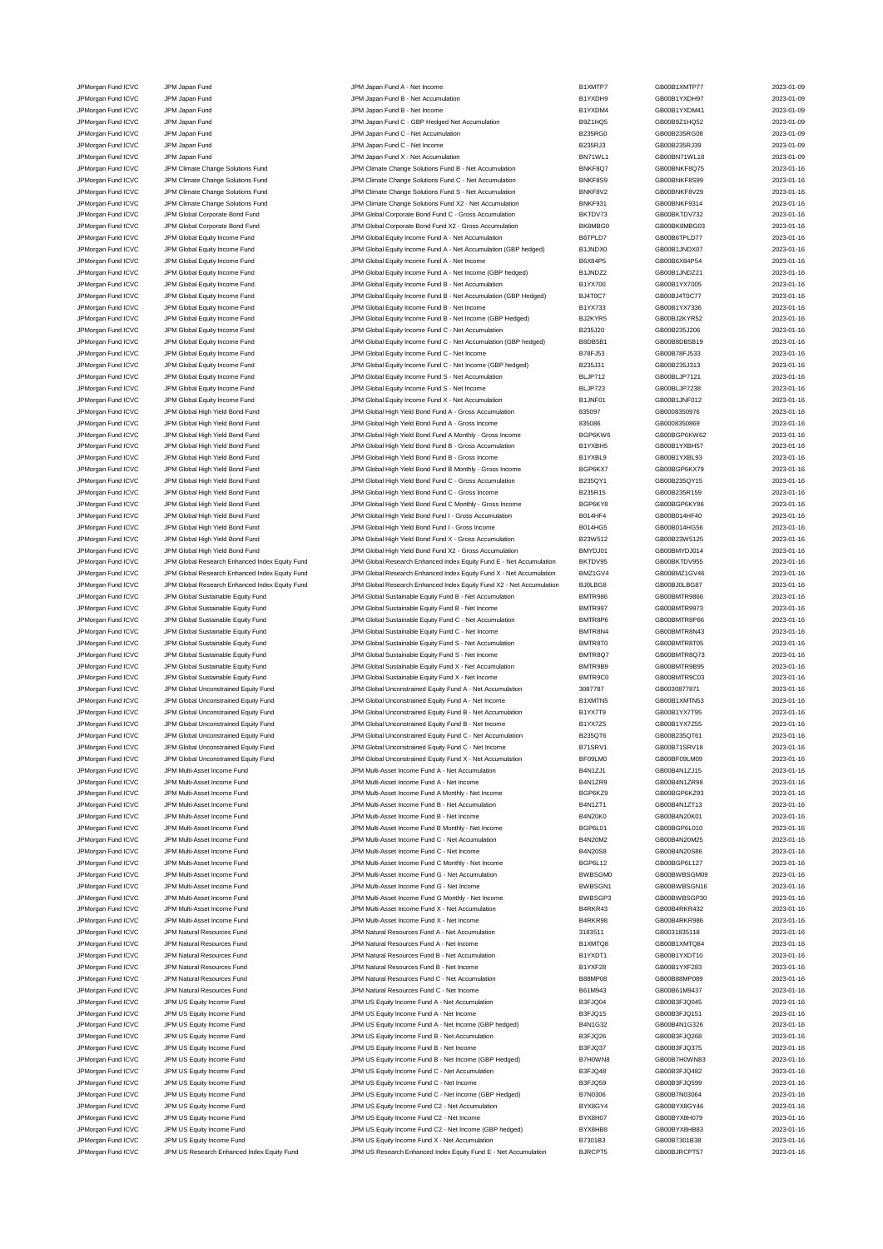JPMorgan Fund ICVC JPM Japan Fund JPM Japan Fund A - Net Income B1XMTP7 GB00B1XMTP77 2023-01-09 JPMorgan Fund ICVC JPM Japan Fund JPM Japan Fund B - Net Accumulation B1YXDH9 GB00B1YXDH97 2023-01-09 JPMorgan Fund ICVC JPM Japan Fund JPM Japan Fund B - Net Income B1YXDM4 GB00B1YXDM41 2023-01-09 JPMorgan Fund ICVC JPM Japan Fund JPM Japan Fund C - GBP Hedged Net Accumulation B9Z1HQ5 GB00B9Z1HQ52 2023-01-09 JPMorgan Fund ICVC JPM Japan Fund JPM Japan Fund C - Net Accumulation B235RG0 GB00B235RG08 2023-01-09 JPM Japan Fund ICV JPM Japan Fund C - Net Income B235RJ3 GB00B235RJ3 GB00B235RJ39 2023-01-09 JPM Jramorgan Fund ICVC JPM Japan Fund JPM Japan Fund X - Net Accumulation BN71WL1 GB00BN71WL18 2023-01-09 JPMorgan Fund ICVC JPM Climate Change Solutions Fund JPM Climate Change Solutions Fund B - Net Accumulation BNKF8Q7 GB00BNKF8Q75 2023-01-16<br>JPM Climate Change Solutions Fund JPM Climate Change Solutions Fund C - Net Accumu JPM Climate Change Solutions Fund JPM Climate Change Solutions Fund JPM Climate Change Solutions Fund C - Net Accumulation JPMorgan Fund ICVC JPM Climate Change Solutions Fund JPM Climate Change Solutions Fund S - Net Accumulation BNKF8V2 GB00BNKF8V29 2023-01-16 JPMorgan Fund ICVC JPM Climate Change Solutions Fund JPM Climate Change Solutions Fund X2 - Net Accumulation BNKF931 GB00BNKF9314 2023-01-16 JPMorgan Fund ICVC JPM Global Corporate Bond Fund JPM Global Corporate Bond Fund C - Gross Accumulation BKTDV73 GB00BKTDV732 2023-01-16 JPMorgan Fund ICVC JPM Global Corporate Bond Fund JPM Global Corporate Bond Fund X2 - Gross Accumulation BK8MBG0 GB00BK8MBG03 2023-01-16<br>JPM Group JPM Global Equity Income Fund JPM Global Equity Income Fund A - Net Accumul JPM Global Equity Income Fund A - Net Accumulation JPMorgan Fund ICVC JPM Global Equity Income Fund JPM Global Equity Income Fund A - Net Accumulation (GBP hedged) B1JNDX0 GB00B1JNDX07 2023-01-16 JPMorgan Fund ICVC JPM Global Equity Income Fund JPM Global Equity Income Fund A - Net Income B6X84P5 GB00B6X84P54 2023-01-16 JPMorgan Fund ICVC JPM Global Equity Income Fund JPM Global Equity Income Fund A - Net Income (GBP hedged) B1JNDZ2 GB00B1JNDZ21 2023-01-16<br>JPM Gram JPM Global Equity Income Fund JPM Global Equity Income Fund B - Net Accumu JPMorgan Fund ICVC JPM Global Equity Income Fund JPM Global Equity Income Fund B - Net Accumulation B1YX700 GB00B1YX7005 2023-01-16 JPMorgan Fund ICVC JPM Global Equity Income Fund JPM Global Equity Income Fund B - Net Accumulation (GBP Hedged) BJ4T0C7 GB00BJ4T0C77 2023-01-16<br>JPM Global Space JPM Global Equity Income Fund JPM Global Guity Income Fund B JPMorgan Fund ICVC JPM Global Equity Income Fund JPM Global Equity Income Fund B - Net Income B1YX733 GB00B1YX7336 2023-01-16 JPMorgan Fund ICVC JPM Global Equity Income Fund JPM Global Equity Income Fund B - Net Income (GBP Hedged) BJ2KYR5 GB00BJ2KYR52 2023-01-16<br>JPM Gram JPM Global Equity Income Fund JPM Global Equity Income Fund C - Net Accumu JPMorgan Fund ICVC JPM Global Equity Income Fund<br>JPM Global Equity Income Fund JPM Global Equity Income Fund JPM Global Equity Income Fund C - Net Accumulation JPMorgan Fund ICVC JPM Global Equity Income Fund JPM Global Equity Income Fund C - Net Accumulation (GBP hedged) B8DB5B1 GB00B8DB5B19 2023-01-16<br>JPM Global Equity Income Fund JPM Global Equity Income Fund C - Net Income B7 JPMorgan Fund ICVC JPM Global Equity Income Fund JPM Global Equity Income Fund C - Net Income B78FJ53 GB00B78FJ533 2023-01-16 JPMorgan Fund ICVC JPM Global Equity Income Fund JPM Global Equity Income Fund C - Net Income (GBP hedged) B235J31 GB00B235J313 2023-01-16 JPMorgan Fund ICVC JPM Global Equity Income Fund State of Der JPM Global Equity Income Fund S - Net Accumulation BLJP712 GB00BLJP7121 2023-01-16<br>JPM Global LONG JPM Global Equity Income Fund State State JPM Global Equity I JPM Global Equity Income Fund S - Net Income JPMorgan Fund ICVC JPM Global Equity Income Fund JPM Global Global Equity Income Fund X - Net Accumulation B1JNF01 GB00B1JNF012 2023-01-16<br>JPM Global TPM Global High Yield Bond Fund JPM Global High Yield Bond Fund A - Gros JPM Global High Yield Bond Fund A - Gross Accumulation JPMorgan Fund ICVC JPM Global High Yield Bond Fund JPM Global High Yield Bond Fund A - Gross Income 835086 BS086 GB0008350869 2023-01-16 JPMorgan Fund ICVC JPM Global High Yield Bond Fund JPM Global High Yield Bond Fund A Monthly - Gross Income BGP6KW6<br>JPM Group JPM Global High Yield Bond Fund JPM Global High Yield Bond Fund B - Gross Accumulation B1YXBH5 G JPM Global High Yield Bond Fund B - Gross Accumulation B1Y JPMorgan Fund ICVC JPM Global High Yield Bond Fund JPM Global High Yield Bond Fund B - Gross Income B1YXBL9 GB00B1YXBL93 2023-01-16<br>JPM Group JPM Global High Yield Bond Fund JPM Global High Yield Bond Fund B Monthy - Gross JPM Global High Yield Bond Fund Company of the Superson of the United Bond Fund B Monthly - Gross Income BGP6KX7 GB00BGP6KX79 2023-01-16 JPMorgan Fund ICVC JPM Global High Yield Bond Fund JPM Global High Yield Bond Fund C - Gross Accumulation B235QY1 GB00B235QY15 2023-01-16 JPMorgan Fund ICVC JPM Global High Yield Bond Fund JPM Global High Yield Bond Fund C - Gross Income B235R15 GB00B235R159 2023-01-16 JPMorgan Fund ICVC JPM Global High Yield Bond Fund State High Yield Bond Fund C Monthly - Gross Income BGP6KY8<br>JPM Group JPM Global High Yield Bond Fund JPM Global High Yield Bond Fund I - Gross Accumulation Bond HF4 GB00B JPM Global High Yield Bond Fund and Morgan JPM Global High Yield Bond Fund I - Gross Accumulation B014HF4 GB00B014HF40 CB00B014HF40 2023-01-16 JPMorgan Fund ICVC JPM Global High Yield Bond Fund JPM Global High Yield Bond Fund I - Gross Income B014HG5 GB00B014HG56 2023-01-16 JPMorgan Fund ICVC JPM Global High Yield Bond Fund JPM Global High Yield Bond Fund X - Gross Accumulation B23W512 GB00B23W5125 2023-01-16 JPMorgan Fund ICVC JPM Global High Yield Bond Fund JPM Global High Yield Bond Fund X2 - Gross Accumulation BMYDJ01 GB00BMYDJ014 2023-01-16 JPMorgan Fund ICVC JPM Global Research Enhanced Index Equity Fund JPM Global Research Enhanced Index Equity Fund E - Net Accumulation BKTDV95 GB00BKTDV955 2023-01-16 JPMorgan Fund ICVC JPM Global Research Enhanced Index Equity Fund JPM Global Research Enhanced Index Equity Fund X - Net Accumulation BMZ1GV4 GB00BMZ1GV46 2023-01-16 JPMorgan Fund ICVC JPM Global Research Enhanced Index Equity Fund JPM Global Research Enhanced Index Equity Fund X2 - Net Accumulation BJ0LBG8 GB00BJ0LBG87 2023-01-16 JPMorgan Fund ICVC JPM Global Sustainable Equity Fund JPM Global Sustainable Equity Fund B - Net Accumulation<br>JPM Group JPM Global Sustainable Equity Fund JPM Global Sustainable Equity Fund B - Net Income BMTR997 BMTR997<br>J JPMorgan Fund ICVC JPM Global Sustainable Equity Fund JPM Global Sustainable Equity Fund B - Net Income BMTR997 GB00BMTR9973 2023-01-16 JPMorgan Fund ICVC JPM Global Sustainable Equity Fund C MM Global Sustainable Equity Fund C - Net Accumulation BMTR8P6 GB00BMTR8P66 CBD0BMTR8P66 2023-01-16 JPMorgan Fund ICVC JPM Global Sustainable Equity Fund Sustainable Equity Fund C - Net Income BMTR8N4 GB00BMTR8N43 2023-01-16<br>JPM Gram JPM Global Sustainable Equity Fund JPM Global Sustainable Equity Fund S - Net Accumulati JPMorgan Fund ICVC JPM Global Sustainable Equity Fund S - MC JPM Global Sustainable Equity Fund S - Net Accumulation BMTR8T0 GB00BMTR8T05 2023-01-16 JPMorgan Fund ICVC JPM Global Sustainable Equity Fund JPM Global Sustainable Equity Fund S - Net Income BMTR8Q7 GB00BMTR8Q73 2023-01-16 JPMorgan Fund ICVC JPM Global Sustainable Equity Fund JPM Global Sustainable Equity Fund X - Net Accumulation<br>JPM Gram Hund ICVC JPM Global Sustainable Equity Fund JPM Global Sustainable Equity Fund X - Net Income BMTR9C0<br> JPMorgan Fund ICVC JPM Global Sustainable Equity Fund JPM Global Sustainable Equity Fund X - Net Income BMTR9C0 GB00BMTR9C03 2023-01-16 JPM Gram Fund ICVC JPM Global Unconstrained Equity Fund JPM Global Unconstrained Equity Fund A - Net Accumulation 3087787 GB0030877871 2023-01-16<br>JPM Gram Hund ICVC JPM Global Unconstrained Fouity Fund JPM Global Unconstra JPMorgan Fund ICVC JPM Global Unconstrained Equity Fund JPM Global Unconstrained Equity Fund A - Net Income B1XMTN5 GB00B1XMTN53 2023-01-16 JPMorgan Fund ICVC JPM Global Unconstrained Equity Fund JPM Global Unconstrained Equity Fund B - Net Accumulation B1YX7T9 GB00B1YX7T95 2023-01-16<br>JPM Gram Hund ICVC JPM Global Unconstrained Equity Fund JPM Global Unconstra JPM Global Unconstrained Equity Fund B - Net Income JPMorgan Fund ICVC JPM Global Unconstrained Equity Fund JPM Global Unconstrained Equity Fund C - Net Accumulation B235QT6 GB00B235QT61 2023-01-16 JPMorgan Fund ICVC JPM Global Unconstrained Equity Fund JPM Global Unconstrained Equity Fund C - Net Income B71SRV1 GB00B71SRV18 2023-01-16<br>JPM Gram And Device JPM Global Unconstrained Equity Fund JPM Global Unconstrained JPM Global Unconstrained Equity Fund X - Net Accumulation BF0 JPMorgan Fund ICVC JPM Multi-Asset Income Fund JPM Multi-Asset Income Fund A - Net Accumulation B4N1ZJ1 GB00B4N1ZJ15 2023-01-16 JPMorgan Fund ICVC JPM Multi-Asset Income Fund JPM Multi-Asset Income Fund A - Net Income B4N1ZR9 GB00B4N1ZR98 2023-01-16 JPMorgan Fund ICVC JPM Multi-Asset Income Fund Come Fund IPM Multi-Asset Income Fund A Monthly - Net Income BGP6KZ9 BGP6KZ9 GB00BGP6KZ93 2023-01-16 JPMorgan Fund ICVC JPM Multi-Asset Income Fund JPM Multi-Asset Income Fund B - Net Accumulation B4N1ZT1 GB00B4N1ZT13 2023-01-16 JPMorgan Fund ICVC JPM Multi-Asset Income Fund JPM Multi-Asset Income Fund B - Net Income B4N20K0 GB00B4N20K01 2023-01-16 JPMorgan Fund ICVC JPM Multi-Asset Income Fund JPM Multi-Asset Income Fund B Monthly - Net Income BGP6L01 GB00BGP6L010 2023-01-16 JPMorgan Fund ICVC JPM Multi-Asset Income Fund JPM Multi-Asset Income Fund C - Net Accumulation B4N20M2 GB00B4N20M25 2023-01-16 JPMorgan Fund ICVC JPM Multi-Asset Income Fund JPM Multi-Asset Income Fund C - Net Income B4N20S8 GB00B4N20S86 2023-01-16 JPMorgan Fund ICVC JPM Multi-Asset Income Fund JPM Multi-Asset Income Fund C Monthly - Net Income BGP6L12 GB00BGP6L127 2023-01-16 JPMorgan Fund ICVC JPM Multi-Asset Income Fund JPM Multi-Asset Income Fund G - Net Accumulation BWBSGM0 GB00BWBSGM09 2023-01-16 JPMorgan Fund ICVC JPM Multi-Asset Income Fund JPM Multi-Asset Income Fund G - Net Income BWBSGN1 GB00BWBSGN16 2023-01-16 JPMorgan Fund ICVC JPM Multi-Asset Income Fund JPM Multi-Asset Income Fund G Monthly - Net Income BWBSGP3 GB00BWBSGP30 2023-01-16 JPMorgan Fund ICVC JPM Multi-Asset Income Fund JPM Multi-Asset Income Fund X - Net Accumulation B4RKR43 GB00B4RKR432 2023-01-16 JPMorgan Fund ICVC JPM Multi-Asset Income Fund JPM Multi-Asset Income Fund X - Net Income B4RKR98 GB00B4RKR986 2023-01-16 JPMorgan Fund ICVC JPM Natural Resources Fund JPM Natural Resources Fund A - Net Accumulation 3183511 GB0031835118 2023-01-16 JPMorgan Fund ICVC JPM Natural Resources Fund JPM Natural Resources Fund A - Net Income B1XMTQ8 GB00B1XMTQ84 2023-01-16 JPM Organ Fund ICVC JPM Natural Resources Fund JPM Natural Resources Fund B - Net Accumulation B1YXDT1 GB00B1YXDT10 2023-01-16<br>JPM Natural Resources Fund JPM Natural Resources Fund B - Net Income B1YXF28 GB00B1YXF283 GB00B JPM Natural Resources Fund JPM Natural Resources Fund B - Net Income B1YXF28 GB00B1YXF283 CB00B1YXF283 2023-01-16 JPMorgan Fund ICVC JPM Natural Resources Fund JPM Natural Resources Fund C - Net Accumulation B88MP08 GB00B88MP089 2023-01-16<br>JPM Natural ICVC JPM Natural Resources Fund JPM Natural Resources Fund C - Net Income B61M943 B6 JPM organ Fund ICVC JPM Natural Resources Fund C - Net Income B61M943 GB00B61M9437 GB00B61M9437 2023-01-16 JPMorgan Fund ICVC JPM US Equity Income Fund JPM US Equity Income Fund A - Net Accumulation B3FJQ04 GB00B3FJQ045 2023-01-16 JPMorgan Fund ICVC JPM US Equity Income Fund JPM US Equity Income Fund A - Net Income JPMorgan Fund ICVC JPM US Equity Income Fund JPM US Equity Income Fund A - Net Income (GBP hedged) B4N1G32 GB00B4N1G326 2023-01-16 JPMorgan Fund ICVC JPM US Equity Income Fund JPM US Equity Income Fund B - Net Accumulation B3FJQ26 GB00B3FJQ268 2023-01-16 JPM US Equity Income Fund JPM US Equity Income Fund JPM US Equity Income Fund B - Net Income B3FJQ37 GB00B3FJQ375 2023-01-16 JPMorgan Fund ICVC JPM US Equity Income Fund JPM US Equity Income Fund B - Net Income (GBP Hedged) B7H0WN8 GB00B7H0WN83 2023-01-16 JPM US Equity Income Fund C - Net Accumulation JPMorgan Fund ICVC JPM US Equity Income Fund JPM US Equity Income Fund C - Net Income Pund C - Net Income B3FJQ59 GB00B3FJQ599 2023-01-16<br>JPM US And ICVC JPM US Equity Income Fund JPM US Equity Income Fund C - Net Income ( JPM US Equity Income Fund COVC JPM US Equity Income Fund C - Net Income (GBP Hedged) B7N0306 GB00B7N03064 2023-01-16 JPMorgan Fund ICVC JPM US Equity Income Fund JPM US Equity Income Fund C2 - Net Accumulation BYX8GY4 GB00BYX8GY46 2023-01-16 JPM US Equity Income Fund JPM US Equity Income Fund C2 - Net Income Fund C2 - Net Income Pund C2 - Net Income CBBP hedged) and DVX8H07 GB00BYX8H079 2023-01-16 2023-01-16 JPM US Equity Income Fund C2 - Net Income (GBP hedg JPM US Equity Income Fund C2 - Net Income (GBP hedged) JPM US Equity Income Fund JPM US Equity Income Fund JPM US Equity Income Fund X - Net Accumulation B7301B3 GB00B7301B38 2023-01-16 JPMorgan Fund ICVC JPM US Research Enhanced Index Equity Fund JPM US Research Enhanced Index Equity Fund E - Net Accumulation BJRCPT5 GB00BJRCPT57 2023-01-16

| GB00B1XMTP77                  |
|-------------------------------|
| GB00B1YXDH97                  |
| GB00B1YXDM41<br>GB00B9Z1HQ52  |
| GB00B235RG08                  |
| GB00B235RJ39                  |
| GB00BN71WL18                  |
| GB00BNKF8Q75                  |
| GB00BNKF8S99<br>GB00BNKF8V29  |
| GB00BNKF9314                  |
| GB00BKTDV732                  |
| GB00BK8MBG03                  |
| GB00B6TPLD77<br>GB00B1.INDX07 |
| GB00B6X84P54                  |
| GB00B1JNDZ21                  |
| GB00B1YX7005                  |
| GB00BJ4T0C77                  |
| GB00B1YX7336<br>GB00BJ2KYR52  |
| GB00B235J206                  |
| GB00B8DB5B19                  |
| GB00B78FJ533                  |
| GB00B235J313                  |
| GB00BLJP7121<br>GB00BLJP7238  |
| GB00B1JNF012                  |
| GB0008350976                  |
| GB0008350869                  |
| GB00BGP6KW62                  |
| GB00B1YXBH57<br>GB00B1YXBL93  |
| GB00BGP6KX79                  |
| GB00B235QY15                  |
| GB00B235R159                  |
| GB00BGP6KY86                  |
| GB00B014HF40<br>GB00B014HG56  |
| GB00B23W5125                  |
| GB00BMYDJ014                  |
| GB00BKTDV955                  |
| GB00BMZ1GV46                  |
| GB00BJ0LBG87<br>GB00BMTR9866  |
| GB00BMTR9973                  |
| GB00BMTR8P66                  |
| GB00BMTR8N43                  |
| GB00BMTR8T05<br>GB00BMTR8Q73  |
| GB00BMTR9B95                  |
| GB00BMTR9C03                  |
| GB0030877871                  |
| GB00B1XMTN53                  |
| GB00B1YX7T95<br>GB00B1YX7Z55  |
| GB00B235QT61                  |
| GB00B71SRV18                  |
| GB00BF09LM09                  |
| GB00B4N1ZJ15                  |
| GB00B4N1ZR98<br>GB00BGP6KZ93  |
| GB00B4N1ZT13                  |
| GB00B4N20K01                  |
| GB00BGP6L010                  |
| GB00B4N20M25<br>GB00B4N20S86  |
| GB00BGP6L127                  |
| GB00BWBSGM09                  |
| GB00BWBSGN16                  |
| GB00BWBSGP30                  |
| GB00B4RKR432<br>GB00B4RKR986  |
| GB0031835118                  |
| GB00B1XMTQ84                  |
| GB00B1YXDT10                  |
| GB00B1YXF283                  |
| GB00B88MP089<br>GB00B61M9437  |
| GB00B3FJQ045                  |
| GB00B3FJQ151                  |
| GB00B4N1G326                  |
| GB00B3FJQ268<br>GB00B3FJQ375  |
| GB00B7H0WN83                  |
| GB00B3FJQ482                  |
| GB00B3FJQ599                  |
| GB00B7N03064                  |
| GB00BYX8GY46<br>GB00BYX8H079  |
| GB00BYX8HB83                  |
| GB00B7301B38                  |
| GB00BJRCPT57                  |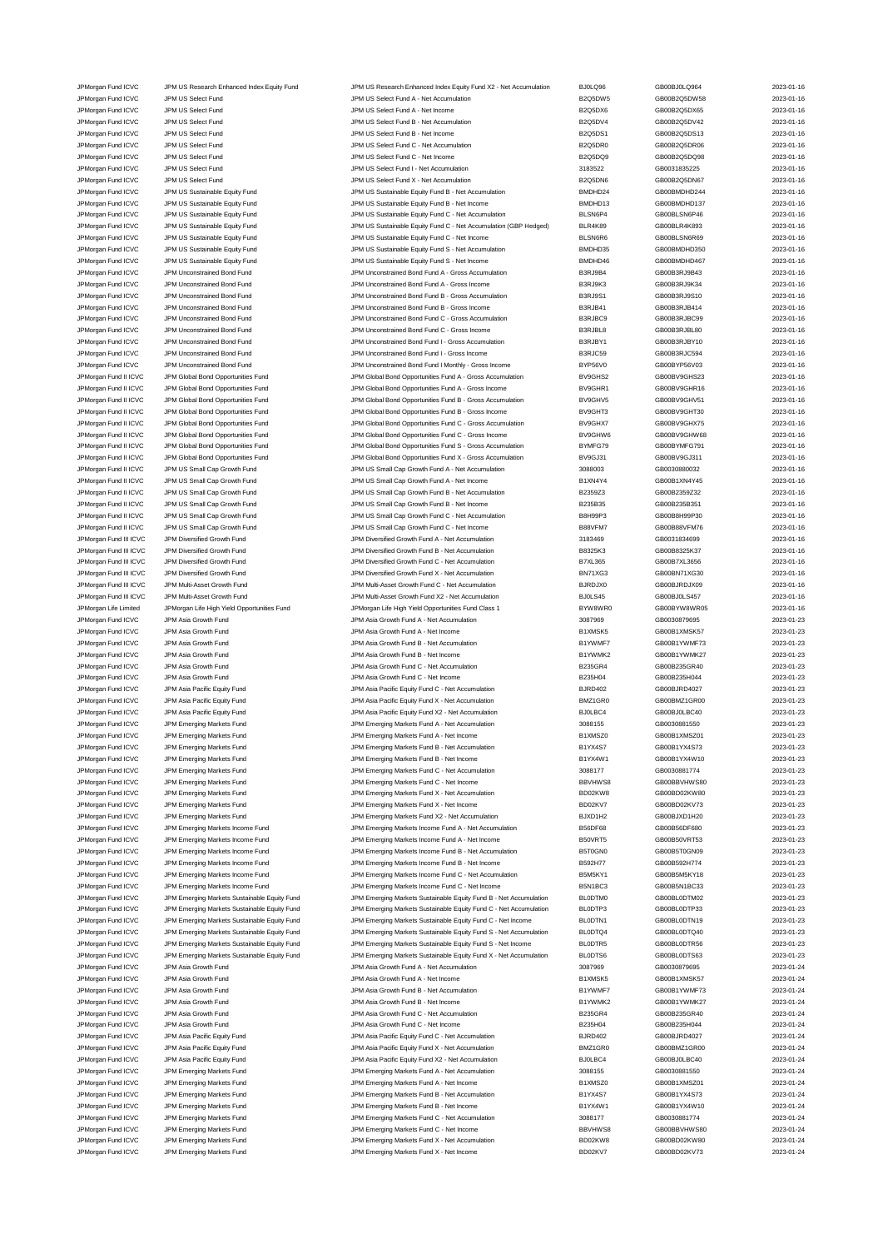JPMorgan Fund ICVC JPM US Research Enhanced Index Equity Fund JPM US Research Enhanced Index Equity Fund X2 - Net Accumulation BJ0LQ96 GB00BJ0LQ964 2023-01-16<br>JPM US Select Fund JPM US Select Fund A - Net Accumulation B2Q5 JPMorgan Fund ICVC JPM US Select Fund JPM US Select Fund A - Net Accumulation B2Q5DW5 GB00B2Q5DW58 2023-01-16 JPMorgan Fund ICVC JPM US Select Fund JPM US Select Fund A - Net Income B2Q5DX6 GB00B2Q5DX65 2023-01-16 JPMorgan Fund ICVC JPM US Select Fund JPM US Select Fund B - Net Accumulation B2Q5DV4 GB00B2Q5DV42 2023-01-16 JPMorgan Fund ICVC JPM US Select Fund JPM US Select Fund B - Net Income B2Q5DS1 GB00B2Q5DS13 2023-01-16 JPMorgan Fund ICVC JPM US Select Fund JPM US Select Fund C - Net Accumulation B2Q5DR0 GB00B2Q5DR06 2023-01-16 JPMorgan Fund ICVC JPM US Select Fund JPM US Select Fund C - Net Income B2Q5DQ9 GB00B2Q5DQ98 2023-01-16 JPMorgan Fund ICVC JPM US Select Fund JPM US Select Fund I - Net Accumulation 3183522 GB0031835225 2023-01-16 JPMorgan Fund ICVC JPM US Select Fund JPM US Select Fund X - Net Accumulation B2Q5DN6 GB00B2Q5DN67 2023-01-16 JPMorgan Fund ICVC JPM US Sustainable Equity Fund JPM US Sustainable Equity Fund B - Net Accumulation and BMDHD24 GB00BMDHD244 2023-01-16<br>JPM US JPM US Sustainable Equity Fund JPM US Sustainable Equity Fund B - Net Income JPM US Sustainable Equity Fund B - Net Income **COVER 100 BMDHD13** BMDHD13 GB00BMDHD137 2023-01-16 JPMorgan Fund ICVC JPM US Sustainable Equity Fund Sustainable Equity Fund C - Net Accumulation BLSN6P4 GB00BLSN6P46 2023-01-16 JPMorgan Fund ICVC JPM US Sustainable Equity Fund JPM US Sustainable Equity Fund C - Net Accumulation (GBP Hedged) BLR4K89 GB00BLR4K893 2023-01-16<br>JPM US Sustainable Equity Fund JPM US Sustainable Equity Fund C - Net Incom JPM US Sustainable Equity Fund C - Net Income JPMorgan Fund ICVC JPM US Sustainable Equity Fund JPM US Sustainable Equity Fund S - Net Accumulation BMDHD35 GB00BMDHD350 2023-01-16 JPMorgan Fund ICVC JPM US Sustainable Equity Fund Class Control Control Class JPM US Sustainable Equity Fund S - Net Income BMDHD46 BMDHD46 GB00BMDHD467 2023-01-16 JPMorgan Fund ICVC JPM Unconstrained Bond Fund JPM Unconstrained Bond Fund A - Gross Accumulation B3RJ9B4 GB00B3RJ9B43 2023-01-16 JPMorgan Fund ICVC JPM Unconstrained Bond Fund JPM Unconstrained Bond Fund A - Gross Income B3RJ9K3 GB00B3RJ9K34 2023-01-16 JPMorgan Fund ICVC JPM Unconstrained Bond Fund JPM Unconstrained Bond Fund B - Gross Accumulation B3RJ9S1 GB00B3RJ9S10 2023-01-16 JPMorgan Fund ICVC JPM Unconstrained Bond Fund JPM Unconstrained Bond Fund B - Gross Income B3RJB41 GB00B3RJB414 2023-01-16 JPMorgan Fund ICVC JPM Unconstrained Bond Fund JPM Unconstrained Bond Fund C - Gross Accumulation B3RJBC9 GB00B3RJBC99 2023-01-16 JPM Organ Fund ICVC JPM Unconstrained Bond Fund<br>JPM Unconstrained Bond GVC JPM Unconstrained Bond Fund JPM Unconstrained Bond Fund I - Gross Accumu JPMorgan Fund ICVC JPM Unconstrained Bond Fund JPM Unconstrained Bond Fund I - Gross Accumulation B3RJBY1 GB00B3RJBY10 2023-01-16 JPMorgan Fund ICVC JPM Unconstrained Bond Fund JPM Unconstrained Bond Fund I - Gross Income B3RJC59 GB00B3RJC594 2023-01-16 JPM Unconstrained Bond Fund JPM Unconstrained Bond Fund I Monthly - Gross Income BYP56V0 GB00BYP56V03 2023-01-16 JPMorgan Fund II ICVC JPM Global Bond Opportunities Fund JPM Global Bond Opportunities Fund A - Gross Accumulation BV9GHS2 GB00BV9GHS23 2023-01-16<br>JPM Group JPM Global Bond Opportunities Fund JPM Global Bond Opportunities JPM Global Bond Opportunities Fund A - Gross Income JPMorgan Fund II ICVC JPM Global Bond Opportunities Fund JPM Global Bond Opportunities Fund B - Gross Accumulation BV9GHV5 GB00BV9GHV51 2023-01-16<br>JPM Group JPM Global Bond Opportunities Fund JPM Global Bond Opportunities JPM Global Bond Opportunities Fund B - Gross Income JPMorgan Fund II ICVC JPM Global Bond Opportunities Fund C - CM C - Cross Accumulation BV9GHX7 GB00BV9GHX75 2023-01-16 JPMorgan Fund II ICVC JPM Global Bond Opportunities Fund Chrome JPM Global Bond Opportunities Fund C - Gross Income<br>JPM Group JPM Global Bond Opportunities Fund JPM Global Bond Opportunities Fund S - Gross Accumulation BYM JPM Global Bond Opportunities Fund S - Gross Accumulation By JPMorgan Fund II ICVC JPM Global Bond Opportunities Fund Annual JPM Global Bond Opportunities Fund X - Gross Accumulation BV9GJ31 GB00BV9GJ311 CB00BV9GJ311 2023-01-16<br>JPMorgan Fund II ICVC JPM US Small Cap Growth Fund Annu JPMorgan Fund II ICVC JPM US Small Cap Growth Fund JPM US Small Cap Growth Fund A - Net Accumulation 3088003 GB0030880032 2023-01-16 JPMorgan Fund II ICVC JPM US Small Cap Growth Fund JPM US Small Cap Growth Fund A - Net Income B1XN4Y4 GB00B1XN4Y45 2023-01-16 JPMorgan Fund II ICVC JPM US Small Cap Growth Fund JPM US Small Cap Growth Fund B - Net Accumulation B235923 GB00B2359232 2023-01-16<br>JPM US JPM US Small Cap Growth Fund JPM US Small Cap Growth Fund B - Net Income B235835 G JPMorgan Fund II ICVC JPM US Small Cap Growth Fund JPM US Small Cap Growth Fund B - Net Income B235B35 GB00B235B351 2023-01-16<br>JPM US JPM US Small Cap Growth Fund JPM US Small Cap Growth Fund C - Net Accumulation BBH99P3 G JPMorgan Fund II ICVC JPM US Small Cap Growth Fund JPM US Small Cap Growth Fund C - Net Accumulation B8H99P3 GB00B8H99P30 2023-01-16 JPM Organ Fund II ICVC JPM US Small Cap Growth Fund JPM US Small Cap Growth Fund C - Net Income B88VFM7 GB00B88VFM76 2023-01-16 JPMorgan Fund III ICVC JPM Diversified Growth Fund JPM Diversified Growth Fund A - Net Accumulation 3183469 GB0031834699 2023-01-16 JPM Diversified Growth Fund JPM Diversified Growth Fund B - Net Accumulation B - Net Accumulation B - Net Accumulation B - Net Accumulation B - B8325K3 GB00B8325K37 2023-01-16 JPMorgan Fund III ICVC JPM Diversified Growth Fund JPM Diversified Growth Fund C - Net Accumulation B7XL365 GB00B7XL3656 2023-01-16<br>JPM Diversified Growth Fund JPM Diversified Growth Fund X - Net Accumulation BN71XG3 GB00B JPM Diversified Growth Fund Company of the UPM Diversified Growth Fund X - Net Accumulation BN71XG3 GB00BN71XG30 CB00BN71XG30 2023-01-16 JPMorgan Fund III ICVC JPM Multi-Asset Growth Fund JPM Multi-Asset Growth Fund C - Net Accumulation BJRDJX0 GB00BJRDJX09 2023-01-16 JPMorgan Fund III ICVC JPM Multi-Asset Growth Fund JPM Multi-Asset Growth Fund X2 - Net Accumulation BJ0LS45 GB00BJ0LS457 2023-01-16 JPMorgan Life Limited JPMorgan Life High Yield Opportunities Fund JPMorgan Life High Yield Opportunities Fund Class 1 BYW8WR0 GB00BYW8WR05 2023-01-16 JPMorgan Fund ICVC JPM Asia Growth Fund JPM Asia Growth Fund A - Net Accumulation 3087969 GB0030879695 2023-01-23 JPMorgan Fund ICVC JPM Asia Growth Fund JPM Asia Growth Fund A - Net Income B1XMSK5 GB00B1XMSK57 2023-01-23 JPMorgan Fund ICVC JPM Asia Growth Fund JPM Asia Growth Fund B - Net Accumulation B1YWMF7 GB00B1YWMF73 2023-01-23 JPMorgan Fund ICVC JPM Asia Growth Fund JPM Asia Growth Fund B - Net Income B1YWMK2 GB00B1YWMK27 2023-01-23 JPMorgan Fund ICVC JPM Asia Growth Fund JPM Asia Growth Fund C - Net Accumulation B235GR4 GB00B235GR40 2023-01-23 JPM Asia Growth Fund 2023-01-23<br>JPM Asia Growth Fund CB00B235H044 2023-01-23 JPMorgan Fund ICVC JPM Asia Pacific Equity Fund Case of 2023-01-23 JPM Asia Pacific Equity Fund C - Net Accumulation BJRD402 GB00BJRD4027 GB00BJRD4027 2023-01-23 JPMorgan Fund ICVC JPM Asia Pacific Equity Fund JPM Asia Pacific Equity Fund X - Net Accumulation BMZ1GR0 GB00BMZ1GR00 2023-01-23 JPMorgan Fund ICVC JPM Asia Pacific Equity Fund JPM Asia Pacific Equity Fund X2 - Net Accumulation BJ0LBC4 GB00BJ0LBC40 2023-01-23<br>JPM Emerging Markets Fund JPM Emerging Markets Fund A - Net Accumulation 3088155 GB00308815 JPM Emerging Markets Fund JPM Emerging Markets Fund JPM Emerging Markets Fund A - Net Accumulation 3088150 20<br>JPM Emerging Markets Fund JPM Emerging Markets Fund JPM Emerging Markets Fund A - Net Income<br>JPM Emerging Marke JPMorgan Fund ICVC JPM Emerging Markets Fund JPM Emerging Markets Fund A - Net Income B1XMSZ0 GB00B1XMSZ01 2023-01-23 JPMorgan Fund ICVC JPM Emerging Markets Fund JPM Emerging Markets Fund B - Net Accumulation B1YX4S7 GB00B1YX4S73 2023-01-23 JPM Emerging Markets Fund B - Net Income JPMorgan Fund ICVC JPM Emerging Markets Fund JPM Emerging Markets Fund C - Net Accumulation 3088177 GB0030881774 2023-01-23 JPM Emerging Markets Fund C - Net Income **Company Accord COVEC COVERTS ARRANGES** GB00BBVHWS80 2023-01-23 JPMorgan Fund ICVC JPM Emerging Markets Fund JPM Emerging Markets Fund X - Net Accumulation BD02KW8 GB00BD02KW80 2023-01-23 JPMorgan Fund ICVC JPM Emerging Markets Fund JPM Emerging Markets Fund X - Net Income BD02KV7 GB00BD02KV73 2023-01-23 JPMorgan Fund ICVC JPM Emerging Markets Fund JPM Emerging Markets Fund X2 - Net Accumulation BJXD1H2 GB00BJXD1H20 2023-01-23 JPMorgan Fund ICVC JPM Emerging Markets Income Fund **JPM Emerging Markets Income Fund A - Net Accumulation** B56DF68 GB00B56DF680 2023-01-23 JPMorgan Fund ICVC JPM Emerging Markets Income Fund JPM Emerging Markets Income Fund A - Net Income Bund A - Net Income BS0VRT5 GB00B50VRT53 2023-01-23 JPMorgan Fund ICVC JPM Emerging Markets Income Fund **JPM Emerging Markets Income Fund B - Net Accumulation** B5T0GN0 GB00B5T0GN09 2023-01-23 JPMorgan Fund ICVC JPM Emerging Markets Income Fund JPM Emerging Markets Income Fund B - Net Income B592H77 GB00B592H774 2023-01-23 JPMorgan Fund ICVC JPM Emerging Markets Income Fund JPM Emerging Markets Income Fund C - Net Accumulation B5M5KY1 GB00B5M5KY18 2023-01-23<br>JPM Gram JPM Emerging Markets Income Fund JPM Emerging Markets Income Fund C - Net I JPM Emerging Markets Income Fund C - Net Income **Fund C - Net Income B5N1BC3** B5N1BC3 GB00B5N1BC33 2023-01-23 JPMorgan Fund ICVC JPM Emerging Markets Sustainable Equity Fund JPM Emerging Markets Sustainable Equity Fund B - Net Accumulation BL0DTM0 GB00BL0DTM02 2023-01-23 JPMorgan Fund ICVC JPM Emerging Markets Sustainable Equity Fund JPM Emerging Markets Sustainable Equity Fund C - Net Accumulation BL0DTP3 GB00BL0DTP33 2023-01-23<br>JPMorgan Fund ICVC JPM Emerging Markets Sustainable Equity F JPMorgan Fund ICVC JPM Emerging Markets Sustainable Equity Fund JPM Emerging Markets Sustainable Equity Fund C - Net Income BL0DTN1 GB00BL0DTN19 2023-01-23 JPMorgan Fund ICVC JPM Emerging Markets Sustainable Equity Fund JPM Emerging Markets Sustainable Equity Fund S - Net Accumulation BL0DTQ4 GB00BL0DTQ40 2023-01-23<br>JPMorgan Fund ICVC JPM Emerging Markets Sustainable Equity F JPMorgan Fund ICVC JPM Emerging Markets Sustainable Equity Fund JPM Emerging Markets Sustainable Equity Fund S - Net Income BL0DTR5 GB00BL0DTR56 2023-01-23 JPMorgan Fund ICVC JPM Emerging Markets Sustainable Equity Fund JPM Emerging Markets Sustainable Equity Fund X - Net Accumulation BL0DTS6 GB00BL0DTS63 2023-01-23 JPMorgan Fund ICVC JPM Asia Growth Fund JPM Asia Growth Fund A - Net Accumulation 3087969 GB0030879695 2023-01-24 JPMorgan Fund ICVC JPM Asia Growth Fund JPM Asia Growth Fund A - Net Income B1XMSK5 GB00B1XMSK57 2023-01-24 JPMorgan Fund ICVC JPM Asia Growth Fund JPM Asia Growth Fund B - Net Accumulation B1YWMF7 GB00B1YWMF73 2023-01-24 JPMorgan Fund ICVC JPM Asia Growth Fund Strowth Fund B - Net Income COMB1 - Maximum B1YWMK2 GB00B1YWMK27 2023-01-24<br>JPM Asia Growth Fund JPM Asia Growth Fund JPM Asia Growth Fund C - Net Accumulation B235GR4 GB00B235GR40 G JPMorgan Fund ICVC JPM Asia Growth Fund JPM Asia Growth Fund C - Net Accumulation JPMorgan Fund ICVC JPM Asia Growth Fund C - Net Income B235H04 B235H04 GB00B235H04 CBD0D235H04 2023-01-24 JPMorgan Fund ICVC JPM Asia Pacific Equity Fund JPM Asia Pacific Equity Fund C - Net Accumulation BJRD402 GB00BJRD4027 CB00BJRD4027 2023-01-24<br>JPM Asia Pacific Equity Fund JPM Asia Pacific Equity Fund X - Net Accumulation JPM Asia Pacific Equity Fund State of the Asia Pacific Equity Fund X - Net Accumulation BMZ1GR0 GB00BMZ1GR00 CBD00BMZ1GR00 2023-01-24 JPMorgan Fund ICVC JPM Asia Pacific Equity Fund JPM Asia Pacific Equity Fund X2 - Net Accumulation BJ0LBC4 GB00BJ0LBC40 2023-01-24<br>JPM Energing Markets Fund JPM Energing Markets Fund A - Net Accumulation 3088155 GB00308815 JPM Emerging Markets Fund A - Net Accumulation 3088155 GB0030881550 JPMorgan Fund ICVC JPM Emerging Markets Fund JPM Emerging Markets Fund A - Net Income B1XMSZ0 GB00B1XMSZ01 2023-01-24 JPMorgan Fund ICVC JPM Emerging Markets Fund JPM Emerging Markets Fund B - Net Accumulation B1YX4S7 GB00B1YX4S73 2023-01-24 JPMorgan Fund ICVC JPM Emerging Markets Fund JPM Emerging Markets Fund B - Net Income B1YX4W1 GB00B1YX4W10 2023-01-24 JPMorgan Fund ICVC JPM Emerging Markets Fund JPM Emerging Markets Fund C - Net Accumulation 3088177 GB0030881774 2023-01-24 JPM Emerging Markets Fund C - Net Income JPMorgan Fund ICVC JPM Emerging Markets Fund JPM Emerging Markets Fund X - Net Accumulation BD02KW8 GB00BD02KW80 2023-01-24 JPMorgan Fund ICVC JPM Emerging Markets Fund JPM Emerging Markets Fund X - Net Income BD02KV7 GB00BD02KV73 2023-01-24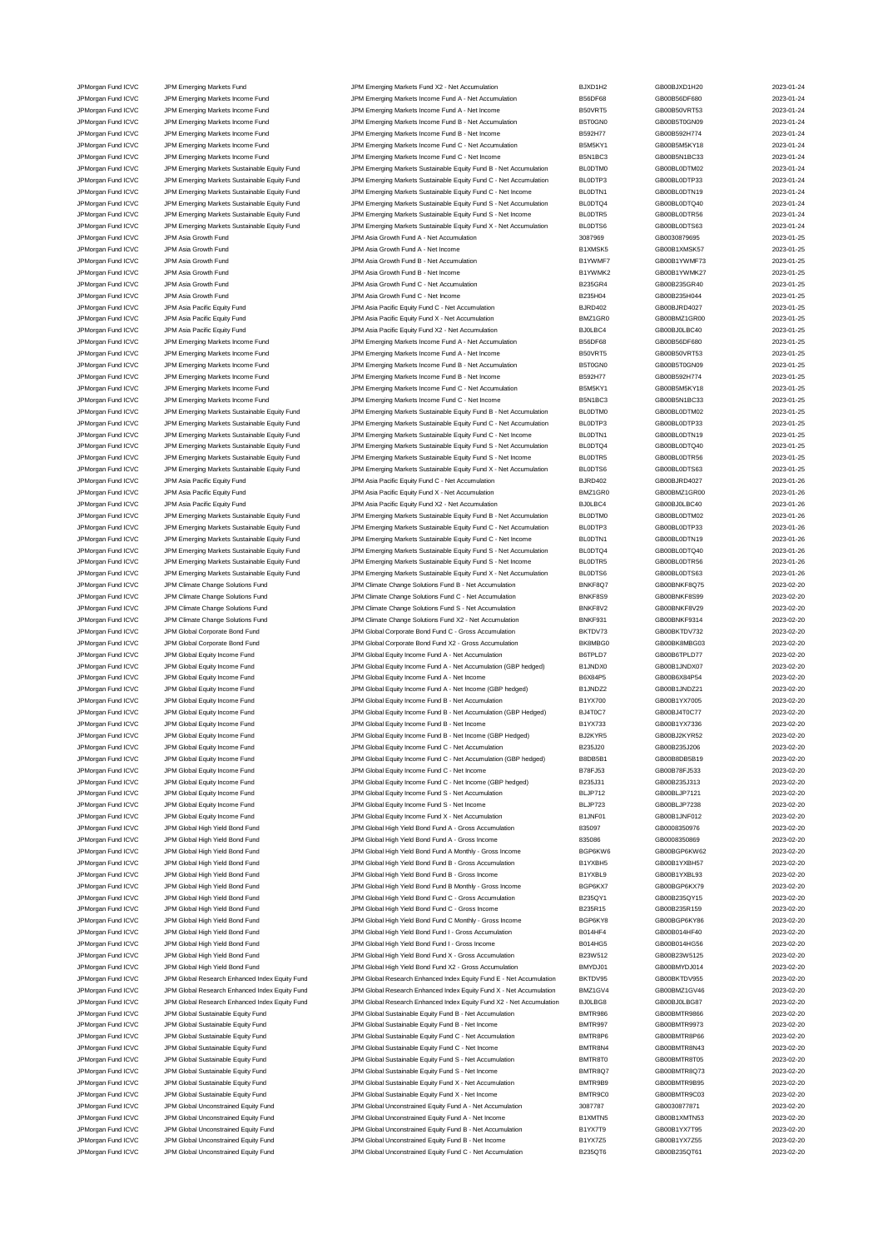JPMorgan Fund ICVC JPM Global Equity Income Fund<br>JPM Global Equity Income Tund JPM Global Equity Income Fund JPM Global Equity Income Fund B - Net Income

JPMorgan Fund ICVC JPM Emerging Markets Fund JPM Emerging Markets Fund X2 - Net Accumulation BJXD1H2 GB00BJXD1H20 2023-01-24<br>JPM Emerging Markets Income Fund JPM Emerging Markets Income Fund A - Net Accumulation B56DF68 GB JPM Emerging Markets Income Fund A - Net Accumulation B56DF68 B66DF68 GB00B56DF680 2023-01-24 JPMorgan Fund ICVC JPM Emerging Markets Income Fund JPM Emerging Markets Income Fund A - Net Income B50VRT5 GB00B50VRT53 2023-01-24 JPMorgan Fund ICVC JPM Emerging Markets Income Fund JPM Emerging Markets Income Fund B - Net Accumulation B5T0GN0 GB00B5T0GN09 2023-01-24 JPMorgan Fund ICVC JPM Emerging Markets Income Fund JPM Emerging Markets Income Fund B - Net Income B592H77 GB00B592H774 2023-01-24<br>JPM GB00B5M5KY18 JPM Emerging Markets Income Fund JPM Emerging Markets Income Fund C - Net JPMorgan Fund ICVC JPM Emerging Markets Income Fund JPM Emerging Markets Income Fund C - Net Accumulation B5M5KY1 GB00B5M5KY18 2023-01-24 JPMorgan Fund ICVC JPM Emerging Markets Income Fund States Income Fund JPM Emerging Markets Income Fund C - Net Income Binkt BCS B5N1BC3 GB00B5N1BC33 2023-01-24 JPMorgan Fund ICVC JPM Emerging Markets Sustainable Equity Fund JPM Emerging Markets Sustainable Equity Fund B - Net Accumulation BL0DTM0 GB00BL0DTM02 2023-01-24<br>JPMorgan Fund ICVC JPM Emerging Markets Sustainable Equity F JPMorgan Fund ICVC JPM Emerging Markets Sustainable Equity Fund JPM Emerging Markets Sustainable Equity Fund C - Net Accumulation BL0DTP3 GB00BL0DTP33 2023-01-24 JPMorgan Fund ICVC JPM Emerging Markets Sustainable Equity Fund JPM Emerging Markets Sustainable Equity Fund C - Net Income BL0DTN1 GB00BL0DTN19 2023-01-24<br>JPMorgan Fund ICVC JPM Emerging Markets Sustainable Equity Fund JP JPM Emerging Markets Sustainable Equity Fund S - Net Accumulation BL0DTQ4 GB00BL0DTQ40 2023-01-24 JPMorgan Fund ICVC JPM Emerging Markets Sustainable Equity Fund JPM Emerging Markets Sustainable Equity Fund S - Net Income BL0DTR5 GB00BL0DTR56 2023-01-24 JPMorgan Fund ICVC JPM Emerging Markets Sustainable Equity Fund JPM Emerging Markets Sustainable Equity Fund X - Net Accumulation BL0DTS6 GB00BL0DTS63 2023-01-24<br>JPM Asia Growth Fund JPM Asia Growth Fund A - Net Accumulati JPM Asia Growth Fund A - Net Accum JPM Asia Growth Fund JPM Asia Growth Fund JPM Asia A - Net Income B1XMSK5 GB00B1XMSK57 2023-01-25 JPMorgan Fund ICVC JPM Asia Growth Fund JPM Asia Growth Fund B - Net Accumulation B1YWMF7 GB00B1YWMF73 2023-01-25 JPMorgan Fund ICVC JPM Asia Growth Fund JPM Asia Growth Fund B - Net Income B1YWMK2 GB00B1YWMK27 2023-01-25 JPM Asia Growth Fund JPM Asia Growth Fund JPM Asia Growth Fund C - Net Accumulation B235GR4 GB00B235GR40 2023-01-25 JPMorgan Fund ICVC JPM Asia Growth Fund C - Met Income JPM Asia Growth Fund C - Net Income B235H04 B235H04 GB00B235H04 GB00B235H04 2023-01-25 JPMorgan Fund ICVC JPM Asia Pacific Equity Fund JPM Asia Pacific Equity Fund C - Net Accumulation BJRD402 GB00BJRD4027 2023-01-25 JPMorgan Fund ICVC JPM Asia Pacific Equity Fund JPM Asia Pacific Equity Fund X - Net Accumulation BMZ1GR0 GB00BMZ1GR00 2023-01-25<br>JPM Asia Pacific Equity Fund JPM Asia Pacific Equity Fund X2 - Net Accumulation BJ0LBC4 GB00 JPM Asia Pacific Equity Fund JPM Asia Pacific Equity Fund JPM Asia Pacific Equity Fund X2 - Net Accumulation B JPMorgan Fund ICVC JPM Emerging Markets Income Fund JPM Emerging Markets Income Fund A - Net Accumulation B56DF68 GB00B56DF680 2023-01-25<br>JPM Emerging Markets Income Fund JPM Emerging Markets Income Fund A - Net Income Sea JPM Emerging Markets Income Fund A - Net Income **COVE ACCOUNTER A COVE A COVE TO A COVE TO A COVE TO A A - Net Income B50VRT5** GB00B50VRT53 2023-01-25 JPMorgan Fund ICVC JPM Emerging Markets Income Fund JPM Emerging Markets Income Fund B - Net Accumulation B5T0GN0 GB00B5T0GN09 2023-01-25 JPMorgan Fund ICVC JPM Emerging Markets Income Fund JPM Emerging Markets Income Fund B - Net Income B592H77 GB00B592H774 2023-01-25<br>JPM GB00B5M5KY18 JPM Emerging Markets Income Fund JPM Emerging Markets Income Fund C - Net JPM Emerging Markets Income Fund C - Net Accumul JPMorgan Fund ICVC JPM Emerging Markets Income Fund JPM Emerging Markets Income Fund C - Net Income B5N1BC3 GB00B5N1BC33 2023-01-25<br>JPM Emerging Markets Sustainable Equity Fund JPM Emerging Markets Sustainable Equity Fund JPM Emerging Markets Sustainable Equity Fund B - Net Accum JPMorgan Fund ICVC JPM Emerging Markets Sustainable Equity Fund JPM Emerging Markets Sustainable Equity Fund C - Net Accumulation BL0DTP3 GB00BL0DTP33 2023-01-25 JPMorgan Fund ICVC JPM Emerging Markets Sustainable Equity Fund JPM Emerging Markets Sustainable Equity Fund C - Net Income BL0DTN1 GB00BL0DTN19 2023-01-25<br>JPMorgan Fund ICVC JPM Emerging Markets Sustainable Equity Fund JP JPM Emerging Markets Sustainable Equity Fund S - Net Accumulation BL0DTQ4 BL0DTQ4 BL0DTQ4 BL0DTQ4 GB00BL0DTQ40 JPMorgan Fund ICVC JPM Emerging Markets Sustainable Equity Fund JPM Emerging Markets Sustainable Equity Fund S - Net Income BL0DTR5 GB00BL0DTR56 2023-01-25<br>JPM Gram ICVC JPM Emerging Markets Sustainable Equity Fund JPM Eme JPMorgan Fund ICVC JPM Emerging Markets Sustainable Equity Fund JPM Emerging Markets Sustainable Equity Fund X - Net Accumulation BL0DTS6 GB00BL0DTS63 2023-01-25 JPMorgan Fund ICVC JPM Asia Pacific Equity Fund Case of 2023-01-26 JPM Asia Pacific Equity Fund C - Net Accumulation BJRD402 GB00BJRD4027 GB00BJRD4027 2023-01-26 JPMorgan Fund ICVC JPM Asia Pacific Equity Fund JPM Asia Pacific Equity Fund X - Net Accumulation BMZ1GR0 GB00BMZ1GR00 2023-01-26 JPMorgan Fund ICVC JPM Asia Pacific Equity Fund JPM Asia Pacific Equity Fund X2 - Net Accumulation BJ0LBC4 GB00BJ0LBC40 2023-01-26 JPMorgan Fund ICVC JPM Emerging Markets Sustainable Equity Fund JPM Emerging Markets Sustainable Equity Fund B - Net Accumulation BL0DTM0 GB00BL0DTM02 2023-01-26<br>JPMorgan Fund ICVC JPM Emerging Markets Sustainable Equity F JPMorgan Fund ICVC JPM Emerging Markets Sustainable Equity Fund JPM Emerging Markets Sustainable Equity Fund C - Net Accumulation BL0DTP3 GB00BL0DTP33 2023-01-26 JPMorgan Fund ICVC JPM Emerging Markets Sustainable Equity Fund JPM Emerging Markets Sustainable Equity Fund C - Net Income BL0DTN1 GB00BL0DTN19 2023-01-26 JPMorgan Fund ICVC JPM Emerging Markets Sustainable Equity Fund JPM Emerging Markets Sustainable Equity Fund S - Net Accumulation BL0DTQ4 GB00BL0DTQ40 2023-01-26 JPMorgan Fund ICVC JPM Emerging Markets Sustainable Equity Fund JPM Emerging Markets Sustainable Equity Fund S - Net Income BL0DTR5 GB00BL0DTR56 2023-01-26<br>JPMorgan Fund ICVC JPM Emerging Markets Sustainable Equity Fund JP JPMorgan Fund ICVC JPM Emerging Markets Sustainable Equity Fund JPM Emerging Markets Sustainable Equity Fund X - Net Accumulation BL0DTS6 GB00BL0DTS63 2023-01-26 JPMorgan Fund ICVC JPM Climate Change Solutions Fund JPM Climate Change Solutions Fund B - Net Accumulation BNKF8Q7 GB00BNKF8Q75 2023-02-20 JPMorgan Fund ICVC JPM Climate Change Solutions Fund JPM Climate Change Solutions Fund C - Net Accumulation BNKF8S9 GB00BNKF8S99 2023-02-20 JPMorgan Fund ICVC JPM Climate Change Solutions Fund JPM Climate Change Solutions Fund S - Net Accumulation BNKF8V2 GB00BNKF8V29 2023-02-20 JPMorgan Fund ICVC JPM Climate Change Solutions Fund State Change Solutions Fund X2 - Net Accumulation BNKF931 GB00BNKF9314 2023-02-20 JPMorgan Fund ICVC JPM Global Corporate Bond Fund JPM Global Corporate Bond Fund C - Gross Accumulation BKTDV73 GB00BKTDV732 2023-02-20<br>JPM Group JPM Global Corporate Bond Fund JPM Global Corporate Bond Fund X2 - Gross Acc JPMorgan Fund ICVC JPM Global Corporate Bond Fund JPM Global Corporate Bond Fund X2 - Gross Accumulation BK8MBG0 GB00BK8MBG03 2023-02-20 JPMorgan Fund ICVC JPM Global Equity Income Fund JPM Global Equity Income Fund A - Net Accumulation B6TPLD7 GB00B6TPLD77 2023-02-20 JPM Growth Fund ICVC JPM Global Equity Income Fund JPM Global Equity Income Fund A - Net Accumulation (GBP hedged) B1JNDX0 GB00B1JNDX07 2023-02-20<br>JPM Global And All And JPM Global Equity Income Fund State JPM Global Equit JPMorgan Fund ICVC JPM Global Equity Income Fund JPM Global Equity Income Fund A - Net Income B6X84P5 GB00B6X84P54 2023-02-20 JPMorgan Fund ICVC JPM Global Equity Income Fund JPM Global Equity Income Fund A - Net Income (GBP hedged) B1JNDZ2 GB00B1JNDZ21 2023-02-20 JPMorgan Fund ICVC JPM Global Equity Income Fund JPM Global Equity Income Fund B - Net Accumulation B1YX700 GB00B1YX7005 2023-02-20<br>JPM Global Fund ICVC JPM Global Equity Income Fund JPM Global Equity Income Fund B - Net A JPMorgan Fund ICVC JPM Global Equity Income Fund JPM Global Equity Income Fund B - Net Accumulation (GBP Hedged) BJ4T0C7 GB00BJ4T0C77 2023-02-20<br>JPM Global Structure Developme Fund JPM Global Equity Income Fund B - Net Inc JPMorgan Fund ICVC JPM Global Equity Income Fund JPM Global Equity Income Fund B - Net Income (GBP Hedged) BJ2KYR5 GB00BJ2KYR52 2023-02-20 JPMorgan Fund ICVC JPM Global Equity Income Fund JPM Global Equity Income Fund C - Net Accumulation (GBP hedged) B825J20 GB00B235J206 2023-02-20<br>JPM Global TPM Global Equity Income Fund States of March JPM Global Equity In JPM Global Equity Income Fund C - Net Accumulation (GBP hedged JPM Global Equity Income Fund JPM Global Equity Income Fund C - Net Income B78FJ53 GB00B78FJ533 CB00B78FJ533 2023-02-20 JPMorgan Fund ICVC JPM Global Equity Income Fund JPM Global Equity Income Fund C - Net Income (GBP hedged) B235J31 GB00B235J313 2023-02-20 JPMorgan Fund ICVC JPM Global Equity Income Fund Set Accumulation CHO BLJP712 GB00BLJP7121 GB00BLJP7121 2023-02-20 JPMorgan Fund ICVC JPM Global Equity Income Fund JPM Global Equity Income Fund S - Net Income BLJP723 GB00BLJP7238 2023-02-20 JPMorgan Fund ICVC JPM Global Equity Income Fund Security Income Fund JPM Global Equity Income Fund X - Net Accumulation B1JNF01 GB00B1JNF012 2023-02-20 JPMorgan Fund ICVC JPM Global High Yield Bond Fund JPM Global High Yield Bond Fund A - Gross Accumulation 835097 GB0008350976 2023-02-20 JPMorgan Fund ICVC JPM Global High Yield Bond Fund JPM Global High Yield Bond Fund A - Gross Income 835086 GB0008350869 2023-02-20 JPMorgan Fund ICVC JPM Global High Yield Bond Fund JPM Global High Yield Bond Fund A Monthly - Gross Income BGP6KW6 GB00BGP6KW62 2023-02-20 JPMorgan Fund ICVC JPM Global High Yield Bond Fund JPM Global High Yield Bond Fund B - Gross Accumulation B1YXBH5 GB00B1YXBH57 2023-02-20 JPMorgan Fund ICVC JPM Global High Yield Bond Fund JPM Global High Yield Bond Fund B - Gross Income B1YXBL9 GB00B1YXBL93 2023-02-20<br>JPM Global High Yield Bond Fund JPM Global High Yield Bond Fund B Monthly - Gross Income B JPMorgan Fund ICVC JPM Global High Yield Bond Fund JPM Global High Yield Bond Fund B Monthly - Gross Income BGP6KX7 GB00BGP6KX79 2023-02-20 JPMorgan Fund ICVC JPM Global High Yield Bond Fund JPM Global High Yield Bond Fund C - Gross Accumulation B235QY1 GB00B235QY15 2023-02-20 JPMorgan Fund ICVC JPM Global High Yield Bond Fund JPM Global High Yield Bond Fund C - Gross Income B235R15 GB00B235R159 2023-02-20 JPMorgan Fund ICVC JPM Global High Yield Bond Fund JPM Global High Yield Bond Fund C Monthly - Gross Income BGP6KY8 GB00BGP6KY86 2023-02-20 JPMorgan Fund ICVC JPM Global High Yield Bond Fund JPM Global High Yield Bond Fund I - Gross Accumulation B014HF4 GB00B014HF40 2023-02-20 JPMorgan Fund ICVC JPM Global High Yield Bond Fund JPM Global High Yield Bond Fund I - Gross Income B014HG5 GB00B014HG56 2023-02-20 JPMorgan Fund ICVC JPM Global High Yield Bond Fund JPM Global High Yield Bond Fund X - Gross Accumulation B23W512 GB00B23W5125 2023-02-20 JPMorgan Fund ICVC JPM Global High Yield Bond Fund JPM Global High Yield Bond Fund X2 - Gross Accumulation BMYDJ01 GB00BMYDJ014 2023-02-20 JPMorgan Fund ICVC JPM Global Research Enhanced Index Equity Fund JPM Global Research Enhanced Index Equity Fund E - Net Accumulation BKTDV95 GB00BKTDV955 2023-02-20 JPMorgan Fund ICVC JPM Global Research Enhanced Index Equity Fund JPM Global Research Enhanced Index Equity Fund X - Net Accumulation BMZ1GV4 GB00BMZ1GV46 2023-02-20 JPMorgan Fund ICVC JPM Global Research Enhanced Index Equity Fund JPM Global Research Enhanced Index Equity Fund X2 - Net Accumulation BJ0LBG8 GB00BJ0LBG87 2023-02-20<br>JPM Group JPM Global Sustainable Equity Fund JPM Global JPM Global Sustainable Equity Fund JPM Global Sustainable Equity Fund JPM Global Sustainable Equity Fund B - Net Accumulation<br>JPM Global Sustainable General American Bampare and Sustainable Equity Fund B - Net Income JPMorgan Fund ICVC JPM Global Sustainable Equity Fund JPM Global Sustainable Equity Fund B - Net Income BMTR997 GB00BMTR9973 2023-02-20 JPMorgan Fund ICVC JPM Global Sustainable Equity Fund JPM Global Sustainable Equity Fund C - Net Accumulation<br>JPM Group JPM Global Sustainable Equity Fund JPM Global Sustainable Equity Fund C - Net Income BMTR8N4 GB00BMTR8 JPM Global Sustainable Equity Fund C - Net Income BMTR8N4 BMTR8N4 GB00BMTR8N43 2023-02-20 JPMorgan Fund ICVC JPM Global Sustainable Equity Fund JPM Global Sustainable Equity Fund S - Net Accumulation BMTR8T0 GB00BMTR8T05 2023-02-20 JPM Global Sustainable Equity Fund S - Net Income JPMorgan Fund ICVC JPM Global Sustainable Equity Fund JPM Global Sustainable Equity Fund X - Net Accumulation<br>JPM Global Sustainable Aquity Fund JPM Global Sustainable Equity Fund X - Net Income BMTR9C0 GB00BMTR9C03 2023-0 JPM Global Sustainable Equity Fund X - Net Income BMTR9C0 BMTR9C0 GB00BMTR9C03 2023-02-20 JPMorgan Fund ICVC JPM Global Unconstrained Equity Fund JPM Global Unconstrained Equity Fund A - Net Accumulation 3087787 GB0030877871 CB0030877871 JPMorgan Fund ICVC JPM Global Unconstrained Equity Fund JPM Global Unconstrained Equity Fund A - Net Income B1XMTN5 GB00B1XMTN53 2023-02-20<br>JPM Group JPM Global Unconstrained Equity Fund JPM Global Unconstrained Equity Fun JPM Global Unconstrained Equity Fund B - Net Accum JPM Group Constrained Equity Fund JPM Global Unconstrained Equity Fund B - Net Income B1YX7Z5 GB00B1YX7Z55 2023-02-20 JPMorgan Fund ICVC JPM Global Unconstrained Equity Fund JPM Global Unconstrained Equity Fund C - Net Accumulation B235QT6 GB00B235QT61 2023-02-20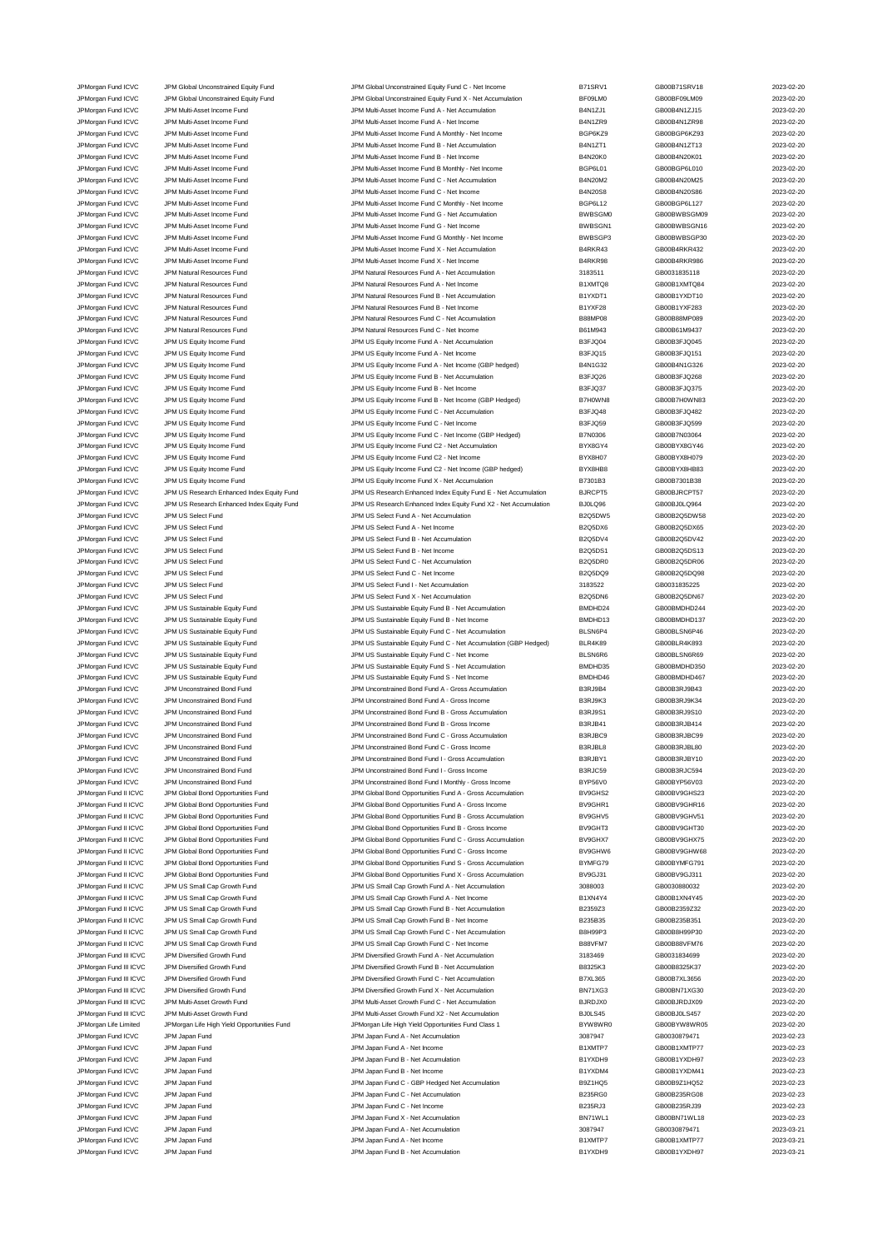JPM Natural Resources Fund ICVC JPM Natural Resources Fund JPM Natural Resources Fund C - Net Income JPM Japan Fund ICVC ICVC JPM Japan Fund B - Net Income

JPMorgan Fund ICVC JPM Global Unconstrained Equity Fund JPM Global Unconstrained Equity Fund C - Net Income B71SRV1 GB00B71SRV18 2023-02-20<br>JPM Group JPM Global Unconstrained Equity Fund JPM Global Unconstrained Equity Fun JPM Global Unconstrained Equity Fund **ICVC 3D23-02-20** JPM Global Unconstrained Equity Fund X - Net Accumulation BF09LM0 GB00BF09LM09 2023-02-20 JPMorgan Fund ICVC JPM Multi-Asset Income Fund JPM Multi-Asset Income Fund A - Net Accumulation B4N1ZJ1 GB00B4N1ZJ15 2023-02-20 JPM Multi-Asset Income Fund JPM Multi-Asset Income Fund A - Net Income Fund A - Net Income B4N1ZR9 GB00B4N1ZR98 2023-02-20 JPMorgan Fund ICVC JPM Multi-Asset Income Fund JPM Multi-Asset Income Fund A Monthly - Net Income BGP6KZ9 GB00BGP6KZ93 2023-02-20 JPMorgan Fund ICVC JPM Multi-Asset Income Fund JPM Multi-Asset Income Fund B - Net Accumulation B4N1ZT1 GB00B4N1ZT13 2023-02-20 JPMorgan Fund ICVC JPM Multi-Asset Income Fund JPM Multi-Asset Income Fund B - Net Income Fund B - Net Income Fund B - Net Income B4N20K0 GB00B4N20K01 GB00B4N20K01 2023-02-20 JPMorgan Fund ICVC JPM Multi-Asset Income Fund JPM Multi-Asset Income Fund B Monthly - Net Income BGP6L01 GB00BGP6L010 2023-02-20 JPMorgan Fund ICVC JPM Multi-Asset Income Fund JPM Multi-Asset Income Fund C - Net Accumulation B4N20M2 GB00B4N20M25 2023-02-20 JPMorgan Fund ICVC JPM Multi-Asset Income Fund JPM Multi-Asset Income Fund C - Net Income B4N20S8 GB00B4N20S86 2023-02-20 JPMorgan Fund ICVC JPM Multi-Asset Income Fund JPM Multi-Asset Income Fund C Monthly - Net Income BGP6L12 GB00BGP6L127 2023-02-20 JPMorgan Fund ICVC JPM Multi-Asset Income Fund JPM Multi-Asset Income Fund G - Net Accumulation BWBSGM0 GB00BWBSGM09 2023-02-20 JPMorgan Fund ICVC JPM Multi-Asset Income Fund JPM Multi-Asset Income Fund G - Net Income BWBSGN1 GB00BWBSGN16 2023-02-20 JPM Multi-Asset Income Fund<br>ICV JPM Multi-Asset Income Fund GPU ADD MULTI-Asset Income Fund X - Net Accumula<br>JPM Multi-Asset Income Fund GB00BWBSGP30 2023-02-2023-02-2023-02-2023-02-2023-02-2023-02-20-20-20-20-20-20-20 JPMorgan Fund ICVC JPM Multi-Asset Income Fund JPM Multi-Asset Income Fund X - Net Accumulation B4RKR43 GB00B4RKR432 2023-02-20 JPMorgan Fund ICVC JPM Multi-Asset Income Fund JPM Multi-Asset Income Fund X - Net Income B4RKR98 GB00B4RKR986 2023-02-20 JPMorgan Fund ICVC JPM Natural Resources Fund JPM Natural Resources Fund A - Net Accumulation 3183511 GB0031835118 2023-02-20 JPM Natural Resources Fund JPM Natural Resources Fund A - Net Income B1XMTQ8 GB00B1XMTQ84 CB00B1XMTQ84 2023-02-20 JPMorgan Fund ICVC JPM Natural Resources Fund JPM Natural Resources Fund B - Net Accumulation B1YXDT1 GB00B1YXDT10 2023-02-20 JPM Natural Resources Fund JPM Natural Resources Fund B - Net Income B1YXF28 GB00B1YXF283 CB00B1YXF283 2023-02-20 JPM Organ Fund ICVC JPM Natural Resources Fund States of the Unit JPM Natural Resources Fund C - Net Accumulation B88MP08 GB00B88MP089 2023-02-20<br>JPM Natural Resources Fund JPM Natural Resources Fund C - Net Income B61M943 JPMorgan Fund ICVC JPM US Equity Income Fund JPM US Equity Income Fund A - Net Accumulation B3FJQ04 GB00B3FJQ045 2023-02-20 JPM US Equity Income Fund ICVC JPM US Equity Income Fund A - Net Income Current B3FJQ15 GB00B3FJQ151 2023-02-20 JPMorgan Fund ICVC JPM US Equity Income Fund JPM US Equity Income Fund A - Net Income (GBP hedged) B4N1G32 GB00B4N1G326 2023-02-20 JPMorgan Fund ICVC JPM US Equity Income Fund JPM US Equity Income Fund B - Net Accumulation B3FJQ26 GB00B3FJQ268 2023-02-20 JPM US Equity Income Fund B - Net Income JPMorgan Fund ICVC JPM US Equity Income Fund JPM US Equity Income Fund B - Net Income (GBP Hedged) B7H0WN8 GB00B7H0WN83 2023-02-20 JPM US Equity Income Fund C - Net Accumulation JPMorgan Fund ICVC JPM US Equity Income Fund JPM US Equity Income Fund C - Net Income Base Das JOS9 GB00B3FJQ599 2023-02-20 JPMorgan Fund ICVC JPM US Equity Income Fund JPM US Equity Income Fund C - Net Income (GBP Hedged) B7N0306 GB00B7N03064 2023-02-20<br>JPM US And ICVC JPM US Equity Income Fund JPM US Equity Income Fund C2 - Net Accumulation B JPM US Equity Income Fund C2 - Net Accumulation JPMorgan Fund ICVC JPM US Equity Income Fund JPM US Equity Income Fund C2 - Net Income BYX8H07 GB00BYX8H079 2023-02-20 JPMorgan Fund ICVC JPM US Equity Income Fund JPM US Equity Income Fund C2 - Net Income (GBP hedged) BYX8HB8 GB00BYX8HB83 2023-02-20 JPMorgan Fund ICVC JPM US Equity Income Fund JPM US Equity Income Fund X - Net Accumulation B7301B3 GB00B7301B38 2023-02-20 JPMorgan Fund ICVC JPM US Research Enhanced Index Equity Fund JPM US Research Enhanced Index Equity Fund E - Net Accumulation BJRCPT5 GB00BJRCPT57 2023-02-20<br>JPM US Research Enhanced Index Equity Fund JPM US Research Enhan JPMorgan Fund ICVC JPM US Research Enhanced Index Equity Fund JPM US Research Enhanced Index Equity Fund X2 - Net Accumulation BJ0LQ96 GB00BJ0LQ964 2023-02-20 JPMorgan Fund ICVC JPM US Select Fund JPM US Select Fund A - Net Accumulation B2Q5DW5 GB00B2Q5DW58 2023-02-20 JPMorgan Fund ICVC JPM US Select Fund CO23-02-20<br>JPM US Select Fund A - Net Income B2Q5DX6 B200B2Q5DX65 2023-02-20 JPMorgan Fund ICVC JPM US Select Fund JPM US Select Fund B - Net Accumulation B2Q5DV4 GB00B2Q5DV42 2023-02-20 JPMorgan Fund ICVC JPM US Select Fund JPM US Select Fund B - Net Income B2Q5DS1 GB00B2Q5DS13 2023-02-20 JPMorgan Fund ICVC JPM US Select Fund JPM US Select Fund C - Net Accumulation B2Q5DR0 GB00B2Q5DR06 2023-02-20 JPMorgan Fund ICVC JPM US Select Fund JPM US Select Fund C - Net Income B2Q5DQ9 GB00B2Q5DQ98 2023-02-20 JPMorgan Fund ICVC JPM US Select Fund JPM US Select Fund I - Net Accumulation 3183522 GB0031835225 2023-02-20 JPMorgan Fund ICVC JPM US Select Fund JPM US Select Fund X - Net Accumulation B2Q5DN6 GB00B2Q5DN67 2023-02-20 JPMorgan Fund ICVC JPM US Sustainable Equity Fund JPM US Sustainable Equity Fund B - Net Accumulation BMDHD24 GB00BMDHD244 2023-02-20 JPMorgan Fund ICVC JPM US Sustainable Equity Fund JPM US Sustainable Equity Fund B - Net Income BMDHD13 GB00BMDHD137 2023-02-20 JPMorgan Fund ICVC JPM US Sustainable Equity Fund JPM US Sustainable Equity Fund C - Net Accumulation (GBP Hedged) BLSN6P4 GB00BLSN6P46 2023-02-20<br>JPM US Sustainable Equity Fund JPM US Sustainable Equity Fund C - Net Accum JPMorgan Fund ICVC JPM US Sustainable Equity Fund JPM US Sustainable Equity Fund C - Net Accumulation (GBP Hedged) BLR4K89 GB00BLR4K893 2023-02-20 JPMorgan Fund ICVC JPM US Sustainable Equity Fund JPM US Sustainable Equity Fund C - Net Income BLSN6R6 GB00BLSN6R69 2023-02-20 JPMorgan Fund ICVC JPM US Sustainable Equity Fund JPM US Sustainable Equity Fund S - Net Accumulation BMDHD55 GB00BMDHD350 2023-02-20<br>JPM US JPM US Sustainable Equity Fund JPM US Sustainable Equity Fund S - Net Income BMDH JPM US Sustainable Equity Fund S - Net Income BMDHD46 BMDHD46 GB00BMDHD467 2023-02-20 JPMorgan Fund ICVC JPM Unconstrained Bond Fund JPM Unconstrained Bond Fund A - Gross Accumulation B3RJ9B4 GB00B3RJ9B43 2023-02-20 JPMorgan Fund ICVC JPM Unconstrained Bond Fund JPM Unconstrained Bond Fund A - Gross Income B3RJ9K3 GB00B3RJ9K34 2023-02-20 JPMorgan Fund ICVC JPM Unconstrained Bond Fund JPM Unconstrained Bond Fund B - Gross Accumulation B3RJ9S1 GB00B3RJ9S10 2023-02-20 JPM Unconstrained Bond Fund B - Gross Income JPMorgan Fund ICVC JPM Unconstrained Bond Fund JPM Unconstrained Bond Fund C - Gross Accumulation B3RJBC9 GB00B3RJBC99 2023-02-20 JPMorgan Fund ICVC JPM Unconstrained Bond Fund JPM Unconstrained Bond Fund C - Gross Income B3RJBL8 GB00B3RJBL80 2023-02-20 JPM Unconstrained Bond Fund I - Gross Accumula JPMorgan Fund ICVC JPM Unconstrained Bond Fund JPM Unconstrained Bond Fund I - Gross Income B3RJC59 GB00B3RJC594 2023-02-20 JPMorgan Fund ICVC JPM Unconstrained Bond Fund JPM Unconstrained Bond Fund I Monthly - Gross Income BYP56V0 GB00BYP56V03 2023-02-20 JPMorgan Fund II ICVC JPM Global Bond Opportunities Fund JPM Global Bond Opportunities Fund A - Gross Accumulation BV9GHS2 GB00BV9GHS23 2023-02-20 JPMorgan Fund II ICVC JPM Global Bond Opportunities Fund JPM Global Bond Opportunities Fund A - Gross Income BV9GHR1 GB00BV9GHR16 2023-02-20 JPMorgan Fund II ICVC JPM Global Bond Opportunities Fund JPM Global Bond Opportunities Fund B - Gross Accumulation BV9GHV5 GB00BV9GHV51 2023-02-20 JPMorgan Fund II ICVC JPM Global Bond Opportunities Fund JPM Global Bond Opportunities Fund B - Gross Income BV9GHT3 GB00BV9GHT30 2023-02-20 JPMorgan Fund II ICVC JPM Global Bond Opportunities Fund JPM Global Bond Opportunities Fund C - Gross Accumulation BV9GHX7 GB00BV9GHX75 2023-02-20 JPMorgan Fund II ICVC JPM Global Bond Opportunities Fund C - CHOS JPM Global Bond Opportunities Fund C - Gross Income BV9GHW6 GB00BV9GHW68 2023-02-20 JPMorgan Fund II ICVC JPM Global Bond Opportunities Fund JPM Global Bond Opportunities Fund S - Gross Accumulation BYMFG79 GB00BYMFG791 2023-02-20<br>JPM Group JPM Global Bond Opportunities Fund JPM Global Bond Opportunities JPMorgan Fund II ICVC JPM Global Bond Opportunities Fund JPM Global Bond Opportunities Fund X - Gross Accumulation BV9GJ31 GB00BV9GJ311 2023-02-20<br>JPM Group JPM JPM US Small Cap Growth Fund JPM US Small Cap Growth Fund A -JPM US Small Cap Growth Fund II IN INCO Small Cap Growth Fund A - Net Accumulation 3088003 GB0030880032 CBD0030880032 JPM Organ Fund II ICVC JPM US Small Cap Growth Fund JPM US Small Cap Growth Fund A - Net Income B1XN4Y4 GB00B1XN4Y45 2023-02-20 JPMorgan Fund II ICVC JPM US Small Cap Growth Fund Secure JPM US Small Cap Growth Fund B - Net Accumulation B2359Z3 BB00B2359Z32 GB00B2359Z32 2023-02-20 JPMorgan Fund II ICVC JPM US Small Cap Growth Fund JPM US Small Cap Growth Fund B - Net Income B235B35 GB00B235B351 2023-02-20 JPMorgan Fund II ICVC JPM US Small Cap Growth Fund JPM US Small Cap Growth Fund C - Net Accumulation B8H99P3 GB00B8H99P30 2023-02-20 JPMorgan Fund II ICVC JPM US Small Cap Growth Fund JPM US Small Cap Growth Fund C - Net Income B88VFM7 GB00B88VFM76 2023-02-20 JPMorgan Fund III ICVC JPM Diversified Growth Fund JPM Diversified Growth Fund A - Net Accumulation 3183469 GB0031834699 2023-02-20 JPMorgan Fund III ICVC JPM Diversified Growth Fund JPM Diversified Growth Fund B - Net Accumulation BB325K3 GB00B8325K37 GB00B8325K37 2023-02-20 JPM Diversified Growth Fund JPM Diversified Growth Fund C - Net Accumulation C - Net Accumulation B7XL365 GB00B7XL3656 CB00B7XL3656 2023-02-20 JPMorgan Fund III ICVC JPM Diversified Growth Fund JPM Diversified Growth Fund X - Net Accumulation BN71XG3 GB00BN71XG30 2023-02-20 JPMorgan Fund III ICVC JPM Multi-Asset Growth Fund JPM Multi-Asset Growth Fund C - Net Accumulation BJRDJX0 BJRDJX0 GB00BJRDJX09 2023-02-20<br>JPM Morgan Fund III ICVC JPM Multi-Asset Growth Fund JPM Multi-Asset Growth Fund X JPM Multi-Asset Growth Fund JPM Multi-Asset Growth Fund JPM Multi-Asset Growth Fund X2 - Net Accumulation JPMorgan Life Limited JPMorgan Life High Yield Opportunities Fund JPMorgan Life High Yield Opportunities Fund Class 1 BYW8WR0 GB00BYW8WR0 GB00BYW8WR05 2023-02-20 JPMorgan Fund ICVC JPM Japan Fund JPM Japan Fund A - Net Accumulation 3087947 GB0030879471 2023-02-23 JPM Japan Fund **ICVC JPM Japan Fund A - Net Income** B1XMTP7 GB00B1XMTP7 CBD0DB1XMTP77 2023-02-23 JPMorgan Fund ICVC JPM Japan Fund JPM Japan Fund B - Net Accumulation B1YXDH9 GB00B1YXDH97 2023-02-23 JPMorgan Fund ICVC JPM Japan Fund JPM Japan Fund C - GBP Hedged Net Accumulation B9Z1HQ5 GB00B9Z1HQ52 2023-02-23 JPM Japan Fund JPM Japan Fund C - Net Accumulation B235RG0 GB00B235RG0 GB00B235RG0 2023-02-23 JPMorgan Fund ICVC JPM Japan Fund C - Net Income C - Net Income B235RJ3 GB00B235RJ3 GB00B235RJ39 2023-02-23 JPMorgan Fund ICVC JPM Japan Fund JPM Japan Fund X - Net Accumulation BN71WL1 GB00BN71WL18 2023-02-23 JPM Japan Fund A - Net Accumulation JPMorgan Fund ICVC JPM Japan Fund JPM Japan Fund A - Net Income B1XMTP7 GB00B1XMTP77 2023-03-21 JPM Jramorgan Fund CVC JPM Japan Fund JPM Japan Fund B - Net Accumulation B1YXDH9 GB00B1YXDH9 GB00B1YXDH97 2023-03-21

| V1                    | GB00B71SRV18                 |
|-----------------------|------------------------------|
| ИO<br>J1              | GB00BF09LM09<br>GB00B4N1ZJ15 |
| R9                    | GB00B4N1ZR98                 |
| Z9                    | GB00BGP6KZ93                 |
| T1                    | GB00B4N1ZT13                 |
| KO                    | GB00B4N20K01                 |
| 01                    | GB00BGP6L010                 |
| VI <sub>2</sub><br>S8 | GB00B4N20M25<br>GB00B4N20S86 |
| 12                    | GB00BGP6L127                 |
| <b>GMO</b>            | GB00BWBSGM09                 |
| GN <sub>1</sub>       | GB00BWBSGN16                 |
| GP3                   | GB00BWBSGP30                 |
| 43                    | GB00B4RKR432                 |
| 98<br>1               | GB00B4RKR986<br>GB0031835118 |
| Q8                    | GB00B1XMTQ84                 |
| T1                    | GB00B1YXDT10                 |
| 28                    | GB00B1YXF283                 |
| 08                    | GB00B88MP089                 |
| 43                    | GB00B61M9437                 |
| $\overline{14}$<br>15 | GB00B3FJQ045<br>GB00B3FJQ151 |
| 32                    | GB00B4N1G326                 |
| 26                    | GB00B3FJQ268                 |
| 37                    | GB00B3FJQ375                 |
| /N8                   | GB00B7H0WN83                 |
| 48                    | GB00B3FJQ482                 |
| 59<br>າຣ              | GB00B3FJQ599<br>GB00B7N03064 |
| Y4                    | GB00BYX8GY46                 |
| 07                    | GB00BYX8H079                 |
| B <sub>8</sub>        | GB00BYX8HB83                 |
| 33                    | GB00B7301B38                 |
| T <sub>5</sub><br>Эĥ  | GB00BJRCPT57                 |
| W <sub>5</sub>        | GB00BJ0LQ964<br>GB00B2Q5DW58 |
| X6                    | GB00B2Q5DX65                 |
| V <sub>4</sub>        | GB00B2Q5DV42                 |
| S <sub>1</sub>        | GB00B2Q5DS13                 |
| R <sub>0</sub>        | GB00B2Q5DR06                 |
| Q9<br>$\overline{2}$  | GB00B2Q5DQ98                 |
| N <sub>6</sub>        | GB0031835225<br>GB00B2Q5DN67 |
| 024                   | GB00BMDHD244                 |
| 013                   | GB00BMDHD137                 |
| P4<br>89              | GB00BLSN6P46<br>GB00BLR4K893 |
| R6                    | GB00BLSN6R69                 |
| 035                   | GB00BMDHD350                 |
| 146                   | GB00BMDHD467                 |
| ۹4                    | GB00B3RJ9B43                 |
| <3<br>31              | GB00B3RJ9K34<br>GB00B3RJ9S10 |
| 41                    | GB00B3RJB414                 |
| C9                    | GB00B3RJBC99                 |
| L8                    | GB00B3RJBL80                 |
| Y1                    | GB00B3RJBY10                 |
| 59<br>VO              | GB00B3RJC594                 |
| IS <sub>2</sub>       | GB00BYP56V03<br>GB00BV9GHS23 |
| IR <sub>1</sub>       | GB00BV9GHR16                 |
| IV5                   | GB00BV9GHV51                 |
| IT3                   | GB00BV9GHT30                 |
| IX7                   | GB00BV9GHX75                 |
| IW6                   | GB00BV9GHW68<br>GB00BYMFG791 |
| 679<br>31             | GB00BV9GJ311                 |
| I3                    | GB0030880032                 |
| Y4                    | GB00B1XN4Y45                 |
| 23                    | GB00B2359Z32                 |
| 35<br>P3              | GB00B235B351<br>GB00B8H99P30 |
| M7                    | GB00B88VFM76                 |
| i9                    | GB0031834699                 |
| (3                    | GB00B8325K37                 |
| 55<br>G3              | GB00B7XL3656<br>GB00BN71XG30 |
| X0                    | GB00BJRDJX09                 |
| 15                    | GB00BJ0LS457                 |
| VR0                   | GB00BYW8WR05                 |
| 7                     | GB0030879471                 |
| P7<br>H <sub>9</sub>  | GB00B1XMTP77<br>GB00B1YXDH97 |
| M4                    |                              |
|                       | GB00B1YXDM41                 |
| Q5                    | GB00B9Z1HQ52                 |
| GO                    | GB00B235RG08                 |
| JЗ                    | GB00B235RJ39                 |
| L1<br>$\overline{7}$  | GB00BN71WL18                 |
| P7                    | GB0030879471<br>GB00B1XMTP77 |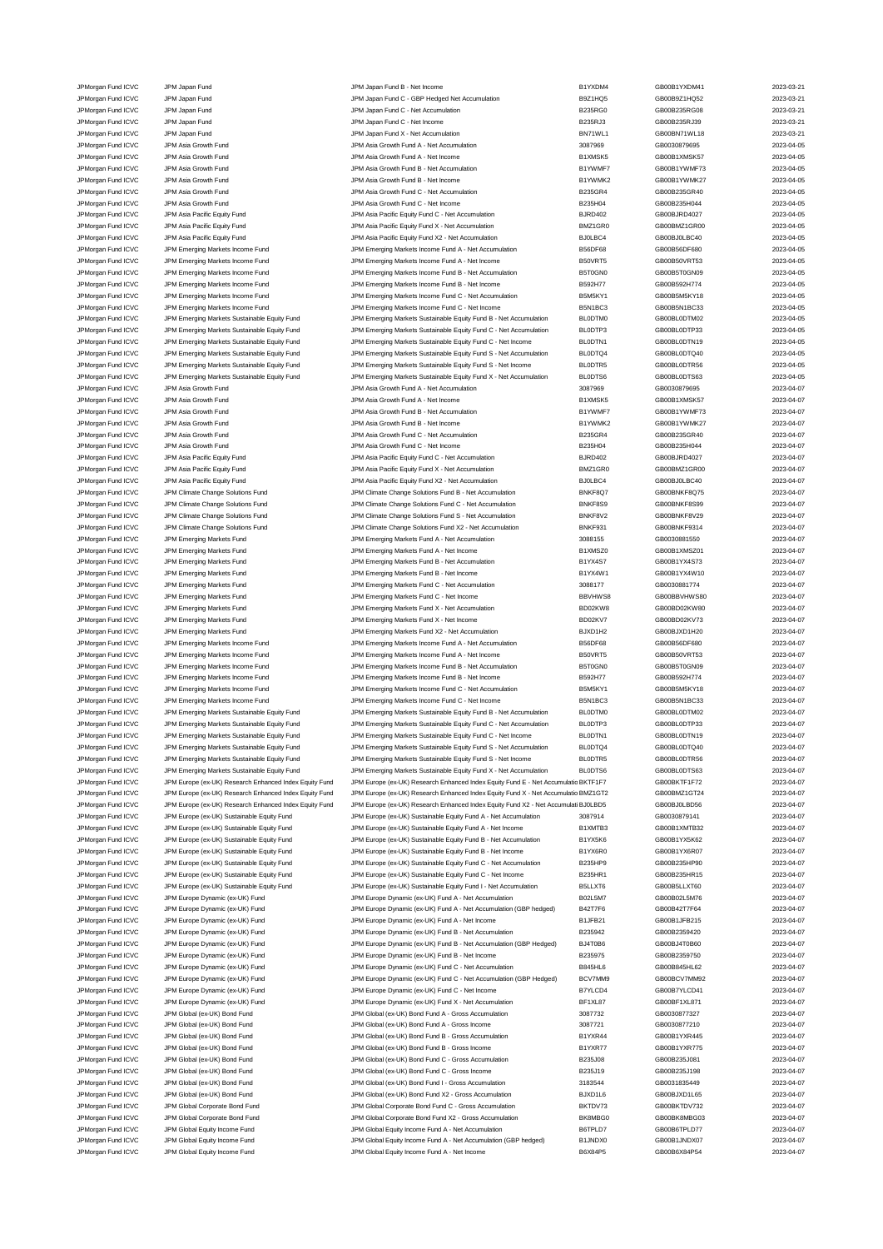JPMorgan Fund ICVC JPM Asia Growth Fund de and the State of Birls and B-Net Income

JPMorgan Fund ICVC JPM Japan Fund JPM Japan Fund B - Net Income B1YXDM4 GB00B1YXDM41 2023-03-21 JPM Japan Fund **ICV JPM Japan Fund C - GBP Hedged Net Accumulation** B9Z1HQ5 GB00B9Z1HQ52 CB00B9Z1HQ52 2023-03-21 JPMorgan Fund ICVC JPM Japan Fund JPM Japan Fund C - Net Accumulation B235RG0 GB00B235RG08 2023-03-21 JPMorgan Fund ICVC JPM Japan Fund JPM Japan Fund C - Net Income B235RJ3 GB00B235RJ39 2023-03-21 JPMorgan Fund ICVC JPM Japan Fund JPM Japan Fund X - Net Accumulation BN71WL1 GB00BN71WL18 2023-03-21 JPMorgan Fund ICVC JPM Asia Growth Fund JPM Asia Growth Fund A - Net Accumulation 3087969 GB0030879695 2023-04-05 JPMorgan Fund ICVC JPM Asia Growth Fund JPM Asia Growth Fund A - Net Income B1XMSK5 GB00B1XMSK5 GB00B1XMSK57 2023-04-05 JPM Asia Growth Fund ICVC JPM Asia Growth Fund JPM Asia Growth Fund B - Net Accumulation and B1YWMF7 GB00B1YWMF73 2023-04-05<br>JPM Asia Growth Fund JPM Asia Growth Fund JPM Asia Growth Fund B - Net Income B1YWMK2 GB00B1YWMK2 JPMorgan Fund ICVC JPM Asia Growth Fund JPM Asia Growth Fund C - Net Accumulation B235GR4 GB00B235GR40 2023-04-05<br>JPM Asia Growth Fund JPM Asia Growth Fund JPM Asia Growth Fund C - Net Income B2011 B235H04 GB00B235H044 GB0 JPM Asia Growth Fund 1CVC JPM Asia Growth Fund C - Net Income B235H04 B235H04 GB00B235H044 GB00B235H04 2023-04-05 JPMorgan Fund ICVC JPM Asia Pacific Equity Fund JPM Asia Pacific Equity Fund C - Net Accumulation BJRD402 GB00BJRD4027 2023-04-05 JPMorgan Fund ICVC JPM Asia Pacific Equity Fund JPM Asia Pacific Equity Fund X - Net Accumulation BMZ1GR0 GB00BMZ1GR00 2023-04-05<br>JPM Asia Pacific Equity Fund JPM Asia Pacific Equity Fund X2 - Net Accumulation BJ0LBC4 GB00 JPM Asia Pacific Equity Fund X2 - Net Accumu JPMorgan Fund ICVC JPM Emerging Markets Income Fund JPM Emerging Markets Income Fund A - Net Accumulation B56DF68 GB00B56DF680 2023-04-05<br>JPM Emerging Markets Income Fund JPM Emerging Markets Income Fund A - Net Income B50 JPMorgan Fund ICVC JPM Emerging Markets Income Fund JPM Emerging Markets Income Fund A - Net Income B50VRT5 GB00B50VRT53 2023-04-05 JPMorgan Fund ICVC JPM Emerging Markets Income Fund JPM Emerging Markets Income Fund B - Net Accumulation B5T0GN0 GB00B5T0GN09 2023-04-05<br>JPM Dram JPM Emerging Markets Income Fund JPM Emerging Markets Income Fund B - Net I JPMorgan Fund ICVC JPM Emerging Markets Income Fund JPM Emerging Markets Income Fund B - Net Income B592H77 GB00B592H774 2023-04-05 JPMorgan Fund ICVC JPM Emerging Markets Income Fund JPM Emerging Markets Income Fund C - Net Accumulation B5M5KY1 GB00B5M5KY18 2023-04-05<br>JPM organ Fund ICVC JPM Emerging Markets Income Fund JPM Emerging Markets Income Fun JPMorgan Fund ICVC JPM Emerging Markets Income Fund JPM Emerging Markets Income Fund C - Net Income B5N1BC3 GB00B5N1BC33 2023-04-05 JPMorgan Fund ICVC JPM Emerging Markets Sustainable Equity Fund JPM Emerging Markets Sustainable Equity Fund B - Net Accumulation BL0DTM0 GB00BL0DTM02 2023-04-05<br>JPMorgan Fund ICVC JPM Emerging Markets Sustainable Equity F JPMorgan Fund ICVC JPM Emerging Markets Sustainable Equity Fund JPM Emerging Markets Sustainable Equity Fund C - Net Accumulation JPMorgan Fund ICVC JPM Emerging Markets Sustainable Equity Fund JPM Emerging Markets Sustainable Equity Fund C - Net Income BL0DTN1 GB00BL0DTN19 2023-04-05<br>JPM Gram Archardt CVC JPM Emerging Markets Sustainable Equity Fund JPM Emerging Markets Sustainable Equity Fund JPM Emerging Markets Sustainable Equity Fund S - Net Accumulation<br>JPM Emerging Markets Sustainable Equity Fund JPM Emerging Markets Sustainable Equity Fund S - Net Income BL0DTR JPMorgan Fund ICVC JPM Emerging Markets Sustainable Equity Fund JPM Emerging Markets Sustainable Equity Fund S - Net Income BL0DTR5 GB00BL0DTR56 2023-04-05 JPMorgan Fund ICVC JPM Emerging Markets Sustainable Equity Fund JPM Emerging Markets Sustainable Equity Fund X - Net Accumulation BL0DTS6 GB00BL0DTS63 2023-04-05<br>JPM Asia Growth Fund JPM Asia Growth Fund A - Net Accumulati JPM Asia Growth Fund A - Net Accum JPMorgan Fund ICVC JPM Asia Growth Fund ICVC JPM Asia Growth Fund A - Net Income B1XMSK5 B1XMSK5 GB00B1XMSK57 2023-04-07<br>JPM Asia Growth Fund JPM Asia Growth Fund JPM Asia Growth Fund B - Net Accumulation B1YWMF7 GB00B1YWM JPM Asia Growth Fund B - Net Accumulation JPMorgan Fund ICVC JPM Asia Growth Fund CO23-04-07<br>JPM Asia Growth Fund B1YWMK2 GB00B1YWMK27 GB00B1YWMK27 2023-04-07 JPMorgan Fund ICVC JPM Asia Growth Fund JPM Asia Growth Fund C - Net Accumulation B235GR4 GB00B235GR40 2023-04-07 JPM Asia Growth Fund C - Net Income JPMorgan Fund ICVC JPM Asia Pacific Equity Fund JPM Asia Pacific Equity Fund C - Net Accumulation BJRD402 GB00BJRD4027 2023-04-07 JPMorgan Fund ICVC JPM Asia Pacific Equity Fund JPM Asia Pacific Equity Fund X - Net Accumulation BMZ1GR0 GB00BMZ1GR0 GB00BMZ1GR00 2023-04-07 JPMorgan Fund ICVC JPM Asia Pacific Equity Fund JPM Asia Pacific Equity Fund X2 - Net Accumulation BJ0LBC4 GB00BJ0LBC40 2023-04-07 JPMorgan Fund ICVC JPM Climate Change Solutions Fund JPM Climate Change Solutions Fund B - Net Accumulation BNKF8Q7 GB00BNKF8Q75 2023-04-07 JPMorgan Fund ICVC JPM Climate Change Solutions Fund JPM Climate Change Solutions Fund C - Net Accumulation<br>JPM Climate Fund ICVC JPM Climate Change Solutions Fund JPM Climate Change Solutions Fund S - Net Accumulation<br>JPM JPMorgan Fund ICVC JPM Climate Change Solutions Fund JPM Climate Change Solutions Fund S - Net Accumulation BNKF8V2 GB00BNKF8V29 2023-04-07 JPMorgan Fund ICVC JPM Climate Change Solutions Fund Secure Change Solutions Fund X2 - Net Accumulation BNKF931 GB00BNKF9314 2023-04-07 JPMorgan Fund ICVC JPM Emerging Markets Fund JPM Emerging Markets Fund A - Net Accumulation 3088155 GB0030881550 2023-04-07 JPMorgan Fund ICVC JPM Emerging Markets Fund JPM Emerging Markets Fund A - Net Income B1XMSZ0 GB00B1XMSZ01 2023-04-07 JPMorgan Fund ICVC JPM Emerging Markets Fund JPM Emerging Markets Fund B - Net Accumulation B1YX4S7 GB00B1YX4S73 2023-04-07 JPMorgan Fund ICVC JPM Emerging Markets Fund JPM Emerging Markets Fund B - Net Income B1YX4W1 GB00B1YX4W10 2023-04-07 JPMorgan Fund ICVC JPM Emerging Markets Fund JPM Emerging Markets Fund C - Net Accumulation 3088177 GB0030881774 2023-04-07 JPMorgan Fund ICVC JPM Emerging Markets Fund JPM Emerging Markets Fund C - Net Income BBVHWS8 GB00BBVHWS80 2023-04-07 JPMorgan Fund ICVC JPM Emerging Markets Fund JPM Emerging Markets Fund X - Net Accumulation BD02KW8 GB00BD02KW80 2023-04-07 JPMorgan Fund ICVC JPM Emerging Markets Fund JPM Emerging Markets Fund X - Net Income BD02KV7 GB00BD02KV73 2023-04-07 JPMorgan Fund ICVC JPM Emerging Markets Fund JPM Emerging Markets Fund X2 - Net Accumulation BJXD1H2 GB00BJXD1H20 2023-04-07 JPMorgan Fund ICVC JPM Emerging Markets Income Fund JPM Emerging Markets Income Fund A - Net Accumulation B56DF68 GB00B56DF680 2023-04-07 JPMorgan Fund ICVC JPM Emerging Markets Income Fund JPM Emerging Markets Income Fund A - Net Income B50VRT5 GB00B50VRT53 2023-04-07 JPMorgan Fund ICVC JPM Emerging Markets Income Fund JPM Emerging Markets Income Fund B - Net Accumulation B5T0GN0 GB00B5T0GN09 2023-04-07<br>JPM Emerging Markets Income Fund JPM Emerging Markets Income Fund B - Net Income B59 JPMorgan Fund ICVC JPM Emerging Markets Income Fund JPM Emerging Markets Income Fund B - Net Income B592H77 GB00B592H774 2023-04-07 JPMorgan Fund ICVC JPM Emerging Markets Income Fund JPM Emerging Markets Income Fund C - Net Accumulation B5M5KY1 GB00B5M5KY18 2023-04-07 JPMorgan Fund ICVC JPM Emerging Markets Income Fund JPM Emerging Markets Income Fund C - Net Income B5N1BC3 GB00B5N1BC33 2023-04-07<br>JPM Emerging Markets Sustainable Equity Fund JPM Emerging Markets Sustainable Equity Fund JPMorgan Fund ICVC JPM Emerging Markets Sustainable Equity Fund JPM Emerging Markets Sustainable Equity Fund B - Net Accumulation BL0DTM0 GB00BL0DTM02 2023-04-07<br>JPMorgan Fund ICVC JPM Emerging Markets Sustainable Equity F JPMorgan Fund ICVC JPM Emerging Markets Sustainable Equity Fund JPM Emerging Markets Sustainable Equity Fund C - Net Income<br>JPM Emerging Markets Sustainable Equity Fund JPM Emerging Markets Sustainable Equity Fund C - Net JPM Emerging Markets Sustainable Equity Fund C - Net Income BL0DTN1 GB00BL0DTN19 3023-04-07 JPMorgan Fund ICVC JPM Emerging Markets Sustainable Equity Fund JPM Emerging Markets Sustainable Equity Fund S - Net Accumulation BL0DTQ4 GB00BL0DTQ40 2023-04-07<br>JPMorgan Fund ICVC JPM Emerging Markets Sustainable Equity F JPM Emerging Markets Sustainable Equity Fund S - Net Income JPMorgan Fund ICVC JPM Emerging Markets Sustainable Equity Fund JPM Emerging Markets Sustainable Equity Fund X - Net Accumulation BL0DTS6 GB00BL0DTS63 2023-04-07 JPMorgan Fund ICVC JPM Europe (ex-UK) Research Enhanced Index Equity Fund JPM Europe (ex-UK) Research Enhanced Index Equity Fund E - Net Accumulatic BKTF1F7 GB00BKTF1F72 2023-04-07 JPMorgan Fund ICVC JPM Europe (ex-UK) Research Enhanced Index Equity Fund JPM Europe (ex-UK) Research Enhanced Index Equity Fund X - Net Accumulatic BMZ1GT2 GB00BMZ1GT24 2023-04-07 JPMorgan Fund ICVC JPM Europe (ex-UK) Research Enhanced Index Equity Fund JPM Europe (ex-UK) Research Enhanced Index Equity Fund X2 - Net AccumulationBJ0LBD5 GB00BJ0LBD56 2023-04-07 JPMorgan Fund ICVC JPM Europe (ex-UK) Sustainable Equity Fund JPM Europe (ex-UK) Sustainable Equity Fund A - Net Accumulation 3087914 GB0030879141 2023-04-07 JPMorgan Fund ICVC JPM Europe (ex-UK) Sustainable Equity Fund JPM Europe (ex-UK) Sustainable Equity Fund A - Net Income B1XMTB3 GB00B1XMTB32 2023-04-07 JPMorgan Fund ICVC JPM Europe (ex-UK) Sustainable Equity Fund JPM Europe (ex-UK) Sustainable Equity Fund B - Net Accumulation B1YX5K6 GB00B1YX5K62 2023-04-07 JPMorgan Fund ICVC JPM Europe (ex-UK) Sustainable Equity Fund JPM Europe (ex-UK) Sustainable Equity Fund B - Net Income B1YX6R0 GB00B1YX6R07 2023-04-07 JPMorgan Fund ICVC JPM Europe (ex-UK) Sustainable Equity Fund JPM Europe (ex-UK) Sustainable Equity Fund C - Net Accumulation B235HP9 GB00B235HP90 2023-04-07 JPMorgan Fund ICVC JPM Europe (ex-UK) Sustainable Equity Fund JPM Europe (ex-UK) Sustainable Equity Fund C - Net Income B235HR1 GB00B235HR15 2023-04-07<br>JPM Europe (ex-UK) Sustainable Equity Fund JPM Europe (ex-UK) Sustaina JPM Europe (ex-UK) Sustainable Equity Fund JPM Europe (ex-UK) Sustainable Equity Fund I - Net Accumulation B5LLXT6 GB00B5LLXT60 2023-04-07 JPMorgan Fund ICVC JPM Europe Dynamic (ex-UK) Fund JPM Europe Dynamic (ex-UK) Fund A - Net Accumulation B02L5M7 GB00B02L5M76 2023-04-07 JPMorgan Fund ICVC JPM Europe Dynamic (ex-UK) Fund JPM Europe Dynamic (ex-UK) Fund A - Net Accumulation (GBP hedged) B42T7F6 GB00B42T7F64 2023-04-07 JPMorgan Fund ICVC JPM Europe Dynamic (ex-UK) Fund JPM Europe Dynamic (ex-UK) Fund A - Net Income B1JFB21 GB00B1JFB215 2023-04-07 JPMorgan Fund ICVC JPM Europe Dynamic (ex-UK) Fund JPM Europe Dynamic (ex-UK) Fund B - Net Accumulation B235942 GB00B2359420 2023-04-07 JPMorgan Fund ICVC JPM Europe Dynamic (ex-UK) Fund Same JPM Europe Dynamic (ex-UK) Fund B - Net Accumulation (GBP Hedged) BJ4T0B6 GB00BJ4T0B60 3023-04-07 JPMorgan Fund ICVC JPM Europe Dynamic (ex-UK) Fund JPM Europe Dynamic (ex-UK) Fund B - Net Income B235975 GB00B2359750 2023-04-07 JPMorgan Fund ICVC JPM Europe Dynamic (ex-UK) Fund JPM Europe Dynamic (ex-UK) Fund C - Net Accumulation B845HL6 GB00B845HL62 2023-04-07 JPMorgan Fund ICVC JPM Europe Dynamic (ex-UK) Fund JPM Europe Dynamic (ex-UK) Fund C - Net Accumulation (GBP Hedged) BCV7MM9 GB00BCV7MM92 2023-04-07 JPMorgan Fund ICVC JPM Europe Dynamic (ex-UK) Fund JPM Europe Dynamic (ex-UK) Fund C - Net Income B7YLCD4 GB00B7YLCD41 2023-04-07 JPMorgan Fund ICVC JPM Europe Dynamic (ex-UK) Fund JPM Europe Dynamic (ex-UK) Fund X - Net Accumulation BF1XL87 GB00BF1XL871 2023-04-07 JPM Global (ex-UK) Bond Fund JPM Global (ex-UK) Bond Fund JPM Global (ex-UK) Bond Fund A - Gross Accumulation JPMorgan Fund ICVC JPM Global (ex-UK) Bond Fund JPM Global (ex-UK) Bond Fund A - Gross Income 3087721 GB0030877210 2023-04-07 JPMorgan Fund ICVC JPM Global (ex-UK) Bond Fund JPM Global (ex-UK) Bond Fund B - Gross Accumulation B1YXR44 GB00B1YXR445 2023-04-07 JPM Global (ex-UK) Bond Fund Cloud Cloud Cloud ICVC JPM Global (ex-UK) Bond Fund B - Gross Income B1YXR77 BCB00B1YXR775 CB00B1YXR775 2023-04-07 JPMorgan Fund ICVC JPM Global (ex-UK) Bond Fund JPM Global (ex-UK) Bond Fund C - Gross Accumulation B235J08 GB00B235J081 2023-04-07 JPM Global (ex-UK) Bond Fund C - Gross Income JPMorgan Fund ICVC JPM Global (ex-UK) Bond Fund JPM Global (ex-UK) Bond Fund I - Gross Accumulation 3183544 GB0031835449 2023-04-07 JPM Global (ex-UK) Bond Fund Cloud Cloud ICVC JPM Global (ex-UK) Bond Fund X2 - Gross Accumulation BJXD1L6 GB00BJXD1L65 2023-04-07 JPMorgan Fund ICVC JPM Global Corporate Bond Fund JPM Global Corporate Bond Fund C - Gross Accumulation BKTDV73 GB00BKTDV732 2023-04-07 JPMorgan Fund ICVC JPM Global Corporate Bond Fund JPM Global Corporate Bond Fund X2 - Gross Accumulation BK8MBG0 GB00BK8MBG03 2023-04-07<br>JPM Group JPM Global Equity Income Fund JPM Global Equity Income Fund A - Net Accumul JPM Global Equity Income Fund A - Net Accumulation JPMorgan Fund ICVC JPM Global Equity Income Fund JPM Global Equity Income Fund A - Net Accumulation (GBP hedged) B1JNDX0 GB00B1JNDX07 2023-04-07 JPMorgan Fund ICVC JPM Global Equity Income Fund JPM Global Equity Income Fund A - Net Income B6X84P5 GB00B6X84P54 2023-04-07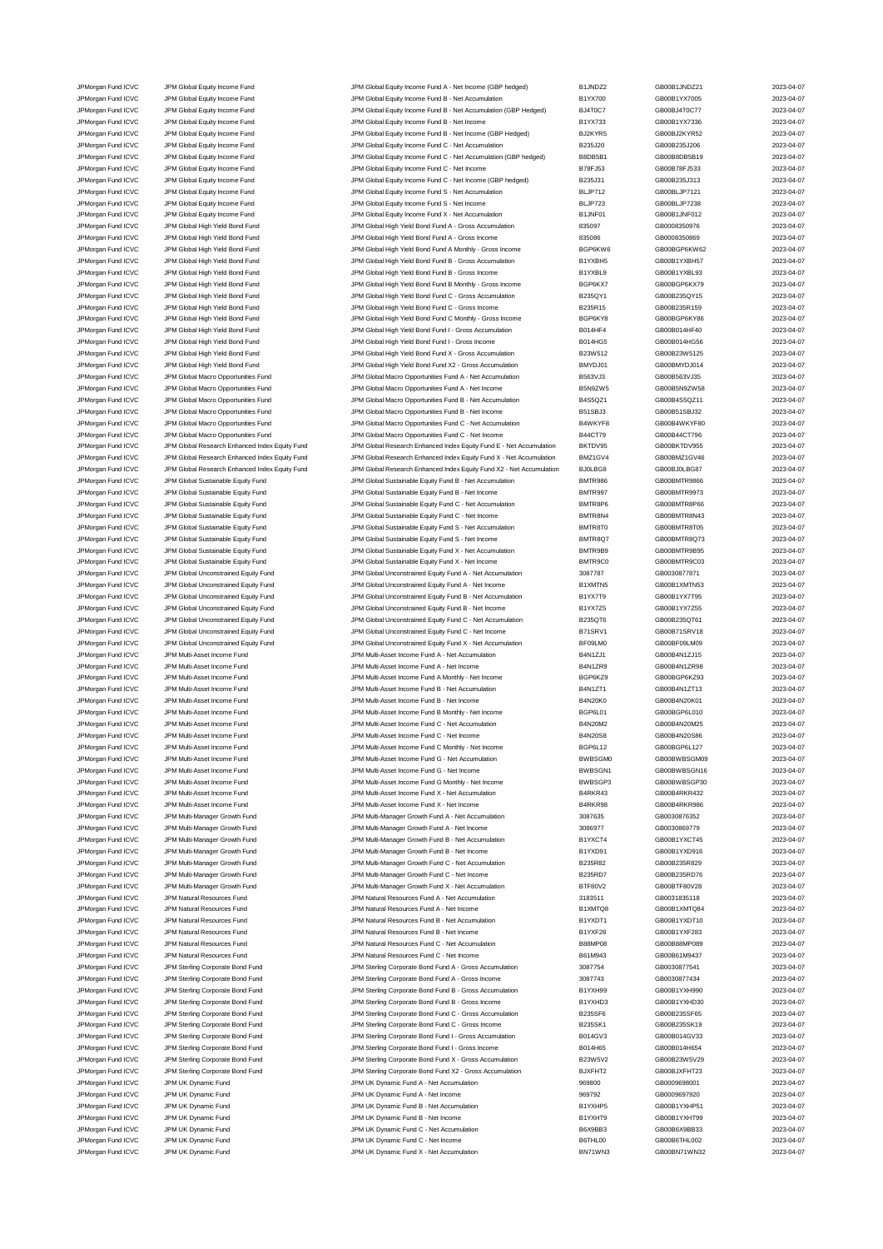JPMorgan Fund ICVC JPM Global Equity Income Fund JPM Global Equity Income Fund A - Net Income (GBP hedged) B1JNDZ2 GB00B1JNDZ21 2023-04-07<br>JPM Group JPM Global Equity Income Fund JPM Global Equity Income Fund B - Net Accum JPMorgan Fund ICVC JPM Global Equity Income Fund JPM Global Equity Income Fund B - Net Accumulation B1YX700 GB00B1YX7005 2023-04-07 JPM Group of The UPM Global Equity Income Fund JPM Global Equity Income Fund B - Net Accumulation (GBP Hedged) BJ4T0C7 (BD00BJ4T0C77 2023-04-07<br>JPM Group of State Accome Fund JPM Global Found Income Fund B - Net Income C B JPMorgan Fund ICVC JPM Global Equity Income Fund JPM Global Equity Income Fund B - Net Income B1YX733 GB00B1YX7336 2023-04-07 JPMorgan Fund ICVC JPM Global Equity Income Fund JPM Global Equity Income Fund B - Net Income (GBP Hedged) BJ2KYR5 GB00BJ2KYR52 2023-04-07 JPMorgan Fund ICVC JPM Global Equity Income Fund JPM Global Equity Income Fund C - Net Accumulation B235J20 GB00B235J206 2023-04-07 JPMorgan Fund ICVC JPM Global Equity Income Fund JPM Global Equity Income Fund C - Net Accumulation (GBP hedged) B8DB5B1 GB00B8DB5B19 2023-04-07 JPMorgan Fund ICVC JPM Global Equity Income Fund JPM Global Equity Income Fund C - Net Income B78FJ53 GB00B78FJ533 2023-04-07 JPMorgan Fund ICVC JPM Global Equity Income Fund JPM Global Equity Income Fund C - Net Income (GBP hedged) B235J31 GB00B235J313 2023-04-07 JPMorgan Fund ICVC JPM Global Equity Income Fund JPM Global Equity Income Fund S - Net Accumulation BLJP712 GB00BLJP7121 2023-04-07<br>JPM Global LPM Global Equity Income Fund JPM Global Equity Income Fund S - Net Income S - JPMorgan Fund ICVC JPM Global Equity Income Fund JPM Global Equity Income Fund S - Net Income BLJP723 GB00BLJP7238 2023-04-07 JPMorgan Fund ICVC JPM Global Equity Income Fund JPM Global Equity Income Fund X - Net Accumulation B1JNF01 GB00B1JNF012 2023-04-07 JPMorgan Fund ICVC JPM Global High Yield Bond Fund JPM Global High Yield Bond Fund A - Gross Accumulation and a 835097 GB0008350976 2023-04-07<br>JPM Gross Accompany of the Global High Yield Bond Fund JPM Global High Yield Bo JPM Global High Yield Bond Fund A - Gross Income JPMorgan Fund ICVC JPM Global High Yield Bond Fund JPM Global High Yield Bond Fund A Monthly - Gross Income BGP6KW6 GB00BGP6KW62 2023-04-07 JPMorgan Fund ICVC JPM Global High Yield Bond Fund JPM Global High Yield Bond Fund B - Gross Accumulation B1YXBH5 GB00B1YXBH57 2023-04-07 JPMorgan Fund ICVC JPM Global High Yield Bond Fund JPM Global High Yield Bond Fund B - Gross Income B1YXBL9 GB00B1YXBL93 2023-04-07 JPMorgan Fund ICVC JPM Global High Yield Bond Fund JPM Global High Yield Bond Fund B Monthly - Gross Income BGP6KX7 GB00BGP6KX79 2023-04-07 JPMorgan Fund ICVC JPM Global High Yield Bond Fund JPM Global High Yield Bond Fund C - Gross Accumulation B235QY1 GB00B235QY15 2023-04-07<br>JPM Group JPM Global High Yield Bond Fund JPM Global High Yield Bond Fund C - Gross JPMorgan Fund ICVC JPM Global High Yield Bond Fund JPM Global High Yield Bond Fund C - Gross Income B235R15 GB00B235R159 2023-04-07 JPMorgan Fund ICVC JPM Global High Yield Bond Fund JPM Global High Yield Bond Fund C Monthly - Gross Income BGP6KY8 GB00BGP6KY86 2023-04-07 JPMorgan Fund ICVC JPM Global High Yield Bond Fund<br>JPM Global High Yield Bond Fund JPM Global High Yield Bond Fund JPM Global High Yield Bond Fund I - Gross Income JPMorgan Fund ICVC JPM Global High Yield Bond Fund JPM Global High Yield Bond Fund I - Gross Income B014HG5 GB00B014HG56 2023-04-07<br>JPM Global High Yield Bond Fund JPM Global High Yield Bond Fund X - Gross Accumulation B23 JPM Global High Yield Bond Fund X - Gross Accumulation **BOND B23W512** GB00B23W5125 2023-04-07 JPMorgan Fund ICVC JPM Global High Yield Bond Fund JPM Global High Yield Bond Fund X2 - Gross Accumulation BMYDJ01 GB00BMYDJ014 2023-04-07 JPMorgan Fund ICVC JPM Global Macro Opportunities Fund JPM Global Macro Opportunities Fund A - Net Accumulation<br>JPM Group JPM Global Macro Opportunities Fund JPM Global Macro Opportunities Fund A - Net Income B5N92W5 GB00B JPM Global Macro Opportunities Fund A - Net Income JPMorgan Fund ICVC JPM Global Macro Opportunities Fund JPM Global Macro Opportunities Fund B - Net Accumulation<br>JPM Global Macro Opportunities Fund JPM Global Macro Opportunities Fund B - Net Income B51SBJ3 GB00B51SBJ32 20 JPM Global Macro Opportunities Fund B - Net Income JPMorgan Fund ICVC JPM Global Macro Opportunities Fund JPM Global Macro Opportunities Fund C - Net Accumulation B4WKYF8 GB00B4WKYF80 2023-04-07 JPMorgan Fund ICVC JPM Global Macro Opportunities Fund JPM Global Macro Opportunities Fund C - Net Income B44CT79 GB00B44CT796 2023-04-07<br>JPM Group JPM Global Research Enhanced Index Equity Fund JPM Global Research Enhance JPM Global Research Enhanced Index Equity Fund E - Net Accumulation B JPMorgan Fund ICVC JPM Global Research Enhanced Index Equity Fund JPM Global Research Enhanced Index Equity Fund X - Net Accumulation BMZ1GV4 GB00BMZ1GV46 2023-04-07<br>JPMorgan Fund ICVC JPM Global Research Enhanced Index Eq JPMorgan Fund ICVC JPM Global Research Enhanced Index Equity Fund JPM Global Research Enhanced Index Equity Fund X2 - Net Accumulation BJ0LBG8 GB00BJ0LBG87 2023-04-07 JPMorgan Fund ICVC JPM Global Sustainable Equity Fund State of the MC JPM Global Sustainable Equity Fund B - Net Accumulation B - Net Accumulation B - NET R986 GB00BMTR9866 2023-04-07 JPMorgan Fund ICVC JPM Global Sustainable Equity Fund JPM Global Sustainable Equity Fund B - Net Income BMTR997 GB00BMTR9973 2023-04-07 JPMorgan Fund ICVC JPM Global Sustainable Equity Fund JPM Global Sustainable Equity Fund C - Net Accumulation<br>JPM Gram Hund ICVC JPM Global Sustainable Equity Fund JPM Global Sustainable Equity Fund C - Net Income BMTR8N4<br> JPMorgan Fund ICVC JPM Global Sustainable Equity Fund JPM Global Sustainable Equity Fund C - Net Income BMTR8N4 GB00BMTR8N43 2023-04-07 JPMorgan Fund ICVC JPM Global Sustainable Equity Fund Sustainable Equity Fund S - Net Accumulation BMTR8T0 GB00BMTR8T05 2023-04-07 JPMorgan Fund ICVC JPM Global Sustainable Equity Fund JPM Global Sustainable Equity Fund S - Net Income BMTR8Q7 GB00BMTR8Q73 2023-04-07<br>JPM Group JPM Global Sustainable Equity Fund JPM Global Sustainable Equity Fund X - Ne JPMorgan Fund ICVC JPM Global Sustainable Equity Fund JPM Global Sustainable Equity Fund X - Net Accumulation BMTR9B9 GB00BMTR9B95 2023-04-07 JPMorgan Fund ICVC JPM Global Sustainable Equity Fund JPM Global Sustainable Equity Fund X - Net Income BMTR9C0 GB00BMTR9C03 2023-04-07 JPMorgan Fund ICVC JPM Global Unconstrained Equity Fund JPM Global Unconstrained Equity Fund A - Net Accumulation 3087787 GB0030877871 2023-04-07 JPMorgan Fund ICVC JPM Global Unconstrained Equity Fund JPM Global Unconstrained Equity Fund A - Net Income B1XMTN5 GB00B1XMTN53 2023-04-07 JPMorgan Fund ICVC JPM Global Unconstrained Equity Fund JPM Global Unconstrained Equity Fund B - Net Accumulation B1YX7T9 GB00B1YX7T95 CB00B1YX7T95 2023-04-07 JPM Ground Fund ICVC JPM Global Unconstrained Equity Fund JPM Global Unconstrained Equity Fund B - Net Income B1YX7Z5 GB00B1YX7Z55 CB00B1YX7Z55 2023-04-07 JPMorgan Fund ICVC JPM Global Unconstrained Equity Fund JPM Global Unconstrained Equity Fund C - Net Accumulation B235QT6 GB00B235QT61 CB00B235QT61 JPMorgan Fund ICVC JPM Global Unconstrained Equity Fund JPM Global Unconstrained Equity Fund C - Net Income B71SRV1 GB00B71SRV18 2023-04-07<br>JPM Group JPM Global Unconstrained Equity Fund JPM Global Unconstrained Equity Fun JPMorgan Fund ICVC JPM Global Unconstrained Equity Fund JPM Global Unconstrained Equity Fund X - Net Accumulation BF09LM0 GB00BF09LM09 2023-04-07 JPMorgan Fund ICVC JPM Multi-Asset Income Fund JPM Multi-Asset Income Fund A - Net Accumulation B4N1ZJ1 GB00B4N1ZJ15 2023-04-07 JPMorgan Fund ICVC JPM Multi-Asset Income Fund JPM Multi-Asset Income Fund A - Net Income B4N1ZR9 GB00B4N1ZR98 2023-04-07 JPM Multi-Asset Income Fund A Monthly - Net Income Fund A Monthly - Net Income BGP6KZ9 GB00BGP6KZ93 2023-04-07 JPMorgan Fund ICVC JPM Multi-Asset Income Fund JPM Multi-Asset Income Fund B - Net Accumulation B4N1ZT1 GB00B4N1ZT13 2023-04-07 JPMorgan Fund ICVC JPM Multi-Asset Income Fund JPM Multi-Asset Income Fund B - Net Income B4N20K0 GB00B4N20K01 2023-04-07 JPMorgan Fund ICVC JPM Multi-Asset Income Fund Multi-Asset Income Fund B Monthly - Net Income BGP6L01 GB00BGP6L010 2023-04-07<br>JPM Multi-Asset Income Fund JPM Multi-Asset Income Fund C - Net Accumulation B4N20M2 GB00B4N20M2 JPM organ Fund ICVC JPM Multi-Asset Income Fund<br>JPM organ Fund ICVC JPM Multi-Asset Income Fund C - Net Accumulation B4N20M2 JPM Multi-Asset Income Fund C - Net Income JPMorgan Fund ICVC JPM Multi-Asset Income Fund JPM Multi-Asset Income Fund C - Net Income B4N20S8 GB00B4N20S86 2023-04-07 JPMorgan Fund ICVC JPM Multi-Asset Income Fund Multi-Asset Income Fund C Monthly - Net Income BGP6L12 GB00BGP6L127 2023-04-07<br>JPM Multi-Asset Income Fund JPM Multi-Asset Income Fund G - Net Accumulation BWBSGM0 GB00BWBSGM0 JPM Multi-Asset Income Fund G - Net Accumu JPMorgan Fund ICVC JPM Multi-Asset Income Fund JPM Multi-Asset Income Fund G - Net Income BWBSGN1 GB00BWBSGN16 2023-04-07 JPMorgan Fund ICVC JPM Multi-Asset Income Fund JPM Multi-Asset Income Fund G Monthly - Net Income BWBSGP3 GB00BWBSGP30 2023-04-07 JPMorgan Fund ICVC JPM Multi-Asset Income Fund JPM Multi-Asset Income Fund X - Net Accumulation B4RKR43 GB00B4RKR432 2023-04-07 JPMorgan Fund ICVC JPM Multi-Asset Income Fund JPM Multi-Asset Income Fund X - Net Income B4RKR98 GB00B4RKR986 2023-04-07 JPMorgan Fund ICVC JPM Multi-Manager Growth Fund JPM Multi-Manager Growth Fund A - Net Accumulation 3087635 GB0030876352 2023-04-07<br>JPM Multi-Manager Growth Fund JPM Multi-Manager Growth Fund A - Net Income 3086977 GB00308 JPMorgan Fund ICVC JPM Multi-Manager Growth Fund JPM Multi-Manager Growth Fund A - Net Income 3086977 GB0030869779 2023-04-07 JPMorgan Fund ICVC JPM Multi-Manager Growth Fund Cass of Accumulation JPM Multi-Manager Growth Fund B - Net Accumulation B - B1YXCT4 GB00B1YXCT45 2023-04-07 JPMorgan Fund ICVC JPM Multi-Manager Growth Fund JPM Multi-Manager Growth Fund B - Net Income B1YXD91 GB00B1YXD916 2023-04-07 JPMorgan Fund ICVC JPM Multi-Manager Growth Fund JPM Multi-Manager Growth Fund C - Net Accumulation B235R82 GB00B235R829 2023-04-07 JPMorgan Fund ICVC JPM Multi-Manager Growth Fund JPM Multi-Manager Growth Fund C - Net Income B235RD7 GB00B235RD76 2023-04-07<br>JPM Multi-Manager Growth Fund JPM Multi-Manager Growth Fund X - Net Accumulation BTF80V2 GB00BTF JPM Multi-Manager Growth Fund ICVC JPM Multi-Manager Growth Fund X - Net Accumulation BTF80V2 GB00BTF80V28 2023-04-07 JPMorgan Fund ICVC JPM Natural Resources Fund JPM Natural Resources Fund A - Net Accumulation 3183511 GB0031835118 2023-04-07 JPMorgan Fund ICVC JPM Natural Resources Fund Cass and Security Control of Matural Resources Fund A - Net Income B1XMTQ8 B1XMTQ8 GB00B1XMTQ84 2023-04-07 JPMorgan Fund ICVC JPM Natural Resources Fund JPM Natural Resources Fund B - Net Accumulation B1YXDT1 GB00B1YXDT10 2023-04-07 JPM Natural Resources Fund JPM Natural Resources Fund B - Net Income B1YXF28 GB00B1YXF283 CB00B1YXF283 2023-04-07 JPMorgan Fund ICVC JPM Natural Resources Fund JPM Natural Resources Fund C - Net Accumulation B88MP08 GB00B88MP089 2023-04-07 JPMorgan Fund ICVC JPM Natural Resources Fund JPM Natural Resources Fund C - Net Income B61M943 GB00B61M9437 2023-04-07 JPMorgan Fund ICVC JPM Sterling Corporate Bond Fund JPM Sterling Corporate Bond Fund A - Gross Accumulation 3087754 GB0030877541 2023-04-07 JPMorgan Fund ICVC JPM Sterling Corporate Bond Fund JPM Sterling Corporate Bond Fund A - Gross Income 3087743 3087743 GB0030877434 2023-04-07<br>JPM Sterling Corporate Bond Fund JPM Sterling Corporate Bond Fund B - Gross Accu JPMorgan Fund ICVC JPM Sterling Corporate Bond Fund JPM Sterling Corporate Bond Fund B - Gross Accumulation B1YXH99 GB00B1YXH990 2023-04-07 JPMorgan Fund ICVC JPM Sterling Corporate Bond Fund JPM Sterling Corporate Bond Fund B - Gross Income B1YXHD3 GB00B1YXHD30 2023-04-07<br>JPM Sterling Corporate Bond Fund JPM Sterling Corporate Bond Fund C - Gross Accumulation JPMorgan Fund ICVC JPM Sterling Corporate Bond Fund JPM Sterling Corporate Bond Fund C - Gross Accumulation JPM Sterling Corporate Bond Fund JPM Sterling Corporate Bond Fund C - Gross Income BDDB235SK1 GB00B235SK19 2023-04-07 JPMorgan Fund ICVC JPM Sterling Corporate Bond Fund JPM Sterling Corporate Bond Fund I - Gross Accumulation B014GV3 GB00B014GV33 2023-04-07 JPM Sterling Corporate Bond Fund JPM Sterling Corporate Bond Fund I - Gross Income B014H65 GB00B014H654 CB00B014H654 2023-04-07 JPMorgan Fund ICVC JPM Sterling Corporate Bond Fund JPM Sterling Corporate Bond Fund X - Gross Accumulation B23W5V2 GB00B23W5V29 2023-04-07 JPM Sterling Corporate Bond Fund X2 - Gross Accumul JPMorgan Fund ICVC JPM UK Dynamic Fund JPM UK Dynamic Fund A - Net Accumulation 969800 GB0009698001 2023-04-07 JPMorgan Fund ICVC JPM UK Dynamic Fund JPM UK Dynamic Fund A - Net Income 969792 GB0009697920 2023-04-07 JPMorgan Fund ICVC JPM UK Dynamic Fund JPM UK Dynamic Fund B - Net Accumulation B1YXHP5 GB00B1YXHP51 2023-04-07 JPMorgan Fund ICVC JPM UK Dynamic Fund JPM UK Dynamic Fund B - Net Income B1YXHT9 GB00B1YXHT99 2023-04-07 JPM UK Dynamic Fund C - Net Accumulation JPMorgan Fund ICVC JPM UK Dynamic Fund JPM UK Dynamic Fund C - Net Income B6THL00 GB00B6THL002 2023-04-07 JPMorgan Fund ICVC JPM UK Dynamic Fund JPM UK Dynamic Fund X - Net Accumulation BN71WN3 GB00BN71WN32 2023-04-07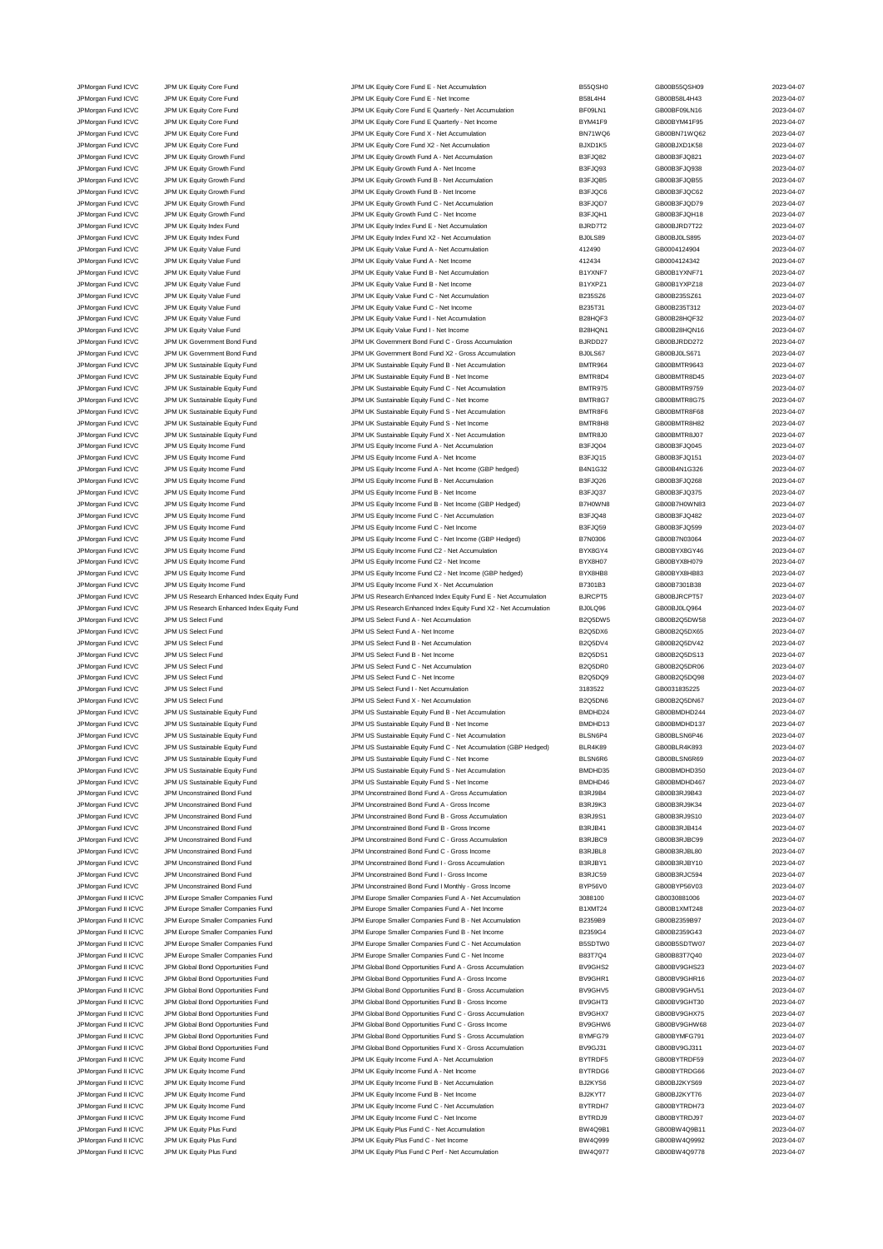JPMorgan Fund ICVC JPM UK Equity Core Fund JPM UK Equity Core Fund E - Net Accumulation B55QSH0 GB00B55QSH09 2023-04-07<br>JPM UR DR JPM UR Equity Core Fund JPM UK Equity Core Fund E - Net Income B58L4H4 GB00B58L4H43 GB00B58L JPM UK Equity Core Fund **ICV Core Fund Core Fund E - Net Income** B58L4H4 GB00B58L4H43 CORE B98L4H4 GB00B58L4H43 2023-04-07 JPMorgan Fund ICVC JPM UK Equity Core Fund JPM UK Equity Core Fund E Quarterly - Net Accumulation BF09LN1 GB00BF09LN16 2023-04-07 JPM UK Equity Core Fund JPM UK Equity Core Fund JPM UK Equity Core Fund E Quarterly - Net Income BYM41F9 GB00BYM41F95 2023-04-07 JPMorgan Fund ICVC JPM UK Equity Core Fund JPM UK Equity Core Fund X - Net Accumulation BN71WQ6 GB00BN71WQ62 2023-04-07 JPMorgan Fund ICVC JPM UK Equity Core Fund JPM UK Equity Core Fund X2 - Net Accumulation BJXD1K5 GB00BJXD1K58 2023-04-07 JPMorgan Fund ICVC JPM UK Equity Growth Fund JPM UK Equity Growth Fund A - Net Accumulation B3FJQ82 GB00B3FJQ821 2023-04-07 JPMorgan Fund ICVC JPM UK Equity Growth Fund JPM UK Equity Growth Fund A - Net Income B3FJQ93 GB00B3FJQ938 2023-04-07 JPMorgan Fund ICVC JPM UK Equity Growth Fund JPM UK Equity Growth Fund B - Net Accumulation B3FJQB5 GB00B3FJQB55 2023-04-07 JPMorgan Fund ICVC JPM UK Equity Growth Fund JPM UK Equity Growth Fund B - Net Income B3FJQC6 GB00B3FJQC62 2023-04-07 JPMorgan Fund ICVC JPM UK Equity Growth Fund JPM UK Equity Growth Fund C - Net Accumulation B3FJQD7 GB00B3FJQD79 2023-04-07 JPMorgan Fund ICVC JPM UK Equity Growth Fund JPM UK Equity Growth Fund C - Net Income B3FJQH1 GB00B3FJQH18 2023-04-07 JPMorgan Fund ICVC JPM UK Equity Index Fund JPM UK Equity Index Fund E - Net Accumulation BJRD7T2 GB00BJRD7T22 2023-04-07 JPM UK Equity Index Fund X2 - Net Accumula JPMorgan Fund ICVC JPM UK Equity Value Fund JPM UK Equity Value Fund A - Net Accumulation 412490 GB0004124904 2023-04-07 JPMorgan Fund ICVC JPM UK Equity Value Fund JPM UK Equity Value Fund A - Net Income 412434 GB0004124342 2023-04-07 JPMorgan Fund ICVC JPM UK Equity Value Fund JPM UK Equity Value Fund B - Net Accumulation B1YXNF7 GB00B1YXNF71 2023-04-07 JPMorgan Fund ICVC JPM UK Equity Value Fund JPM UK Equity Value Fund B - Net Income B1YXPZ1 GB00B1YXPZ18 2023-04-07 JPMorgan Fund ICVC JPM UK Equity Value Fund JPM UK Equity Value Fund C - Net Accumulation B235SZ6 GB00B235SZ61 2023-04-07 JPMorgan Fund ICVC JPM UK Equity Value Fund JPM UK Equity Value Fund C - Net Income B235T31 GB00B235T312 2023-04-07 JPMorgan Fund ICVC JPM UK Equity Value Fund JPM UK Equity Value Fund I - Net Accumulation B28HQF3 GB00B28HQF32 2023-04-07 JPMorgan Fund ICVC JPM UK Equity Value Fund JPM UK Equity Value Fund I - Net Income JPMorgan Fund ICVC JPM UK Government Bond Fund JPM UK Government Bond Fund C - Gross Accumulation BJRDD27 GB00BJRDD272 2023-04-07<br>JPM UK Government Bond Fund JPM UK Government Bond Fund X2 - Gross Accumulation BJ0LS67 GB00 JPM UK Government Bond Fund X2 - Gross Accumulation BJ0LS67 GB00BJ0LS671 GB00BJ0LS671 2023-04-07 JPMorgan Fund ICVC JPM UK Sustainable Equity Fund JPM UK Sustainable Equity Fund B - Net Accumulation BMTR964 GB00BMTR9643 2023-04-07 JPMorgan Fund ICVC JPM UK Sustainable Equity Fund JPM UK Sustainable Equity Fund B - Net Income BMTR8D4 BMTR8D4<br>JPMorgan Fund ICVC JPM UK Sustainable Equity Fund JPM UK Sustainable Equity Fund C - Net Accumulation BMTR975 JPM UK Sustainable Equity Fund C - Net Accumu JPMorgan Fund ICVC JPM UK Sustainable Equity Fund JPM UK Sustainable Equity Fund C - Net Income BMTR8G7 GB00BMTR8G75 2023-04-07<br>JPM URG JPM UR Sustainable Equity Fund JPM UK Sustainable Equity Fund S - Net Accumulation BMT JPM UK Sustainable Equity Fund S - Net Accumulation JPMorgan Fund ICVC JPM UK Sustainable Equity Fund South And The UK Sustainable Equity Fund S - Net Income BMTR8H8 BMTR8H8 GB00BMTR8H82 2023-04-07 JPMorgan Fund ICVC JPM UK Sustainable Equity Fund JPM UK Sustainable Equity Fund X - Net Accumulation BMTR8J0 GB00BMTR8J07 2023-04-07<br>JPM URGAN JPM US Equity Income Fund JPM US Equity Income Fund A - Net Accumulation B3FJQ JPM US Equity Income Fund A - Net Accumulation JPMorgan Fund ICVC JPM US Equity Income Fund JPM US Equity Income Fund A - Net Income B3FJQ15 GB00B3FJQ151 2023-04-07 JPMorgan Fund ICVC JPM US Equity Income Fund JPM US Equity Income Fund A - Net Income (GBP hedged) B4N1G32 GB00B4N1G326 2023-04-07 JPMorgan Fund ICVC JPM US Equity Income Fund JPM US Equity Income Fund B - Net Accumulation B3FJQ26 GB00B3FJQ268 2023-04-07 JPMorgan Fund ICVC JPM US Equity Income Fund JPM US Equity Income Fund B - Net Income B3FJQ37 GB00B3FJQ375 2023-04-07 JPMorgan Fund ICVC JPM US Equity Income Fund JPM US Equity Income Fund B - Net Income (GBP Hedged) B7H0WN8 GB00B7H0WN83 2023-04-07 JPMorgan Fund ICVC JPM US Equity Income Fund JPM US Equity Income Fund C - Net Accumulation B3FJQ48 GB00B3FJQ482 2023-04-07 JPMorgan Fund ICVC JPM US Equity Income Fund JPM US Equity Income Fund C - Net Income Base of B3FJQ59 GB00B3FJQ599 2023-04-07 JPMorgan Fund ICVC JPM US Equity Income Fund Secure Company of Developme Fund C - Net Income (GBP Hedged) B7N0306 GB00B7N03064 GB00B7N03064 2023-04-07 JPMorgan Fund ICVC JPM US Equity Income Fund JPM US Equity Income Fund C2 - Net Accumulation BYX8GY4 GB00BYX8GY46 2023-04-07 JPMorgan Fund ICVC JPM US Equity Income Fund JPM US Equity Income Fund C2 - Net Income BYX8H07 GB00BYX8H079 2023-04-07 JPM Organ Fund ICVC JPM US Equity Income Fund C2 - Net Income (GBP hedged) BYX8HB8 JPMorgan Fund ICVC JPM US Equity Income Fund JPM US Equity Income Fund X - Net Accumulation B7301B3 GB00B7301B38 2023-04-07 JPMorgan Fund ICVC JPM US Research Enhanced Index Equity Fund JPM US Research Enhanced Index Equity Fund E - Net Accumulation BJRCPT5 GB00BJRCPT57 2023-04-07 JPMorgan Fund ICVC JPM US Research Enhanced Index Equity Fund JPM US Research Enhanced Index Equity Fund X2 - Net Accumulation BJ0LQ96 GB00BJ0LQ964 2023-04-07 JPMorgan Fund ICVC JPM US Select Fund CO23-04-07<br>JPM US Select Fund A - Net Accumulation B2Q5DW5 B2Q5DW5 GB00B2Q5DW58 2023-04-07 JPMorgan Fund ICVC JPM US Select Fund JPM US Select Fund A - Net Income B2Q5DX6 GB00B2Q5DX65 2023-04-07 JPMorgan Fund ICVC JPM US Select Fund JPM US Select Fund B - Net Accumulation B2Q5DV4 GB00B2Q5DV42 2023-04-07 JPMorgan Fund ICVC JPM US Select Fund JPM US Select Fund B - Net Income B2Q5DS1 GB00B2Q5DS13 2023-04-07 JPMorgan Fund ICVC JPM US Select Fund JPM US Select Fund C - Net Accumulation B2Q5DR0 GB00B2Q5DR06 2023-04-07 JPM US Select Fund C - Net Income C - Net Income B2Q5DQ9 GB00B2Q5DQ98 2023-04-07 JPMorgan Fund ICVC JPM US Select Fund JPM US Select Fund I - Net Accumulation 3183522 GB0031835225 2023-04-07 JPM US Select Fund JPM US Select Fund JPM US Select Fund X - Net Accumulation B2Q5DN6 GB00B2Q5DN67 2023-04-07<br>JPM US Sustainable Equity Fund JPM US Sustainable Equity Fund B - Net Accumulation BMDHD24 GB00BMDHD244 2023-04-JPMorgan Fund ICVC JPM US Sustainable Equity Fund JPM US Sustainable Equity Fund B - Net Accumulation and BMDHD24 GB00BMDHD244 2023-04-07<br>JPM US Sustainable Equity Fund JPM US Sustainable Equity Fund B - Net Income BMDHD13 JPM US Sustainable Equity Fund B - Net Income JPMorgan Fund ICVC JPM US Sustainable Equity Fund JPM US Sustainable Equity Fund C - Net Accumulation BLSN6P4 GB00BLSN6P46 2023-04-07 JPM US Sustainable Equity Fund JPM US Sustainable Equity Fund C - Net Accumulation (GBP Hedged) BLR4K89 GB00BLR4K893 2023-04-07<br>JPM US Sustainable Equity Fund JPM US Sustainable Equity Fund C - Net Income BLSN6R6 GB00BLSN6 JPM US Sustainable Equity Fund C - Net Income JPMorgan Fund ICVC JPM US Sustainable Equity Fund JPM US Sustainable Equity Fund S - Net Accumulation BMDHD35 GB00BMDHD350 2023-04-07 JPMorgan Fund ICVC JPM US Sustainable Equity Fund Class of the US Sustainable Equity Fund S - Net Income BMDHD46 BMDHD46 GB00BMDHD467 2023-04-07 JPMorgan Fund ICVC JPM Unconstrained Bond Fund JPM Unconstrained Bond Fund A - Gross Accumulation B3RJ9B4 GB00B3RJ9B43 2023-04-07 JPMorgan Fund ICVC JPM Unconstrained Bond Fund JPM Unconstrained Bond Fund A - Gross Income B3RJ9K3 GB00B3RJ9K34 2023-04-07 JPMorgan Fund ICVC JPM Unconstrained Bond Fund JPM Unconstrained Bond Fund B - Gross Accumulation B3RJ9S1 GB00B3RJ9S10 2023-04-07 JPMorgan Fund ICVC JPM Unconstrained Bond Fund JPM Unconstrained Bond Fund B - Gross Income B3RJB41 GB00B3RJB414 2023-04-07 JPMorgan Fund ICVC JPM Unconstrained Bond Fund JPM Unconstrained Bond Fund C - Gross Accumulation B3RJBC9 GB00B3RJBC99 2023-04-07 JPMorgan Fund ICVC JPM Unconstrained Bond Fund JPM Unconstrained Bond Fund C - Gross Income B3RJBL8 GB00B3RJBL80 2023-04-07 JPMorgan Fund ICVC JPM Unconstrained Bond Fund JPM Unconstrained Bond Fund I - Gross Accumulation B3RJBY1 GB00B3RJBY10 2023-04-07 JPMorgan Fund ICVC JPM Unconstrained Bond Fund JPM Unconstrained Bond Fund I - Gross Income B3RJC59 GB00B3RJC594 2023-04-07 JPMorgan Fund ICVC JPM Unconstrained Bond Fund JPM Unconstrained Bond Fund I Monthly - Gross Income BYP56V0 GB00BYP56V03 2023-04-07 JPMorgan Fund II ICVC JPM Europe Smaller Companies Fund JPM Europe Smaller Companies Fund A - Net Accumulation 3088100 GB0030881006 2023-04-07 JPMorgan Fund II ICVC JPM Europe Smaller Companies Fund JPM Europe Smaller Companies Fund A - Net Income B1XMT24 B1XMT24 GB00B1XMT248 2023-04-07 JPMorgan Fund II ICVC JPM Europe Smaller Companies Fund JPM Europe Smaller Companies Fund B - Net Accumulation B2359B9 GB00B2359B97 2023-04-07 JPMorgan Fund II ICVC JPM Europe Smaller Companies Fund JPM Europe Smaller Companies Fund B - Net Income B2359G4 GB00B2359G43 2023-04-07 JPMorgan Fund II ICVC JPM Europe Smaller Companies Fund JPM Europe Smaller Companies Fund C - Net Accumulation B5SDTW0 GB00B5SDTW07 2023-04-07 JPMorgan Fund II ICVC JPM Europe Smaller Companies Fund JPM Europe Smaller Companies Fund C - Net Income B83T7Q4 GB00B83T7Q40 2023-04-07 JPMorgan Fund II ICVC JPM Global Bond Opportunities Fund JPM Global Bond Opportunities Fund A - Gross Accumulation BV9GHS2 GB00BV9GHS23 2023-04-07 JPMorgan Fund II ICVC JPM Global Bond Opportunities Fund JPM Global Bond Opportunities Fund A - Gross Income BV9GHR1 GB00BV9GHR16 2023-04-07 JPMorgan Fund II ICVC JPM Global Bond Opportunities Fund JPM Global Bond Opportunities Fund B - Gross Accumulation BV9GHV5 GB00BV9GHV51 2023-04-07 JPMorgan Fund II ICVC JPM Global Bond Opportunities Fund JPM Global Bond Opportunities Fund B - Gross Income BV9GHT3 GB00BV9GHT30 2023-04-07 JPMorgan Fund II ICVC JPM Global Bond Opportunities Fund JPM Global Bond Opportunities Fund C - Gross Accumulation JPMorgan Fund II ICVC JPM Global Bond Opportunities Fund JPM Global Bond Opportunities Fund C - Gross Income BV9GHW6 BOND GB00BV9GHW68 2023-04-07 JPMorgan Fund II ICVC JPM Global Bond Opportunities Fund States JPM Global Bond Opportunities Fund S - Gross Accumulation BYMFG79 GB00BYMFG791 2023-04-07<br>JPM Group JPM Global Bond Opportunities Fund JPM Global Bond Opportu JPM Global Bond Opportunities Fund **II ICLO ACCOM** CHODA CHO ACCUMULATION CHORG ACCUMULATION BV9GJ31 GB00BV9GJ311 2023-04-07 JPMorgan Fund II ICVC JPM UK Equity Income Fund JPM UK Equity Income Fund A - Net Accumulation BYTRDF5 GB00BYTRDF59 2023-04-07 JPM UK Equity Income Fund A - Net Income JPMorgan Fund II ICVC JPM UK Equity Income Fund JPM UK Equity Income Fund B - Net Accumulation BJ2KYS6 GB00BJ2KYS69 2023-04-07 JPM UK Equity Income Fund Income Fund B - Net Income Fund B - Net Income Fund B - Net Income Fund B - Net Income Fund B - Net Income Fund B - Net Income Fund B - Net Income Fund B - Net Income Fund B - Net Income Fund B - JPMorgan Fund II ICVC JPM UK Equity Income Fund JPM UK Equity Income Fund C - Net Accumulation BYTRDH7 GB00BYTRDH73 2023-04-07 JPM URM THE HOT DRAIN FUND HOT DRAIN A SUNG THE HOT DRAIN OF THE HOT DRAIN OF THE SUNG AND THE SUNG AND DRAIN A<br>19 JPM Of The Sung Hot DRAIN HOT DRAIN STATE SUNG A SUNG A SUNG A SUNG A SUNG A SUNG BOOB BOOB DRAIN A SUNG A JPM UK Equity Plus Fund C - Net Accumulation JPMorgan Fund II ICVC JPM UK Equity Plus Fund JPM UK Equity Plus Fund C - Net Income BW4Q999 GB00BW4Q9992 2023-04-07 JPMorgan Fund II ICVC JPM UK Equity Plus Fund JPM UK Equity Plus Fund C Perf - Net Accumulation BW4Q977 GB00BW4Q9778 2023-04-07

|   | GB00B55QSH09                 |
|---|------------------------------|
|   | GB00B58L4H43                 |
|   | GB00BF09LN16                 |
|   | GB00BYM41F95                 |
| ì | GB00BN71WQ62                 |
|   | GB00BJXD1K58                 |
|   | GB00B3FJQ821                 |
|   | GB00B3FJQ938                 |
|   | GB00B3FJQB55<br>GB00B3FJQC62 |
|   | GB00B3FJQD79                 |
|   | GB00B3FJQH18                 |
|   | GB00BJRD7T22                 |
|   | GB00BJ0LS895                 |
|   | GB0004124904                 |
|   | GB0004124342                 |
|   | GB00B1YXNF71                 |
|   | GB00B1YXPZ18                 |
|   | GB00B235SZ61                 |
|   | GB00B235T312<br>GB00B28HQF32 |
|   | GB00B28HQN16                 |
|   | GB00BJRDD272                 |
|   | GB00BJ0LS671                 |
|   | GB00BMTR9643                 |
|   | GB00BMTR8D45                 |
|   | GB00BMTR9759                 |
|   | GB00BMTR8G75                 |
|   | GB00BMTR8F68                 |
|   | GB00BMTR8H82                 |
|   | GB00BMTR8J07<br>GB00B3FJQ045 |
|   | GB00B3FJQ151                 |
|   | GB00B4N1G326                 |
|   | GB00B3FJQ268                 |
|   | GB00B3FJQ375                 |
|   | GB00B7H0WN83                 |
|   | GB00B3FJQ482                 |
|   | GB00B3FJQ599                 |
|   | GB00B7N03064                 |
|   | GB00BYX8GY46                 |
|   | GB00BYX8H079<br>GB00BYX8HB83 |
|   | GB00B7301B38                 |
|   | GB00BJRCPT57                 |
|   | GB00BJ0LQ964                 |
| 5 | GB00B2Q5DW58                 |
|   | GB00B2Q5DX65                 |
|   | GB00B2Q5DV42                 |
|   | GB00B2Q5DS13                 |
|   | GB00B2Q5DR06                 |
|   | GB00B2Q5DQ98                 |
|   | GB0031835225                 |
|   | GB00B2Q5DN67<br>GB00BMDHD244 |
|   | GB00BMDHD137                 |
|   | GB00BLSN6P46                 |
|   | <b>DOODL DAVON</b>           |
|   | GB00BLSN6R69                 |
|   | GB00BMDHD350                 |
|   | GB00BMDHD467                 |
|   | GB00B3RJ9B43                 |
|   | GB00B3RJ9K34                 |
|   | GB00B3RJ9S10                 |
|   | GB00B3RJB414<br>GB00B3RJBC99 |
|   | GB00B3RJBL80                 |
|   | GB00B3RJBY10                 |
|   | GB00B3RJC594                 |
|   | GB00BYP56V03                 |
|   | GB0030881006                 |
|   | GB00B1XMT248                 |
|   | GB00B2359B97                 |
|   | GB00B2359G43                 |
|   | GB00B5SDTW07                 |
|   | GB00B83T7Q40<br>GB00BV9GHS23 |
|   | GB00BV9GHR16                 |
|   | GB00BV9GHV51                 |
|   | GB00BV9GHT30                 |
|   | GB00BV9GHX75                 |
| ì | GB00BV9GHW68                 |
|   | GB00BYMFG791                 |
|   | GB00BV9GJ311                 |
|   | GB00BYTRDF59                 |
|   | GB00BYTRDG66                 |
|   | GB00BJ2KYS69                 |
|   | GB00BJ2KYT76<br>GB00BYTRDH73 |
|   | GB00BYTRDJ97                 |
|   | GB00BW4Q9B11                 |
|   | GB00BW4Q9992                 |
|   | GB00BW4Q9778                 |
|   |                              |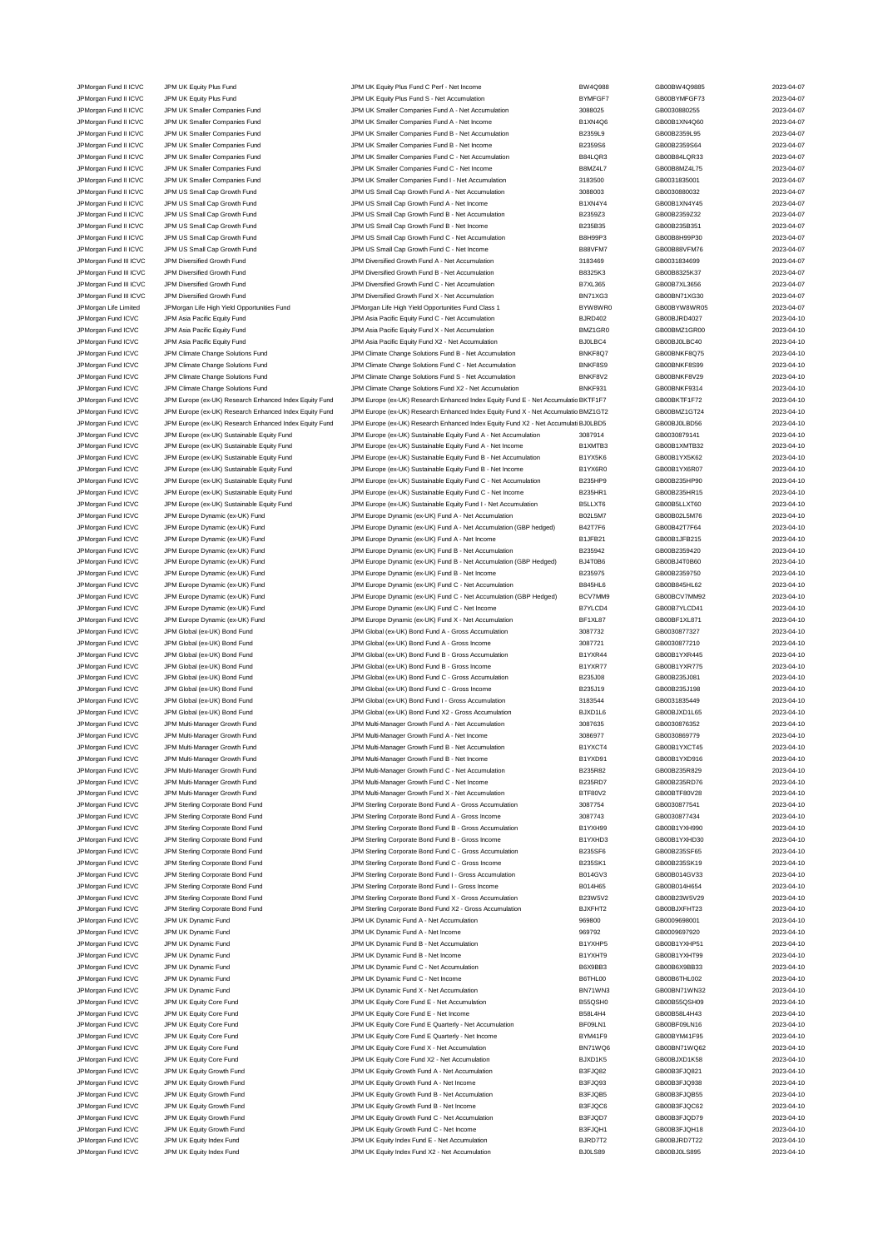JPM Asia Pacific Equity Fund JPM Asia Pacific Equity Fund JPM Asia Pacific Equity Fund X - Net Accumulation BMZ JPM organ Fund ICVC JPM Multi-Manager Growth Fund<br>JPM Multi-Manager Growth Fund JPM Multi-Manager Growth Fund JPM Multi-Manager Growth Fund A - Net Income JPMorgan Fund ICVC JPM UK Equity Core Fund JPM UK Equity Core Fund B - Net Income

JPMorgan Fund II ICVC JPM UK Equity Plus Fund JPM UK Equity Plus Fund C Perf - Net Income BW4Q988 GB00BW4Q9885 2023-04-07 JPM UK Equity Plus Fund Company of Company JPM UK Equity Plus Fund S - Net Accumulation BYMFGF7 GB00BYMFGF73 2023-04-07 JPMorgan Fund II ICVC JPM UK Smaller Companies Fund JPM UK Smaller Companies Fund A - Net Accumulation 3088025 GB0030880255 2023-04-07 JPM UK Smaller Companies Fund JPM UK Smaller Companies Fund A - Net Income B1XN4Q6 GB00B1XN4Q60 CHODB1XN4Q60 2023-04-07 JPMorgan Fund II ICVC JPM UK Smaller Companies Fund JPM UK Smaller Companies Fund B - Net Accumulation B2359L9<br>JPM UR JPM UK Smaller Companies Fund JPM UK Smaller Companies Fund B - Net Income B2359S6 GB00B2359S64 2023-04-JPM UK Smaller Companies Fund JPM UK Smaller Companies Fund B - Net Income B2359S6 GB00B2359S64 2023-04-07 JPMorgan Fund II ICVC JPM UK Smaller Companies Fund JPM UK Smaller Companies Fund C - Net Accumulation B84LQR3 GB00B84LQR33 2023-04-07 JPMorgan Fund II ICVC JPM UK Smaller Companies Fund JPM UK Smaller Companies Fund C - Net Income B8MZ4L7 GB00B8MZ4L75 2023-04-07<br>JPM UR JPM UK Smaller Companies Fund JPM UK Smaller Companies Fund I - Net Accumulation 31835 JPMorgan Fund II ICVC JPM UK Smaller Companies Fund JPM UK Smaller Companies Fund I - Net Accumulation 3183500 GB0031835001 2023-04-07 JPM US Small Cap Growth Fund JPM US Small Cap Growth Fund A - Net Accumulation 3088003 GB0030880032 2023-04-07<br>JPM US JPM US Small Cap Growth Fund JPM US Small Cap Growth Fund A - Net Income 3088003 B1XN4Y4 GB00B1XN4Y45 2 JPM US Small Cap Growth Fund Cap Crowth Fund A Come JPM US Small Cap Growth Fund A - Net Income B1XN4Y4 BB00B1XN4Y45 2023-04-07 JPMorgan Fund II ICVC JPM US Small Cap Growth Fund JPM US Small Cap Growth Fund B - Net Accumulation B2359Z3 GB00B2359Z32 2023-04-07 JPMorgan Fund II ICVC JPM US Small Cap Growth Fund JPM US Small Cap Growth Fund B - Net Income B235B35 GB00B235B351 2023-04-07 JPM US Small Cap Growth Fund C - Net Accumu JPMorgan Fund II ICVC JPM US Small Cap Growth Fund JPM US Small Cap Growth Fund C - Net Income B88VFM7 GB00B88VFM76 2023-04-07 JPMorgan Fund III ICVC JPM Diversified Growth Fund JPM Diversified Growth Fund A - Net Accumulation 3183469 GB0031834699 2023-04-07 JPMorgan Fund III ICVC JPM Diversified Growth Fund JPM Diversified Growth Fund B - Net Accumulation B8325K3 GB00B8325K37 2023-04-07<br>JPM Diversified Growth Fund JPM Diversified Growth Fund C - Net Accumulation B7XL365 GB00B JPMorgan Fund III ICVC JPM Diversified Growth Fund JPM Diversified Growth Fund C - Net Accumulation B7XL365 GB00B7XL3656 2023-04-07 JPMorgan Fund III ICVC JPM Diversified Growth Fund JPM Diversified Growth Fund X - Net Accumulation BN71XG3 GB00BN71XG30 2023-04-07 JPMorgan Life Limited JPMorgan Life High Yield Opportunities Fund JPMorgan Life High Yield Opportunities Fund Class 1 BYW8WR0 GB00BYW8WR05 2023-04-07 JPMorgan Fund ICVC JPM Asia Pacific Equity Fund JPM Asia Pacific Equity Fund C - Net Accumulation BJRD402 GB00BJRD4027 2023-04-10<br>JPM Asia Pacific Equity Fund JPM Asia Pacific Equity Fund X - Net Accumulation BMZ1GR0 GB00B JPMorgan Fund ICVC JPM Asia Pacific Equity Fund JPM Asia Pacific Equity Fund X2 - Net Accumulation BJ0LBC4 GB00BJ0LBC40 2023-04-10<br>JPM Asia Pacific Experiment David JPM Asia Pacific Equity Fund BJ - Net Accumulation BNKF8Q JPM Climate Change Solutions Fund **ICV Climate Change Solutions Fund B - Net Accumulation** BNKF8Q7 GB00BNKF8Q75 2023-04-10 JPMorgan Fund ICVC JPM Climate Change Solutions Fund JPM Climate Change Solutions Fund C - Net Accumulation BNKF8S9 GB00BNKF8S99 2023-04-10 JPM Cromations Fund ICVC JPM Climate Change Solutions Fund Solutions Fund S - Net Accumulation and DRICH BNKF8V2 GB00BNKF8V29 2023-04-10<br>JPM Climate Change Solutions Fund JPM Climate Change Solutions Fund X2 - Net Accumula JPM Climate Change Solutions Fund X2 - Net Accumu JPMorgan Fund ICVC JPM Europe (ex-UK) Research Enhanced Index Equity Fund JPM Europe (ex-UK) Research Enhanced Index Equity Fund E - Net Accumulatic BKTF1F7 GB00BKTF1F72 2023-04-10<br>JPMorgan Fund ICVC JPM Europe (ex-UK) Res JPM Europe (ex-UK) Research Enhanced Index Equity Fund JPM Europe (ex-UK) Research Enhanced Index Equity Fund X - Net Accumulatic BMZ1GT2<br>JPM Europe (ex-UK) Research Enhanced Index Equity Fund JPM Europe (ex-UK) Research E JPMorgan Fund ICVC JPM Europe (ex-UK) Research Enhanced Index Equity Fund JPM Europe (ex-UK) Research Enhanced Index Equity Fund X2 - Net Accumulati BJ0LBD5 GB00BJ0LBD56 2023-04-10 JPMorgan Fund ICVC JPM Europe (ex-UK) Sustainable Equity Fund JPM Europe (ex-UK) Sustainable Equity Fund A - Net Accumulation 3087914 GB0030879141 2023-04-10<br>JPM Engran And The Accomulation Sustainable Equity Fund JPM Euro JPM Europe (ex-UK) Sustainable Equity Fund A - Net Income JPMorgan Fund ICVC JPM Europe (ex-UK) Sustainable Equity Fund JPM Europe (ex-UK) Sustainable Equity Fund B - Net Accumulation B1YX5K6 GB00B1YX5K62 2023-04-10<br>JPM Engran Burd Burde (ex-UK) Sustainable Equity Fund JPM Europe JPM Europe (ex-UK) Sustainable Equity Fund JPM Europe (ex-UK) Sustainable Equity Fund B - Net Income B1YX6R0 GB00B1YX6R07 2023-04-10 JPMorgan Fund ICVC JPM Europe (ex-UK) Sustainable Equity Fund JPM Europe (ex-UK) Sustainable Equity Fund C - Net Accumulation B235HP9 GB00B235HP90 2023-04-10 JPMorgan Fund ICVC JPM Europe (ex-UK) Sustainable Equity Fund JPM Europe (ex-UK) Sustainable Equity Fund C - Net Income B235HR1 GB00B235HR15 2023-04-10 JPMorgan Fund ICVC JPM Europe (ex-UK) Sustainable Equity Fund JPM Europe (ex-UK) Sustainable Equity Fund I - Net Accumulation B5LLXT6 GB00B5LLXT60 2023-04-10 JPMorgan Fund ICVC JPM Europe Dynamic (ex-UK) Fund JPM Europe Dynamic (ex-UK) Fund A - Net Accumulation B02L5M7 GB00B02L5M76 2023-04-10 JPMorgan Fund ICVC JPM Europe Dynamic (ex-UK) Fund JPM Europe Dynamic (ex-UK) Fund A - Net Accumulation (GBP hedged) B42T7F6 GB00B42T7F64 2023-04-10 JPMorgan Fund ICVC JPM Europe Dynamic (ex-UK) Fund JPM Europe Dynamic (ex-UK) Fund A - Net Income B1JFB21 GB00B1JFB215 2023-04-10 JPMorgan Fund ICVC JPM Europe Dynamic (ex-UK) Fund JPM Europe Dynamic (ex-UK) Fund B - Net Accumulation B235942 GB00B2359420 2023-04-10 JPMorgan Fund ICVC JPM Europe Dynamic (ex-UK) Fund JPM Europe Dynamic (ex-UK) Fund B - Net Accumulation (GBP Hedged) BJ4T0B6 GB00BJ4T0B60 2023-04-10 JPMorgan Fund ICVC JPM Europe Dynamic (ex-UK) Fund JPM Europe Dynamic (ex-UK) Fund B - Net Income B235975 GB00B2359750 2023-04-10 JPMorgan Fund ICVC JPM Europe Dynamic (ex-UK) Fund JPM Europe Dynamic (ex-UK) Fund C - Net Accumulation B845HL6 GB00B845HL62 2023-04-10 JPMorgan Fund ICVC JPM Europe Dynamic (ex-UK) Fund JPM Europe Dynamic (ex-UK) Fund C - Net Accumulation (GBP Hedged) BCV7MM9 GB00BCV7MM92 2023-04-10 JPMorgan Fund ICVC JPM Europe Dynamic (ex-UK) Fund JPM Europe Dynamic (ex-UK) Fund C - Net Income B7YLCD4 GB00B7YLCD41 2023-04-10 JPMorgan Fund ICVC JPM Europe Dynamic (ex-UK) Fund JPM Europe Dynamic (ex-UK) Fund X - Net Accumulation BF1XL87 GB00BF1XL871 2023-04-10 JPMorgan Fund ICVC JPM Global (ex-UK) Bond Fund JPM Global (ex-UK) Bond Fund A - Gross Accumulation 3087732 GB0030877327 2023-04-10 JPMorgan Fund ICVC JPM Global (ex-UK) Bond Fund JPM Global (ex-UK) Bond Fund A - Gross Income 3087721 GB0030877210 2023-04-10 JPMorgan Fund ICVC JPM Global (ex-UK) Bond Fund JPM Global (ex-UK) Bond Fund B - Gross Accumulation B1YXR44 GB00B1YXR445 2023-04-10 JPM Group The Hotel (ex-UK) Bond Fund JPM Global (ex-UK) Bond Fund B - Gross Income and Delty B1YXR77 GB00B1YXR775 2023-04-10<br>19 JPM Group JPM Global (ex-UK) Bond Fund JPM Global (ex-UK) Bond Fund C - Gross Accumulation B JPMorgan Fund ICVC JPM Global (ex-UK) Bond Fund JPM Global (ex-UK) Bond Fund C - Gross Accumulation B235J08 GB00B235J081 2023-04-10 JPMorgan Fund ICVC JPM Global (ex-UK) Bond Fund JPM Global (ex-UK) Bond Fund C - Gross Income B235J19 GB00B235J198 2023-04-10 JPMorgan Fund ICVC JPM Global (ex-UK) Bond Fund JPM Global (ex-UK) Bond Fund I - Gross Accumulation 3183544 GB0031835449 2023-04-10 JPMorgan Fund ICVC JPM Global (ex-UK) Bond Fund JPM Global (ex-UK) Bond Fund X2 - Gross Accumulation BJXD1L6 GB00BJXD1L65 2023-04-10<br>JPM Group And Althund JPM Multi-Manager Growth Fund JPM Multi-Manager Growth Fund A - Net JPMorgan Fund ICVC JPM Multi-Manager Growth Fund JPM Multi-Manager Growth Fund A - Net Income 3086977 GB0030869779 2023-04-10 JPMorgan Fund ICVC JPM Multi-Manager Growth Fund JPM Multi-Manager Growth Fund B - Net Accumulation B1YXCT4 GB00B1YXCT45 2023-04-10<br>JPM Multi-Manager Growth Fund JPM Multi-Manager Growth Fund B - Net Income B1YXD91 GB00B1Y JPM Multi-Manager Growth Fund B - Net Income JPMorgan Fund ICVC JPM Multi-Manager Growth Fund JPM Multi-Manager Growth Fund C - Net Accumulation B235R82 GB00B235R829 2023-04-10<br>JPM Multi-Manager Growth Fund JPM Multi-Manager Growth Fund C - Net Income B235RD7 GB00B23 JPMorgan Fund ICVC JPM Multi-Manager Growth Fund JPM Multi-Manager Growth Fund C - Net Income B235RD7 GB00B235RD76 2023-04-10 JPMorgan Fund ICVC JPM Multi-Manager Growth Fund JPM Multi-Manager Growth Fund X - Net Accumulation BTF80V2 GB00BTF80V28 2023-04-10 JPMorgan Fund ICVC JPM Sterling Corporate Bond Fund JPM Sterling Corporate Bond Fund A - Gross Accumulation 3087754 GB0030877541 2023-04-10 JPMorgan Fund ICVC JPM Sterling Corporate Bond Fund JPM Sterling Corporate Bond Fund A - Gross Income 3087743 GB0030877434 2023-04-10 JPMorgan Fund ICVC JPM Sterling Corporate Bond Fund JPM Sterling Corporate Bond Fund B - Gross Accumulation B1YXH99 GB00B1YXH990 GB00B1YXH990 2023-04-10 JPMorgan Fund ICVC JPM Sterling Corporate Bond Fund JPM Sterling Corporate Bond Fund B - Gross Income B1YXHD3 GB00B1YXHD30 3023-04-10 JPMorgan Fund ICVC JPM Sterling Corporate Bond Fund Sterling Corporate Bond Fund C - Gross Accumulation B235SF6 GB00B235SF65 2023-04-10 JPMorgan Fund ICVC JPM Sterling Corporate Bond Fund JPM Sterling Corporate Bond Fund C - Gross Income B235SK1 GB00B235SK19 2023-04-10 JPMorgan Fund ICVC JPM Sterling Corporate Bond Fund JPM Sterling Corporate Bond Fund I - Gross Accumulation B014GV3 GB00B014GV33 2023-04-10<br>JPM Sterling Corporate Bond Fund JPM Sterling Corporate Bond Fund I - Gross Income JPM Sterling Corporate Bond Fund **ICV JPM Sterling Corporate Bond Fund I - Gross Income** B014H65 GB00B014H654 2023-04-10 JPMorgan Fund ICVC JPM Sterling Corporate Bond Fund JPM Sterling Corporate Bond Fund X - Gross Accumulation B23W5V2 GB00B23W5V29 CB00B23W5V29 2023-04-10 JPMorgan Fund ICVC JPM Sterling Corporate Bond Fund JPM Sterling Corporate Bond Fund X2 - Gross Accumulation BJXFHT2 GB00BJXFHT23 2023-04-10 JPMorgan Fund ICVC JPM UK Dynamic Fund JPM UK Dynamic Fund A - Net Accumulation 969800 GB0009698001 2023-04-10 JPMorgan Fund ICVC JPM UK Dynamic Fund JPM UK Dynamic Fund A - Net Income 969792 GB0009697920 2023-04-10 JPMorgan Fund ICVC JPM UK Dynamic Fund JPM UK Dynamic Fund B - Net Accumulation B1YXHP5 GB00B1YXHP51 2023-04-10 JPMorgan Fund ICVC JPM UK Dynamic Fund JPM UK Dynamic Fund B - Net Income B1YXHT9 GB00B1YXHT99 2023-04-10 JPM UK Dynamic Fund JPM UK Dynamic Fund JPM UK Dynamic Fund C - Net Accumulation B6X9BB3 GB00B6X9BB33 CB00B6X9BB33 2023-04-10 JPM URM Or and ICVC JPM UK Dynamic Fund JPM UK Dynamic Fund C - Net Income B6THL00 GB00B6THL002 2023-04-10<br>JPM UK Dynamic Fund JPM UK Dynamic Fund JPM UK Dynamic Fund X - Net Accumulation BN71WN3 GB00BN71WN32 2023-04-10 JPMorgan Fund ICVC JPM UK Dynamic Fund JPM UK Dynamic Fund X - Net Accumulation BN71WN3 GB00BN71WN32 2023-04-10 JPMorgan Fund ICVC JPM UK Equity Core Fund JPM UK Equity Core Fund E - Net Accumulation B55QSH0 GB00B55QSH09 2023-04-10<br>JPM URING JPM UK Equity Core Fund JPM UK Equity Core Fund E - Net Income B58L4H4 GB00B58L4H43 GB00B58L JPMorgan Fund ICVC JPM UK Equity Core Fund JPM UK Equity Core Fund E Quarterly - Net Accumulation BF09LN1 GB00BF09LN16 2023-04-10 JPMorgan Fund ICVC JPM UK Equity Core Fund JPM UK Equity Core Fund E Quarterly - Net Income BYM41F9 GB00BYM41F95 2023-04-10 JPM UK Equity Core Fund X - Net Accumulation **CORE ACCUMUS** BN71WQ6 GB00BN71WQ62 2023-04-10 JPMorgan Fund ICVC JPM UK Equity Core Fund JPM UK Equity Core Fund X2 - Net Accumulation BJXD1K5 GB00BJXD1K58 2023-04-10 JPM UK Equity Growth Fund A - Net Accumulation JPMorgan Fund ICVC JPM UK Equity Growth Fund JPM UK Equity Growth Fund A - Net Income B3FJQ93 GB00B3FJQ938 3D23-04-10<br>JPM UK HOLD JPM UK Equity Growth Fund JPM UK Equity Growth Fund B - Net Accumulation B3FJQB5 GB00B3FJQB5 JPM UK Equity Growth Fund Clare Communication JPM UK Equity Growth Fund B - Net Accumulation B3FJQB5 GB00B3FJQB55 2023-04-10 JPMorgan Fund ICVC JPM UK Equity Growth Fund JPM UK Equity Growth Fund B - Net Income B3FJQC6 GB00B3FJQC62 2023-04-10 JPMorgan Fund ICVC JPM UK Equity Growth Fund JPM UK Equity Growth Fund C - Net Accumulation B3FJQD7 GB00B3FJQD79 2023-04-10 JPM UK Equity Growth Fund C - Net Income JPMorgan Fund ICVC JPM UK Equity Index Fund JPM UK Equity Index Fund E - Net Accumulation BJRD7T2 GB00BJRD7T22 2023-04-10 JPMorgan Fund ICVC JPM UK Equity Index Fund JPM UK Equity Index Fund X2 - Net Accumulation BJ0LS89 GB00BJ0LS895 2023-04-10